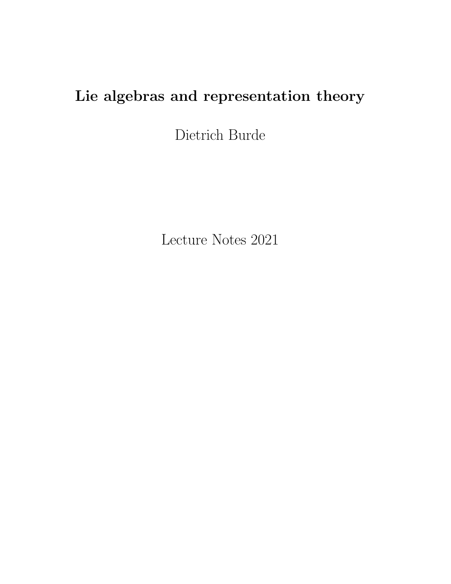# Lie algebras and representation theory

Dietrich Burde

Lecture Notes 2021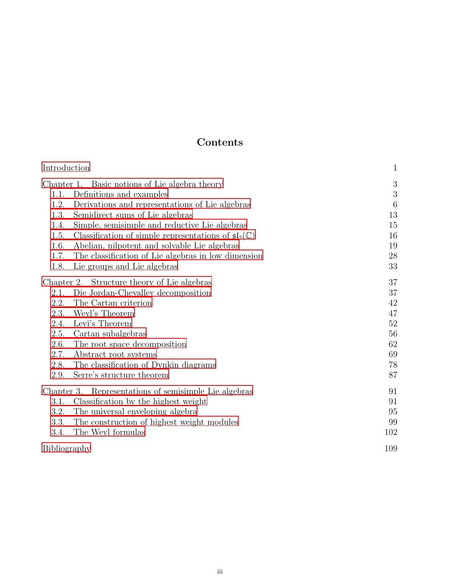## Contents

| Introduction                                          |                                                                           | $\mathbf{1}$    |
|-------------------------------------------------------|---------------------------------------------------------------------------|-----------------|
|                                                       | Chapter 1. Basic notions of Lie algebra theory                            | $\sqrt{3}$      |
|                                                       | 1.1. Definitions and examples                                             | $\sqrt{3}$      |
| 1.2.                                                  | Derivations and representations of Lie algebras                           | $6\phantom{.}6$ |
| 1.3.                                                  | Semidirect sums of Lie algebras                                           | 13              |
| 1.4.                                                  | Simple, semisimple and reductive Lie algebras                             | 15              |
| 1.5.                                                  | Classification of simple representations of $\mathfrak{sl}_2(\mathbb{C})$ | 16              |
| 1.6.                                                  | Abelian, nilpotent and solvable Lie algebras                              | 19              |
| 1.7.                                                  | The classification of Lie algebras in low dimension                       | 28              |
| 1.8.                                                  | Lie groups and Lie algebras                                               | $33\,$          |
|                                                       | Chapter 2. Structure theory of Lie algebras                               | 37              |
|                                                       | 2.1. Die Jordan-Chevalley decomposition                                   | 37              |
| 2.2.                                                  | The Cartan criterion                                                      | 42              |
| 2.3.                                                  | Weyl's Theorem                                                            | 47              |
| 2.4.                                                  | Levi's Theorem                                                            | $52\,$          |
| 2.5.                                                  | Cartan subalgebras                                                        | 56              |
| 2.6.                                                  | The root space decomposition                                              | 62              |
| 2.7.                                                  | Abstract root systems                                                     | 69              |
| 2.8.                                                  | The classification of Dynkin diagrams                                     | 78              |
| 2.9.                                                  | Serre's structure theorem                                                 | 87              |
| Chapter 3. Representations of semisimple Lie algebras |                                                                           | 91              |
| 3.1.                                                  | Classification by the highest weight                                      | 91              |
| 3.2.                                                  | The universal enveloping algebra                                          | 95              |
| 3.3.                                                  | The construction of highest weight modules                                | 99              |
| 3.4.                                                  | The Weyl formulas                                                         | 102             |
| Bibliography                                          |                                                                           | 109             |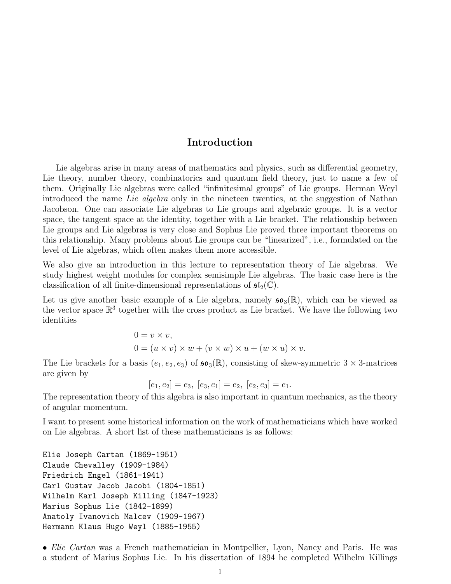## Introduction

<span id="page-3-0"></span>Lie algebras arise in many areas of mathematics and physics, such as differential geometry, Lie theory, number theory, combinatorics and quantum field theory, just to name a few of them. Originally Lie algebras were called "infinitesimal groups" of Lie groups. Herman Weyl introduced the name Lie algebra only in the nineteen twenties, at the suggestion of Nathan Jacobson. One can associate Lie algebras to Lie groups and algebraic groups. It is a vector space, the tangent space at the identity, together with a Lie bracket. The relationship between Lie groups and Lie algebras is very close and Sophus Lie proved three important theorems on this relationship. Many problems about Lie groups can be "linearized", i.e., formulated on the level of Lie algebras, which often makes them more accessible.

We also give an introduction in this lecture to representation theory of Lie algebras. We study highest weight modules for complex semisimple Lie algebras. The basic case here is the classification of all finite-dimensional representations of  $\mathfrak{sl}_2(\mathbb{C})$ .

Let us give another basic example of a Lie algebra, namely  $\mathfrak{so}_3(\mathbb{R})$ , which can be viewed as the vector space  $\mathbb{R}^3$  together with the cross product as Lie bracket. We have the following two identities

$$
0 = v \times v,
$$
  
\n
$$
0 = (u \times v) \times w + (v \times w) \times u + (w \times u) \times v.
$$

The Lie brackets for a basis  $(e_1, e_2, e_3)$  of  $\mathfrak{so}_3(\mathbb{R})$ , consisting of skew-symmetric  $3 \times 3$ -matrices are given by

$$
[e_1, e_2] = e_3, [e_3, e_1] = e_2, [e_2, e_3] = e_1.
$$

The representation theory of this algebra is also important in quantum mechanics, as the theory of angular momentum.

I want to present some historical information on the work of mathematicians which have worked on Lie algebras. A short list of these mathematicians is as follows:

```
Elie Joseph Cartan (1869-1951)
Claude Chevalley (1909-1984)
Friedrich Engel (1861-1941)
Carl Gustav Jacob Jacobi (1804-1851)
Wilhelm Karl Joseph Killing (1847-1923)
Marius Sophus Lie (1842-1899)
Anatoly Ivanovich Malcev (1909-1967)
Hermann Klaus Hugo Weyl (1885-1955)
```
• *Elie Cartan* was a French mathematician in Montpellier, Lyon, Nancy and Paris. He was a student of Marius Sophus Lie. In his dissertation of 1894 he completed Wilhelm Killings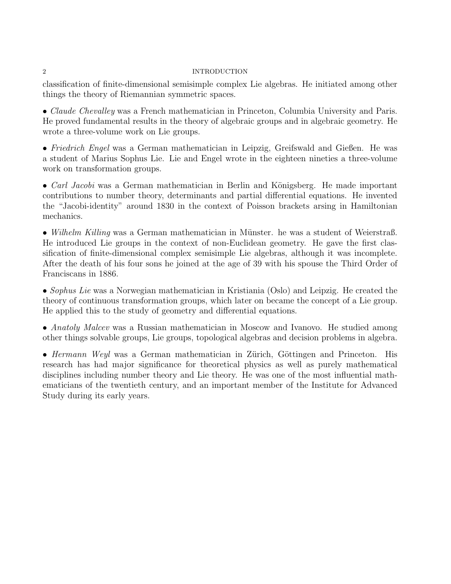## 2 INTRODUCTION

classification of finite-dimensional semisimple complex Lie algebras. He initiated among other things the theory of Riemannian symmetric spaces.

• *Claude Chevalley* was a French mathematician in Princeton, Columbia University and Paris. He proved fundamental results in the theory of algebraic groups and in algebraic geometry. He wrote a three-volume work on Lie groups.

• Friedrich Engel was a German mathematician in Leipzig, Greifswald and Gießen. He was a student of Marius Sophus Lie. Lie and Engel wrote in the eighteen nineties a three-volume work on transformation groups.

•  $Carl Jacobi$  was a German mathematician in Berlin and Königsberg. He made important contributions to number theory, determinants and partial differential equations. He invented the "Jacobi-identity" around 1830 in the context of Poisson brackets arsing in Hamiltonian mechanics.

• Wilhelm Killing was a German mathematician in Münster. he was a student of Weierstraß. He introduced Lie groups in the context of non-Euclidean geometry. He gave the first classification of finite-dimensional complex semisimple Lie algebras, although it was incomplete. After the death of his four sons he joined at the age of 39 with his spouse the Third Order of Franciscans in 1886.

• Sophus Lie was a Norwegian mathematician in Kristiania (Oslo) and Leipzig. He created the theory of continuous transformation groups, which later on became the concept of a Lie group. He applied this to the study of geometry and differential equations.

• Anatoly Malcev was a Russian mathematician in Moscow and Ivanovo. He studied among other things solvable groups, Lie groups, topological algebras and decision problems in algebra.

• Hermann Weyl was a German mathematician in Zürich, Göttingen and Princeton. His research has had major significance for theoretical physics as well as purely mathematical disciplines including number theory and Lie theory. He was one of the most influential mathematicians of the twentieth century, and an important member of the Institute for Advanced Study during its early years.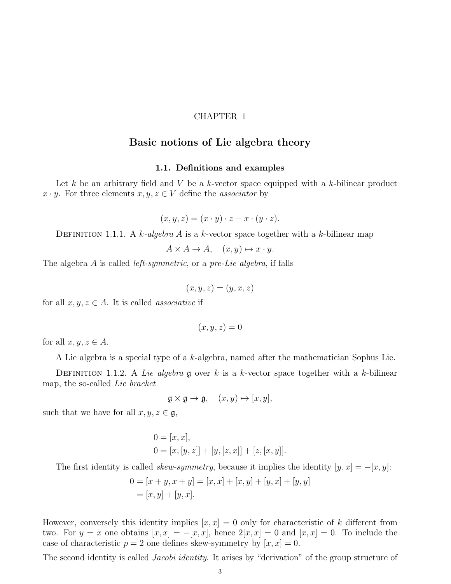#### CHAPTER 1

## Basic notions of Lie algebra theory

#### 1.1. Definitions and examples

<span id="page-5-1"></span><span id="page-5-0"></span>Let k be an arbitrary field and V be a k-vector space equipped with a k-bilinear product  $x \cdot y$ . For three elements  $x, y, z \in V$  define the *associator* by

 $(x, y, z) = (x \cdot y) \cdot z - x \cdot (y \cdot z).$ 

DEFINITION 1.1.1. A k-algebra A is a k-vector space together with a k-bilinear map

 $A \times A \rightarrow A$ ,  $(x, y) \mapsto x \cdot y$ .

The algebra A is called left-symmetric, or a pre-Lie algebra, if falls

$$
(x, y, z) = (y, x, z)
$$

for all  $x, y, z \in A$ . It is called *associative* if

$$
(x,y,z)=0
$$

for all  $x, y, z \in A$ .

A Lie algebra is a special type of a k-algebra, named after the mathematician Sophus Lie.

DEFINITION 1.1.2. A Lie algebra g over k is a k-vector space together with a k-bilinear map, the so-called Lie bracket

$$
\mathfrak{g} \times \mathfrak{g} \to \mathfrak{g}, \quad (x, y) \mapsto [x, y],
$$

such that we have for all  $x, y, z \in \mathfrak{g}$ ,

$$
0 = [x, x],
$$
  
\n
$$
0 = [x, [y, z]] + [y, [z, x]] + [z, [x, y]].
$$

The first identity is called *skew-symmetry*, because it implies the identity  $[y, x] = -[x, y]$ :

$$
0 = [x + y, x + y] = [x, x] + [x, y] + [y, x] + [y, y]
$$
  
= [x, y] + [y, x].

However, conversely this identity implies  $[x, x] = 0$  only for characteristic of k different from two. For  $y = x$  one obtains  $[x, x] = -[x, x]$ , hence  $2[x, x] = 0$  and  $[x, x] = 0$ . To include the case of characteristic  $p = 2$  one defines skew-symmetry by  $[x, x] = 0$ .

The second identity is called *Jacobi identity*. It arises by "derivation" of the group structure of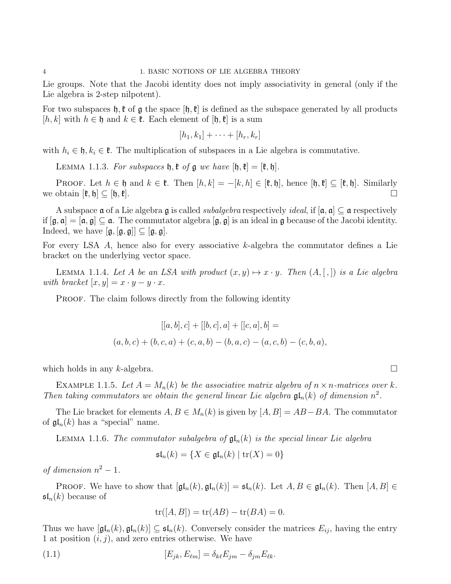Lie groups. Note that the Jacobi identity does not imply associativity in general (only if the Lie algebra is 2-step nilpotent).

For two subspaces  $\mathfrak{h}, \mathfrak{k}$  of  $\mathfrak{g}$  the space  $[\mathfrak{h}, \mathfrak{k}]$  is defined as the subspace generated by all products [h, k] with  $h \in \mathfrak{h}$  and  $k \in \mathfrak{k}$ . Each element of [h,  $\mathfrak{k}$ ] is a sum

$$
[h_1,k_1]+\cdots+[h_r,k_r]
$$

with  $h_i \in \mathfrak{h}, k_i \in \mathfrak{k}$ . The multiplication of subspaces in a Lie algebra is commutative.

LEMMA 1.1.3. For subspaces  $\mathfrak{h}, \mathfrak{k}$  of  $\mathfrak{g}$  we have  $[\mathfrak{h}, \mathfrak{k}] = [\mathfrak{k}, \mathfrak{h}].$ 

PROOF. Let  $h \in \mathfrak{h}$  and  $k \in \mathfrak{k}$ . Then  $[h, k] = -[k, h] \in [\mathfrak{k}, \mathfrak{h}]$ , hence  $[\mathfrak{h}, \mathfrak{k}] \subseteq [\mathfrak{k}, \mathfrak{h}]$ . Similarly obtain  $[\mathfrak{k}, \mathfrak{h}] \subset [\mathfrak{h}, \mathfrak{k}]$ . we obtain  $[\mathfrak{k}, \mathfrak{h}] \subseteq [\mathfrak{h}, \mathfrak{k}]$ .

A subspace  $\mathfrak a$  of a Lie algebra  $\mathfrak g$  is called *subalgebra* respectively *ideal*, if  $[\mathfrak a, \mathfrak a] \subseteq \mathfrak a$  respectively if  $[g, a] = [a, g] \subseteq a$ . The commutator algebra  $[g, g]$  is an ideal in g because of the Jacobi identity. Indeed, we have  $[\mathfrak{g}, [\mathfrak{g}, \mathfrak{g}] \subseteq [\mathfrak{g}, \mathfrak{g}].$ 

For every LSA A, hence also for every associative k-algebra the commutator defines a Lie bracket on the underlying vector space.

LEMMA 1.1.4. Let A be an LSA with product  $(x, y) \mapsto x \cdot y$ . Then  $(A, [,])$  is a Lie algebra with bracket  $[x, y] = x \cdot y - y \cdot x$ .

PROOF. The claim follows directly from the following identity

$$
[[a, b], c] + [[b, c], a] + [[c, a], b] =
$$

$$
(a, b, c) + (b, c, a) + (c, a, b) - (b, a, c) - (a, c, b) - (c, b, a),
$$

which holds in any k-algebra.  $\square$ 

EXAMPLE 1.1.5. Let  $A = M_n(k)$  be the associative matrix algebra of  $n \times n$ -matrices over k. Then taking commutators we obtain the general linear Lie algebra  $\mathfrak{gl}_n(k)$  of dimension  $n^2$ .

The Lie bracket for elements  $A, B \in M_n(k)$  is given by  $[A, B] = AB - BA$ . The commutator of  $\mathfrak{gl}_n(k)$  has a "special" name.

LEMMA 1.1.6. The commutator subalgebra of  $\mathfrak{gl}_n(k)$  is the special linear Lie algebra

$$
\mathfrak{sl}_n(k) = \{ X \in \mathfrak{gl}_n(k) \mid \text{tr}(X) = 0 \}
$$

of dimension  $n^2 - 1$ .

PROOF. We have to show that  $[\mathfrak{gl}_n(k), \mathfrak{gl}_n(k)] = \mathfrak{sl}_n(k)$ . Let  $A, B \in \mathfrak{gl}_n(k)$ . Then  $[A, B] \in$  $\mathfrak{sl}_n(k)$  because of

$$
\operatorname{tr}([A,B]) = \operatorname{tr}(AB) - \operatorname{tr}(BA) = 0.
$$

Thus we have  $[\mathfrak{gl}_n(k), \mathfrak{gl}_n(k)] \subseteq \mathfrak{sl}_n(k)$ . Conversely consider the matrices  $E_{ij}$ , having the entry 1 at position  $(i, j)$ , and zero entries otherwise. We have

(1.1) 
$$
[E_{jk}, E_{\ell m}] = \delta_{k\ell} E_{jm} - \delta_{jm} E_{\ell k}.
$$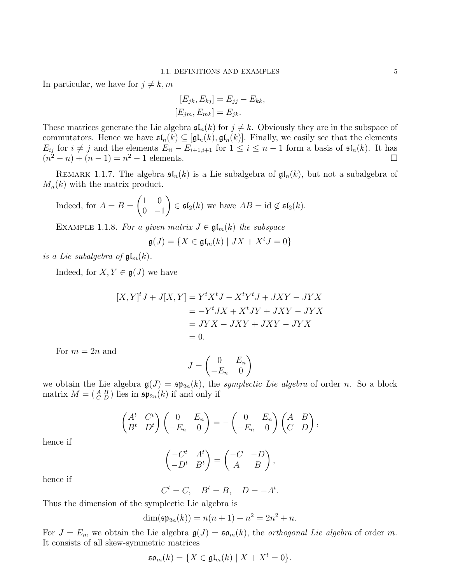In particular, we have for  $j \neq k, m$ 

$$
[E_{jk}, E_{kj}] = E_{jj} - E_{kk},
$$

$$
[E_{jm}, E_{mk}] = E_{jk}.
$$

These matrices generate the Lie algebra  $\mathfrak{sl}_n(k)$  for  $j \neq k$ . Obviously they are in the subspace of commutators. Hence we have  $\mathfrak{sl}_n(k) \subseteq [\mathfrak{gl}_n(k), \mathfrak{gl}_n(k)]$ . Finally, we easily see that the elements  $E_{ij}$  for  $i \neq j$  and the elements  $E_{ii} - E_{i+1,i+1}$  for  $1 \leq i \leq n-1$  form a basis of  $\mathfrak{sl}_n(k)$ . It has  $(n^2 - n) + (n - 1) = n^2 - 1$  elements.

REMARK 1.1.7. The algebra  $\mathfrak{sl}_n(k)$  is a Lie subalgebra of  $\mathfrak{gl}_n(k)$ , but not a subalgebra of  $M_n(k)$  with the matrix product.

Indeed, for 
$$
A = B = \begin{pmatrix} 1 & 0 \\ 0 & -1 \end{pmatrix} \in \mathfrak{sl}_2(k)
$$
 we have  $AB = id \notin \mathfrak{sl}_2(k)$ .

EXAMPLE 1.1.8. For a given matrix  $J \in \mathfrak{gl}_m(k)$  the subspace

$$
\mathfrak{g}(J) = \{ X \in \mathfrak{gl}_m(k) \mid JX + X^t J = 0 \}
$$

is a Lie subalgebra of  $\mathfrak{gl}_m(k)$ .

Indeed, for  $X, Y \in \mathfrak{g}(J)$  we have

$$
[X,Y]^{t}J + J[X,Y] = Y^{t}X^{t}J - X^{t}Y^{t}J + JXY - JYX
$$
  

$$
= -Y^{t}JX + X^{t}JY + JXY - JYX
$$
  

$$
= JYX - JXY + JXY - JYX
$$
  

$$
= 0.
$$

For  $m = 2n$  and

$$
J = \begin{pmatrix} 0 & E_n \\ -E_n & 0 \end{pmatrix}
$$

we obtain the Lie algebra  $\mathfrak{g}(J) = \mathfrak{sp}_{2n}(k)$ , the symplectic Lie algebra of order n. So a block matrix  $M = \begin{pmatrix} A & B \\ C & D \end{pmatrix}$  lies in  $\mathfrak{sp}_{2n}(k)$  if and only if

$$
\begin{pmatrix} A^t & C^t \ B^t & D^t \end{pmatrix} \begin{pmatrix} 0 & E_n \ -E_n & 0 \end{pmatrix} = - \begin{pmatrix} 0 & E_n \ -E_n & 0 \end{pmatrix} \begin{pmatrix} A & B \ C & D \end{pmatrix},
$$

hence if

$$
\begin{pmatrix} -C^t & A^t \ -D^t & B^t \end{pmatrix} = \begin{pmatrix} -C & -D \ A & B \end{pmatrix},
$$

hence if

$$
C^t = C, \quad B^t = B, \quad D = -A^t.
$$

Thus the dimension of the symplectic Lie algebra is

$$
\dim(\mathfrak{sp}_{2n}(k)) = n(n+1) + n^2 = 2n^2 + n.
$$

For  $J = E_m$  we obtain the Lie algebra  $\mathfrak{g}(J) = \mathfrak{so}_m(k)$ , the *orthogonal Lie algebra* of order m. It consists of all skew-symmetric matrices

$$
\mathfrak{so}_m(k) = \{ X \in \mathfrak{gl}_m(k) \mid X + X^t = 0 \}.
$$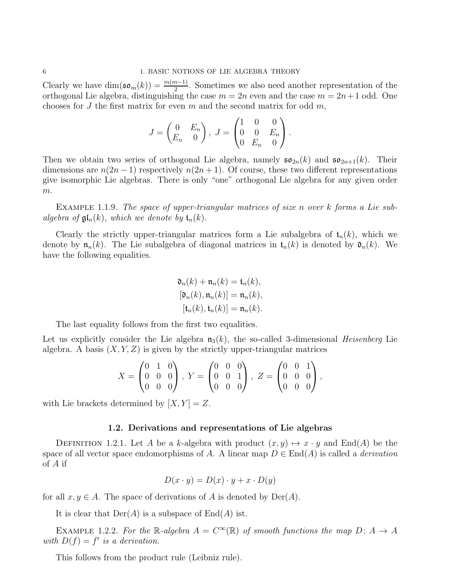Clearly we have  $\dim(\mathfrak{so}_m(k)) = \frac{m(m-1)}{2}$ . Sometimes we also need another representation of the orthogonal Lie algebra, distinguishing the case  $m = 2n$  even and the case  $m = 2n + 1$  odd. One chooses for J the first matrix for even m and the second matrix for odd m,

$$
J = \begin{pmatrix} 0 & E_n \\ E_n & 0 \end{pmatrix}, \ J = \begin{pmatrix} 1 & 0 & 0 \\ 0 & 0 & E_n \\ 0 & E_n & 0 \end{pmatrix}.
$$

Then we obtain two series of orthogonal Lie algebra, namely  $\mathfrak{so}_{2n}(k)$  and  $\mathfrak{so}_{2n+1}(k)$ . Their dimensions are  $n(2n-1)$  respectively  $n(2n+1)$ . Of course, these two different representations give isomorphic Lie algebras. There is only "one" orthogonal Lie algebra for any given order  $m$ .

EXAMPLE 1.1.9. The space of upper-triangular matrices of size n over k forms a Lie subalgebra of  $\mathfrak{gl}_n(k)$ , which we denote by  $\mathfrak{t}_n(k)$ .

Clearly the strictly upper-triangular matrices form a Lie subalgebra of  $t_n(k)$ , which we denote by  $\mathfrak{n}_n(k)$ . The Lie subalgebra of diagonal matrices in  $\mathfrak{t}_n(k)$  is denoted by  $\mathfrak{d}_n(k)$ . We have the following equalities.

$$
\mathfrak{d}_n(k) + \mathfrak{n}_n(k) = \mathfrak{t}_n(k),
$$
  
\n
$$
[\mathfrak{d}_n(k), \mathfrak{n}_n(k)] = \mathfrak{n}_n(k),
$$
  
\n
$$
[\mathfrak{t}_n(k), \mathfrak{t}_n(k)] = \mathfrak{n}_n(k).
$$

The last equality follows from the first two equalities.

Let us explicitly consider the Lie algebra  $\mathfrak{n}_3(k)$ , the so-called 3-dimensional *Heisenberg* Lie algebra. A basis  $(X, Y, Z)$  is given by the strictly upper-triangular matrices

$$
X = \begin{pmatrix} 0 & 1 & 0 \\ 0 & 0 & 0 \\ 0 & 0 & 0 \end{pmatrix}, Y = \begin{pmatrix} 0 & 0 & 0 \\ 0 & 0 & 1 \\ 0 & 0 & 0 \end{pmatrix}, Z = \begin{pmatrix} 0 & 0 & 1 \\ 0 & 0 & 0 \\ 0 & 0 & 0 \end{pmatrix},
$$

<span id="page-8-0"></span>with Lie brackets determined by  $[X, Y] = Z$ .

#### 1.2. Derivations and representations of Lie algebras

DEFINITION 1.2.1. Let A be a k-algebra with product  $(x, y) \mapsto x \cdot y$  and End(A) be the space of all vector space endomorphisms of A. A linear map  $D \in End(A)$  is called a *derivation* of A if

$$
D(x \cdot y) = D(x) \cdot y + x \cdot D(y)
$$

for all  $x, y \in A$ . The space of derivations of A is denoted by  $\text{Der}(A)$ .

It is clear that  $Der(A)$  is a subspace of  $End(A)$  ist.

EXAMPLE 1.2.2. For the R-algebra  $A = C^{\infty}(\mathbb{R})$  of smooth functions the map  $D: A \rightarrow A$ with  $D(f) = f'$  is a derivation.

This follows from the product rule (Leibniz rule).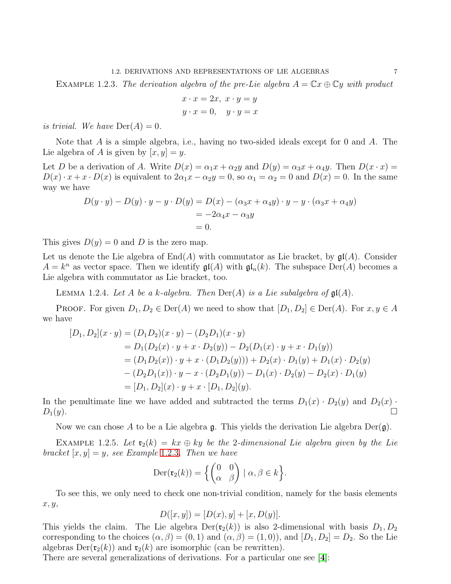<span id="page-9-0"></span>EXAMPLE 1.2.3. The derivation algebra of the pre-Lie algebra  $A = \mathbb{C}x \oplus \mathbb{C}y$  with product

$$
x \cdot x = 2x, \ x \cdot y = y
$$

$$
y \cdot x = 0, \quad y \cdot y = x
$$

is trivial. We have  $\text{Der}(A) = 0$ .

Note that A is a simple algebra, i.e., having no two-sided ideals except for 0 and A. The Lie algebra of A is given by  $[x, y] = y$ .

Let D be a derivation of A. Write  $D(x) = \alpha_1 x + \alpha_2 y$  and  $D(y) = \alpha_3 x + \alpha_4 y$ . Then  $D(x \cdot x) =$  $D(x) \cdot x + x \cdot D(x)$  is equivalent to  $2\alpha_1 x - \alpha_2 y = 0$ , so  $\alpha_1 = \alpha_2 = 0$  and  $D(x) = 0$ . In the same way we have

$$
D(y \cdot y) - D(y) \cdot y - y \cdot D(y) = D(x) - (\alpha_3 x + \alpha_4 y) \cdot y - y \cdot (\alpha_3 x + \alpha_4 y)
$$
  
= -2\alpha\_4 x - \alpha\_3 y  
= 0.

This gives  $D(y) = 0$  and D is the zero map.

Let us denote the Lie algebra of  $End(A)$  with commutator as Lie bracket, by  $\mathfrak{gl}(A)$ . Consider  $A = k^n$  as vector space. Then we identify  $\mathfrak{gl}(A)$  with  $\mathfrak{gl}_n(k)$ . The subspace  $\text{Der}(A)$  becomes a Lie algebra with commutator as Lie bracket, too.

LEMMA 1.2.4. Let A be a k-algebra. Then  $Der(A)$  is a Lie subalgebra of  $\mathfrak{gl}(A)$ .

**PROOF.** For given  $D_1, D_2 \in \text{Der}(A)$  we need to show that  $[D_1, D_2] \in \text{Der}(A)$ . For  $x, y \in A$ we have

$$
[D_1, D_2](x \cdot y) = (D_1 D_2)(x \cdot y) - (D_2 D_1)(x \cdot y)
$$
  
=  $D_1(D_2(x) \cdot y + x \cdot D_2(y)) - D_2(D_1(x) \cdot y + x \cdot D_1(y))$   
=  $(D_1 D_2(x)) \cdot y + x \cdot (D_1 D_2(y))) + D_2(x) \cdot D_1(y) + D_1(x) \cdot D_2(y)$   
-  $(D_2 D_1(x)) \cdot y - x \cdot (D_2 D_1(y)) - D_1(x) \cdot D_2(y) - D_2(x) \cdot D_1(y)$   
=  $[D_1, D_2](x) \cdot y + x \cdot [D_1, D_2](y).$ 

In the penultimate line we have added and subtracted the terms  $D_1(x) \cdot D_2(y)$  and  $D_2(x)$ .  $D_1(y).$ 

Now we can chose A to be a Lie algebra  $\mathfrak{g}$ . This yields the derivation Lie algebra  $Der(\mathfrak{g})$ .

<span id="page-9-1"></span>EXAMPLE 1.2.5. Let  $\mathfrak{r}_2(k) = kx \oplus ky$  be the 2-dimensional Lie algebra given by the Lie bracket  $[x, y] = y$ , see Example [1](#page-9-0).2.3. Then we have

$$
\operatorname{Der}(\mathfrak{r}_2(k)) = \left\{ \begin{pmatrix} 0 & 0 \\ \alpha & \beta \end{pmatrix} \mid \alpha, \beta \in k \right\}.
$$

To see this, we only need to check one non-trivial condition, namely for the basis elements x, y,

$$
D([x, y]) = [D(x), y] + [x, D(y)].
$$

This yields the claim. The Lie algebra  $\text{Der}(\mathfrak{r}_2(k))$  is also 2-dimensional with basis  $D_1, D_2$ corresponding to the choices  $(\alpha, \beta) = (0, 1)$  and  $(\alpha, \beta) = (1, 0)$ , and  $[D_1, D_2] = D_2$ . So the Lie algebras  $Der(\mathfrak{r}_2(k))$  and  $\mathfrak{r}_2(k)$  are isomorphic (can be rewritten).

There are several generalizations of derivations. For a particular one see [[4](#page-111-1)]: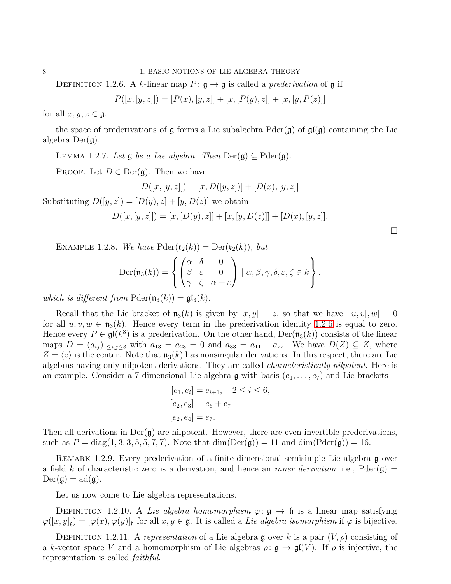8 1. BASIC NOTIONS OF LIE ALGEBRA THEORY

DEFINITION 1.2.6. A k-linear map  $P: \mathfrak{g} \to \mathfrak{g}$  is called a *prederivation* of  $\mathfrak{g}$  if

$$
P([x,[y,z]]) = [P(x), [y,z]] + [x,[P(y),z]] + [x,[y,P(z)]]
$$

for all  $x, y, z \in \mathfrak{g}$ .

the space of prederivations of g forms a Lie subalgebra  $\text{Pder}(\mathfrak{g})$  of  $\mathfrak{gl}(\mathfrak{g})$  containing the Lie algebra  $Der(\mathfrak{g})$ .

LEMMA 1.2.7. Let  $\mathfrak g$  be a Lie algebra. Then  $\text{Der}(\mathfrak g) \subseteq \text{Pder}(\mathfrak g)$ .

PROOF. Let  $D \in \text{Der}(\mathfrak{g})$ . Then we have

$$
D([x,[y,z]]) = [x, D([y,z])] + [D(x), [y,z]]
$$

Substituting  $D([y, z]) = [D(y), z] + [y, D(z)]$  we obtain

$$
D([x,[y,z]]) = [x,[D(y),z]] + [x,[y,D(z)]] + [D(x),[y,z]].
$$

 $\Box$ 

EXAMPLE 1.2.8. We have  $Pder(\mathfrak{r}_2(k)) = Der(\mathfrak{r}_2(k))$ , but

$$
\operatorname{Der}(\mathfrak{n}_3(k)) = \left\{ \begin{pmatrix} \alpha & \delta & 0 \\ \beta & \varepsilon & 0 \\ \gamma & \zeta & \alpha + \varepsilon \end{pmatrix} \mid \alpha, \beta, \gamma, \delta, \varepsilon, \zeta \in k \right\}.
$$

which is different from  $\text{Pder}(\mathfrak{n}_3(k)) = \mathfrak{gl}_3(k)$ .

Recall that the Lie bracket of  $\mathfrak{n}_3(k)$  is given by  $[x, y] = z$ , so that we have  $[[u, v], w] = 0$ for all  $u, v, w \in \mathfrak{n}_3(k)$ . Hence every term in the prederivation identity [1](#page-10-0).2.6 is equal to zero. Hence every  $P \in \mathfrak{gl}(k^3)$  is a prederivation. On the other hand,  $\text{Der}(\mathfrak{n}_3(k))$  consists of the linear maps  $D = (a_{ij})_{1 \le i,j \le 3}$  with  $a_{13} = a_{23} = 0$  and  $a_{33} = a_{11} + a_{22}$ . We have  $D(Z) \subseteq Z$ , where  $Z = \langle z \rangle$  is the center. Note that  $\mathfrak{n}_3(k)$  has nonsingular derivations. In this respect, there are Lie algebras having only nilpotent derivations. They are called characteristically nilpotent. Here is an example. Consider a 7-dimensional Lie algebra  $\mathfrak g$  with basis  $(e_1, \ldots, e_7)$  and Lie brackets

$$
[e_1, e_i] = e_{i+1}, \quad 2 \le i \le 6,
$$
  

$$
[e_2, e_3] = e_6 + e_7
$$
  

$$
[e_2, e_4] = e_7.
$$

Then all derivations in  $Der(\mathfrak{g})$  are nilpotent. However, there are even invertible prederivations, such as  $P = diag(1, 3, 3, 5, 5, 7, 7)$ . Note that  $dim(Der(\mathfrak{g})) = 11$  and  $dim(Pder(\mathfrak{g})) = 16$ .

REMARK 1.2.9. Every prederivation of a finite-dimensional semisimple Lie algebra g over a field k of characteristic zero is a derivation, and hence an *inner derivation*, i.e., Pder( $\mathfrak{g}$ ) =  $Der(\mathfrak{g}) = ad(\mathfrak{g}).$ 

Let us now come to Lie algebra representations.

DEFINITION 1.2.10. A Lie algebra homomorphism  $\varphi: \mathfrak{g} \to \mathfrak{h}$  is a linear map satisfying  $\varphi([x,y]_q) = [\varphi(x), \varphi(y)]_q$  for all  $x, y \in \mathfrak{g}$ . It is called a Lie algebra isomorphism if  $\varphi$  is bijective.

DEFINITION 1.2.11. A representation of a Lie algebra g over k is a pair  $(V, \rho)$  consisting of a k-vector space V and a homomorphism of Lie algebras  $\rho: \mathfrak{g} \to \mathfrak{gl}(V)$ . If  $\rho$  is injective, the representation is called faithful.

<span id="page-10-0"></span>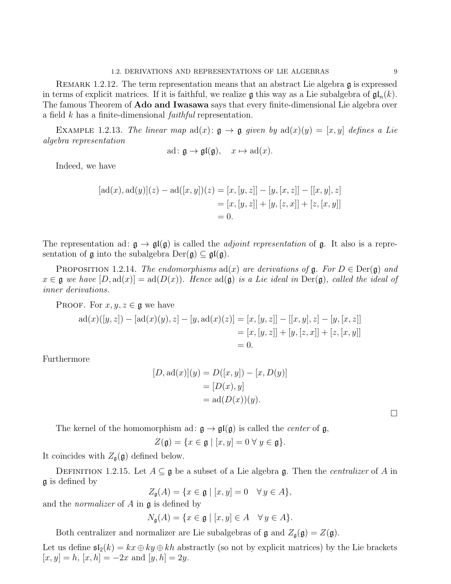REMARK 1.2.12. The term representation means that an abstract Lie algebra  $\mathfrak g$  is expressed in terms of explicit matrices. If it is faithful, we realize g this way as a Lie subalgebra of  $\mathfrak{gl}_n(k)$ . The famous Theorem of **Ado and Iwasawa** says that every finite-dimensional Lie algebra over a field k has a finite-dimensional faithful representation.

EXAMPLE 1.2.13. The linear map  $ad(x)$ :  $\mathfrak{g} \to \mathfrak{g}$  given by  $ad(x)(y) = [x, y]$  defines a Lie algebra representation

$$
ad: \mathfrak{g} \to \mathfrak{gl}(\mathfrak{g}), \quad x \mapsto ad(x).
$$

Indeed, we have

$$
[\text{ad}(x), \text{ad}(y)](z) - \text{ad}([x, y])(z) = [x, [y, z]] - [y, [x, z]] - [[x, y], z]
$$
  

$$
= [x, [y, z]] + [y, [z, x]] + [z, [x, y]]
$$
  

$$
= 0.
$$

The representation ad:  $g \to g f(g)$  is called the *adjoint representation* of g. It also is a representation of  $\mathfrak g$  into the subalgebra  $\mathrm{Der}(\mathfrak g) \subseteq \mathfrak{gl}(\mathfrak g)$ .

PROPOSITION 1.2.14. The endomorphisms  $ad(x)$  are derivations of  $\mathfrak{g}$ . For  $D \in \text{Der}(\mathfrak{g})$  and  $x \in \mathfrak{g}$  we have  $[D, ad(x)] = ad(D(x))$ . Hence  $ad(\mathfrak{g})$  is a Lie ideal in Der( $\mathfrak{g}$ ), called the ideal of inner derivations.

PROOF. For  $x, y, z \in \mathfrak{g}$  we have

$$
ad(x)([y, z]) - [ad(x)(y), z] - [y, ad(x)(z)] = [x, [y, z]] - [[x, y], z] - [y, [x, z]]
$$
  

$$
= [x, [y, z]] + [y, [z, x]] + [z, [x, y]]
$$
  

$$
= 0.
$$

Furthermore

$$
[D, ad(x)](y) = D([x, y]) - [x, D(y)]
$$

$$
= [D(x), y]
$$

$$
= ad(D(x))(y).
$$

 $\Box$ 

The kernel of the homomorphism ad:  $\mathfrak{g} \to \mathfrak{gl}(\mathfrak{g})$  is called the *center* of  $\mathfrak{g}$ ,

 $Z(\mathfrak{g}) = \{x \in \mathfrak{g} \mid [x, y] = 0 \,\forall \, y \in \mathfrak{g}\}.$ 

It coincides with  $Z_{\mathfrak{g}}(\mathfrak{g})$  defined below.

DEFINITION 1.2.15. Let  $A \subseteq \mathfrak{g}$  be a subset of a Lie algebra  $\mathfrak{g}$ . Then the *centralizer* of A in g is defined by

 $Z_{\mathfrak{q}}(A) = \{x \in \mathfrak{g} \mid [x, y] = 0 \quad \forall y \in A\},\$ 

and the normalizer of A in g is defined by

$$
N_{\mathfrak{g}}(A) = \{ x \in \mathfrak{g} \mid [x, y] \in A \quad \forall \, y \in A \}.
$$

Both centralizer and normalizer are Lie subalgebras of  $\mathfrak g$  and  $Z_{\mathfrak g}(\mathfrak g) = Z(\mathfrak g)$ .

Let us define  $\mathfrak{sl}_2(k) = kx \oplus ky \oplus kh$  abstractly (so not by explicit matrices) by the Lie brackets  $[x, y] = h$ ,  $[x, h] = -2x$  and  $[y, h] = 2y$ .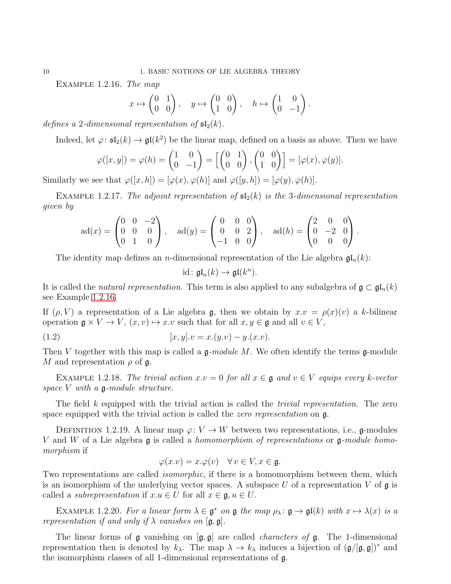Example 1.2.16. The map

$$
x \mapsto \begin{pmatrix} 0 & 1 \\ 0 & 0 \end{pmatrix}, \quad y \mapsto \begin{pmatrix} 0 & 0 \\ 1 & 0 \end{pmatrix}, \quad h \mapsto \begin{pmatrix} 1 & 0 \\ 0 & -1 \end{pmatrix}.
$$

defines a 2-dimensional representation of  $\mathfrak{sl}_2(k)$ .

Indeed, let  $\varphi: \mathfrak{sl}_2(k) \to \mathfrak{gl}(k^2)$  be the linear map, defined on a basis as above. Then we have

$$
\varphi([x, y]) = \varphi(h) = \begin{pmatrix} 1 & 0 \\ 0 & -1 \end{pmatrix} = \begin{bmatrix} 0 & 1 \\ 0 & 0 \end{bmatrix}, \begin{pmatrix} 0 & 0 \\ 1 & 0 \end{pmatrix} = [\varphi(x), \varphi(y)].
$$

Similarly we see that  $\varphi([x, h]) = [\varphi(x), \varphi(h)]$  and  $\varphi([y, h]) = [\varphi(y), \varphi(h)].$ 

EXAMPLE 1.2.17. The adjoint representation of  $\mathfrak{sl}_2(k)$  is the 3-dimensional representation given by

$$
ad(x) = \begin{pmatrix} 0 & 0 & -2 \\ 0 & 0 & 0 \\ 0 & 1 & 0 \end{pmatrix}, \quad ad(y) = \begin{pmatrix} 0 & 0 & 0 \\ 0 & 0 & 2 \\ -1 & 0 & 0 \end{pmatrix}, \quad ad(h) = \begin{pmatrix} 2 & 0 & 0 \\ 0 & -2 & 0 \\ 0 & 0 & 0 \end{pmatrix}.
$$

The identity map defines an *n*-dimensional representation of the Lie algebra  $\mathfrak{gl}_n(k)$ :

$$
\mathrm{id}\colon \mathfrak{gl}_n(k)\to \mathfrak{gl}(k^n).
$$

It is called the *natural representation*. This term is also applied to any subalgebra of  $\mathfrak{g} \subset \mathfrak{gl}_n(k)$ see Example 1.2.[16.](#page-12-0)

If  $(\rho, V)$  a representation of a Lie algebra g, then we obtain by  $x \cdot v = \rho(x)(v)$  a k-bilinear operation  $\mathfrak{g} \times V \to V$ ,  $(x, v) \mapsto x \cdot v$  such that for all  $x, y \in \mathfrak{g}$  and all  $v \in V$ ,

(1.2) 
$$
[x, y].v = x.(y.v) - y.(x.v).
$$

Then V together with this map is called a  $\mathfrak{g}\text{-module }M$ . We often identify the terms  $\mathfrak{g}\text{-module }M$ M and representation  $\rho$  of  $\mathfrak{g}$ .

EXAMPLE 1.2.18. The trivial action  $x.v = 0$  for all  $x \in \mathfrak{g}$  and  $v \in V$  equips every k-vector space  $V$  with a  $\mathfrak{g}\text{-module}$  structure.

The field  $k$  equipped with the trivial action is called the *trivial representation*. The zero space equipped with the trivial action is called the *zero representation* on  $\mathfrak{g}$ .

DEFINITION 1.2.19. A linear map  $\varphi: V \to W$  between two representations, i.e., g-modules V and W of a Lie algebra  $\mathfrak g$  is called a homomorphism of representations or  $\mathfrak g$ -module homomorphism if

$$
\varphi(x.v) = x.\varphi(v) \quad \forall \, v \in V, x \in \mathfrak{g}.
$$

Two representations are called *isomorphic*, if there is a homomorphism between them, which is an isomorphism of the underlying vector spaces. A subspace U of a representation V of  $\mathfrak g$  is called a *subrepresentation* if  $x.u \in U$  for all  $x \in \mathfrak{g}, u \in U$ .

EXAMPLE 1.2.20. For a linear form  $\lambda \in \mathfrak{g}^*$  on  $\mathfrak{g}$  the map  $\rho_{\lambda} : \mathfrak{g} \to \mathfrak{gl}(k)$  with  $x \mapsto \lambda(x)$  is a representation if and only if  $\lambda$  vanishes on  $[\mathfrak{g}, \mathfrak{g}]$ .

The linear forms of  $\mathfrak g$  vanishing on  $[\mathfrak g, \mathfrak g]$  are called *characters of*  $\mathfrak g$ . The 1-dimensional representation then is denoted by  $k_\lambda$ . The map  $\lambda \to k_\lambda$  induces a bijection of  $(\mathfrak{g}/[\mathfrak{g}, \mathfrak{g}])^*$  and the isomorphism classes of all 1-dimensional representations of g.

<span id="page-12-0"></span>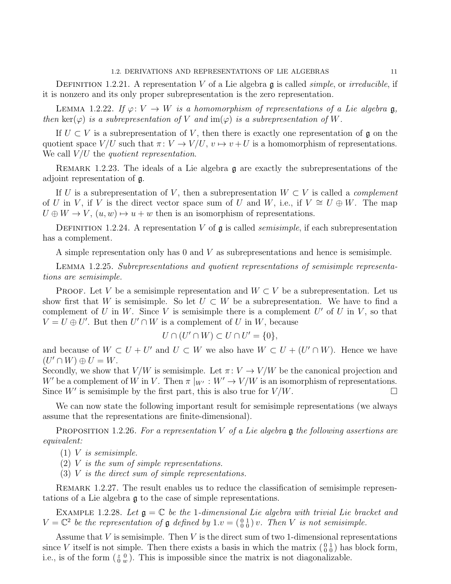DEFINITION 1.2.21. A representation V of a Lie algebra  $\mathfrak g$  is called *simple*, or *irreducible*, if it is nonzero and its only proper subrepresentation is the zero representation.

LEMMA 1.2.22. If  $\varphi: V \to W$  is a homomorphism of representations of a Lie algebra  $\mathfrak{g}$ , then ker( $\varphi$ ) is a subrepresentation of V and im( $\varphi$ ) is a subrepresentation of W.

If  $U \subset V$  is a subrepresentation of V, then there is exactly one representation of g on the quotient space  $V/U$  such that  $\pi: V \to V/U$ ,  $v \mapsto v + U$  is a homomorphism of representations. We call  $V/U$  the *quotient representation*.

<span id="page-13-0"></span>REMARK 1.2.23. The ideals of a Lie algebra  $\mathfrak g$  are exactly the subrepresentations of the adjoint representation of g.

If U is a subrepresentation of V, then a subrepresentation  $W \subset V$  is called a *complement* of U in V, if V is the direct vector space sum of U and W, i.e., if  $V \cong U \oplus W$ . The map  $U \oplus W \rightarrow V$ ,  $(u, w) \mapsto u + w$  then is an isomorphism of representations.

DEFINITION 1.2.24. A representation V of  $\mathfrak g$  is called *semisimple*, if each subrepresentation has a complement.

A simple representation only has 0 and V as subrepresentations and hence is semisimple.

<span id="page-13-2"></span>Lemma 1.2.25. Subrepresentations and quotient representations of semisimple representations are semisimple.

PROOF. Let V be a semisimple representation and  $W \subset V$  be a subrepresentation. Let us show first that W is semisimple. So let  $U \subset W$  be a subrepresentation. We have to find a complement of U in W. Since V is semisimple there is a complement U' of U in V, so that  $V = U \oplus U'$ . But then  $U' \cap W$  is a complement of U in W, because

$$
U \cap (U' \cap W) \subset U \cap U' = \{0\},\
$$

and because of  $W \subset U + U'$  and  $U \subset W$  we also have  $W \subset U + (U' \cap W)$ . Hence we have  $(U' \cap W) \oplus U = W.$ 

Secondly, we show that  $V/W$  is semisimple. Let  $\pi: V \to V/W$  be the canonical projection and W' be a complement of W in V. Then  $\pi|_{W'}: W' \to V/W$  is an isomorphism of representations.<br>Since W' is semisimple by the first part, this is also true for  $V/W$ . Since W' is semisimple by the first part, this is also true for  $V/W$ .

We can now state the following important result for semisimple representations (we always assume that the representations are finite-dimensional).

<span id="page-13-1"></span>PROPOSITION 1.2.26. For a representation V of a Lie algebra  $\mathfrak g$  the following assertions are equivalent:

- $(1)$  V is semisimple.
- $(2)$  V is the sum of simple representations.
- $(3)$  V is the direct sum of simple representations.

REMARK 1.2.27. The result enables us to reduce the classification of semisimple representations of a Lie algebra g to the case of simple representations.

EXAMPLE 1.2.28. Let  $\mathfrak{g} = \mathbb{C}$  be the 1-dimensional Lie algebra with trivial Lie bracket and  $V = \mathbb{C}^2$  be the representation of  $\mathfrak g$  defined by  $1.v = \left(\begin{smallmatrix} 0 & 1 \\ 0 & 0 \end{smallmatrix}\right)v$ . Then V is not semisimple.

Assume that  $V$  is semisimple. Then  $V$  is the direct sum of two 1-dimensional representations since V itself is not simple. Then there exists a basis in which the matrix  $\begin{pmatrix} 0 & 1 \\ 0 & 0 \end{pmatrix}$  has block form, i.e., is of the form  $(\begin{smallmatrix} z & 0 \\ 0 & w \end{smallmatrix})$ . This is impossible since the matrix is not diagonalizable.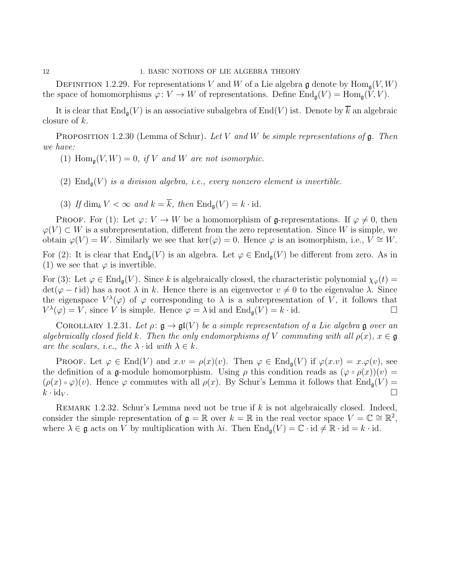#### 12 1. BASIC NOTIONS OF LIE ALGEBRA THEORY

DEFINITION 1.2.29. For representations V and W of a Lie algebra g denote by  $\text{Hom}_{\mathfrak{a}}(V, W)$ the space of homomorphisms  $\varphi: V \to W$  of representations. Define  $\text{End}_{\mathfrak{a}}(V) = \text{Hom}_{\mathfrak{a}}(V, V)$ .

It is clear that  $\text{End}_{\mathfrak{g}}(V)$  is an associative subalgebra of  $\text{End}(V)$  ist. Denote by  $\overline{k}$  an algebraic closure of k.

PROPOSITION 1.2.30 (Lemma of Schur). Let V and W be simple representations of  $\mathfrak g$ . Then we have:

- (1)  $\text{Hom}_{\mathfrak{a}}(V, W) = 0$ , if V and W are not isomorphic.
- (2)  $\text{End}_{\mathfrak{a}}(V)$  is a division algebra, i.e., every nonzero element is invertible.
- (3) If dim<sub>k</sub>  $V < \infty$  and  $k = \overline{k}$ , then  $\text{End}_{\mathfrak{a}}(V) = k \cdot \text{id}$ .

PROOF. For (1): Let  $\varphi: V \to W$  be a homomorphism of g-representations. If  $\varphi \neq 0$ , then  $\varphi(V) \subset W$  is a subrepresentation, different from the zero representation. Since W is simple, we obtain  $\varphi(V) = W$ . Similarly we see that ker $(\varphi) = 0$ . Hence  $\varphi$  is an isomorphism, i.e.,  $V \cong W$ . For (2): It is clear that  $\text{End}_{\mathfrak{g}}(V)$  is an algebra. Let  $\varphi \in \text{End}_{\mathfrak{g}}(V)$  be different from zero. As in (1) we see that  $\varphi$  is invertible.

For (3): Let  $\varphi \in \text{End}_{\mathfrak{a}}(V)$ . Since k is algebraically closed, the characteristic polynomial  $\chi_{\varphi}(t)$  =  $\det(\varphi - t \, \mathrm{id})$  has a root  $\lambda$  in k. Hence there is an eigenvector  $v \neq 0$  to the eigenvalue  $\lambda$ . Since the eigenspace  $V^{\lambda}(\varphi)$  of  $\varphi$  corresponding to  $\lambda$  is a subrepresentation of V, it follows that  $V^{\lambda}(\varphi) = V$ , since V is simple. Hence  $\varphi = \lambda$  id and  $\text{End}_{\mathfrak{g}}(V) = k \cdot \text{id}$ .

COROLLARY 1.2.31. Let  $\rho: \mathfrak{g} \to \mathfrak{gl}(V)$  be a simple representation of a Lie algebra g over an algebraically closed field k. Then the only endomorphisms of V commuting with all  $\rho(x)$ ,  $x \in \mathfrak{g}$ are the scalars, i.e., the  $\lambda \cdot id$  with  $\lambda \in k$ .

**PROOF.** Let  $\varphi \in \text{End}(V)$  and  $x.v = \rho(x)(v)$ . Then  $\varphi \in \text{End}_{\mathfrak{a}}(V)$  if  $\varphi(x.v) = x.\varphi(v)$ , see the definition of a g-module homomorphism. Using  $\rho$  this condition reads as  $(\varphi \circ \rho(x))(v) =$  $(\rho(x) \circ \varphi)(v)$ . Hence  $\varphi$  commutes with all  $\rho(x)$ . By Schur's Lemma it follows that  $\text{End}_{\mathfrak{a}}(V)$  =  $k \cdot \mathrm{id}_V$ .

REMARK 1.2.32. Schur's Lemma need not be true if  $k$  is not algebraically closed. Indeed, consider the simple representation of  $\mathfrak{g} = \mathbb{R}$  over  $k = \mathbb{R}$  in the real vector space  $V = \mathbb{C} \cong \mathbb{R}^2$ , where  $\lambda \in \mathfrak{g}$  acts on V by multiplication with  $\lambda i$ . Then  $\text{End}_{\mathfrak{g}}(V) = \mathbb{C} \cdot \text{id} \neq \mathbb{R} \cdot \text{id} = k \cdot \text{id}$ .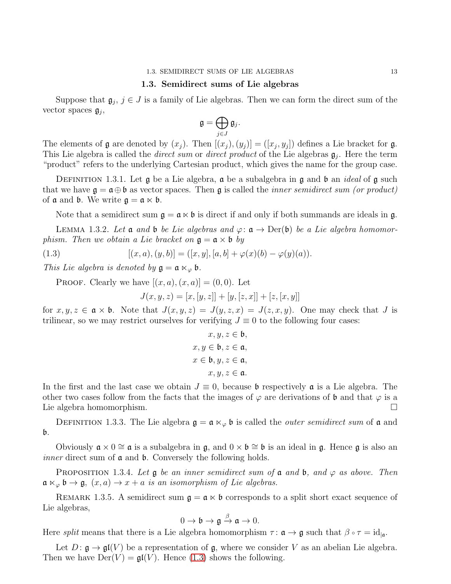#### 1.3. SEMIDIRECT SUMS OF LIE ALGEBRAS 13

#### 1.3. Semidirect sums of Lie algebras

<span id="page-15-0"></span>Suppose that  $\mathfrak{g}_j$ ,  $j \in J$  is a family of Lie algebras. Then we can form the direct sum of the vector spaces  $g_j$ ,

$$
\mathfrak{g}=\bigoplus_{j\in J}\mathfrak{g}_j.
$$

The elements of  $\mathfrak g$  are denoted by  $(x_j)$ . Then  $[(x_j),(y_j)] = ([x_j,y_j])$  defines a Lie bracket for  $\mathfrak g$ . This Lie algebra is called the *direct sum* or *direct product* of the Lie algebras  $\mathfrak{g}_j$ . Here the term "product" refers to the underlying Cartesian product, which gives the name for the group case.

DEFINITION 1.3.1. Let  $\mathfrak g$  be a Lie algebra,  $\mathfrak a$  be a subalgebra in  $\mathfrak g$  and  $\mathfrak b$  an *ideal* of  $\mathfrak g$  such that we have  $\mathfrak{g} = \mathfrak{a} \oplus \mathfrak{b}$  as vector spaces. Then  $\mathfrak{g}$  is called the *inner semidirect sum (or product)* of  $\mathfrak a$  and  $\mathfrak b$ . We write  $\mathfrak g = \mathfrak a \ltimes \mathfrak b$ .

Note that a semidirect sum  $\mathfrak{g} = \mathfrak{a} \ltimes \mathfrak{b}$  is direct if and only if both summands are ideals in g.

LEMMA 1.3.2. Let **a** and **b** be Lie algebras and  $\varphi: \mathfrak{a} \to \text{Der}(\mathfrak{b})$  be a Lie algebra homomorphism. Then we obtain a Lie bracket on  $\mathfrak{g} = \mathfrak{a} \times \mathfrak{b}$  by

<span id="page-15-1"></span>(1.3) 
$$
[(x, a), (y, b)] = ([x, y], [a, b] + \varphi(x)(b) - \varphi(y)(a)).
$$

This Lie algebra is denoted by  $\mathfrak{g} = \mathfrak{a} \ltimes_{\varphi} \mathfrak{b}$ .

**PROOF.** Clearly we have  $[(x, a), (x, a)] = (0, 0)$ . Let

 $J(x, y, z) = [x, [y, z]] + [y, [z, x]] + [z, [x, y]]$ 

for  $x, y, z \in \mathfrak{a} \times \mathfrak{b}$ . Note that  $J(x, y, z) = J(y, z, x) = J(z, x, y)$ . One may check that J is trilinear, so we may restrict ourselves for verifying  $J \equiv 0$  to the following four cases:

$$
x, y, z \in \mathfrak{b},
$$

$$
x, y \in \mathfrak{b}, z \in \mathfrak{a},
$$

$$
x \in \mathfrak{b}, y, z \in \mathfrak{a},
$$

$$
x, y, z \in \mathfrak{a}.
$$

In the first and the last case we obtain  $J \equiv 0$ , because **b** respectively **a** is a Lie algebra. The other two cases follow from the facts that the images of  $\varphi$  are derivations of **b** and that  $\varphi$  is a Lie algebra homomorphism.

DEFINITION 1.3.3. The Lie algebra  $\mathfrak{g} = \mathfrak{a} \ltimes_{\varphi} \mathfrak{b}$  is called the *outer semidirect sum* of  $\mathfrak{a}$  and  $\mathfrak b$ .

Obviously  $a \times 0 \cong a$  is a subalgebra in g, and  $0 \times b \cong b$  is an ideal in g. Hence g is also an *inner* direct sum of  $\alpha$  and  $\beta$ . Conversely the following holds.

PROPOSITION 1.3.4. Let  $\mathfrak g$  be an inner semidirect sum of  $\mathfrak a$  and  $\mathfrak b$ , and  $\varphi$  as above. Then  $\mathfrak{a} \ltimes_{\varphi} \mathfrak{b} \to \mathfrak{g}, \ (x, a) \to x + a \ \text{is an isomorphism of Lie algebras.}$ 

REMARK 1.3.5. A semidirect sum  $\mathfrak{g} = \mathfrak{a} \times \mathfrak{b}$  corresponds to a split short exact sequence of Lie algebras,

$$
0 \to \mathfrak{b} \to \mathfrak{g} \xrightarrow{\beta} \mathfrak{a} \to 0.
$$

Here *split* means that there is a Lie algebra homomorphism  $\tau : \mathfrak{a} \to \mathfrak{g}$  such that  $\beta \circ \tau = id_{|\mathfrak{a}|}.$ 

Let  $D: \mathfrak{g} \to \mathfrak{gl}(V)$  be a representation of  $\mathfrak{g}$ , where we consider V as an abelian Lie algebra. Then we have  $Der(V) = \mathfrak{gl}(V)$ . Hence [\(1.3\)](#page-15-1) shows the following.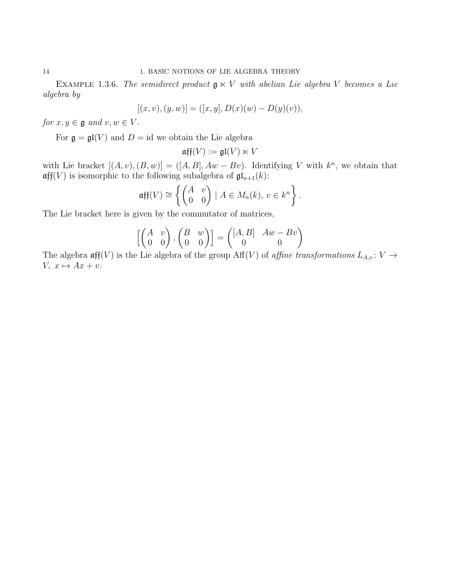EXAMPLE 1.3.6. The semidirect product  $\mathfrak{g} \ltimes V$  with abelian Lie algebra V becomes a Lie algebra by

$$
[(x, v), (y, w)] = ([x, y], D(x)(w) - D(y)(v)),
$$

for  $x, y \in \mathfrak{g}$  and  $v, w \in V$ .

For  $\mathfrak{g} = \mathfrak{gl}(V)$  and  $D = id$  we obtain the Lie algebra

$$
\mathfrak{aff}(V):=\mathfrak{gl}(V)\ltimes V
$$

with Lie bracket  $[(A, v), (B, w)] = ([A, B], Aw - Bv)$ . Identifying V with  $k^n$ , we obtain that  $\operatorname{\mathfrak{aff}}(V)$  is isomorphic to the following subalgebra of  $\operatorname{\mathfrak{gl}}_{n+1}(k)$ :

$$
\operatorname{aff}(V) \cong \left\{ \begin{pmatrix} A & v \\ 0 & 0 \end{pmatrix} \mid A \in M_n(k), \ v \in k^n \right\}.
$$

The Lie bracket here is given by the commutator of matrices,

$$
\begin{bmatrix}\begin{pmatrix} A & v \\ 0 & 0 \end{pmatrix}, \begin{pmatrix} B & w \\ 0 & 0 \end{pmatrix} \end{bmatrix} = \begin{pmatrix} [A, B] & Aw - Bv \\ 0 & 0 \end{pmatrix}
$$

The algebra  $\operatorname{\sf aff}(V)$  is the Lie algebra of the group  $\operatorname{Aff}(V)$  of *affine transformations*  $L_{A,v}: V \to V$  $V, x \mapsto Ax + v.$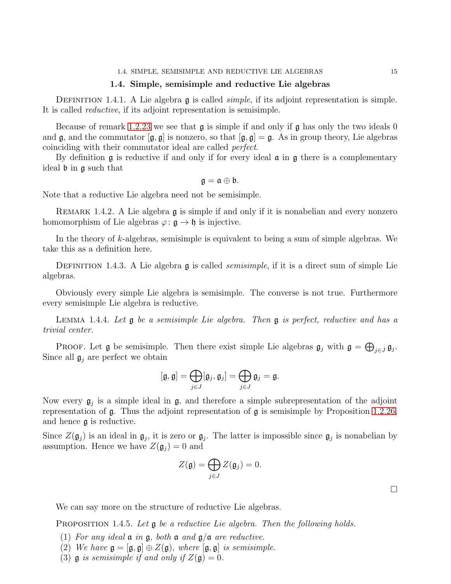### 1.4. Simple, semisimple and reductive Lie algebras

<span id="page-17-0"></span>DEFINITION 1.4.1. A Lie algebra  $\mathfrak g$  is called *simple*, if its adjoint representation is simple. It is called reductive, if its adjoint representation is semisimple.

Because of remark 1.2.[23](#page-13-0) we see that  $\mathfrak g$  is simple if and only if  $\mathfrak g$  has only the two ideals 0 and  $\mathfrak{g}$ , and the commutator  $[\mathfrak{g}, \mathfrak{g}]$  is nonzero, so that  $[\mathfrak{g}, \mathfrak{g}] = \mathfrak{g}$ . As in group theory, Lie algebras coinciding with their commutator ideal are called perfect.

By definition  $\mathfrak g$  is reductive if and only if for every ideal  $\mathfrak a$  in  $\mathfrak g$  there is a complementary ideal b in g such that

$$
\mathfrak{g}=\mathfrak{a}\oplus\mathfrak{b}.
$$

Note that a reductive Lie algebra need not be semisimple.

REMARK 1.4.2. A Lie algebra **g** is simple if and only if it is nonabelian and every nonzero homomorphism of Lie algebras  $\varphi: \mathfrak{g} \to \mathfrak{h}$  is injective.

In the theory of k-algebras, semisimple is equivalent to being a sum of simple algebras. We take this as a definition here.

DEFINITION 1.4.3. A Lie algebra  $\mathfrak g$  is called *semisimple*, if it is a direct sum of simple Lie algebras.

Obviously every simple Lie algebra is semisimple. The converse is not true. Furthermore every semisimple Lie algebra is reductive.

<span id="page-17-1"></span>LEMMA 1.4.4. Let  $g$  be a semisimple Lie algebra. Then  $g$  is perfect, reductive and has a trivial center.

PROOF. Let  $\mathfrak g$  be semisimple. Then there exist simple Lie algebras  $\mathfrak g_j$  with  $\mathfrak g = \bigoplus_{j \in J} \mathfrak g_j$ . Since all  $\mathfrak{g}_j$  are perfect we obtain

$$
[\mathfrak{g},\mathfrak{g}]=\bigoplus_{j\in J}[\mathfrak{g}_j,\mathfrak{g}_j]=\bigoplus_{j\in J}\mathfrak{g}_j=\mathfrak{g}.
$$

Now every  $g_j$  is a simple ideal in  $g$ , and therefore a simple subrepresentation of the adjoint representation of  $\mathfrak g$ . Thus the adjoint representation of  $\mathfrak g$  is semisimple by Proposition 1.2.[26,](#page-13-1) and hence g is reductive.

Since  $Z(\mathfrak{g}_j)$  is an ideal in  $\mathfrak{g}_j$ , it is zero or  $\mathfrak{g}_j$ . The latter is impossible since  $\mathfrak{g}_j$  is nonabelian by assumption. Hence we have  $Z(\mathfrak{g}_i) = 0$  and

$$
Z(\mathfrak{g})=\bigoplus_{j\in J}Z(\mathfrak{g}_j)=0.
$$

We can say more on the structure of reductive Lie algebras.

PROPOSITION 1.4.5. Let  $\mathfrak g$  be a reductive Lie algebra. Then the following holds.

- (1) For any ideal  $\mathfrak a$  in  $\mathfrak g$ , both  $\mathfrak a$  and  $\mathfrak g/\mathfrak a$  are reductive.
- (2) We have  $\mathfrak{g} = [\mathfrak{g}, \mathfrak{g}] \oplus Z(\mathfrak{g})$ , where  $[\mathfrak{g}, \mathfrak{g}]$  is semisimple.
- (3)  $\mathfrak g$  is semisimple if and only if  $Z(\mathfrak g)=0$ .

 $\Box$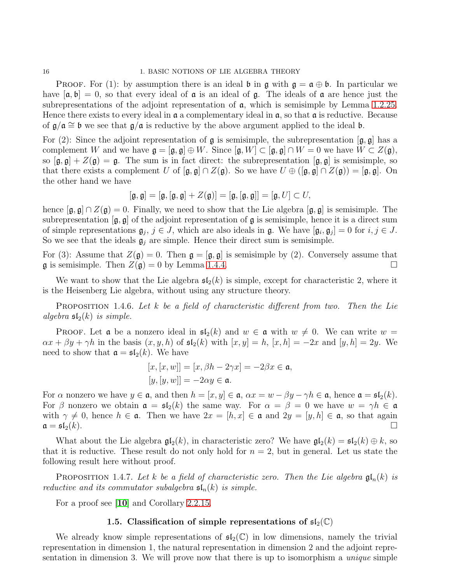16 1. BASIC NOTIONS OF LIE ALGEBRA THEORY

**PROOF.** For (1): by assumption there is an ideal **b** in  $\mathfrak{g}$  with  $\mathfrak{g} = \mathfrak{a} \oplus \mathfrak{b}$ . In particular we have  $[\mathfrak{a}, \mathfrak{b}] = 0$ , so that every ideal of  $\mathfrak{a}$  is an ideal of  $\mathfrak{g}$ . The ideals of  $\mathfrak{a}$  are hence just the subrepresentations of the adjoint representation of  $\alpha$ , which is semisimple by Lemma 1.2.[25.](#page-13-2) Hence there exists to every ideal in  $\alpha$  a complementary ideal in  $\alpha$ , so that  $\alpha$  is reductive. Because of  $\mathfrak{g}/\mathfrak{a} \cong \mathfrak{b}$  we see that  $\mathfrak{g}/\mathfrak{a}$  is reductive by the above argument applied to the ideal  $\mathfrak{b}$ .

For (2): Since the adjoint representation of  $\mathfrak g$  is semisimple, the subrepresentation  $[\mathfrak g, \mathfrak g]$  has a complement W and we have  $\mathfrak{g} = [\mathfrak{g}, \mathfrak{g}] \oplus W$ . Since  $[\mathfrak{g}, W] \subset [\mathfrak{g}, \mathfrak{g}] \cap W = 0$  we have  $W \subset Z(\mathfrak{g})$ , so  $[\mathfrak{g}, \mathfrak{g}] + Z(\mathfrak{g}) = \mathfrak{g}$ . The sum is in fact direct: the subrepresentation  $[\mathfrak{g}, \mathfrak{g}]$  is semisimple, so that there exists a complement U of  $[\mathfrak{g}, \mathfrak{g}] \cap Z(\mathfrak{g})$ . So we have  $U \oplus ([\mathfrak{g}, \mathfrak{g}] \cap Z(\mathfrak{g})) = [\mathfrak{g}, \mathfrak{g}]$ . On the other hand we have

$$
[\mathfrak{g},\mathfrak{g}]=[\mathfrak{g},[\mathfrak{g},\mathfrak{g}]+Z(\mathfrak{g})]=[\mathfrak{g},[\mathfrak{g},\mathfrak{g}]]=[\mathfrak{g},U]\subset U,
$$

hence  $[\mathfrak{g}, \mathfrak{g}] \cap Z(\mathfrak{g}) = 0$ . Finally, we need to show that the Lie algebra  $[\mathfrak{g}, \mathfrak{g}]$  is semisimple. The subrepresentation  $[g, g]$  of the adjoint representation of g is semisimple, hence it is a direct sum of simple representations  $\mathfrak{g}_j$ ,  $j \in J$ , which are also ideals in  $\mathfrak{g}$ . We have  $[\mathfrak{g}_i, \mathfrak{g}_j] = 0$  for  $i, j \in J$ . So we see that the ideals  $\mathfrak{g}_j$  are simple. Hence their direct sum is semisimple.

For (3): Assume that  $Z(\mathfrak{g}) = 0$ . Then  $\mathfrak{g} = [\mathfrak{g}, \mathfrak{g}]$  is semisimple by (2). Conversely assume that  $\mathfrak g$  is semisimple. Then  $Z(\mathfrak g)=0$  by Lemma [1](#page-17-1).4.4.

We want to show that the Lie algebra  $\mathfrak{sl}_2(k)$  is simple, except for characteristic 2, where it is the Heisenberg Lie algebra, without using any structure theory.

PROPOSITION 1.4.6. Let k be a field of characteristic different from two. Then the Lie algebra  $\mathfrak{sl}_2(k)$  is simple.

**PROOF.** Let **a** be a nonzero ideal in  $\mathfrak{sl}_2(k)$  and  $w \in \mathfrak{a}$  with  $w \neq 0$ . We can write  $w =$  $\alpha x + \beta y + \gamma h$  in the basis  $(x, y, h)$  of  $\mathfrak{sl}_2(k)$  with  $[x, y] = h$ ,  $[x, h] = -2x$  and  $[y, h] = 2y$ . We need to show that  $\mathfrak{a} = \mathfrak{sl}_2(k)$ . We have

> $[x, [x, w]] = [x, \beta h - 2\gamma x] = -2\beta x \in \mathfrak{a},$  $[y, [y, w]] = -2\alpha y \in \mathfrak{a}.$

For  $\alpha$  nonzero we have  $y \in \mathfrak{a}$ , and then  $h = [x, y] \in \mathfrak{a}$ ,  $\alpha x = w - \beta y - \gamma h \in \mathfrak{a}$ , hence  $\mathfrak{a} = \mathfrak{sl}_2(k)$ . For  $\beta$  nonzero we obtain  $\mathfrak{a} = \mathfrak{sl}_2(k)$  the same way. For  $\alpha = \beta = 0$  we have  $w = \gamma h \in \mathfrak{a}$ with  $\gamma \neq 0$ , hence  $h \in \mathfrak{a}$ . Then we have  $2x = [h, x] \in \mathfrak{a}$  and  $2y = [y, h] \in \mathfrak{a}$ , so that again  $\mathfrak{a} = \mathfrak{sl}_2(k)$ .  $\mathfrak{a} = \mathfrak{sl}_2(k).$ 

What about the Lie algebra  $\mathfrak{gl}_2(k)$ , in characteristic zero? We have  $\mathfrak{gl}_2(k) = \mathfrak{sl}_2(k) \oplus k$ , so that it is reductive. These result do not only hold for  $n = 2$ , but in general. Let us state the following result here without proof.

PROPOSITION 1.4.7. Let k be a field of characteristic zero. Then the Lie algebra  $\mathfrak{gl}_n(k)$  is reductive and its commutator subalgebra  $\mathfrak{sl}_n(k)$  is simple.

<span id="page-18-0"></span>For a proof see [[10](#page-111-2)] and Corollary 2.2.[15.](#page-47-0)

## 1.5. Classification of simple representations of  $\mathfrak{sl}_2(\mathbb{C})$

We already know simple representations of  $\mathfrak{sl}_2(\mathbb{C})$  in low dimensions, namely the trivial representation in dimension 1, the natural representation in dimension 2 and the adjoint representation in dimension 3. We will prove now that there is up to isomorphism a unique simple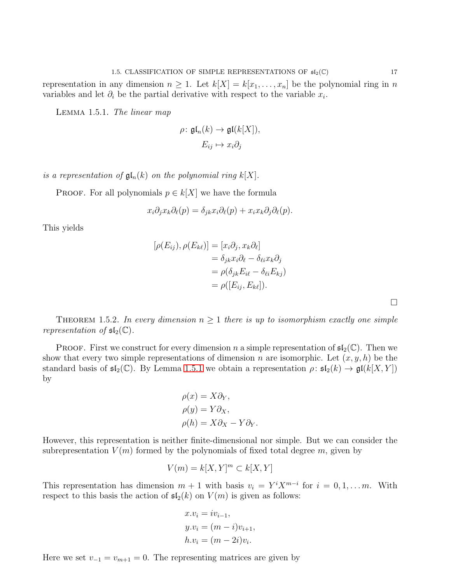representation in any dimension  $n \geq 1$ . Let  $k[X] = k[x_1, \ldots, x_n]$  be the polynomial ring in n variables and let  $\partial_i$  be the partial derivative with respect to the variable  $x_i$ .

<span id="page-19-0"></span>Lemma 1.5.1. The linear map

$$
\rho: \mathfrak{gl}_n(k) \to \mathfrak{gl}(k[X]),
$$

$$
E_{ij} \mapsto x_i \partial_j
$$

is a representation of  $\mathfrak{gl}_n(k)$  on the polynomial ring  $k[X]$ .

PROOF. For all polynomials  $p \in k[X]$  we have the formula

$$
x_i \partial_j x_k \partial_\ell(p) = \delta_{jk} x_i \partial_\ell(p) + x_i x_k \partial_j \partial_\ell(p).
$$

This yields

$$
[\rho(E_{ij}), \rho(E_{k\ell})] = [x_i \partial_j, x_k \partial_\ell]
$$
  
=  $\delta_{jk} x_i \partial_\ell - \delta_{\ell i} x_k \partial_j$   
=  $\rho(\delta_{jk} E_{i\ell} - \delta_{\ell i} E_{kj})$   
=  $\rho([E_{ij}, E_{k\ell}]).$ 

<span id="page-19-1"></span>THEOREM 1.5.2. In every dimension  $n \geq 1$  there is up to isomorphism exactly one simple representation of  $\mathfrak{sl}_2(\mathbb{C})$ .

**PROOF.** First we construct for every dimension n a simple representation of  $\mathfrak{sl}_2(\mathbb{C})$ . Then we show that every two simple representations of dimension n are isomorphic. Let  $(x, y, h)$  be the standard basis of  $\mathfrak{sl}_2(\mathbb{C})$ . By Lemma [1](#page-19-0).5.1 we obtain a representation  $\rho: \mathfrak{sl}_2(k) \to \mathfrak{gl}(k[X, Y])$ by

$$
\rho(x) = X\partial_Y,
$$
  
\n
$$
\rho(y) = Y\partial_X,
$$
  
\n
$$
\rho(h) = X\partial_X - Y\partial_Y.
$$

However, this representation is neither finite-dimensional nor simple. But we can consider the subrepresentation  $V(m)$  formed by the polynomials of fixed total degree m, given by

$$
V(m)=k[X,Y]^m\subset k[X,Y]
$$

This representation has dimension  $m + 1$  with basis  $v_i = Y^i X^{m-i}$  for  $i = 0, 1, \ldots m$ . With respect to this basis the action of  $\mathfrak{sl}_2(k)$  on  $V(m)$  is given as follows:

$$
x.vi = ivi-1,\n y.vi = (m - i)vi+1,\n h.vi = (m - 2i)vi.
$$

Here we set  $v_{-1} = v_{m+1} = 0$ . The representing matrices are given by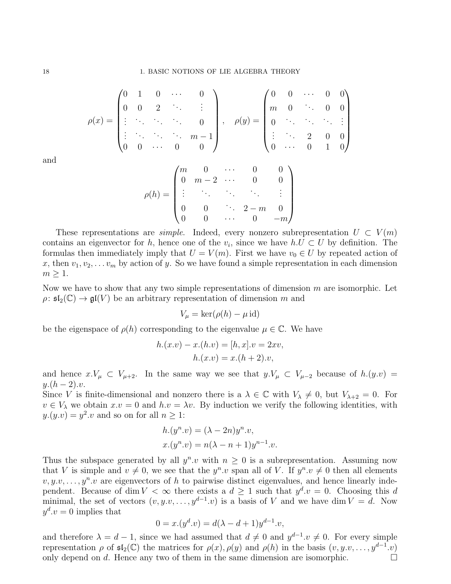$$
\rho(x) = \begin{pmatrix} 0 & 1 & 0 & \cdots & 0 \\ 0 & 0 & 2 & \ddots & \vdots \\ \vdots & \ddots & \ddots & \ddots & 0 \\ \vdots & \ddots & \ddots & \ddots & m-1 \\ 0 & 0 & \cdots & 0 & 0 \end{pmatrix}, \quad \rho(y) = \begin{pmatrix} 0 & 0 & \cdots & 0 & 0 \\ m & 0 & \ddots & 0 & 0 \\ 0 & \ddots & \ddots & \ddots & \vdots \\ \vdots & \ddots & 2 & 0 & 0 \\ 0 & \cdots & 0 & 1 & 0 \end{pmatrix}
$$

and

$$
\rho(h) = \begin{pmatrix} m & 0 & \cdots & 0 & 0 \\ 0 & m-2 & \cdots & 0 & 0 \\ \vdots & \ddots & \ddots & \ddots & \vdots \\ 0 & 0 & \cdots & 2-m & 0 \\ 0 & 0 & \cdots & 0 & -m \end{pmatrix}
$$

These representations are *simple*. Indeed, every nonzero subrepresentation  $U \subset V(m)$ contains an eigenvector for h, hence one of the  $v_i$ , since we have  $h.U\subset U$  by definition. The formulas then immediately imply that  $U = V(m)$ . First we have  $v_0 \in U$  by repeated action of x, then  $v_1, v_2, \ldots v_m$  by action of y. So we have found a simple representation in each dimension  $m \geq 1$ .

Now we have to show that any two simple representations of dimension  $m$  are isomorphic. Let  $\rho: \mathfrak{sl}_2(\mathbb{C}) \to \mathfrak{gl}(V)$  be an arbitrary representation of dimension m and

$$
V_{\mu} = \ker(\rho(h) - \mu \,\mathrm{id})
$$

be the eigenspace of  $\rho(h)$  corresponding to the eigenvalue  $\mu \in \mathbb{C}$ . We have

$$
h.(x.v) - x.(h.v) = [h, x].v = 2xv,h.(x.v) = x.(h + 2).v,
$$

and hence  $x.V_\mu \subset V_{\mu+2}$ . In the same way we see that  $y.V_\mu \subset V_{\mu-2}$  because of  $h.(y.v)$  $y.(h-2).v.$ 

Since V is finite-dimensional and nonzero there is a  $\lambda \in \mathbb{C}$  with  $V_{\lambda} \neq 0$ , but  $V_{\lambda+2} = 0$ . For  $v \in V_\lambda$  we obtain  $x.v = 0$  and  $h.v = \lambda v$ . By induction we verify the following identities, with  $y.(y.v) = y^2.v$  and so on for all  $n \geq 1$ :

$$
h.(yn.v) = (\lambda - 2n)yn.v,
$$
  

$$
x.(yn.v) = n(\lambda - n + 1)yn-1.v.
$$

Thus the subspace generated by all  $y^n.v$  with  $n \geq 0$  is a subrepresentation. Assuming now that V is simple and  $v \neq 0$ , we see that the  $y^n.v$  span all of V. If  $y^n.v \neq 0$  then all elements  $v, y, \ldots, y^n, v$  are eigenvectors of h to pairwise distinct eigenvalues, and hence linearly independent. Because of dim  $V < \infty$  there exists a  $d \geq 1$  such that  $y^d \cdot v = 0$ . Choosing this d minimal, the set of vectors  $(v, y, v, \ldots, y^{d-1}, v)$  is a basis of V and we have dim  $V = d$ . Now  $y^d \cdot v = 0$  implies that

$$
0 = x.(yd.v) = d(\lambda - d + 1)y^{d-1}.v,
$$

and therefore  $\lambda = d - 1$ , since we had assumed that  $d \neq 0$  and  $y^{d-1}$   $v \neq 0$ . For every simple representation  $\rho$  of  $\mathfrak{sl}_2(\mathbb{C})$  the matrices for  $\rho(x)$ ,  $\rho(y)$  and  $\rho(h)$  in the basis  $(v, y, v, \ldots, y^{d-1}.v)$ only depend on d. Hence any two of them in the same dimension are isomorphic.  $\Box$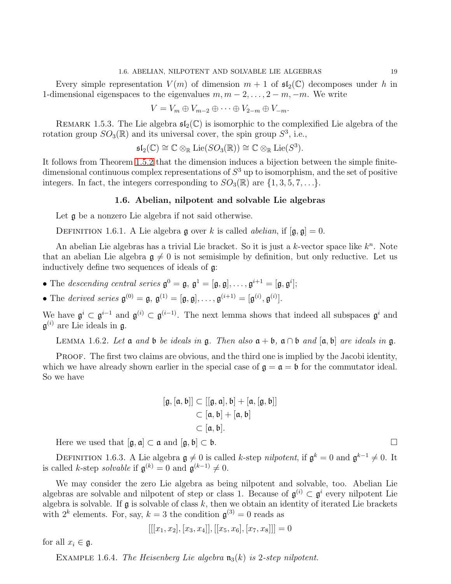Every simple representation  $V(m)$  of dimension  $m + 1$  of  $\mathfrak{sl}_2(\mathbb{C})$  decomposes under h in 1-dimensional eigenspaces to the eigenvalues  $m, m-2, \ldots, 2-m, -m$ . We write

$$
V = V_m \oplus V_{m-2} \oplus \cdots \oplus V_{2-m} \oplus V_{-m}.
$$

REMARK 1.5.3. The Lie algebra  $\mathfrak{sl}_2(\mathbb{C})$  is isomorphic to the complexified Lie algebra of the rotation group  $SO_3(\mathbb{R})$  and its universal cover, the spin group  $S^3$ , i.e.,

$$
\mathfrak{sl}_2(\mathbb{C}) \cong \mathbb{C} \otimes_{\mathbb{R}} \mathrm{Lie}(SO_3(\mathbb{R})) \cong \mathbb{C} \otimes_{\mathbb{R}} \mathrm{Lie}(S^3).
$$

<span id="page-21-0"></span>It follows from Theorem [1](#page-19-1).5.2 that the dimension induces a bijection between the simple finitedimensional continuous complex representations of  $S^3$  up to isomorphism, and the set of positive integers. In fact, the integers corresponding to  $SO_3(\mathbb{R})$  are  $\{1,3,5,7,\ldots\}$ .

#### 1.6. Abelian, nilpotent and solvable Lie algebras

Let  $\mathfrak g$  be a nonzero Lie algebra if not said otherwise.

DEFINITION 1.6.1. A Lie algebra g over k is called *abelian*, if  $[\mathfrak{g}, \mathfrak{g}] = 0$ .

An abelian Lie algebras has a trivial Lie bracket. So it is just a  $k$ -vector space like  $k<sup>n</sup>$ . Note that an abelian Lie algebra  $g \neq 0$  is not semisimple by definition, but only reductive. Let us inductively define two sequences of ideals of g:

- The descending central series  $\mathfrak{g}^0 = \mathfrak{g}, \mathfrak{g}^1 = [\mathfrak{g}, \mathfrak{g}], \ldots, \mathfrak{g}^{i+1} = [\mathfrak{g}, \mathfrak{g}^i];$
- The derived series  $\mathfrak{g}^{(0)} = \mathfrak{g}, \mathfrak{g}^{(1)} = [\mathfrak{g}, \mathfrak{g}], \ldots, \mathfrak{g}^{(i+1)} = [\mathfrak{g}^{(i)}, \mathfrak{g}^{(i)}].$

We have  $\mathfrak{g}^i \subset \mathfrak{g}^{i-1}$  and  $\mathfrak{g}^{(i)} \subset \mathfrak{g}^{(i-1)}$ . The next lemma shows that indeed all subspaces  $\mathfrak{g}^i$  and  $\mathfrak{g}^{(i)}$  are Lie ideals in  $\mathfrak{g}$ .

LEMMA 1.6.2. Let  $\mathfrak a$  and  $\mathfrak b$  be ideals in  $\mathfrak g$ . Then also  $\mathfrak a + \mathfrak b$ ,  $\mathfrak a \cap \mathfrak b$  and  $[\mathfrak a, \mathfrak b]$  are ideals in  $\mathfrak g$ .

PROOF. The first two claims are obvious, and the third one is implied by the Jacobi identity, which we have already shown earlier in the special case of  $\mathfrak{g} = \mathfrak{a} = \mathfrak{b}$  for the commutator ideal. So we have

$$
[\mathfrak{g},[\mathfrak{a},\mathfrak{b}]] \subset [[\mathfrak{g},\mathfrak{a}],\mathfrak{b}] + [\mathfrak{a},[\mathfrak{g},\mathfrak{b}]]
$$

$$
\subset [\mathfrak{a},\mathfrak{b}] + [\mathfrak{a},\mathfrak{b}]
$$

$$
\subset [\mathfrak{a},\mathfrak{b}].
$$

Here we used that  $[\mathfrak{g}, \mathfrak{a}] \subset \mathfrak{a}$  and  $[\mathfrak{g}, \mathfrak{b}] \subset \mathfrak{b}$ .

DEFINITION 1.6.3. A Lie algebra  $\mathfrak{g} \neq 0$  is called k-step nilpotent, if  $\mathfrak{g}^k = 0$  and  $\mathfrak{g}^{k-1} \neq 0$ . It is called k-step *solvable* if  $\mathfrak{g}^{(k)} = 0$  and  $\mathfrak{g}^{(k-1)} \neq 0$ .

We may consider the zero Lie algebra as being nilpotent and solvable, too. Abelian Lie algebras are solvable and nilpotent of step or class 1. Because of  $\mathfrak{g}^{(i)} \subset \mathfrak{g}^i$  every nilpotent Lie algebra is solvable. If  $\mathfrak g$  is solvable of class  $k$ , then we obtain an identity of iterated Lie brackets with  $2^k$  elements. For, say,  $k = 3$  the condition  $\mathfrak{g}^{(3)} = 0$  reads as

$$
\left[ [[x_1, x_2], [x_3, x_4]], [[x_5, x_6], [x_7, x_8]] \right] = 0
$$

for all  $x_i \in \mathfrak{g}$ .

EXAMPLE 1.6.4. The Heisenberg Lie algebra  $\mathfrak{n}_3(k)$  is 2-step nilpotent.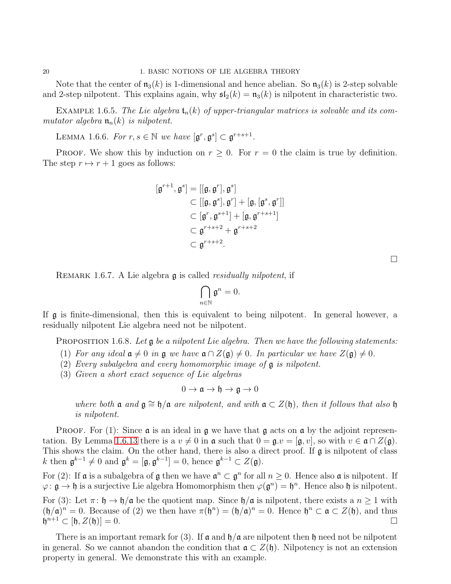Note that the center of  $\mathfrak{n}_3(k)$  is 1-dimensional and hence abelian. So  $\mathfrak{n}_3(k)$  is 2-step solvable and 2-step nilpotent. This explains again, why  $\mathfrak{sl}_2(k) = \mathfrak{n}_3(k)$  is nilpotent in characteristic two.

EXAMPLE 1.6.5. The Lie algebra  $t_n(k)$  of upper-triangular matrices is solvable and its commutator algebra  $\mathfrak{n}_n(k)$  is nilpotent.

LEMMA 1.6.6. For  $r, s \in \mathbb{N}$  we have  $[\mathfrak{g}^r, \mathfrak{g}^s] \subset \mathfrak{g}^{r+s+1}$ .

PROOF. We show this by induction on  $r \geq 0$ . For  $r = 0$  the claim is true by definition. The step  $r \mapsto r + 1$  goes as follows:

$$
[\mathfrak{g}^{r+1}, \mathfrak{g}^s] = [[\mathfrak{g}, \mathfrak{g}^r], \mathfrak{g}^s]
$$
  
\n
$$
\subset [[\mathfrak{g}, \mathfrak{g}^s], \mathfrak{g}^r] + [\mathfrak{g}, [\mathfrak{g}^s, \mathfrak{g}^r]]
$$
  
\n
$$
\subset [\mathfrak{g}^r, \mathfrak{g}^{s+1}] + [\mathfrak{g}, \mathfrak{g}^{r+s+1}]
$$
  
\n
$$
\subset \mathfrak{g}^{r+s+2} + \mathfrak{g}^{r+s+2}
$$
  
\n
$$
\subset \mathfrak{g}^{r+s+2}.
$$

REMARK 1.6.7. A Lie algebra g is called *residually nilpotent*, if

$$
\bigcap_{n\in\mathbb{N}}\mathfrak{g}^n=0.
$$

If g is finite-dimensional, then this is equivalent to being nilpotent. In general however, a residually nilpotent Lie algebra need not be nilpotent.

<span id="page-22-0"></span>PROPOSITION 1.6.8. Let  $\mathfrak g$  be a nilpotent Lie algebra. Then we have the following statements:

(1) For any ideal  $a \neq 0$  in g we have  $a \cap Z(g) \neq 0$ . In particular we have  $Z(g) \neq 0$ .

- (2) Every subalgebra and every homomorphic image of g is nilpotent.
- (3) Given a short exact sequence of Lie algebras

$$
0 \to \mathfrak{a} \to \mathfrak{h} \to \mathfrak{g} \to 0
$$

where both  $\mathfrak a$  and  $\mathfrak g \cong \mathfrak h/\mathfrak a$  are nilpotent, and with  $\mathfrak a \subset Z(\mathfrak h)$ , then it follows that also  $\mathfrak h$ is nilpotent.

**PROOF.** For (1): Since  $\boldsymbol{\alpha}$  is an ideal in  $\boldsymbol{\alpha}$  we have that  $\boldsymbol{\alpha}$  acts on  $\boldsymbol{\alpha}$  by the adjoint represen-tation. By Lemma 1.6.[13](#page-23-0) there is a  $v \neq 0$  in  $\mathfrak a$  such that  $0 = \mathfrak g.v = [\mathfrak g, v]$ , so with  $v \in \mathfrak a \cap Z(\mathfrak g)$ . This shows the claim. On the other hand, there is also a direct proof. If g is nilpotent of class k then  $\mathfrak{g}^{k-1} \neq 0$  and  $\mathfrak{g}^k = [\mathfrak{g}, \mathfrak{g}^{k-1}] = 0$ , hence  $\mathfrak{g}^{k-1} \subset Z(\mathfrak{g})$ .

For (2): If  $\mathfrak a$  is a subalgebra of  $\mathfrak g$  then we have  $\mathfrak a^n \subset \mathfrak g^n$  for all  $n \geq 0$ . Hence also  $\mathfrak a$  is nilpotent. If  $\varphi \colon \mathfrak{g} \to \mathfrak{h}$  is a surjective Lie algebra Homomorphism then  $\varphi(\mathfrak{g}^n) = \mathfrak{h}^n$ . Hence also  $\mathfrak{h}$  is nilpotent.

For (3): Let  $\pi: \mathfrak{h} \to \mathfrak{h}/\mathfrak{a}$  be the quotient map. Since  $\mathfrak{h}/\mathfrak{a}$  is nilpotent, there exists a  $n \geq 1$  with  $(\mathfrak{h}/\mathfrak{a})^n = 0$ . Because of (2) we then have  $\pi(\mathfrak{h}^n) = (\mathfrak{h}/\mathfrak{a})^n = 0$ . Hence  $\mathfrak{h}^n \subset \mathfrak{a} \subset Z(\mathfrak{h})$ , and thus  $\mathfrak{h}^{n+1} \subset [\mathfrak{h}, Z(\mathfrak{h})] = 0.$ 

There is an important remark for (3). If  $\alpha$  and  $\beta/\alpha$  are nilpotent then  $\beta$  need not be nilpotent in general. So we cannot abandon the condition that  $\mathfrak{a} \subset Z(\mathfrak{h})$ . Nilpotency is not an extension property in general. We demonstrate this with an example.

 $\Box$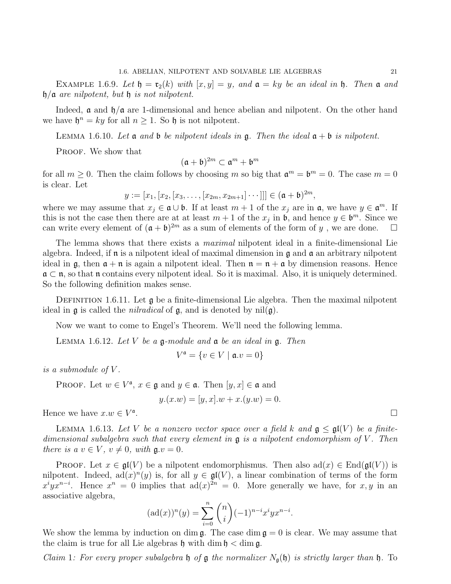EXAMPLE 1.6.9. Let  $\mathfrak{h} = \mathfrak{r}_2(k)$  with  $[x, y] = y$ , and  $\mathfrak{a} = ky$  be an ideal in  $\mathfrak{h}$ . Then  $\mathfrak{a}$  and  $h/a$  are nilpotent, but h is not nilpotent.

Indeed,  $\alpha$  and  $\beta/\alpha$  are 1-dimensional and hence abelian and nilpotent. On the other hand we have  $\mathfrak{h}^n = ky$  for all  $n \geq 1$ . So  $\mathfrak h$  is not nilpotent.

LEMMA 1.6.10. Let  $\mathfrak a$  and  $\mathfrak b$  be nilpotent ideals in  $\mathfrak g$ . Then the ideal  $\mathfrak a + \mathfrak b$  is nilpotent.

PROOF. We show that

$$
(\mathfrak{a} + \mathfrak{b})^{2m} \subset \mathfrak{a}^m + \mathfrak{b}^m
$$

for all  $m \ge 0$ . Then the claim follows by choosing m so big that  $\mathfrak{a}^m = \mathfrak{b}^m = 0$ . The case  $m = 0$ is clear. Let

 $y := [x_1, [x_2, [x_3, \ldots, [x_{2m}, x_{2m+1}] \cdots]]] \in (\mathfrak{a} + \mathfrak{b})^{2m},$ 

where we may assume that  $x_j \in \mathfrak{a} \cup \mathfrak{b}$ . If at least  $m+1$  of the  $x_j$  are in  $\mathfrak{a}$ , we have  $y \in \mathfrak{a}^m$ . If this is not the case then there are at at least  $m + 1$  of the  $x_j$  in  $\mathfrak{b}$ , and hence  $y \in \mathfrak{b}^m$ . Since we can write every element of  $(\mathfrak{a} + \mathfrak{b})^{2m}$  as a sum of elements of the form of y, we are done.  $\Box$ 

The lemma shows that there exists a *maximal* nilpotent ideal in a finite-dimensional Lie algebra. Indeed, if  $\mathfrak n$  is a nilpotent ideal of maximal dimension in  $\mathfrak g$  and  $\mathfrak a$  an arbitrary nilpotent ideal in  $\mathfrak{g}$ , then  $\mathfrak{a} + \mathfrak{n}$  is again a nilpotent ideal. Then  $\mathfrak{n} = \mathfrak{n} + \mathfrak{a}$  by dimension reasons. Hence  $\mathfrak{a} \subset \mathfrak{n}$ , so that  $\mathfrak{n}$  contains every nilpotent ideal. So it is maximal. Also, it is uniquely determined. So the following definition makes sense.

DEFINITION 1.6.11. Let  $\mathfrak g$  be a finite-dimensional Lie algebra. Then the maximal nilpotent ideal in  $\mathfrak g$  is called the *nilradical* of  $\mathfrak g$ , and is denoted by nil $(\mathfrak g)$ .

Now we want to come to Engel's Theorem. We'll need the following lemma.

<span id="page-23-1"></span>LEMMA 1.6.12. Let V be a  $\mathfrak g$ -module and  $\mathfrak a$  be an ideal in  $\mathfrak g$ . Then

$$
V^{\mathfrak{a}} = \{ v \in V \mid \mathfrak{a}.v = 0 \}
$$

is a submodule of V .

PROOF. Let  $w \in V^{\mathfrak{a}}, x \in \mathfrak{g}$  and  $y \in \mathfrak{a}$ . Then  $[y, x] \in \mathfrak{a}$  and

$$
y.(x.w) = [y, x].w + x.(y.w) = 0.
$$

Hence we have  $x.w \in V^{\mathfrak{a}}$ 

<span id="page-23-0"></span>LEMMA 1.6.13. Let V be a nonzero vector space over a field k and  $\mathfrak{g} \leq \mathfrak{gl}(V)$  be a finitedimensional subalgebra such that every element in  $\mathfrak g$  is a nilpotent endomorphism of V. Then there is a  $v \in V$ ,  $v \neq 0$ , with  $\mathfrak{g} . v = 0$ .

**PROOF.** Let  $x \in \mathfrak{gl}(V)$  be a nilpotent endomorphismus. Then also ad $(x) \in \text{End}(\mathfrak{gl}(V))$  is nilpotent. Indeed,  $ad(x)^n(y)$  is, for all  $y \in gl(V)$ , a linear combination of terms of the form  $x^{i}yx^{n-i}$ . Hence  $x^{n} = 0$  implies that  $ad(x)^{2n} = 0$ . More generally we have, for x, y in an associative algebra,

$$
(\mathrm{ad}(x))^n(y) = \sum_{i=0}^n \binom{n}{i} (-1)^{n-i} x^i y x^{n-i}.
$$

We show the lemma by induction on dim  $\mathfrak{g}$ . The case dim  $\mathfrak{g} = 0$  is clear. We may assume that the claim is true for all Lie algebras  $\mathfrak h$  with dim  $\mathfrak h <$  dim  $\mathfrak g$ .

*Claim* 1: For every proper subalgebra  $\mathfrak h$  of  $\mathfrak g$  the normalizer  $N_{\mathfrak g}(\mathfrak h)$  is strictly larger than  $\mathfrak h$ . To

.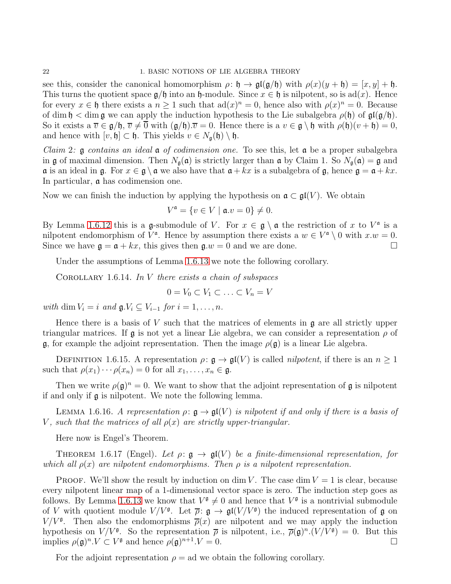#### 22 1. BASIC NOTIONS OF LIE ALGEBRA THEORY

see this, consider the canonical homomorphism  $\rho: \mathfrak{h} \to \mathfrak{gl}(\mathfrak{g}/\mathfrak{h})$  with  $\rho(x)(y + \mathfrak{h}) = [x, y] + \mathfrak{h}$ . This turns the quotient space  $\mathfrak{g}/\mathfrak{h}$  into an  $\mathfrak{h}$ -module. Since  $x \in \mathfrak{h}$  is nilpotent, so is ad(x). Hence for every  $x \in \mathfrak{h}$  there exists a  $n \geq 1$  such that  $ad(x)^n = 0$ , hence also with  $\rho(x)^n = 0$ . Because of dim  $\mathfrak{h} <$  dim  $\mathfrak{g}$  we can apply the induction hypothesis to the Lie subalgebra  $\rho(\mathfrak{h})$  of  $\mathfrak{gl}(\mathfrak{g}/\mathfrak{h})$ . So it exists a  $\overline{v} \in \mathfrak{g}/\mathfrak{h}, \overline{v} \neq \overline{0}$  with  $(\mathfrak{g}/\mathfrak{h}) \cdot \overline{v} = 0$ . Hence there is a  $v \in \mathfrak{g} \setminus \mathfrak{h}$  with  $\rho(\mathfrak{h})(v + \mathfrak{h}) = 0$ , and hence with  $[v, \mathfrak{h}] \subset \mathfrak{h}$ . This yields  $v \in N_{\mathfrak{g}}(\mathfrak{h}) \setminus \mathfrak{h}$ .

*Claim 2:*  $\mathfrak g$  contains an ideal  $\mathfrak a$  of codimension one. To see this, let  $\mathfrak a$  be a proper subalgebra in g of maximal dimension. Then  $N_{\mathfrak{g}}(\mathfrak{a})$  is strictly larger than  $\mathfrak{a}$  by Claim 1. So  $N_{\mathfrak{g}}(\mathfrak{a}) = \mathfrak{g}$  and  $\mathfrak a$  is an ideal in  $\mathfrak g$ . For  $x \in \mathfrak g \setminus \mathfrak a$  we also have that  $\mathfrak a + kx$  is a subalgebra of  $\mathfrak g$ , hence  $\mathfrak g = \mathfrak a + kx$ . In particular, a has codimension one.

Now we can finish the induction by applying the hypothesis on  $\mathfrak{a} \subset \mathfrak{gl}(V)$ . We obtain

$$
V^{\mathfrak{a}} = \{ v \in V \mid \mathfrak{a}.v = 0 \} \neq 0.
$$

By Lemma 1.6.[12](#page-23-1) this is a g-submodule of V. For  $x \in \mathfrak{g} \setminus \mathfrak{a}$  the restriction of x to  $V^{\mathfrak{a}}$  is a nilpotent endomorphism of  $V^{\mathfrak{a}}$ . Hence by assumption there exists a  $w \in V^{\mathfrak{a}} \setminus 0$  with  $x.w = 0$ . Since we have  $\mathfrak{g} = \mathfrak{a} + kx$ , this gives then  $\mathfrak{g} \cdot w = 0$  and we are done.

Under the assumptions of Lemma 1.6.[13](#page-23-0) we note the following corollary.

COROLLARY 1.6.14. In  $V$  there exists a chain of subspaces

$$
0 = V_0 \subset V_1 \subset \ldots \subset V_n = V
$$

with dim  $V_i = i$  and  $\mathfrak{g} \cdot V_i \subseteq V_{i-1}$  for  $i = 1, \ldots, n$ .

Hence there is a basis of V such that the matrices of elements in  $\mathfrak g$  are all strictly upper triangular matrices. If  $\mathfrak g$  is not yet a linear Lie algebra, we can consider a representation  $\rho$  of g, for example the adjoint representation. Then the image  $\rho(\mathfrak{g})$  is a linear Lie algebra.

DEFINITION 1.6.15. A representation  $\rho: \mathfrak{g} \to \mathfrak{gl}(V)$  is called *nilpotent*, if there is an  $n \geq 1$ such that  $\rho(x_1)\cdots \rho(x_n)=0$  for all  $x_1,\ldots,x_n\in \mathfrak{g}$ .

Then we write  $\rho(\mathfrak{g})^n = 0$ . We want to show that the adjoint representation of  $\mathfrak g$  is nilpotent if and only if g is nilpotent. We note the following lemma.

LEMMA 1.6.16. A representation  $\rho: \mathfrak{g} \to \mathfrak{gl}(V)$  is nilpotent if and only if there is a basis of V, such that the matrices of all  $\rho(x)$  are strictly upper-triangular.

Here now is Engel's Theorem.

THEOREM 1.6.17 (Engel). Let  $\rho: \mathfrak{g} \to \mathfrak{gl}(V)$  be a finite-dimensional representation, for which all  $\rho(x)$  are nilpotent endomorphisms. Then  $\rho$  is a nilpotent representation.

PROOF. We'll show the result by induction on dim V. The case dim  $V = 1$  is clear, because every nilpotent linear map of a 1-dimensional vector space is zero. The induction step goes as follows. By Lemma 1.6.[13](#page-23-0) we know that  $V^{\mathfrak{g}} \neq 0$  and hence that  $V^{\mathfrak{g}}$  is a nontrivial submodule of V with quotient module  $V/V^{\mathfrak{g}}$ . Let  $\overline{\rho}$ :  $\mathfrak{g} \to \mathfrak{gl}(V/V^{\mathfrak{g}})$  the induced representation of  $\mathfrak{g}$  on  $V/V^{\mathfrak{g}}$ . Then also the endomorphisms  $\overline{\rho}(x)$  are nilpotent and we may apply the induction hypothesis on  $V/V^{\mathfrak{g}}$ . So the representation  $\bar{\rho}$  is nilpotent, i.e.,  $\bar{\rho}(\mathfrak{g})^n \cdot (V/V^{\mathfrak{g}}) = 0$ . But this implies  $\rho(\mathfrak{g})^n \cdot V \subset V^{\mathfrak{g}}$  and hence  $\rho(\mathfrak{g})^{n+1} \cdot V = 0$ .

For the adjoint representation  $\rho = ad$  we obtain the following corollary.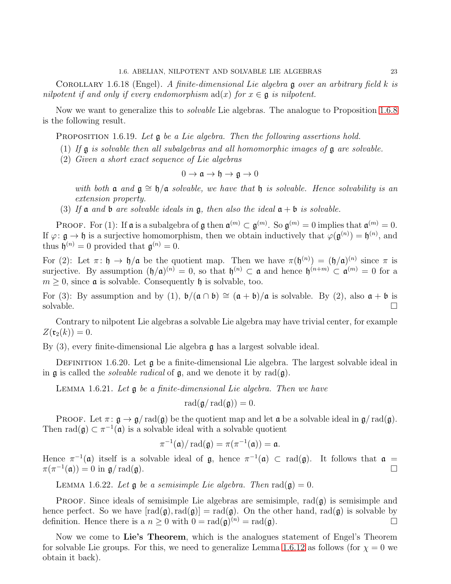COROLLARY 1.6.18 (Engel). A finite-dimensional Lie algebra  $\mathfrak g$  over an arbitrary field k is nilpotent if and only if every endomorphism  $ad(x)$  for  $x \in \mathfrak{g}$  is nilpotent.

Now we want to generalize this to *solvable* Lie algebras. The analogue to Proposition [1](#page-22-0).6.8 is the following result.

<span id="page-25-0"></span>PROPOSITION 1.6.19. Let  $\mathfrak g$  be a Lie algebra. Then the following assertions hold.

- (1) If  $\mathfrak g$  is solvable then all subalgebras and all homomorphic images of  $\mathfrak g$  are solvable.
- (2) Given a short exact sequence of Lie algebras

$$
0 \to \mathfrak{a} \to \mathfrak{h} \to \mathfrak{g} \to 0
$$

with both  $\mathfrak{a}$  and  $\mathfrak{g} \cong \mathfrak{h}/\mathfrak{a}$  solvable, we have that  $\mathfrak{h}$  is solvable. Hence solvability is an extension property.

(3) If a and b are solvable ideals in  $\mathfrak g$ , then also the ideal  $\mathfrak a + \mathfrak b$  is solvable.

**PROOF.** For (1): If  $\mathfrak{a}$  is a subalgebra of  $\mathfrak{g}$  then  $\mathfrak{a}^{(m)} \subset \mathfrak{g}^{(m)}$ . So  $\mathfrak{g}^{(m)} = 0$  implies that  $\mathfrak{a}^{(m)} = 0$ . If  $\varphi: \mathfrak{g} \to \mathfrak{h}$  is a surjective homomorphism, then we obtain inductively that  $\varphi(\mathfrak{g}^{(n)}) = \mathfrak{h}^{(n)}$ , and thus  $\mathfrak{h}^{(n)} = 0$  provided that  $\mathfrak{g}^{(n)} = 0$ .

For (2): Let  $\pi: \mathfrak{h} \to \mathfrak{h}/\mathfrak{a}$  be the quotient map. Then we have  $\pi(\mathfrak{h}^{(n)}) = (\mathfrak{h}/\mathfrak{a})^{(n)}$  since  $\pi$  is surjective. By assumption  $(\mathfrak{h}/\mathfrak{a})^{(n)} = 0$ , so that  $\mathfrak{h}^{(n)} \subset \mathfrak{a}$  and hence  $\mathfrak{h}^{(n+m)} \subset \mathfrak{a}^{(m)} = 0$  for a  $m \geq 0$ , since **a** is solvable. Consequently **h** is solvable, too.

For (3): By assumption and by (1),  $\mathfrak{b}/(\mathfrak{a} \cap \mathfrak{b}) \cong (\mathfrak{a} + \mathfrak{b})/\mathfrak{a}$  is solvable. By (2), also  $\mathfrak{a} + \mathfrak{b}$  is solvable.  $\Box$ solvable.  $\Box$ 

Contrary to nilpotent Lie algebras a solvable Lie algebra may have trivial center, for example  $Z(\mathfrak{r}_2(k)) = 0.$ 

By  $(3)$ , every finite-dimensional Lie algebra  $\mathfrak g$  has a largest solvable ideal.

DEFINITION 1.6.20. Let  $\mathfrak g$  be a finite-dimensional Lie algebra. The largest solvable ideal in in  $\mathfrak g$  is called the *solvable radical* of  $\mathfrak g$ , and we denote it by rad( $\mathfrak g$ ).

LEMMA 1.6.21. Let  $\mathfrak g$  be a finite-dimensional Lie algebra. Then we have

 $rad(\mathfrak{g}/\mathrm{rad}(\mathfrak{g})) = 0.$ 

PROOF. Let  $\pi: \mathfrak{g} \to \mathfrak{g}/\text{rad}(\mathfrak{g})$  be the quotient map and let  $\mathfrak{a}$  be a solvable ideal in  $\mathfrak{g}/\text{rad}(\mathfrak{g})$ . Then  $rad(\mathfrak{g}) \subset \pi^{-1}(\mathfrak{a})$  is a solvable ideal with a solvable quotient

 $\pi^{-1}(\mathfrak{a})/\operatorname{rad}(\mathfrak{g}) = \pi(\pi^{-1}(\mathfrak{a})) = \mathfrak{a}.$ 

Hence  $\pi^{-1}(\mathfrak{a})$  itself is a solvable ideal of  $\mathfrak{g}$ , hence  $\pi^{-1}(\mathfrak{a}) \subset \text{rad}(\mathfrak{g})$ . It follows that  $\mathfrak{a} =$  $\pi(\pi^{-1}(\mathfrak{a})) = 0$  in  $\mathfrak{g}/\operatorname{rad}(\mathfrak{g}).$ 

LEMMA 1.6.22. Let  $\mathfrak g$  be a semisimple Lie algebra. Then  $\text{rad}(\mathfrak g)=0$ .

**PROOF.** Since ideals of semisimple Lie algebras are semisimple,  $rad(\mathfrak{g})$  is semisimple and hence perfect. So we have  $[rad(\mathfrak{g}),rad(\mathfrak{g})]=rad(\mathfrak{g})$ . On the other hand,  $rad(\mathfrak{g})$  is solvable by definition. Hence there is a  $n \geq 0$  with  $0 = \text{rad}(\mathfrak{g})^{(n)} = \text{rad}(\mathfrak{g})$ .

Now we come to Lie's Theorem, which is the analogues statement of Engel's Theorem for solvable Lie groups. For this, we need to generalize Lemma 1.6.[12](#page-23-1) as follows (for  $\chi = 0$  we obtain it back).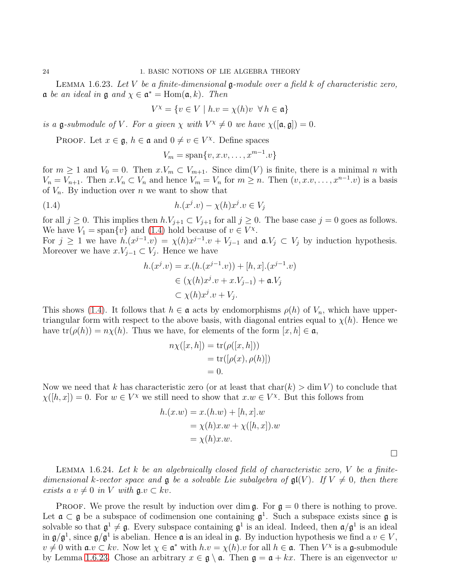<span id="page-26-1"></span>LEMMA 1.6.23. Let  $V$  be a finite-dimensional  $\mathfrak g$ -module over a field  $k$  of characteristic zero,  $\mathfrak a$  be an ideal in  $\mathfrak g$  and  $\chi \in \mathfrak a^* = \mathrm{Hom}(\mathfrak a,k)$ . Then

$$
V^{\chi} = \{ v \in V \mid h.v = \chi(h)v \ \forall h \in \mathfrak{a} \}
$$

is a  $\mathfrak{g}\text{-}submodule$  of V. For a given  $\chi$  with  $V^{\chi} \neq 0$  we have  $\chi([\mathfrak{a}, \mathfrak{g}]) = 0$ .

PROOF. Let  $x \in \mathfrak{g}$ ,  $h \in \mathfrak{a}$  and  $0 \neq v \in V^\chi$ . Define spaces

$$
V_m = \text{span}\{v, x.v, \dots, x^{m-1}.v\}
$$

for  $m \geq 1$  and  $V_0 = 0$ . Then  $x \cdot V_m \subset V_{m+1}$ . Since  $\dim(V)$  is finite, there is a minimal n with  $V_n = V_{n+1}$ . Then  $x \cdot V_n \subset V_n$  and hence  $V_m = V_n$  for  $m \ge n$ . Then  $(v, x \cdot v, \dots, x^{n-1} \cdot v)$  is a basis of  $V_n$ . By induction over n we want to show that

<span id="page-26-0"></span>
$$
(1.4) \qquad \qquad h.(x^j.v) - \chi(h)x^j.v \in V_j
$$

for all  $j \geq 0$ . This implies then  $h.V_{j+1} \subset V_{j+1}$  for all  $j \geq 0$ . The base case  $j = 0$  goes as follows. We have  $V_1 = \text{span}\{v\}$  and  $(1.4)$  hold because of  $v \in V^{\chi}$ .

For  $j \ge 1$  we have  $h(x^{j-1} \cdot v) = \chi(h)x^{j-1} \cdot v + V_{j-1}$  and  $\mathfrak{a} \cdot V_j \subset V_j$  by induction hypothesis. Moreover we have  $x.V_{j-1} \subset V_j$ . Hence we have

$$
h.(xj.v) = x.(h.(xj-1.v)) + [h, x].(xj-1.v)
$$
  
\n
$$
\in (\chi(h)xj.v + x.Vj-1) + \mathfrak{a}.Vj
$$
  
\n
$$
\subset \chi(h)xj.v + Vj.
$$

This shows [\(1.4\)](#page-26-0). It follows that  $h \in \mathfrak{a}$  acts by endomorphisms  $\rho(h)$  of  $V_n$ , which have uppertriangular form with respect to the above basis, with diagonal entries equal to  $\chi(h)$ . Hence we have  $tr(\rho(h)) = n\chi(h)$ . Thus we have, for elements of the form  $[x, h] \in \mathfrak{a}$ ,

$$
n\chi([x,h]) = \text{tr}(\rho([x,h]))
$$
  
= tr([p(x), p(h)])  
= 0.

Now we need that k has characteristic zero (or at least that  $char(k) > dim V$ ) to conclude that  $\chi([h,x]) = 0$ . For  $w \in V^{\chi}$  we still need to show that  $x.w \in V^{\chi}$ . But this follows from

$$
h.(x.w) = x.(h.w) + [h, x].w
$$
  
=  $\chi(h)x.w + \chi([h, x]).w$   
=  $\chi(h)x.w.$ 

 $\Box$ 

<span id="page-26-2"></span>LEMMA 1.6.24. Let k be an algebraically closed field of characteristic zero,  $V$  be a finitedimensional k-vector space and  $\mathfrak g$  be a solvable Lie subalgebra of  $\mathfrak{gl}(V)$ . If  $V \neq 0$ , then there exists a  $v \neq 0$  in V with  $\mathfrak{g} \cdot v \subset kv$ .

**PROOF.** We prove the result by induction over dim  $\mathfrak{g}$ . For  $\mathfrak{g} = 0$  there is nothing to prove. Let  $\mathfrak{a} \subset \mathfrak{g}$  be a subspace of codimension one containing  $\mathfrak{g}^1$ . Such a subspace exists since  $\mathfrak{g}$  is solvable so that  $\mathfrak{g}^1 \neq \mathfrak{g}$ . Every subspace containing  $\mathfrak{g}^1$  is an ideal. Indeed, then  $\mathfrak{a}/\mathfrak{g}^1$  is an ideal. in  $\mathfrak{g}/\mathfrak{g}^1$ , since  $\mathfrak{g}/\mathfrak{g}^1$  is abelian. Hence  $\mathfrak a$  is an ideal in  $\mathfrak g$ . By induction hypothesis we find a  $v \in V$ ,  $v \neq 0$  with  $\mathfrak{a} \cdot v \subset kv$ . Now let  $\chi \in \mathfrak{a}^*$  with  $h \cdot v = \chi(h) \cdot v$  for all  $h \in \mathfrak{a}$ . Then  $V^\chi$  is a  $\mathfrak{g}$ -submodule by Lemma 1.6.[23.](#page-26-1) Chose an arbitrary  $x \in \mathfrak{g} \setminus \mathfrak{a}$ . Then  $\mathfrak{g} = \mathfrak{a} + kx$ . There is an eigenvector w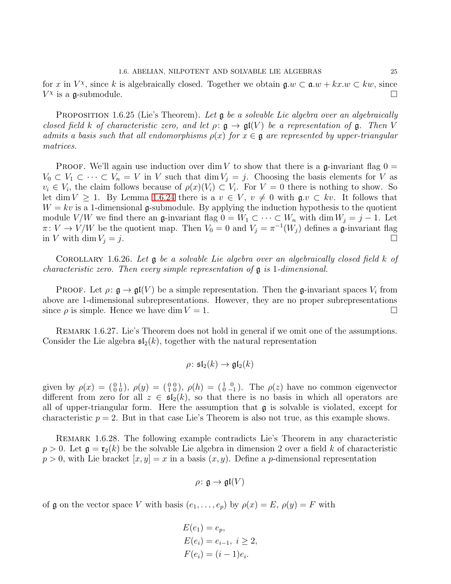for x in  $V^{\chi}$ , since k is algebraically closed. Together we obtain  $\mathfrak{g}.w \subset \mathfrak{a}.w + kx.w \subset kw$ , since  $V^{\chi}$  is a g-submodule.

**PROPOSITION** 1.6.25 (Lie's Theorem). Let  $\mathfrak g$  be a solvable Lie algebra over an algebraically closed field k of characteristic zero, and let  $\rho: \mathfrak{g} \to \mathfrak{gl}(V)$  be a representation of  $\mathfrak{g}$ . Then V admits a basis such that all endomorphisms  $\rho(x)$  for  $x \in \mathfrak{g}$  are represented by upper-triangular matrices.

PROOF. We'll again use induction over dim V to show that there is a g-invariant flag  $0 =$  $V_0 \subset V_1 \subset \cdots \subset V_n = V$  in V such that  $\dim V_j = j$ . Choosing the basis elements for V as  $v_i \in V_i$ , the claim follows because of  $\rho(x)(V_i) \subset V_i$ . For  $V = 0$  there is nothing to show. So let dim  $V \geq 1$ . By Lemma 1.6.[24](#page-26-2) there is a  $v \in V$ ,  $v \neq 0$  with  $\mathfrak{g} \in v \subset kv$ . It follows that  $W = kv$  is a 1-dimensional g-submodule. By applying the induction hypothesis to the quotient module  $V/W$  we find there an g-invariant flag  $0 = W_1 \subset \cdots \subset W_n$  with dim  $W_j = j - 1$ . Let  $\pi: V \to V/W$  be the quotient map. Then  $V_0 = 0$  and  $V_j = \pi^{-1}(W_j)$  defines a g-invariant flag in V with dim  $V_j = j$ .

COROLLARY 1.6.26. Let  $\mathfrak g$  be a solvable Lie algebra over an algebraically closed field k of characteristic zero. Then every simple representation of  $\mathfrak g$  is 1-dimensional.

PROOF. Let  $\rho: \mathfrak{g} \to \mathfrak{gl}(V)$  be a simple representation. Then the g-invariant spaces  $V_i$  from above are 1-dimensional subrepresentations. However, they are no proper subrepresentations since  $\rho$  is simple. Hence we have dim  $V = 1$ .

Remark 1.6.27. Lie's Theorem does not hold in general if we omit one of the assumptions. Consider the Lie algebra  $\mathfrak{sl}_2(k)$ , together with the natural representation

$$
\rho \colon \mathfrak{sl}_2(k) \to \mathfrak{gl}_2(k)
$$

given by  $\rho(x) = \begin{pmatrix} 0 & 1 \\ 0 & 0 \end{pmatrix}$ ,  $\rho(y) = \begin{pmatrix} 0 & 0 \\ 1 & 0 \end{pmatrix}$ ,  $\rho(h) = \begin{pmatrix} 1 & 0 \\ 0 & -1 \end{pmatrix}$ . The  $\rho(z)$  have no common eigenvector different from zero for all  $z \in \mathfrak{sl}_2(k)$ , so that there is no basis in which all operators are all of upper-triangular form. Here the assumption that  $\mathfrak g$  is solvable is violated, except for characteristic  $p = 2$ . But in that case Lie's Theorem is also not true, as this example shows.

<span id="page-27-0"></span>Remark 1.6.28. The following example contradicts Lie's Theorem in any characteristic  $p > 0$ . Let  $\mathfrak{g} = \mathfrak{r}_2(k)$  be the solvable Lie algebra in dimension 2 over a field k of characteristic  $p > 0$ , with Lie bracket  $[x, y] = x$  in a basis  $(x, y)$ . Define a p-dimensional representation

$$
\rho\colon \mathfrak{g}\to \mathfrak{gl}(V)
$$

of g on the vector space V with basis  $(e_1, \ldots, e_p)$  by  $\rho(x) = E$ ,  $\rho(y) = F$  with

$$
E(e_1) = e_p,
$$
  
\n
$$
E(e_i) = e_{i-1}, i \ge 2,
$$
  
\n
$$
F(e_i) = (i - 1)e_i.
$$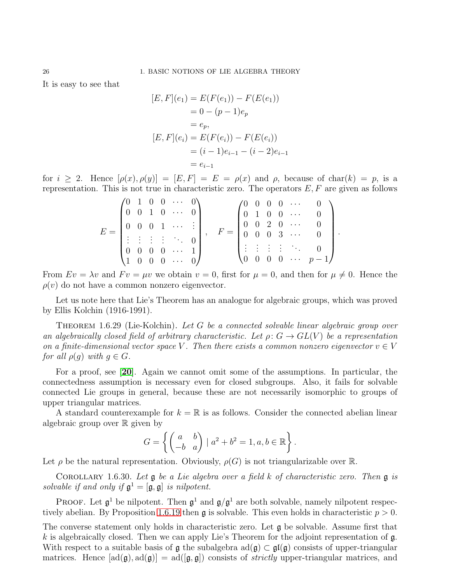It is easy to see that

$$
[E, F](e_1) = E(F(e_1)) - F(E(e_1))
$$
  
= 0 - (p - 1)e<sub>p</sub>  
= e<sub>p</sub>,  

$$
[E, F](e_i) = E(F(e_i)) - F(E(e_i))
$$
  
= (i - 1)e<sub>i-1</sub> - (i - 2)e<sub>i-1</sub>  
= e<sub>i-1</sub>

for  $i \geq 2$ . Hence  $[\rho(x), \rho(y)] = [E, F] = E = \rho(x)$  and  $\rho$ , because of char $(k) = p$ , is a representation. This is not true in characteristic zero. The operators  $E, F$  are given as follows

$$
E = \begin{pmatrix} 0 & 1 & 0 & 0 & \cdots & 0 \\ 0 & 0 & 1 & 0 & \cdots & 0 \\ 0 & 0 & 0 & 1 & \cdots & \vdots \\ \vdots & \vdots & \vdots & \vdots & \ddots & 0 \\ 0 & 0 & 0 & 0 & \cdots & 1 \\ 1 & 0 & 0 & 0 & \cdots & 0 \end{pmatrix}, \quad F = \begin{pmatrix} 0 & 0 & 0 & 0 & \cdots & 0 \\ 0 & 1 & 0 & 0 & \cdots & 0 \\ 0 & 0 & 2 & 0 & \cdots & 0 \\ 0 & 0 & 0 & 3 & \cdots & 0 \\ \vdots & \vdots & \vdots & \vdots & \ddots & 0 \\ 0 & 0 & 0 & 0 & \cdots & p-1 \end{pmatrix}
$$

.

From  $Ev = \lambda v$  and  $Fv = \mu v$  we obtain  $v = 0$ , first for  $\mu = 0$ , and then for  $\mu \neq 0$ . Hence the  $\rho(v)$  do not have a common nonzero eigenvector.

Let us note here that Lie's Theorem has an analogue for algebraic groups, which was proved by Ellis Kolchin (1916-1991).

THEOREM 1.6.29 (Lie-Kolchin). Let G be a connected solvable linear algebraic group over an algebraically closed field of arbitrary characteristic. Let  $\rho: G \to GL(V)$  be a representation on a finite-dimensional vector space V. Then there exists a common nonzero eigenvector  $v \in V$ for all  $\rho(g)$  with  $g \in G$ .

For a proof, see [[20](#page-111-3)]. Again we cannot omit some of the assumptions. In particular, the connectedness assumption is necessary even for closed subgroups. Also, it fails for solvable connected Lie groups in general, because these are not necessarily isomorphic to groups of upper triangular matrices.

A standard counterexample for  $k = \mathbb{R}$  is as follows. Consider the connected abelian linear algebraic group over  $\mathbb R$  given by

$$
G = \left\{ \begin{pmatrix} a & b \\ -b & a \end{pmatrix} \mid a^2 + b^2 = 1, a, b \in \mathbb{R} \right\}.
$$

Let  $\rho$  be the natural representation. Obviously,  $\rho(G)$  is not triangularizable over R.

<span id="page-28-0"></span>COROLLARY 1.6.30. Let  $\mathfrak g$  be a Lie algebra over a field k of characteristic zero. Then  $\mathfrak g$  is solvable if and only if  $\mathfrak{g}^1 = [\mathfrak{g}, \mathfrak{g}]$  is nilpotent.

**PROOF.** Let  $\mathfrak{g}^1$  be nilpotent. Then  $\mathfrak{g}^1$  and  $\mathfrak{g}/\mathfrak{g}^1$  are both solvable, namely nilpotent respec-tively abelian. By Proposition 1.6.[19](#page-25-0) then  $\mathfrak g$  is solvable. This even holds in characteristic  $p > 0$ .

The converse statement only holds in characteristic zero. Let g be solvable. Assume first that k is algebraically closed. Then we can apply Lie's Theorem for the adjoint representation of  $\mathfrak{g}$ . With respect to a suitable basis of  $\mathfrak g$  the subalgebra  $ad(\mathfrak g) \subset \mathfrak{gl}(\mathfrak g)$  consists of upper-triangular matrices. Hence  $[\text{ad}(g), \text{ad}(g)] = \text{ad}([g, g])$  consists of *strictly* upper-triangular matrices, and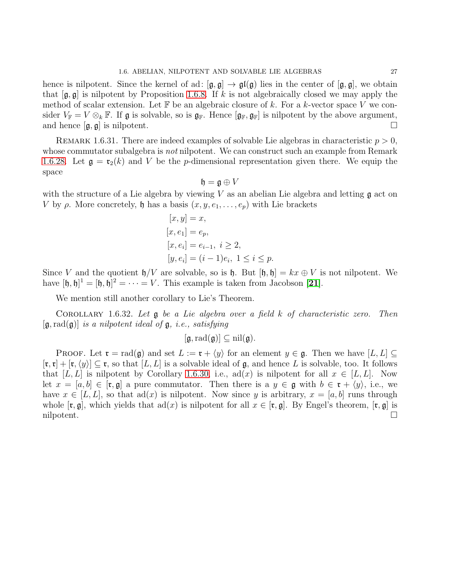hence is nilpotent. Since the kernel of ad:  $[\mathfrak{g}, \mathfrak{g}] \to \mathfrak{gl}(\mathfrak{g})$  lies in the center of  $[\mathfrak{g}, \mathfrak{g}]$ , we obtain that  $[\mathfrak{g}, \mathfrak{g}]$  is nilpotent by Proposition [1](#page-22-0).6.8. If k is not algebraically closed we may apply the method of scalar extension. Let  $\mathbb F$  be an algebraic closure of k. For a k-vector space V we consider  $V_{\mathbb{F}} = V \otimes_k \mathbb{F}$ . If  $\mathfrak{g}$  is solvable, so is  $\mathfrak{g}_{\mathbb{F}}$ . Hence  $[\mathfrak{g}_{\mathbb{F}}, \mathfrak{g}_{\mathbb{F}}]$  is nilpotent by the above argument, and hence  $[\mathfrak{g}, \mathfrak{g}]$  is nilpotent. and hence  $[\mathfrak{g}, \mathfrak{g}]$  is nilpotent.

REMARK 1.6.31. There are indeed examples of solvable Lie algebras in characteristic  $p > 0$ , whose commutator subalgebra is *not* nilpotent. We can construct such an example from Remark 1.6.[28.](#page-27-0) Let  $\mathfrak{g} = \mathfrak{r}_2(k)$  and V be the *p*-dimensional representation given there. We equip the space

$$
\mathfrak{h} = \mathfrak{g} \oplus V
$$

with the structure of a Lie algebra by viewing V as an abelian Lie algebra and letting  $\mathfrak g$  act on V by  $\rho$ . More concretely,  $\mathfrak h$  has a basis  $(x, y, e_1, \ldots, e_p)$  with Lie brackets

$$
[x, y] = x,\n[x, e1] = ep,\n[x, ei] = ei-1, i \ge 2,\n[y, ei] = (i - 1)ei, 1 \le i \le p.
$$

Since V and the quotient  $\mathfrak{h}/V$  are solvable, so is  $\mathfrak{h}$ . But  $[\mathfrak{h}, \mathfrak{h}] = kx \oplus V$  is not nilpotent. We have  $[\mathfrak{h}, \mathfrak{h}]^1 = [\mathfrak{h}, \mathfrak{h}]^2 = \cdots = V$ . This example is taken from Jacobson [[21](#page-111-4)].

We mention still another corollary to Lie's Theorem.

COROLLARY 1.6.32. Let  $g$  be a Lie algebra over a field k of characteristic zero. Then  $[\mathfrak{g}, \text{rad}(\mathfrak{g})]$  is a nilpotent ideal of  $\mathfrak{g},$  i.e., satisfying

$$
[\mathfrak{g}, \mathrm{rad}(\mathfrak{g})] \subseteq \mathrm{nil}(\mathfrak{g}).
$$

PROOF. Let  $\mathfrak{r} = \text{rad}(\mathfrak{g})$  and set  $L := \mathfrak{r} + \langle y \rangle$  for an element  $y \in \mathfrak{g}$ . Then we have  $[L, L] \subseteq$  $[\mathfrak{r},\mathfrak{r}] + [\mathfrak{r},\langle y \rangle] \subseteq \mathfrak{r}$ , so that  $[L,L]$  is a solvable ideal of  $\mathfrak{g}$ , and hence L is solvable, too. It follows that [L, L] is nilpotent by Corollary 1.6.[30,](#page-28-0) i.e., ad(x) is nilpotent for all  $x \in [L, L]$ . Now let  $x = [a, b] \in [\mathfrak{r}, \mathfrak{g}]$  a pure commutator. Then there is a  $y \in \mathfrak{g}$  with  $b \in \mathfrak{r} + \langle y \rangle$ , i.e., we have  $x \in [L, L]$ , so that  $ad(x)$  is nilpotent. Now since y is arbitrary,  $x = [a, b]$  runs through whole  $[\mathfrak{r}, \mathfrak{g}]$ , which yields that  $ad(x)$  is nilpotent for all  $x \in [\mathfrak{r}, \mathfrak{g}]$ . By Engel's theorem,  $[\mathfrak{r}, \mathfrak{g}]$  is nilpotent.  $\Box$ nilpotent.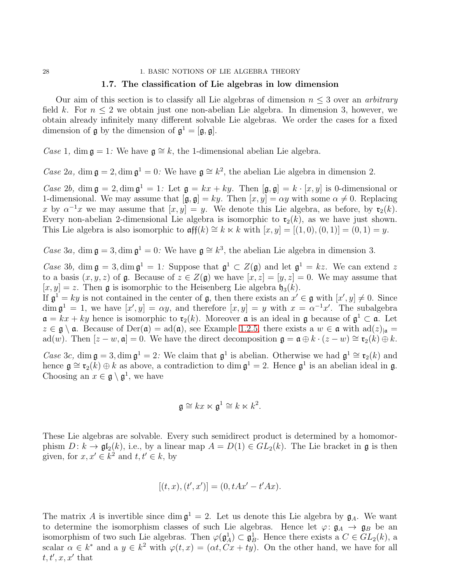#### 28 1. BASIC NOTIONS OF LIE ALGEBRA THEORY

#### 1.7. The classification of Lie algebras in low dimension

Our aim of this section is to classify all Lie algebras of dimension  $n \leq 3$  over an *arbitrary* field k. For  $n \leq 2$  we obtain just one non-abelian Lie algebra. In dimension 3, however, we obtain already infinitely many different solvable Lie algebras. We order the cases for a fixed dimension of  $\mathfrak{g}$  by the dimension of  $\mathfrak{g}^1 = [\mathfrak{g}, \mathfrak{g}].$ 

Case 1, dim  $\mathfrak{g} = 1$ : We have  $\mathfrak{g} \cong k$ , the 1-dimensional abelian Lie algebra.

Case 2a, dim  $\mathfrak{g} = 2$ , dim  $\mathfrak{g}^1 = 0$ . We have  $\mathfrak{g} \cong k^2$ , the abelian Lie algebra in dimension 2.

Case 2b, dim  $\mathfrak{g} = 2$ , dim  $\mathfrak{g}^1 = 1$ : Let  $\mathfrak{g} = kx + ky$ . Then  $[\mathfrak{g}, \mathfrak{g}] = k \cdot [x, y]$  is 0-dimensional or 1-dimensional. We may assume that  $[\mathfrak{g}, \mathfrak{g}] = ky$ . Then  $[x, y] = \alpha y$  with some  $\alpha \neq 0$ . Replacing x by  $\alpha^{-1}x$  we may assume that  $[x, y] = y$ . We denote this Lie algebra, as before, by  $\mathfrak{r}_2(k)$ . Every non-abelian 2-dimensional Lie algebra is isomorphic to  $\mathfrak{r}_2(k)$ , as we have just shown. This Lie algebra is also isomorphic to  $\arg(k) \cong k \ltimes k$  with  $[x, y] = [(1, 0), (0, 1)] = (0, 1) = y$ .

Case 3a, dim  $\mathfrak{g} = 3$ , dim  $\mathfrak{g}^1 = 0$ . We have  $\mathfrak{g} \cong k^3$ , the abelian Lie algebra in dimension 3.

Case 3b, dim  $\mathfrak{g} = 3$ , dim  $\mathfrak{g}^1 = 1$ : Suppose that  $\mathfrak{g}^1 \subset Z(\mathfrak{g})$  and let  $\mathfrak{g}^1 = kz$ . We can extend z to a basis  $(x, y, z)$  of g. Because of  $z \in Z(g)$  we have  $[x, z] = [y, z] = 0$ . We may assume that  $[x, y] = z$ . Then **g** is isomorphic to the Heisenberg Lie algebra  $\mathfrak{h}_3(k)$ .

If  $\mathfrak{g}^1 = ky$  is not contained in the center of  $\mathfrak{g}$ , then there exists an  $x' \in \mathfrak{g}$  with  $[x', y] \neq 0$ . Since  $\dim \mathfrak{g}^1 = 1$ , we have  $[x', y] = \alpha y$ , and therefore  $[x, y] = y$  with  $x = \alpha^{-1} x'$ . The subalgebra  $\mathfrak{a} = kx + ky$  hence is isomorphic to  $\mathfrak{r}_2(k)$ . Moreover  $\mathfrak{a}$  is an ideal in  $\mathfrak{g}$  because of  $\mathfrak{g}^1 \subset \mathfrak{a}$ . Let  $z \in \mathfrak{g} \setminus \mathfrak{a}$ . Because of Der( $\mathfrak{a}$ ) = ad( $\mathfrak{a}$ ), see Example [1](#page-9-1).2.5, there exists a  $w \in \mathfrak{a}$  with ad( $z)_{|\mathfrak{a}} =$ ad(w). Then  $[z - w, \mathfrak{a}] = 0$ . We have the direct decomposition  $\mathfrak{g} = \mathfrak{a} \oplus k \cdot (z - w) \cong \mathfrak{r}_2(k) \oplus k$ .

Case 3c, dim  $\mathfrak{g} = 3$ , dim  $\mathfrak{g}^1 = 2$ : We claim that  $\mathfrak{g}^1$  is abelian. Otherwise we had  $\mathfrak{g}^1 \cong \mathfrak{r}_2(k)$  and hence  $\mathfrak{g} \cong \mathfrak{r}_2(k) \oplus k$  as above, a contradiction to dim  $\mathfrak{g}^1 = 2$ . Hence  $\mathfrak{g}^1$  is an abelian ideal in  $\mathfrak{g}$ . Choosing an  $x \in \mathfrak{g} \setminus \mathfrak{g}^1$ , we have

$$
\mathfrak{g} \cong kx \ltimes \mathfrak{g}^1 \cong k \ltimes k^2.
$$

These Lie algebras are solvable. Every such semidirect product is determined by a homomorphism  $D: k \to \mathfrak{gl}_2(k)$ , i.e., by a linear map  $A = D(1) \in GL_2(k)$ . The Lie bracket in g is then given, for  $x, x' \in k^2$  and  $t, t' \in k$ , by

$$
[(t, x), (t', x')] = (0, tAx' - t'Ax).
$$

The matrix A is invertible since  $\dim \mathfrak{g}^1 = 2$ . Let us denote this Lie algebra by  $\mathfrak{g}_A$ . We want to determine the isomorphism classes of such Lie algebras. Hence let  $\varphi: \mathfrak{g}_A \to \mathfrak{g}_B$  be an isomorphism of two such Lie algebras. Then  $\varphi(\mathfrak{g}^1_A) \subset \mathfrak{g}^1_B$ . Hence there exists a  $C \in GL_2(k)$ , a scalar  $\alpha \in k^*$  and a  $y \in k^2$  with  $\varphi(t, x) = (\alpha t, Cx + ty)$ . On the other hand, we have for all  $t, t', x, x'$  that

<span id="page-30-0"></span>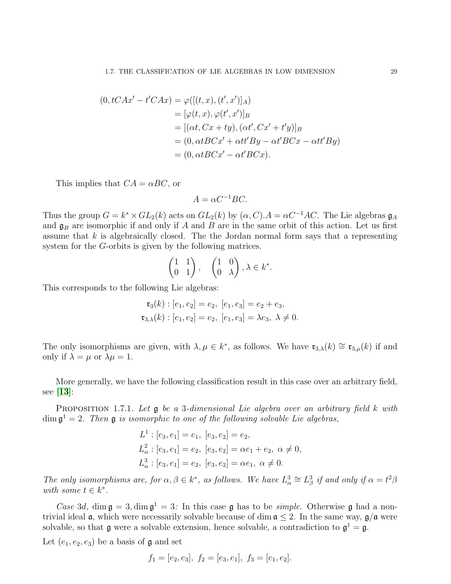$$
(0, tCAx' - t'CAx) = \varphi([(t, x), (t', x')]_A)
$$
  
\n
$$
= [\varphi(t, x), \varphi(t', x')]_B
$$
  
\n
$$
= [(\alpha t, Cx + ty), (\alpha t', Cx' + t'y)]_B
$$
  
\n
$$
= (0, \alpha tBCx' + \alpha t t'By - \alpha t'BCx - \alpha t t'By)
$$
  
\n
$$
= (0, \alpha tBCx' - \alpha t'BCx).
$$

This implies that  $CA = \alpha BC$ , or

 $A = \alpha C^{-1} BC$ .

Thus the group  $G = k^* \times GL_2(k)$  acts on  $GL_2(k)$  by  $(\alpha, C)$ .  $A = \alpha C^{-1}AC$ . The Lie algebras  $\mathfrak{g}_A$ and  $\mathfrak{g}_B$  are isomorphic if and only if A and B are in the same orbit of this action. Let us first assume that  $k$  is algebraically closed. The the Jordan normal form says that a representing system for the G-orbits is given by the following matrices.

$$
\begin{pmatrix} 1 & 1 \\ 0 & 1 \end{pmatrix}, \quad \begin{pmatrix} 1 & 0 \\ 0 & \lambda \end{pmatrix}, \lambda \in k^*.
$$

This corresponds to the following Lie algebras:

$$
\mathfrak{r}_3(k) : [e_1, e_2] = e_2, [e_1, e_3] = e_2 + e_3,
$$
  

$$
\mathfrak{r}_{3,\lambda}(k) : [e_1, e_2] = e_2, [e_1, e_3] = \lambda e_3, \lambda \neq 0.
$$

The only isomorphisms are given, with  $\lambda, \mu \in k^*$ , as follows. We have  $\mathfrak{r}_{3,\lambda}(k) \cong \mathfrak{r}_{3,\mu}(k)$  if and only if  $\lambda = \mu$  or  $\lambda \mu = 1$ .

More generally, we have the following classification result in this case over an arbitrary field, see [[13](#page-111-5)]:

PROPOSITION 1.7.1. Let **g** be a 3-dimensional Lie algebra over an arbitrary field k with  $\dim \mathfrak{g}^1 = 2$ . Then  $\mathfrak g$  is isomorphic to one of the following solvable Lie algebras,

$$
L1 : [e3, e1] = e1, [e3, e2] = e2,\nL2\alpha : [e3, e1] = e2, [e3, e2] = \alpha e1 + e2, \alpha \neq 0,\nL3\alpha : [e3, e1] = e2, [e3, e2] = \alpha e1, \alpha \neq 0.
$$

The only isomorphisms are, for  $\alpha, \beta \in k^*$ , as follows. We have  $L^3_\alpha \cong L^3_\beta$  if and only if  $\alpha = t^2\beta$ with some  $t \in k^*$ .

Case 3d, dim  $\mathfrak{g} = 3$ , dim  $\mathfrak{g}^1 = 3$ : In this case  $\mathfrak{g}$  has to be *simple*. Otherwise  $\mathfrak{g}$  had a nontrivial ideal  $\alpha$ , which were necessarily solvable because of dim  $\alpha \leq 2$ . In the same way,  $\beta/\alpha$  were solvable, so that  $\mathfrak g$  were a solvable extension, hence solvable, a contradiction to  $\mathfrak g^1 = \mathfrak g$ .

Let  $(e_1, e_2, e_3)$  be a basis of **g** and set

$$
f_1 = [e_2, e_3], f_2 = [e_3, e_1], f_3 = [e_1, e_2].
$$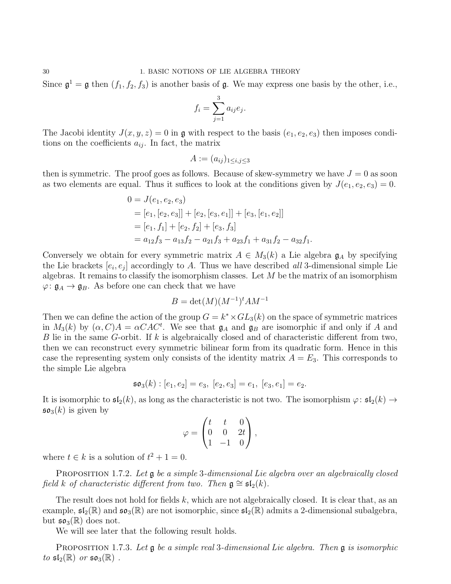Since  $\mathfrak{g}^1 = \mathfrak{g}$  then  $(f_1, f_2, f_3)$  is another basis of  $\mathfrak{g}$ . We may express one basis by the other, i.e.,

$$
f_i = \sum_{j=1}^3 a_{ij} e_j.
$$

The Jacobi identity  $J(x, y, z) = 0$  in g with respect to the basis  $(e_1, e_2, e_3)$  then imposes conditions on the coefficients  $a_{ij}$ . In fact, the matrix

$$
A:=(a_{ij})_{1\leq i,j\leq 3}
$$

then is symmetric. The proof goes as follows. Because of skew-symmetry we have  $J = 0$  as soon as two elements are equal. Thus it suffices to look at the conditions given by  $J(e_1, e_2, e_3) = 0$ .

$$
0 = J(e_1, e_2, e_3)
$$
  
= [e<sub>1</sub>, [e<sub>2</sub>, e<sub>3</sub>]] + [e<sub>2</sub>, [e<sub>3</sub>, e<sub>1</sub>]] + [e<sub>3</sub>, [e<sub>1</sub>, e<sub>2</sub>]]  
= [e<sub>1</sub>, f<sub>1</sub>] + [e<sub>2</sub>, f<sub>2</sub>] + [e<sub>3</sub>, f<sub>3</sub>]  
= a<sub>12</sub>f<sub>3</sub> - a<sub>13</sub>f<sub>2</sub> - a<sub>21</sub>f<sub>3</sub> + a<sub>23</sub>f<sub>1</sub> + a<sub>31</sub>f<sub>2</sub> - a<sub>32</sub>f<sub>1</sub>.

Conversely we obtain for every symmetric matrix  $A \in M_3(k)$  a Lie algebra  $\mathfrak{g}_A$  by specifying the Lie brackets  $[e_i, e_j]$  accordingly to A. Thus we have described all 3-dimensional simple Lie algebras. It remains to classify the isomorphism classes. Let  $M$  be the matrix of an isomorphism  $\varphi: \mathfrak{g}_A \to \mathfrak{g}_B$ . As before one can check that we have

$$
B = \det(M)(M^{-1})^t AM^{-1}
$$

Then we can define the action of the group  $G = k^* \times GL_3(k)$  on the space of symmetric matrices in  $M_3(k)$  by  $(\alpha, C)A = \alpha CAC^t$ . We see that  $\mathfrak{g}_A$  and  $\mathfrak{g}_B$  are isomorphic if and only if A and B lie in the same G-orbit. If k is algebraically closed and of characteristic different from two, then we can reconstruct every symmetric bilinear form from its quadratic form. Hence in this case the representing system only consists of the identity matrix  $A = E_3$ . This corresponds to the simple Lie algebra

$$
\mathfrak{so}_3(k): [e_1, e_2] = e_3, [e_2, e_3] = e_1, [e_3, e_1] = e_2.
$$

It is isomorphic to  $\mathfrak{sl}_2(k)$ , as long as the characteristic is not two. The isomorphism  $\varphi: \mathfrak{sl}_2(k) \to$  $\mathfrak{so}_3(k)$  is given by

$$
\varphi = \begin{pmatrix} t & t & 0 \\ 0 & 0 & 2t \\ 1 & -1 & 0 \end{pmatrix},
$$

where  $t \in k$  is a solution of  $t^2 + 1 = 0$ .

PROPOSITION 1.7.2. Let **g** be a simple 3-dimensional Lie algebra over an algebraically closed field k of characteristic different from two. Then  $\mathfrak{g} \cong \mathfrak{sl}_2(k)$ .

The result does not hold for fields k, which are not algebraically closed. It is clear that, as an example,  $\mathfrak{sl}_2(\mathbb{R})$  and  $\mathfrak{so}_3(\mathbb{R})$  are not isomorphic, since  $\mathfrak{sl}_2(\mathbb{R})$  admits a 2-dimensional subalgebra, but  $\mathfrak{so}_3(\mathbb{R})$  does not.

We will see later that the following result holds.

**PROPOSITION 1.7.3.** Let  $\mathfrak{g}$  be a simple real 3-dimensional Lie algebra. Then  $\mathfrak{g}$  is isomorphic to  $\mathfrak{sl}_2(\mathbb{R})$  or  $\mathfrak{so}_3(\mathbb{R})$ .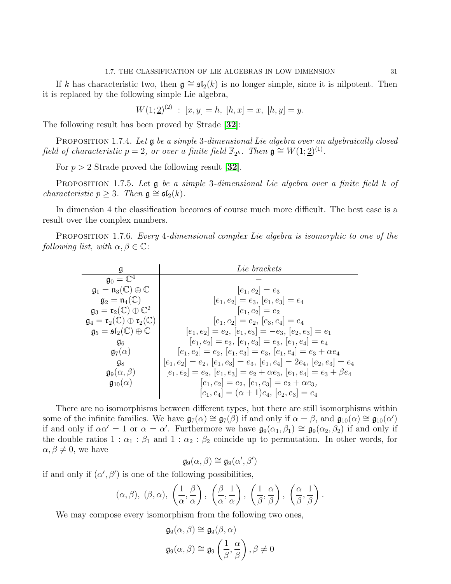If k has characteristic two, then  $g \cong \mathfrak{sl}_2(k)$  is no longer simple, since it is nilpotent. Then it is replaced by the following simple Lie algebra,

$$
W(1; \underline{2})^{(2)} : [x, y] = h, [h, x] = x, [h, y] = y.
$$

The following result has been proved by Strade [[32](#page-112-0)]:

PROPOSITION 1.7.4. Let **g** be a simple 3-dimensional Lie algebra over an algebraically closed field of characteristic  $p = 2$ , or over a finite field  $\mathbb{F}_{2^k}$ . Then  $\mathfrak{g} \cong W(1; \underline{2})^{(1)}$ .

For  $p > 2$  Strade proved the following result [[32](#page-112-0)].

PROPOSITION 1.7.5. Let **g** be a simple 3-dimensional Lie algebra over a finite field k of *characteristic*  $p \geq 3$ . Then  $\mathfrak{g} \cong \mathfrak{sl}_2(k)$ .

In dimension 4 the classification becomes of course much more difficult. The best case is a result over the complex numbers.

PROPOSITION 1.7.6. Every 4-dimensional complex Lie algebra is isomorphic to one of the following list, with  $\alpha, \beta \in \mathbb{C}$ :

| g                                                                               | Lie brackets                                                                    |
|---------------------------------------------------------------------------------|---------------------------------------------------------------------------------|
| $\mathfrak{g}_0=\mathbb{C}^4$                                                   |                                                                                 |
| $\mathfrak{g}_1 = \mathfrak{n}_3(\mathbb{C}) \oplus \mathbb{C}$                 | $ e_1, e_2  = e_3$                                                              |
| $\mathfrak{g}_2 = \mathfrak{n}_4(\mathbb{C})$                                   | $[e_1, e_2] = e_3, [e_1, e_3] = e_4$                                            |
| $\mathfrak{g}_3 = \mathfrak{r}_2(\mathbb{C}) \oplus \mathbb{C}^2$               | $[e_1, e_2] = e_2$                                                              |
| $\mathfrak{g}_4 = \mathfrak{r}_2(\mathbb{C}) \oplus \mathfrak{r}_2(\mathbb{C})$ | $[e_1, e_2] = e_2, [e_3, e_4] = e_4$                                            |
| $\mathfrak{g}_5 = \mathfrak{sl}_2(\mathbb{C}) \oplus \mathbb{C}$                | $ e_1, e_2  = e_2, [e_1, e_3  = -e_3, [e_2, e_3] = e_1$                         |
| $\mathfrak{g}_6$                                                                | $ e_1, e_2  = e_2, [e_1, e_3] = e_3, [e_1, e_4] = e_4$                          |
| $\mathfrak{g}_7(\alpha)$                                                        | $[e_1, e_2] = e_2, [e_1, e_3] = e_3, [e_1, e_4] = e_3 + \alpha e_4$             |
| $\mathfrak{g}_8$                                                                | $[e_1,e_2]=e_2,\, [e_1,e_3]=e_3,\, [e_1,e_4]=2e_4,\, [e_2,e_3]=e_4$             |
| $g_9(\alpha, \beta)$                                                            | $[e_1, e_2] = e_2, [e_1, e_3] = e_2 + \alpha e_3, [e_1, e_4] = e_3 + \beta e_4$ |
| $\mathfrak{g}_{10}(\alpha)$                                                     | $[e_1, e_2] = e_2, [e_1, e_3] = e_2 + \alpha e_3,$                              |
|                                                                                 | $[e_1, e_4] = (\alpha + 1)e_4, [e_2, e_3] = e_4$                                |

There are no isomorphisms between different types, but there are still isomorphisms within some of the infinite families. We have  $\mathfrak{g}_7(\alpha) \cong \mathfrak{g}_7(\beta)$  if and only if  $\alpha = \beta$ , and  $\mathfrak{g}_{10}(\alpha) \cong \mathfrak{g}_{10}(\alpha')$ if and only if  $\alpha \alpha' = 1$  or  $\alpha = \alpha'$ . Furthermore we have  $\mathfrak{g}_9(\alpha_1, \beta_1) \cong \mathfrak{g}_9(\alpha_2, \beta_2)$  if and only if the double ratios 1 :  $\alpha_1$  :  $\beta_1$  and 1 :  $\alpha_2$  :  $\beta_2$  coincide up to permutation. In other words, for  $\alpha, \beta \neq 0$ , we have

$$
\mathfrak{g}_9(\alpha,\beta) \cong \mathfrak{g}_9(\alpha',\beta')
$$

if and only if  $(\alpha', \beta')$  is one of the following possibilities,

$$
(\alpha, \beta), (\beta, \alpha), \left(\frac{1}{\alpha}, \frac{\beta}{\alpha}\right), \left(\frac{\beta}{\alpha}, \frac{1}{\alpha}\right), \left(\frac{1}{\beta}, \frac{\alpha}{\beta}\right), \left(\frac{\alpha}{\beta}, \frac{1}{\beta}\right).
$$

We may compose every isomorphism from the following two ones,

$$
\mathfrak{g}_9(\alpha,\beta) \cong \mathfrak{g}_9(\beta,\alpha)
$$
  

$$
\mathfrak{g}_9(\alpha,\beta) \cong \mathfrak{g}_9\left(\frac{1}{\beta},\frac{\alpha}{\beta}\right), \beta \neq 0
$$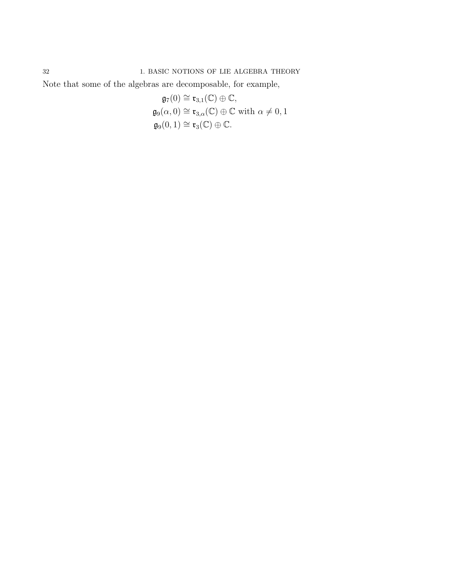32 1. BASIC NOTIONS OF LIE ALGEBRA THEORY

Note that some of the algebras are decomposable, for example,

$$
\mathfrak{g}_7(0) \cong \mathfrak{r}_{3,1}(\mathbb{C}) \oplus \mathbb{C},
$$
  
\n
$$
\mathfrak{g}_9(\alpha, 0) \cong \mathfrak{r}_{3,\alpha}(\mathbb{C}) \oplus \mathbb{C} \text{ with } \alpha \neq 0, 1
$$
  
\n
$$
\mathfrak{g}_9(0,1) \cong \mathfrak{r}_3(\mathbb{C}) \oplus \mathbb{C}.
$$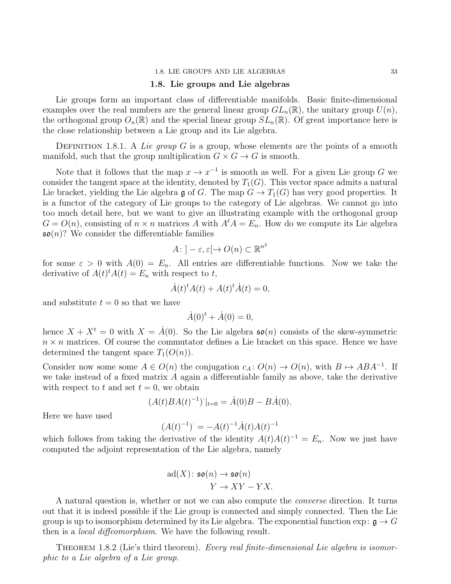#### 1.8. Lie groups and Lie algebras

<span id="page-35-0"></span>Lie groups form an important class of differentiable manifolds. Basic finite-dimensional examples over the real numbers are the general linear group  $GL_n(\mathbb{R})$ , the unitary group  $U(n)$ , the orthogonal group  $O_n(\mathbb{R})$  and the special linear group  $SL_n(\mathbb{R})$ . Of great importance here is the close relationship between a Lie group and its Lie algebra.

DEFINITION 1.8.1. A Lie group G is a group, whose elements are the points of a smooth manifold, such that the group multiplication  $G \times G \to G$  is smooth.

Note that it follows that the map  $x \to x^{-1}$  is smooth as well. For a given Lie group G we consider the tangent space at the identity, denoted by  $T_1(G)$ . This vector space admits a natural Lie bracket, yielding the Lie algebra g of G. The map  $G \to T_1(G)$  has very good properties. It is a functor of the category of Lie groups to the category of Lie algebras. We cannot go into too much detail here, but we want to give an illustrating example with the orthogonal group  $G = O(n)$ , consisting of  $n \times n$  matrices A with  $A<sup>t</sup>A = E_n$ . How do we compute its Lie algebra  $\mathfrak{so}(n)$ ? We consider the differentiable families

$$
A: ]-\varepsilon, \varepsilon[ \to O(n) \subset \mathbb{R}^{n^2}
$$

for some  $\varepsilon > 0$  with  $A(0) = E_n$ . All entries are differentiable functions. Now we take the derivative of  $A(t)^t A(t) = E_n$  with respect to t,

$$
\dot{A}(t)^{t}A(t) + A(t)^{t}\dot{A}(t) = 0,
$$

and substitute  $t = 0$  so that we have

$$
\dot{A}(0)^t + \dot{A}(0) = 0,
$$

hence  $X + X^t = 0$  with  $X = \dot{A}(0)$ . So the Lie algebra  $\mathfrak{so}(n)$  consists of the skew-symmetric  $n \times n$  matrices. Of course the commutator defines a Lie bracket on this space. Hence we have determined the tangent space  $T_1(O(n))$ .

Consider now some some  $A \in O(n)$  the conjugation  $c_A: O(n) \to O(n)$ , with  $B \mapsto ABA^{-1}$ . If we take instead of a fixed matrix  $A$  again a differentiable family as above, take the derivative with respect to t and set  $t = 0$ , we obtain

$$
(A(t)BA(t)^{-1})\big|_{t=0} = \dot{A}(0)B - B\dot{A}(0).
$$

Here we have used

$$
(A(t)^{-1})^{\cdot} = -A(t)^{-1}\dot{A}(t)A(t)^{-1}
$$

−1

which follows from taking the derivative of the identity  $A(t)A(t)^{-1} = E_n$ . Now we just have computed the adjoint representation of the Lie algebra, namely

$$
ad(X) \colon \mathfrak{so}(n) \to \mathfrak{so}(n)
$$

$$
Y \to XY - YX.
$$

A natural question is, whether or not we can also compute the converse direction. It turns out that it is indeed possible if the Lie group is connected and simply connected. Then the Lie group is up to isomorphism determined by its Lie algebra. The exponential function  $\exp: \mathfrak{g} \to G$ then is a *local diffeomorphism*. We have the following result.

THEOREM 1.8.2 (Lie's third theorem). Every real finite-dimensional Lie algebra is isomorphic to a Lie algebra of a Lie group.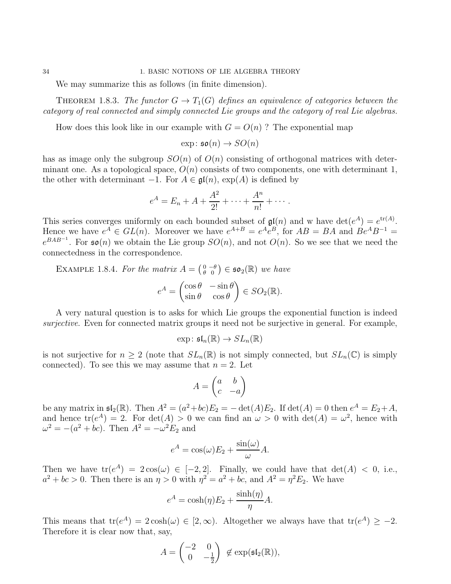### 34 1. BASIC NOTIONS OF LIE ALGEBRA THEORY

We may summarize this as follows (in finite dimension).

THEOREM 1.8.3. The functor  $G \to T_1(G)$  defines an equivalence of categories between the category of real connected and simply connected Lie groups and the category of real Lie algebras.

How does this look like in our example with  $G = O(n)$ ? The exponential map

 $\exp: \mathfrak{so}(n) \rightarrow SO(n)$ 

has as image only the subgroup  $SO(n)$  of  $O(n)$  consisting of orthogonal matrices with determinant one. As a topological space,  $O(n)$  consists of two components, one with determinant 1, the other with determinant  $-1$ . For  $A \in \mathfrak{gl}(n)$ ,  $\exp(A)$  is defined by

$$
e^A = E_n + A + \frac{A^2}{2!} + \dots + \frac{A^n}{n!} + \dots
$$

This series converges uniformly on each bounded subset of  $\mathfrak{gl}(n)$  and w have  $\det(e^A) = e^{\text{tr}(A)}$ . Hence we have  $e^A \in GL(n)$ . Moreover we have  $e^{A+B} = e^A e^B$ , for  $AB = BA$  and  $Be^AB^{-1} =$  $e^{BAB^{-1}}$ . For  $\mathfrak{so}(n)$  we obtain the Lie group  $SO(n)$ , and not  $O(n)$ . So we see that we need the connectedness in the correspondence.

EXAMPLE 1.8.4. For the matrix  $A = \begin{pmatrix} 0 & -\theta \\ \theta & 0 \end{pmatrix} \in \mathfrak{so}_2(\mathbb{R})$  we have

$$
e^A = \begin{pmatrix} \cos \theta & -\sin \theta \\ \sin \theta & \cos \theta \end{pmatrix} \in SO_2(\mathbb{R}).
$$

A very natural question is to asks for which Lie groups the exponential function is indeed surjective. Even for connected matrix groups it need not be surjective in general. For example,

$$
\exp\colon \mathfrak{sl}_n(\mathbb{R})\to SL_n(\mathbb{R})
$$

is not surjective for  $n \geq 2$  (note that  $SL_n(\mathbb{R})$  is not simply connected, but  $SL_n(\mathbb{C})$  is simply connected). To see this we may assume that  $n = 2$ . Let

$$
A = \begin{pmatrix} a & b \\ c & -a \end{pmatrix}
$$

be any matrix in  $\mathfrak{sl}_2(\mathbb{R})$ . Then  $A^2 = (a^2 + bc)E_2 = -\det(A)E_2$ . If  $\det(A) = 0$  then  $e^A = E_2 + A$ , and hence  $tr(e^A) = 2$ . For  $det(A) > 0$  we can find an  $\omega > 0$  with  $det(A) = \omega^2$ , hence with  $\omega^2 = -(a^2 + bc)$ . Then  $A^2 = -\omega^2 E_2$  and

$$
e^{A} = \cos(\omega)E_{2} + \frac{\sin(\omega)}{\omega}A.
$$

Then we have  $tr(e^A) = 2 cos(\omega) \in [-2, 2]$ . Finally, we could have that  $det(A) < 0$ , i.e.,  $a^2 + bc > 0$ . Then there is an  $\eta > 0$  with  $\eta^2 = a^2 + bc$ , and  $A^2 = \eta^2 E_2$ . We have

$$
e^{A} = \cosh(\eta)E_{2} + \frac{\sinh(\eta)}{\eta}A.
$$

This means that  $tr(e^A) = 2 \cosh(\omega) \in [2, \infty)$ . Altogether we always have that  $tr(e^A) \ge -2$ . Therefore it is clear now that, say,

$$
A = \begin{pmatrix} -2 & 0 \\ 0 & -\frac{1}{2} \end{pmatrix} \notin \exp(\mathfrak{sl}_2(\mathbb{R})),
$$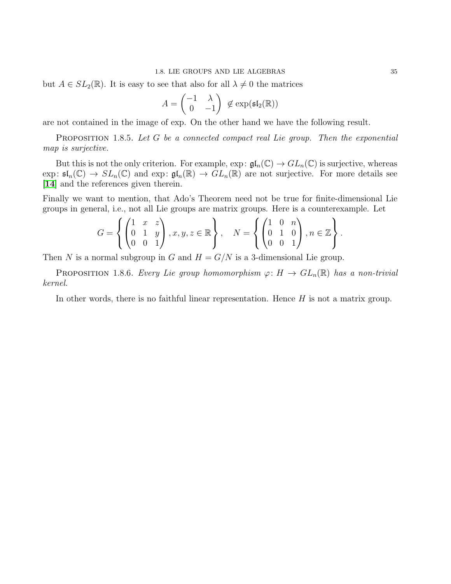#### 1.8. LIE GROUPS AND LIE ALGEBRAS 35

but  $A \in SL_2(\mathbb{R})$ . It is easy to see that also for all  $\lambda \neq 0$  the matrices

$$
A = \begin{pmatrix} -1 & \lambda \\ 0 & -1 \end{pmatrix} \notin \exp(\mathfrak{sl}_2(\mathbb{R}))
$$

are not contained in the image of exp. On the other hand we have the following result.

PROPOSITION 1.8.5. Let G be a connected compact real Lie group. Then the exponential map is surjective.

But this is not the only criterion. For example,  $\exp: \mathfrak{gl}_n(\mathbb{C}) \to GL_n(\mathbb{C})$  is surjective, whereas exp:  $\mathfrak{sl}_n(\mathbb{C}) \to SL_n(\mathbb{C})$  and exp:  $\mathfrak{gl}_n(\mathbb{R}) \to GL_n(\mathbb{R})$  are not surjective. For more details see [[14](#page-111-0)] and the references given therein.

Finally we want to mention, that Ado's Theorem need not be true for finite-dimensional Lie groups in general, i.e., not all Lie groups are matrix groups. Here is a counterexample. Let

$$
G = \left\{ \begin{pmatrix} 1 & x & z \\ 0 & 1 & y \\ 0 & 0 & 1 \end{pmatrix}, x, y, z \in \mathbb{R} \right\}, \quad N = \left\{ \begin{pmatrix} 1 & 0 & n \\ 0 & 1 & 0 \\ 0 & 0 & 1 \end{pmatrix}, n \in \mathbb{Z} \right\}.
$$

Then N is a normal subgroup in G and  $H = G/N$  is a 3-dimensional Lie group.

**PROPOSITION** 1.8.6. Every Lie group homomorphism  $\varphi: H \to GL_n(\mathbb{R})$  has a non-trivial kernel.

In other words, there is no faithful linear representation. Hence  $H$  is not a matrix group.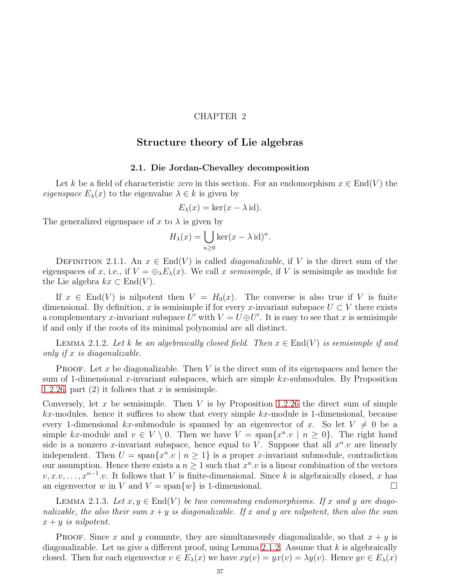# CHAPTER 2

# Structure theory of Lie algebras

### 2.1. Die Jordan-Chevalley decomposition

Let k be a field of characteristic zero in this section. For an endomorphism  $x \in End(V)$  the eigenspace  $E_{\lambda}(x)$  to the eigenvalue  $\lambda \in k$  is given by

$$
E_{\lambda}(x) = \ker(x - \lambda \operatorname{id}).
$$

The generalized eigenspace of x to  $\lambda$  is given by

$$
H_{\lambda}(x) = \bigcup_{n \ge 0} \ker(x - \lambda \operatorname{id})^n.
$$

DEFINITION 2.1.1. An  $x \in End(V)$  is called *diagonalizable*, if V is the direct sum of the eigenspaces of x, i.e., if  $V = \bigoplus_{\lambda} E_{\lambda}(x)$ . We call x semisimple, if V is semisimple as module for the Lie algebra  $kx \text{ }\subset \text{End}(V)$ .

If  $x \in End(V)$  is nilpotent then  $V = H_0(x)$ . The converse is also true if V is finite dimensional. By definition, x is semisimple if for every x-invariant subspace  $U \subset V$  there exists a complementary x-invariant subspace U' with  $V = U \oplus U'$ . It is easy to see that x is semisimple if and only if the roots of its minimal polynomial are all distinct.

<span id="page-39-0"></span>LEMMA 2.1.2. Let k be an algebraically closed field. Then  $x \in End(V)$  is semisimple if and only if x is diagonalizable.

**PROOF.** Let x be diagonalizable. Then  $V$  is the direct sum of its eigenspaces and hence the sum of 1-dimensional x-invariant subspaces, which are simple  $kx$ -submodules. By Proposition 1.2.[26,](#page-13-0) part  $(2)$  it follows that x is semisimple.

Conversely, let x be semisimple. Then V is by Proposition 1.2.[26](#page-13-0) the direct sum of simple  $kx$ -modules. hence it suffices to show that every simple  $kx$ -module is 1-dimensional, because every 1-dimensional kx-submodule is spanned by an eigenvector of x. So let  $V \neq 0$  be a simple kx-module and  $v \in V \setminus 0$ . Then we have  $V = \text{span}\{x^n \cdot v \mid n \geq 0\}$ . The right hand side is a nonzero x-invariant subspace, hence equal to V. Suppose that all  $x^n.v$  are linearly independent. Then  $U = \text{span}\{x^n, v \mid n \ge 1\}$  is a proper x-invariant submodule, contradiction our assumption. Hence there exists a  $n \geq 1$  such that  $x^n \cdot v$  is a linear combination of the vectors  $v, x, v, \ldots, x^{n-1}$ .v. It follows that V is finite-dimensional. Since k is algebraically closed, x has an eigenvector w in V and  $V = \text{span}\{w\}$  is 1-dimensional.

<span id="page-39-1"></span>LEMMA 2.1.3. Let  $x, y \in End(V)$  be two commuting endomorphisms. If x and y are diagonalizable, the also their sum  $x + y$  is diagonalizable. If x and y are nilpotent, then also the sum  $x + y$  is nilpotent.

**PROOF.** Since x and y commute, they are simultaneously diagonalizable, so that  $x + y$  is diagonalizable. Let us give a different proof, using Lemma [2](#page-39-0).1.2. Assume that  $k$  is algebraically closed. Then for each eigenvector  $v \in E_{\lambda}(x)$  we have  $xy(v) = yx(v) = \lambda y(v)$ . Hence  $yv \in E_{\lambda}(x)$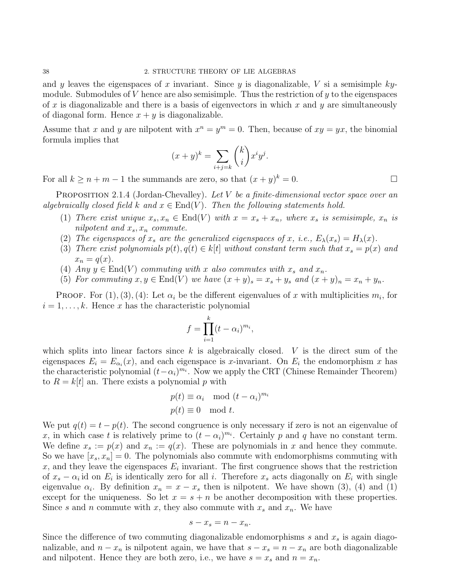and y leaves the eigenspaces of x invariant. Since y is diagonalizable, V si a semisimple kymodule. Submodules of  $V$  hence are also semisimple. Thus the restriction of  $y$  to the eigenspaces of x is diagonalizable and there is a basis of eigenvectors in which x and y are simultaneously of diagonal form. Hence  $x + y$  is diagonalizable.

Assume that x and y are nilpotent with  $x^n = y^m = 0$ . Then, because of  $xy = yx$ , the binomial formula implies that

$$
(x+y)^k = \sum_{i+j=k} \binom{k}{i} x^i y^j.
$$

For all  $k \geq n+m-1$  the summands are zero, so that  $(x+y)^k = 0$ .

<span id="page-40-0"></span>PROPOSITION 2.1.4 (Jordan-Chevalley). Let V be a finite-dimensional vector space over an algebraically closed field k and  $x \in End(V)$ . Then the following statements hold.

- (1) There exist unique  $x_s, x_n \in End(V)$  with  $x = x_s + x_n$ , where  $x_s$  is semisimple,  $x_n$  is nilpotent and  $x_s$ ,  $x_n$  commute.
- (2) The eigenspaces of  $x_s$  are the generalized eigenspaces of x, i.e.,  $E_{\lambda}(x_s) = H_{\lambda}(x)$ .
- (3) There exist polynomials  $p(t), q(t) \in k[t]$  without constant term such that  $x_s = p(x)$  and  $x_n = q(x)$ .
- (4) Any  $y \in End(V)$  commuting with x also commutes with  $x_s$  and  $x_n$ .
- (5) For commuting  $x, y \in End(V)$  we have  $(x + y)_s = x_s + y_s$  and  $(x + y)_n = x_n + y_n$ .

PROOF. For  $(1), (3), (4)$ : Let  $\alpha_i$  be the different eigenvalues of x with multiplicities  $m_i$ , for  $i = 1, \ldots, k$ . Hence x has the characteristic polynomial

$$
f = \prod_{i=1}^{k} (t - \alpha_i)^{m_i},
$$

which splits into linear factors since  $k$  is algebraically closed.  $V$  is the direct sum of the eigenspaces  $E_i = E_{\alpha_i}(x)$ , and each eigenspace is x-invariant. On  $E_i$  the endomorphism x has the characteristic polynomial  $(t-\alpha_i)^{m_i}$ . Now we apply the CRT (Chinese Remainder Theorem) to  $R = k[t]$  an. There exists a polynomial p with

$$
p(t) \equiv \alpha_i \mod (t - \alpha_i)^{m_i}
$$
  

$$
p(t) \equiv 0 \mod t.
$$

We put  $q(t) = t - p(t)$ . The second congruence is only necessary if zero is not an eigenvalue of x, in which case t is relatively prime to  $(t - \alpha_i)^{m_i}$ . Certainly p and q have no constant term. We define  $x_s := p(x)$  and  $x_n := q(x)$ . These are polynomials in x and hence they commute. So we have  $[x_s, x_n] = 0$ . The polynomials also commute with endomorphisms commuting with x, and they leave the eigenspaces  $E_i$  invariant. The first congruence shows that the restriction of  $x_s - \alpha_i$  id on  $E_i$  is identically zero for all i. Therefore  $x_s$  acts diagonally on  $E_i$  with single eigenvalue  $\alpha_i$ . By definition  $x_n = x - x_s$  then is nilpotent. We have shown (3), (4) and (1) except for the uniqueness. So let  $x = s + n$  be another decomposition with these properties. Since s and n commute with x, they also commute with  $x_s$  and  $x_n$ . We have

$$
s - x_s = n - x_n.
$$

Since the difference of two commuting diagonalizable endomorphisms  $s$  and  $x<sub>s</sub>$  is again diagonalizable, and  $n - x_n$  is nilpotent again, we have that  $s - x_s = n - x_n$  are both diagonalizable and nilpotent. Hence they are both zero, i.e., we have  $s = x_s$  and  $n = x_n$ .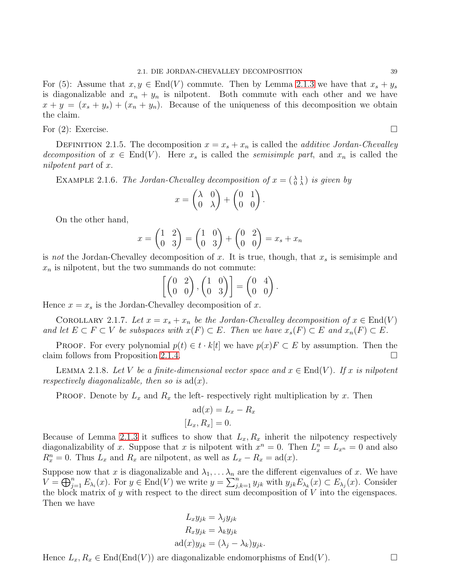For (5): Assume that  $x, y \in End(V)$  commute. Then by Lemma [2](#page-39-1).1.3 we have that  $x_s + y_s$ is diagonalizable and  $x_n + y_n$  is nilpotent. Both commute with each other and we have  $x + y = (x_s + y_s) + (x_n + y_n)$ . Because of the uniqueness of this decomposition we obtain the claim.

For  $(2)$ : Exercise.

DEFINITION 2.1.5. The decomposition  $x = x_s + x_n$  is called the *additive Jordan-Chevalley* decomposition of  $x \in End(V)$ . Here  $x_s$  is called the semisimple part, and  $x_n$  is called the nilpotent part of x.

EXAMPLE 2.1.6. The Jordan-Chevalley decomposition of  $x = \begin{pmatrix} \lambda & 1 \\ 0 & \lambda \end{pmatrix}$  is given by

$$
x = \begin{pmatrix} \lambda & 0 \\ 0 & \lambda \end{pmatrix} + \begin{pmatrix} 0 & 1 \\ 0 & 0 \end{pmatrix}
$$

.

On the other hand,

$$
x = \begin{pmatrix} 1 & 2 \\ 0 & 3 \end{pmatrix} = \begin{pmatrix} 1 & 0 \\ 0 & 3 \end{pmatrix} + \begin{pmatrix} 0 & 2 \\ 0 & 0 \end{pmatrix} = x_s + x_n
$$

is not the Jordan-Chevalley decomposition of x. It is true, though, that  $x_s$  is semisimple and  $x_n$  is nilpotent, but the two summands do not commute:

$$
\left[\begin{pmatrix} 0 & 2 \\ 0 & 0 \end{pmatrix}, \begin{pmatrix} 1 & 0 \\ 0 & 3 \end{pmatrix}\right] = \begin{pmatrix} 0 & 4 \\ 0 & 0 \end{pmatrix}.
$$

Hence  $x = x_s$  is the Jordan-Chevalley decomposition of x.

<span id="page-41-1"></span>COROLLARY 2.1.7. Let  $x = x_s + x_n$  be the Jordan-Chevalley decomposition of  $x \in End(V)$ and let  $E \subset F \subset V$  be subspaces with  $x(F) \subset E$ . Then we have  $x_s(F) \subset E$  and  $x_n(F) \subset E$ .

PROOF. For every polynomial  $p(t) \in t \cdot k[t]$  we have  $p(x)F \subset E$  by assumption. Then the m follows from Proposition 2.1.4. claim follows from Proposition [2](#page-40-0).1.4.

<span id="page-41-0"></span>LEMMA 2.1.8. Let V be a finite-dimensional vector space and  $x \in End(V)$ . If x is nilpotent respectively diagonalizable, then so is  $ad(x)$ .

**PROOF.** Denote by  $L_x$  and  $R_x$  the left- respectively right multiplication by x. Then

$$
ad(x) = L_x - R_x
$$

$$
[L_x, R_x] = 0.
$$

Because of Lemma [2](#page-39-1).1.3 it suffices to show that  $L_x, R_x$  inherit the nilpotency respectively diagonalizability of x. Suppose that x is nilpotent with  $x^n = 0$ . Then  $L_x^n = L_{x^n} = 0$  and also  $R_x^n = 0$ . Thus  $L_x$  and  $R_x$  are nilpotent, as well as  $L_x - R_x = \text{ad}(x)$ .

Suppose now that x is diagonalizable and  $\lambda_1, \ldots, \lambda_n$  are the different eigenvalues of x. We have  $V = \bigoplus_{j=1}^n E_{\lambda_i}(x)$ . For  $y \in \text{End}(V)$  we write  $y = \sum_{j,k=1}^n y_{jk}$  with  $y_{jk}E_{\lambda_k}(x) \subset E_{\lambda_j}(x)$ . Consider the block matrix of y with respect to the direct sum decomposition of  $V$  into the eigenspaces. Then we have

$$
L_x y_{jk} = \lambda_j y_{jk}
$$
  
\n
$$
R_x y_{jk} = \lambda_k y_{jk}
$$
  
\n
$$
ad(x)y_{jk} = (\lambda_j - \lambda_k)y_{jk}.
$$

Hence  $L_x, R_x \in \text{End}(\text{End}(V))$  are diagonalizable endomorphisms of  $\text{End}(V)$ .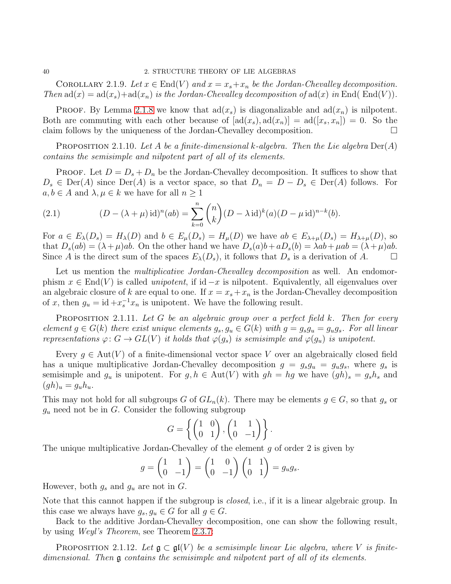COROLLARY 2.1.9. Let  $x \in End(V)$  and  $x = x_s + x_n$  be the Jordan-Chevalley decomposition. Then  $ad(x) = ad(x<sub>s</sub>) + ad(x<sub>n</sub>)$  is the Jordan-Chevalley decomposition of  $ad(x)$  in End(End(V)).

**PROOF.** By Lemma [2](#page-41-0).1.8 we know that  $\text{ad}(x_s)$  is diagonalizable and  $\text{ad}(x_n)$  is nilpotent. Both are commuting with each other because of  $[ad(x_s), ad(x_n)] = ad([x_s, x_n]) = 0$ . So the claim follows by the uniqueness of the Jordan-Chevalley decomposition.

**PROPOSITION** 2.1.10. Let A be a finite-dimensional k-algebra. Then the Lie algebra  $Der(A)$ contains the semisimple and nilpotent part of all of its elements.

PROOF. Let  $D = D_s + D_n$  be the Jordan-Chevalley decomposition. It suffices to show that  $D_s \in \text{Der}(A)$  since  $\text{Der}(A)$  is a vector space, so that  $D_n = D - D_s \in \text{Der}(A)$  follows. For  $a, b \in A$  and  $\lambda, \mu \in k$  we have for all  $n \geq 1$ 

<span id="page-42-0"></span>(2.1) 
$$
(D - (\lambda + \mu) \mathrm{id})^n(ab) = \sum_{k=0}^n {n \choose k} (D - \lambda \mathrm{id})^k(a) (D - \mu \mathrm{id})^{n-k}(b).
$$

For  $a \in E_\lambda(D_s) = H_\lambda(D)$  and  $b \in E_\mu(D_s) = H_\mu(D)$  we have  $ab \in E_{\lambda+\mu}(D_s) = H_{\lambda+\mu}(D)$ , so that  $D_s(ab) = (\lambda + \mu)ab$ . On the other hand we have  $D_s(a)b + aD_s(b) = \lambda ab + \mu ab = (\lambda + \mu)ab$ . Since A is the direct sum of the spaces  $E_{\lambda}(D_s)$ , it follows that  $D_s$  is a derivation of A.

Let us mention the *multiplicative Jordan-Chevalley decomposition* as well. An endomorphism  $x \in End(V)$  is called *unipotent*, if id  $-x$  is nilpotent. Equivalently, all eigenvalues over an algebraic closure of k are equal to one. If  $x = x_s + x_n$  is the Jordan-Chevalley decomposition of x, then  $g_u = id + x_s^{-1} x_n$  is unipotent. We have the following result.

**PROPOSITION** 2.1.11. Let G be an algebraic group over a perfect field  $k$ . Then for every element  $g \in G(k)$  there exist unique elements  $g_s, g_u \in G(k)$  with  $g = g_s g_u = g_u g_s$ . For all linear representations  $\varphi: G \to GL(V)$  it holds that  $\varphi(g_s)$  is semisimple and  $\varphi(g_u)$  is unipotent.

Every  $g \in Aut(V)$  of a finite-dimensional vector space V over an algebraically closed field has a unique multiplicative Jordan-Chevalley decomposition  $g = g_s g_u = g_u g_s$ , where  $g_s$  is semisimple and  $g_u$  is unipotent. For  $g, h \in Aut(V)$  with  $gh = hg$  we have  $(gh)_s = g_s h_s$  and  $(gh)_u = g_u h_u.$ 

This may not hold for all subgroups G of  $GL_n(k)$ . There may be elements  $g \in G$ , so that  $g_s$  or  $g_u$  need not be in G. Consider the following subgroup

$$
G = \left\{ \begin{pmatrix} 1 & 0 \\ 0 & 1 \end{pmatrix}, \begin{pmatrix} 1 & 1 \\ 0 & -1 \end{pmatrix} \right\}.
$$

The unique multiplicative Jordan-Chevalley of the element g of order 2 is given by

$$
g = \begin{pmatrix} 1 & 1 \\ 0 & -1 \end{pmatrix} = \begin{pmatrix} 1 & 0 \\ 0 & -1 \end{pmatrix} \begin{pmatrix} 1 & 1 \\ 0 & 1 \end{pmatrix} = g_u g_s.
$$

However, both  $g_s$  and  $g_u$  are not in  $G$ .

Note that this cannot happen if the subgroup is *closed*, i.e., if it is a linear algebraic group. In this case we always have  $g_s, g_u \in G$  for all  $g \in G$ .

Back to the additive Jordan-Chevalley decomposition, one can show the following result, by using Weyl's Theorem, see Theorem [2](#page-52-0).3.7:

PROPOSITION 2.1.12. Let  $\mathfrak{g} \subset \mathfrak{gl}(V)$  be a semisimple linear Lie algebra, where V is finitedimensional. Then  $\mathfrak g$  contains the semisimple and nilpotent part of all of its elements.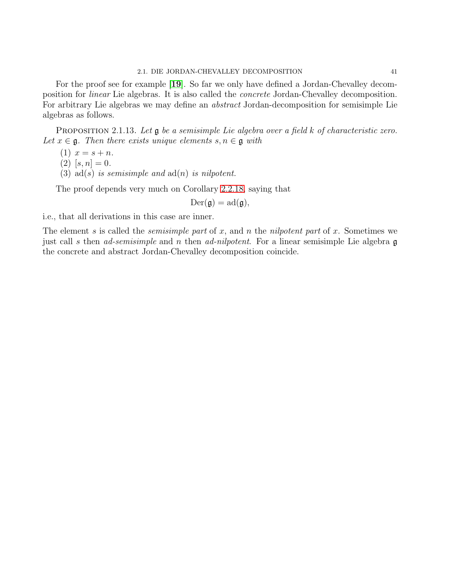### 2.1. DIE JORDAN-CHEVALLEY DECOMPOSITION 41

For the proof see for example [[19](#page-111-1)]. So far we only have defined a Jordan-Chevalley decomposition for linear Lie algebras. It is also called the concrete Jordan-Chevalley decomposition. For arbitrary Lie algebras we may define an abstract Jordan-decomposition for semisimple Lie algebras as follows.

<span id="page-43-0"></span>PROPOSITION 2.1.13. Let  $\mathfrak g$  be a semisimple Lie algebra over a field k of characteristic zero. Let  $x \in \mathfrak{g}$ . Then there exists unique elements  $s, n \in \mathfrak{g}$  with

$$
(1) x = s + n.
$$

 $(2)$  [s, n] = 0.

(3) ad(s) is semisimple and  $ad(n)$  is nilpotent.

The proof depends very much on Corollary 2.2.[18,](#page-47-0) saying that

 $Der(g) = ad(g),$ 

i.e., that all derivations in this case are inner.

The element s is called the *semisimple part* of x, and n the nilpotent part of x. Sometimes we just call s then ad-semisimple and n then ad-nilpotent. For a linear semisimple Lie algebra  $\mathfrak g$ the concrete and abstract Jordan-Chevalley decomposition coincide.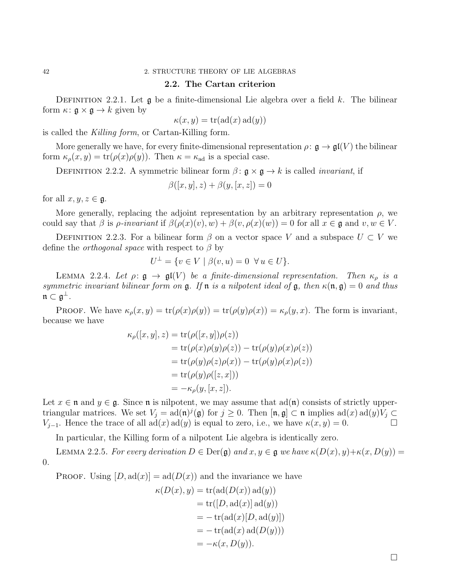# 2.2. The Cartan criterion

DEFINITION 2.2.1. Let  $\mathfrak g$  be a finite-dimensional Lie algebra over a field k. The bilinear form  $\kappa: \mathfrak{g} \times \mathfrak{g} \to k$  given by

$$
\kappa(x, y) = \text{tr}(\text{ad}(x) \text{ad}(y))
$$

is called the Killing form, or Cartan-Killing form.

More generally we have, for every finite-dimensional representation  $\rho: \mathfrak{g} \to \mathfrak{gl}(V)$  the bilinear form  $\kappa_{\rho}(x, y) = \text{tr}(\rho(x)\rho(y))$ . Then  $\kappa = \kappa_{ad}$  is a special case.

DEFINITION 2.2.2. A symmetric bilinear form  $\beta$ :  $\mathfrak{g} \times \mathfrak{g} \to k$  is called *invariant*, if

$$
\beta([x, y], z) + \beta(y, [x, z]) = 0
$$

for all  $x, y, z \in \mathfrak{g}$ .

More generally, replacing the adjoint representation by an arbitrary representation  $\rho$ , we could say that  $\beta$  is  $\rho$ -invariant if  $\beta(\rho(x)(v), w) + \beta(v, \rho(x)(w)) = 0$  for all  $x \in \mathfrak{g}$  and  $v, w \in V$ .

DEFINITION 2.2.3. For a bilinear form  $\beta$  on a vector space V and a subspace  $U \subset V$  we define the *orthogonal space* with respect to  $\beta$  by

$$
U^{\perp} = \{ v \in V \mid \beta(v, u) = 0 \ \forall u \in U \}.
$$

<span id="page-44-0"></span>LEMMA 2.2.4. Let  $\rho: \mathfrak{g} \to \mathfrak{gl}(V)$  be a finite-dimensional representation. Then  $\kappa_{\rho}$  is a symmetric invariant bilinear form on  $\mathfrak g$ . If  $\mathfrak n$  is a nilpotent ideal of  $\mathfrak g$ , then  $\kappa(\mathfrak n, \mathfrak g) = 0$  and thus  $\mathfrak{n} \subset \mathfrak{g}^{\perp}$ .

**PROOF.** We have  $\kappa_{\rho}(x, y) = \text{tr}(\rho(x)\rho(y)) = \text{tr}(\rho(y)\rho(x)) = \kappa_{\rho}(y, x)$ . The form is invariant, because we have

$$
\kappa_{\rho}([x, y], z) = \text{tr}(\rho([x, y])\rho(z))
$$
  
= tr(\rho(x)\rho(y)\rho(z)) - tr(\rho(y)\rho(x)\rho(z))  
= tr(\rho(y)\rho(z)\rho(x)) - tr(\rho(y)\rho(x)\rho(z))  
= tr(\rho(y)\rho([z, x]))  
= -\kappa\_{\rho}(y, [x, z]).

Let  $x \in \mathfrak{n}$  and  $y \in \mathfrak{g}$ . Since  $\mathfrak{n}$  is nilpotent, we may assume that  $ad(\mathfrak{n})$  consists of strictly uppertriangular matrices. We set  $V_j = \text{ad}(\mathfrak{n})^j(\mathfrak{g})$  for  $j \geq 0$ . Then  $[\mathfrak{n}, \mathfrak{g}] \subset \mathfrak{n}$  implies  $\text{ad}(x) \text{ad}(y)V_j \subset$ V<sub>j−1</sub>. Hence the trace of all ad(x) ad(y) is equal to zero, i.e., we have  $\kappa(x, y) = 0$ .  $\Box$ 

In particular, the Killing form of a nilpotent Lie algebra is identically zero.

LEMMA 2.2.5. For every derivation  $D \in \text{Der}(\mathfrak{g})$  and  $x, y \in \mathfrak{g}$  we have  $\kappa(D(x), y) + \kappa(x, D(y)) =$ 0.

**PROOF.** Using  $[D, ad(x)] = ad(D(x))$  and the invariance we have

$$
\kappa(D(x), y) = \text{tr}(\text{ad}(D(x)) \text{ad}(y))
$$
  
= tr([D, \text{ad}(x)] \text{ad}(y))  
= - \text{tr}(\text{ad}(x)[D, \text{ad}(y)])  
= - \text{tr}(\text{ad}(x) \text{ad}(D(y)))  
= -\kappa(x, D(y)).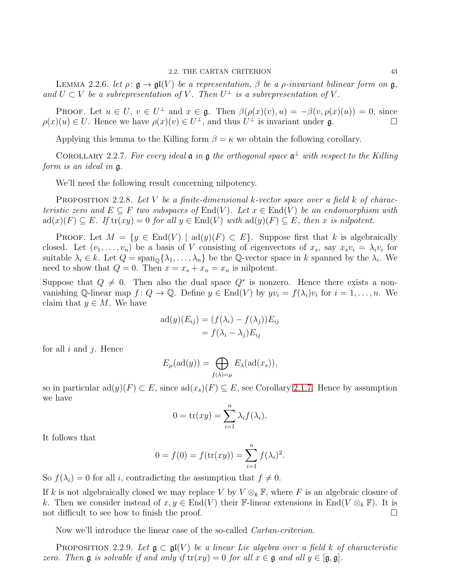LEMMA 2.2.6. let  $\rho: \mathfrak{g} \to \mathfrak{gl}(V)$  be a representation,  $\beta$  be a *ρ*-invariant bilinear form on  $\mathfrak{g}$ , and  $U \subset V$  be a subrepresentation of V. Then  $U^{\perp}$  is a subrepresentation of V.

**PROOF.** Let  $u \in U$ ,  $v \in U^{\perp}$  and  $x \in \mathfrak{g}$ . Then  $\beta(\rho(x)(v), u) = -\beta(v, \rho(x)(u)) = 0$ , since  $\rho(x)(u) \in U$ . Hence we have  $\rho(x)(v) \in U^{\perp}$ , and thus  $U^{\perp}$  is invariant under **g**.

Applying this lemma to the Killing form  $\beta = \kappa$  we obtain the following corollary.

<span id="page-45-1"></span>COROLLARY 2.2.7. For every ideal  $\mathfrak a$  in  $\mathfrak g$  the orthogonal space  $\mathfrak a^{\perp}$  with respect to the Killing form is an ideal in g.

We'll need the following result concerning nilpotency.

<span id="page-45-0"></span>**PROPOSITION** 2.2.8. Let V be a finite-dimensional k-vector space over a field k of characteristic zero and  $E \subseteq F$  two subspaces of  $End(V)$ . Let  $x \in End(V)$  be an endomorphism with  $ad(x)(F) \subseteq E$ . If  $tr(xy) = 0$  for all  $y \in End(V)$  with  $ad(y)(F) \subseteq E$ , then x is nilpotent.

PROOF. Let  $M = \{y \in End(V) \mid \text{ad}(y)(F) \subset E\}$ . Suppose first that k is algebraically closed. Let  $(v_1, \ldots, v_n)$  be a basis of V consisting of eigenvectors of  $x_s$ , say  $x_s v_i = \lambda_i v_i$  for suitable  $\lambda_i \in k$ . Let  $Q = \text{span}_{\mathbb{Q}}\{\lambda_1, \ldots, \lambda_n\}$  be the  $\mathbb{Q}$ -vector space in k spanned by the  $\lambda_i$ . We need to show that  $Q = 0$ . Then  $x = x_s + x_n = x_n$  is nilpotent.

Suppose that  $Q \neq 0$ . Then also the dual space  $Q^*$  is nonzero. Hence there exists a nonvanishing Q-linear map  $f: Q \to \mathbb{Q}$ . Define  $y \in \text{End}(V)$  by  $yv_i = f(\lambda_i)v_i$  for  $i = 1, ..., n$ . We claim that  $y \in M$ . We have

$$
ad(y)(E_{ij}) = (f(\lambda_i) - f(\lambda_j))E_{ij}
$$
  
=  $f(\lambda_i - \lambda_j)E_{ij}$ 

for all  $i$  and  $j$ . Hence

$$
E_{\mu}(\mathrm{ad}(y)) = \bigoplus_{f(\lambda)=\mu} E_{\lambda}(\mathrm{ad}(x_s)),
$$

so in particular  $\text{ad}(y)(F) \subset E$ , since  $\text{ad}(x_s)(F) \subseteq E$ , see Corollary [2](#page-41-1).1.7. Hence by assumption we have

$$
0 = \operatorname{tr}(xy) = \sum_{i=1}^{n} \lambda_i f(\lambda_i).
$$

It follows that

$$
0 = f(0) = f(\text{tr}(xy)) = \sum_{i=1}^{n} f(\lambda_i)^2.
$$

So  $f(\lambda_i) = 0$  for all i, contradicting the assumption that  $f \neq 0$ .

If k is not algebraically closed we may replace V by  $V \otimes_k \mathbb{F}$ , where F is an algebraic closure of k. Then we consider instead of  $x, y \in End(V)$  their F-linear extensions in End( $V \otimes_k \mathbb{F}$ ). It is not difficult to see how to finish the proof. not difficult to see how to finish the proof.

Now we'll introduce the linear case of the so-called Cartan-criterion.

PROPOSITION 2.2.9. Let  $\mathfrak{g} \subset \mathfrak{gl}(V)$  be a linear Lie algebra over a field k of characteristic zero. Then  $\mathfrak g$  is solvable if and only if  $\text{tr}(xy) = 0$  for all  $x \in \mathfrak g$  and all  $y \in [\mathfrak g, \mathfrak g]$ .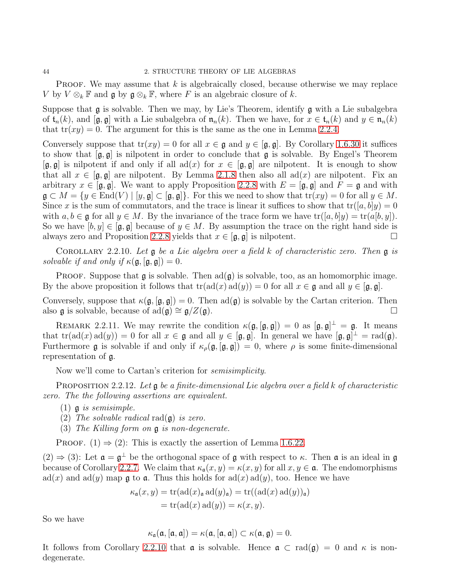**PROOF.** We may assume that  $k$  is algebraically closed, because otherwise we may replace V by  $V \otimes_k \mathbb{F}$  and  $\mathfrak{g}$  by  $\mathfrak{g} \otimes_k \mathbb{F}$ , where F is an algebraic closure of k.

Suppose that  $\mathfrak g$  is solvable. Then we may, by Lie's Theorem, identify  $\mathfrak g$  with a Lie subalgebra of  $\mathfrak{t}_n(k)$ , and  $[\mathfrak{g},\mathfrak{g}]$  with a Lie subalgebra of  $\mathfrak{n}_n(k)$ . Then we have, for  $x \in \mathfrak{t}_n(k)$  and  $y \in \mathfrak{n}_n(k)$ that  $tr(xy) = 0$ . The argument for this is the same as the one in Lemma [2](#page-44-0).2.4.

Conversely suppose that  $tr(xy) = 0$  for all  $x \in \mathfrak{g}$  and  $y \in [\mathfrak{g}, \mathfrak{g}]$ . By Corollary 1.6.[30](#page-28-0) it suffices to show that  $[g, g]$  is nilpotent in order to conclude that g is solvable. By Engel's Theorem  $[\mathfrak{g}, \mathfrak{g}]$  is nilpotent if and only if all ad(x) for  $x \in [\mathfrak{g}, \mathfrak{g}]$  are nilpotent. It is enough to show that all  $x \in [\mathfrak{g}, \mathfrak{g}]$  are nilpotent. By Lemma [2](#page-41-0).1.8 then also all ad(x) are nilpotent. Fix an arbitrary  $x \in [\mathfrak{g}, \mathfrak{g}]$ . We want to apply Proposition [2](#page-45-0).2.8 with  $E = [\mathfrak{g}, \mathfrak{g}]$  and  $F = \mathfrak{g}$  and with  $\mathfrak{g} \subset M = \{y \in \text{End}(V) \mid [y, \mathfrak{g}] \subset [\mathfrak{g}, \mathfrak{g}]\}.$  For this we need to show that  $\text{tr}(xy) = 0$  for all  $y \in M$ . Since x is the sum of commutators, and the trace is linear it suffices to show that  $tr([a, b]y) = 0$ with  $a, b \in \mathfrak{g}$  for all  $y \in M$ . By the invariance of the trace form we have  $\text{tr}([a, b]y) = \text{tr}(a[b, y])$ . So we have  $[b, y] \in [\mathfrak{g}, \mathfrak{g}]$  because of  $y \in M$ . By assumption the trace on the right hand side is always zero and Proposition 2.2.8 vields that  $x \in [\mathfrak{a}, \mathfrak{a}]$  is nilpotent. always zero and Proposition [2](#page-45-0).2.8 yields that  $x \in [\mathfrak{g}, \mathfrak{g}]$  is nilpotent.

<span id="page-46-0"></span>COROLLARY 2.2.10. Let  $\mathfrak g$  be a Lie algebra over a field k of characteristic zero. Then  $\mathfrak g$  is solvable if and only if  $\kappa(\mathfrak{g}, [\mathfrak{g}, \mathfrak{g}]) = 0$ .

**PROOF.** Suppose that  $\mathfrak{g}$  is solvable. Then  $\text{ad}(\mathfrak{g})$  is solvable, too, as an homomorphic image. By the above proposition it follows that  $tr(\text{ad}(x) \text{ad}(y)) = 0$  for all  $x \in \mathfrak{g}$  and all  $y \in [\mathfrak{g}, \mathfrak{g}]$ .

Conversely, suppose that  $\kappa(\mathfrak{g}, [\mathfrak{g}, \mathfrak{g}]) = 0$ . Then  $\text{ad}(\mathfrak{g})$  is solvable by the Cartan criterion. Then also  $\mathfrak g$  is solvable, because of ad( $\mathfrak g$ ) ≅  $\mathfrak g/Z(\mathfrak g)$ .

REMARK 2.2.11. We may rewrite the condition  $\kappa(\mathfrak{g}, [\mathfrak{g}, \mathfrak{g}]) = 0$  as  $[\mathfrak{g}, \mathfrak{g}]^{\perp} = \mathfrak{g}$ . It means that  $tr(\text{ad}(x) \text{ad}(y)) = 0$  for all  $x \in \mathfrak{g}$  and all  $y \in [\mathfrak{g}, \mathfrak{g}]$ . In general we have  $[\mathfrak{g}, \mathfrak{g}]^{\perp} = rad(\mathfrak{g})$ . Furthermore g is solvable if and only if  $\kappa_{\rho}(\mathfrak{g}, [\mathfrak{g}, \mathfrak{g}]) = 0$ , where  $\rho$  is some finite-dimensional representation of g.

Now we'll come to Cartan's criterion for semisimplicity.

<span id="page-46-1"></span>**PROPOSITION** 2.2.12. Let  $\mathfrak{g}$  be a finite-dimensional Lie algebra over a field k of characteristic zero. The the following assertions are equivalent.

- (1)  $\mathfrak g$  is semisimple.
- (2) The solvable radical rad $(\mathfrak{g})$  is zero.
- (3) The Killing form on g is non-degenerate.

PROOF. (1)  $\Rightarrow$  (2): This is exactly the assertion of Lemma 1.6.[22.](#page-25-0)

 $(2) \Rightarrow (3)$ : Let  $\mathfrak{a} = \mathfrak{g}^{\perp}$  be the orthogonal space of  $\mathfrak{g}$  with respect to  $\kappa$ . Then  $\mathfrak{a}$  is an ideal in  $\mathfrak{g}$ because of Corollary [2](#page-45-1).2.7. We claim that  $\kappa_{\mathfrak{a}}(x, y) = \kappa(x, y)$  for all  $x, y \in \mathfrak{a}$ . The endomorphisms  $ad(x)$  and  $ad(y)$  map g to a. Thus this holds for  $ad(x) ad(y)$ , too. Hence we have

$$
\kappa_{\mathfrak{a}}(x, y) = \text{tr}(\text{ad}(x)_{\mathfrak{a}} \text{ad}(y)_{\mathfrak{a}}) = \text{tr}((\text{ad}(x) \text{ad}(y))_{\mathfrak{a}})
$$

$$
= \text{tr}(\text{ad}(x) \text{ad}(y)) = \kappa(x, y).
$$

So we have

$$
\kappa_{\mathfrak{a}}(\mathfrak{a}, [\mathfrak{a}, \mathfrak{a}]) = \kappa(\mathfrak{a}, [\mathfrak{a}, \mathfrak{a}]) \subset \kappa(\mathfrak{a}, \mathfrak{g}) = 0.
$$

It follows from Corollary 2.2.[10](#page-46-0) that **a** is solvable. Hence  $\mathfrak{a} \subset \text{rad}(\mathfrak{g}) = 0$  and  $\kappa$  is nondegenerate.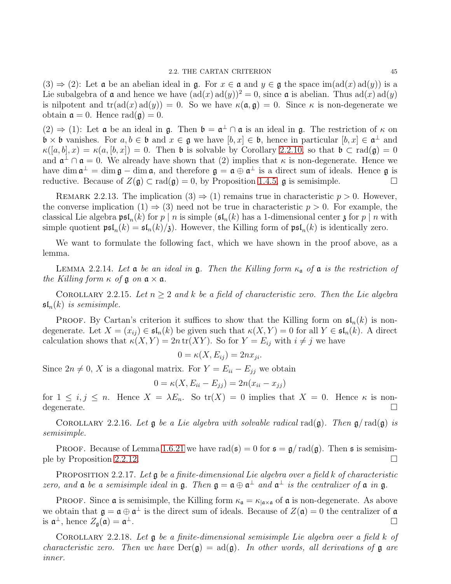$(3) \Rightarrow (2)$ : Let **a** be an abelian ideal in **g**. For  $x \in \mathfrak{a}$  and  $y \in \mathfrak{g}$  the space im( $ad(x)ad(y)$ ) is a Lie subalgebra of  $\mathfrak a$  and hence we have  $(\text{ad}(x) \text{ad}(y))^2 = 0$ , since  $\mathfrak a$  is abelian. Thus  $\text{ad}(x) \text{ad}(y)$ is nilpotent and  $tr(\text{ad}(x) \text{ad}(y)) = 0$ . So we have  $\kappa(\mathfrak{a}, \mathfrak{g}) = 0$ . Since  $\kappa$  is non-degenerate we obtain  $\mathfrak{a} = 0$ . Hence rad( $\mathfrak{g}$ ) = 0.

 $(2) \Rightarrow (1)$ : Let **a** be an ideal in **g**. Then  $\mathfrak{b} = \mathfrak{a}^{\perp} \cap \mathfrak{a}$  is an ideal in **g**. The restriction of  $\kappa$  on  $\mathfrak{b} \times \mathfrak{b}$  vanishes. For  $a, b \in \mathfrak{b}$  and  $x \in \mathfrak{g}$  we have  $[b, x] \in \mathfrak{b}$ , hence in particular  $[b, x] \in \mathfrak{a}^{\perp}$  and  $\kappa([a, b], x) = \kappa(a, [b, x]) = 0$ . Then b is solvable by Corollary 2.2.[10,](#page-46-0) so that  $\mathfrak{b} \subset \text{rad}(\mathfrak{g}) = 0$ and  $\mathfrak{a}^{\perp} \cap \mathfrak{a} = 0$ . We already have shown that (2) implies that  $\kappa$  is non-degenerate. Hence we have dim  $\mathfrak{a}^{\perp} = \dim \mathfrak{g} - \dim \mathfrak{a}$ , and therefore  $\mathfrak{g} = \mathfrak{a} \oplus \mathfrak{a}^{\perp}$  is a direct sum of ideals. Hence  $\mathfrak{g}$  is reductive. Because of  $Z(\mathfrak{g}) \subset \text{rad}(\mathfrak{g}) = 0$ , by Proposition [1](#page-17-0).4.5,  $\mathfrak{g}$  is semisimple.

REMARK 2.2.13. The implication  $(3) \Rightarrow (1)$  remains true in characteristic  $p > 0$ . However, the converse implication  $(1) \Rightarrow (3)$  need not be true in characteristic  $p > 0$ . For example, the classical Lie algebra  $\mathfrak{psl}_n(k)$  for  $p \mid n$  is simple  $(\mathfrak{sl}_n(k))$  has a 1-dimensional center  $\mathfrak{z}$  for  $p \mid n$  with simple quotient  $\mathfrak{psl}_n(k) = \mathfrak{sl}_n(k)/\mathfrak{z}$ . However, the Killing form of  $\mathfrak{psl}_n(k)$  is identically zero.

We want to formulate the following fact, which we have shown in the proof above, as a lemma.

LEMMA 2.2.14. Let  $\mathfrak a$  be an ideal in  $\mathfrak g$ . Then the Killing form  $\kappa_{\mathfrak a}$  of  $\mathfrak a$  is the restriction of the Killing form  $\kappa$  of  $\mathfrak g$  on  $\mathfrak a \times \mathfrak a$ .

COROLLARY 2.2.15. Let  $n \geq 2$  and k be a field of characteristic zero. Then the Lie algebra  $\mathfrak{sl}_n(k)$  is semisimple.

**PROOF.** By Cartan's criterion it suffices to show that the Killing form on  $\mathfrak{sl}_n(k)$  is nondegenerate. Let  $X = (x_{ij}) \in \mathfrak{sl}_n(k)$  be given such that  $\kappa(X, Y) = 0$  for all  $Y \in \mathfrak{sl}_n(k)$ . A direct calculation shows that  $\kappa(X, Y) = 2n \operatorname{tr}(XY)$ . So for  $Y = E_{ij}$  with  $i \neq j$  we have

$$
0 = \kappa(X, E_{ij}) = 2nx_{ji}.
$$

Since  $2n \neq 0$ , X is a diagonal matrix. For  $Y = E_{ii} - E_{jj}$  we obtain

$$
0 = \kappa(X, E_{ii} - E_{jj}) = 2n(x_{ii} - x_{jj})
$$

for  $1 \leq i, j \leq n$ . Hence  $X = \lambda E_n$ . So  $tr(X) = 0$  implies that  $X = 0$ . Hence  $\kappa$  is non-degenerate.  $\Box$ 

<span id="page-47-2"></span>COROLLARY 2.2.16. Let  $\mathfrak g$  be a Lie algebra with solvable radical rad( $\mathfrak g$ ). Then  $\mathfrak g$ / rad( $\mathfrak g$ ) is semisimple.

PROOF. Because of Lemma 1.6.[21](#page-25-1) we have rad( $\mathfrak{s}$ ) = 0 for  $\mathfrak{s} = \mathfrak{g}/\text{rad}(\mathfrak{g})$ . Then  $\mathfrak{s}$  is semisim-ple by Proposition 2.2.[12.](#page-46-1)

<span id="page-47-1"></span>PROPOSITION 2.2.17. Let  $\mathfrak g$  be a finite-dimensional Lie algebra over a field k of characteristic zero, and  $\mathfrak a$  be a semisimple ideal in  $\mathfrak g$ . Then  $\mathfrak g = \mathfrak a \oplus \mathfrak a^{\perp}$  and  $\mathfrak a^{\perp}$  is the centralizer of  $\mathfrak a$  in  $\mathfrak g$ .

PROOF. Since **a** is semisimple, the Killing form  $\kappa_{\mathfrak{a}} = \kappa_{|\mathfrak{a} \times \mathfrak{a}|}$  of **a** is non-degenerate. As above we obtain that  $\mathfrak{g} = \mathfrak{a} \oplus \mathfrak{a}^{\perp}$  is the direct sum of ideals. Because of  $Z(\mathfrak{a}) = 0$  the centralizer of  $\mathfrak{a}$ is  $\mathfrak{a}^{\perp}$ , hence  $Z_{\mathfrak{g}}(\mathfrak{a})=\mathfrak{a}$ <sup>⊥</sup>.

<span id="page-47-0"></span>COROLLARY 2.2.18. Let  $\mathfrak g$  be a finite-dimensional semisimple Lie algebra over a field  $k$  of characteristic zero. Then we have  $Der(\mathfrak{g}) = ad(\mathfrak{g})$ . In other words, all derivations of  $\mathfrak{g}$  are inner.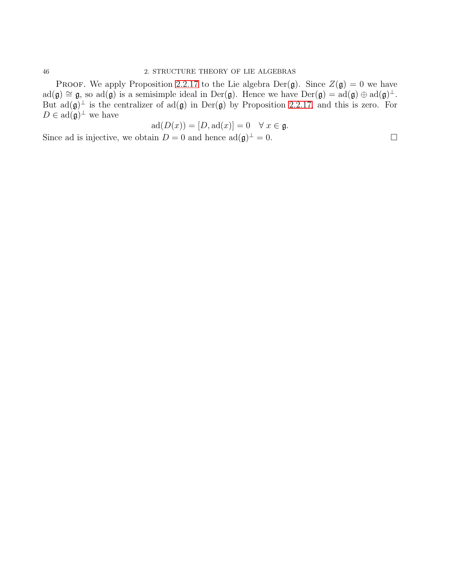PROOF. We apply Proposition 2.2.[17](#page-47-1) to the Lie algebra Der(g). Since  $Z(g) = 0$  we have  $ad(\mathfrak{g}) \cong \mathfrak{g}$ , so  $ad(\mathfrak{g})$  is a semisimple ideal in  $Der(\mathfrak{g})$ . Hence we have  $Der(\mathfrak{g}) = ad(\mathfrak{g}) \oplus ad(\mathfrak{g})^{\perp}$ . But  $ad(\mathfrak{g})^{\perp}$  is the centralizer of  $ad(\mathfrak{g})$  in  $Der(\mathfrak{g})$  by Proposition 2.2.[17,](#page-47-1) and this is zero. For  $D \in \mathrm{ad}(\mathfrak{g})^{\perp}$  we have

$$
ad(D(x)) = [D, ad(x)] = 0 \quad \forall x \in \mathfrak{g}.
$$

Since ad is injective, we obtain  $D = 0$  and hence  $ad(\mathfrak{g})^{\perp} = 0$ .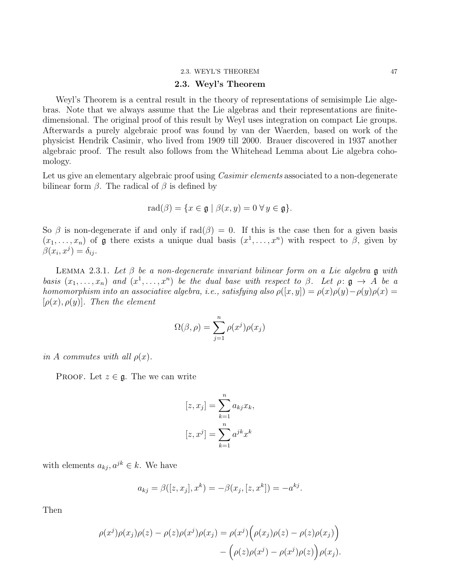#### 2.3. WEYL'S THEOREM 47

# 2.3. Weyl's Theorem

Weyl's Theorem is a central result in the theory of representations of semisimple Lie algebras. Note that we always assume that the Lie algebras and their representations are finitedimensional. The original proof of this result by Weyl uses integration on compact Lie groups. Afterwards a purely algebraic proof was found by van der Waerden, based on work of the physicist Hendrik Casimir, who lived from 1909 till 2000. Brauer discovered in 1937 another algebraic proof. The result also follows from the Whitehead Lemma about Lie algebra cohomology.

Let us give an elementary algebraic proof using *Casimir elements* associated to a non-degenerate bilinear form  $\beta$ . The radical of  $\beta$  is defined by

$$
\mathrm{rad}(\beta) = \{ x \in \mathfrak{g} \mid \beta(x, y) = 0 \,\forall \, y \in \mathfrak{g} \}.
$$

So  $\beta$  is non-degenerate if and only if  $rad(\beta) = 0$ . If this is the case then for a given basis  $(x_1, \ldots, x_n)$  of **g** there exists a unique dual basis  $(x^1, \ldots, x^n)$  with respect to  $\beta$ , given by  $\beta(x_i, x^j) = \delta_{ij}.$ 

<span id="page-49-0"></span>LEMMA 2.3.1. Let  $\beta$  be a non-degenerate invariant bilinear form on a Lie algebra g with basis  $(x_1, \ldots, x_n)$  and  $(x^1, \ldots, x^n)$  be the dual base with respect to  $\beta$ . Let  $\rho: \mathfrak{g} \to A$  be a homomorphism into an associative algebra, i.e., satisfying also  $\rho([x, y]) = \rho(x)\rho(y) - \rho(y)\rho(x) =$  $[\rho(x), \rho(y)]$ . Then the element

$$
\Omega(\beta, \rho) = \sum_{j=1}^{n} \rho(x^j) \rho(x_j)
$$

in A commutes with all  $\rho(x)$ .

PROOF. Let  $z \in \mathfrak{g}$ . The we can write

$$
[z, xj] = \sum_{k=1}^{n} a_{kj} x_k,
$$

$$
[z, xj] = \sum_{k=1}^{n} ajk xk
$$

with elements  $a_{kj}$ ,  $a^{jk} \in k$ . We have

$$
a_{kj} = \beta([z, x_j], x^k) = -\beta(x_j, [z, x^k]) = -a^{kj}.
$$

Then

$$
\rho(x^j)\rho(x_j)\rho(z) - \rho(z)\rho(x^j)\rho(x_j) = \rho(x^j)\Big(\rho(x_j)\rho(z) - \rho(z)\rho(x_j)\Big) - \Big(\rho(z)\rho(x^j) - \rho(x^j)\rho(z)\Big)\rho(x_j).
$$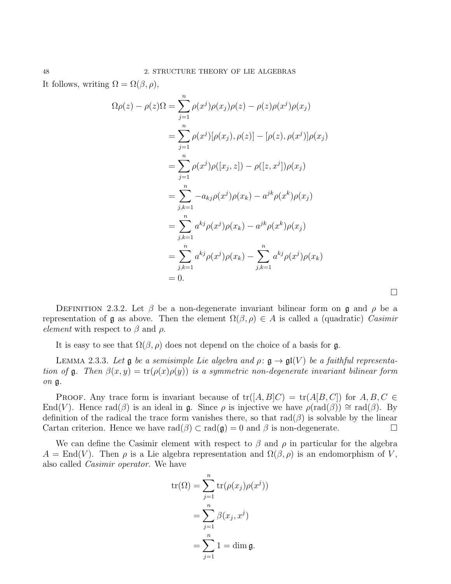It follows, writing  $\Omega = \Omega(\beta, \rho)$ ,

$$
\Omega \rho(z) - \rho(z) \Omega = \sum_{j=1}^{n} \rho(x^{j}) \rho(x_{j}) \rho(z) - \rho(z) \rho(x^{j}) \rho(x_{j})
$$
  
\n
$$
= \sum_{j=1}^{n} \rho(x^{j}) [\rho(x_{j}), \rho(z)] - [\rho(z), \rho(x^{j})] \rho(x_{j})
$$
  
\n
$$
= \sum_{j=1}^{n} \rho(x^{j}) \rho([x_{j}, z]) - \rho([z, x^{j}]) \rho(x_{j})
$$
  
\n
$$
= \sum_{j,k=1}^{n} -a_{kj} \rho(x^{j}) \rho(x_{k}) - a^{jk} \rho(x^{k}) \rho(x_{j})
$$
  
\n
$$
= \sum_{j,k=1}^{n} a^{kj} \rho(x^{j}) \rho(x_{k}) - a^{jk} \rho(x^{k}) \rho(x_{j})
$$
  
\n
$$
= \sum_{j,k=1}^{n} a^{kj} \rho(x^{j}) \rho(x_{k}) - \sum_{j,k=1}^{n} a^{kj} \rho(x^{j}) \rho(x_{k})
$$
  
\n
$$
= 0.
$$

DEFINITION 2.3.2. Let  $\beta$  be a non-degenerate invariant bilinear form on  $\mathfrak{g}$  and  $\rho$  be a representation of **g** as above. Then the element  $\Omega(\beta, \rho) \in A$  is called a (quadratic) Casimir element with respect to  $\beta$  and  $\rho$ .

 $\Box$ 

It is easy to see that  $\Omega(\beta, \rho)$  does not depend on the choice of a basis for g.

LEMMA 2.3.3. Let  $\mathfrak g$  be a semisimple Lie algebra and  $\rho: \mathfrak g \to \mathfrak{gl}(V)$  be a faithful representation of g. Then  $\beta(x, y) = \text{tr}(\rho(x)\rho(y))$  is a symmetric non-degenerate invariant bilinear form on g.

PROOF. Any trace form is invariant because of  $tr([A, B]C) = tr(A[B, C])$  for  $A, B, C \in$ End(V). Hence rad(β) is an ideal in **g**. Since  $\rho$  is injective we have  $\rho(\text{rad}(\beta)) \cong \text{rad}(\beta)$ . By definition of the radical the trace form vanishes there, so that  $rad(\beta)$  is solvable by the linear Cartan criterion. Hence we have  $rad(\beta) \subset rad(\mathfrak{g}) = 0$  and  $\beta$  is non-degenerate.

We can define the Casimir element with respect to  $\beta$  and  $\rho$  in particular for the algebra  $A = \text{End}(V)$ . Then  $\rho$  is a Lie algebra representation and  $\Omega(\beta, \rho)$  is an endomorphism of V, also called Casimir operator. We have

$$
\operatorname{tr}(\Omega) = \sum_{j=1}^{n} \operatorname{tr}(\rho(x_j)\rho(x^j))
$$

$$
= \sum_{j=1}^{n} \beta(x_j, x^j)
$$

$$
= \sum_{j=1}^{n} 1 = \dim \mathfrak{g}.
$$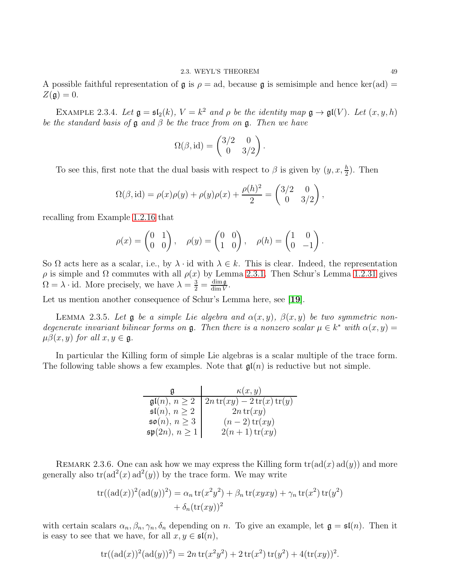A possible faithful representation of  $\mathfrak g$  is  $\rho = \text{ad}$ , because  $\mathfrak g$  is semisimple and hence ker(ad) =  $Z(\mathfrak{g})=0.$ 

EXAMPLE 2.3.4. Let  $\mathfrak{g} = \mathfrak{sl}_2(k)$ ,  $V = k^2$  and  $\rho$  be the identity map  $\mathfrak{g} \to \mathfrak{gl}(V)$ . Let  $(x, y, h)$ be the standard basis of  $\mathfrak g$  and  $\beta$  be the trace from on  $\mathfrak g$ . Then we have

$$
\Omega(\beta,\mathrm{id}) = \begin{pmatrix} 3/2 & 0 \\ 0 & 3/2 \end{pmatrix}.
$$

To see this, first note that the dual basis with respect to  $\beta$  is given by  $(y, x, \frac{h}{2})$ . Then

$$
\Omega(\beta, id) = \rho(x)\rho(y) + \rho(y)\rho(x) + \frac{\rho(h)^2}{2} = \begin{pmatrix} 3/2 & 0 \\ 0 & 3/2 \end{pmatrix},
$$

recalling from Example 1.2.[16](#page-12-0) that

$$
\rho(x) = \begin{pmatrix} 0 & 1 \\ 0 & 0 \end{pmatrix}, \quad \rho(y) = \begin{pmatrix} 0 & 0 \\ 1 & 0 \end{pmatrix}, \quad \rho(h) = \begin{pmatrix} 1 & 0 \\ 0 & -1 \end{pmatrix}
$$

So  $\Omega$  acts here as a scalar, i.e., by  $\lambda \cdot id$  with  $\lambda \in k$ . This is clear. Indeed, the representation  $ρ$  is simple and Ω commutes with all  $ρ(x)$  by Lemma [2](#page-49-0).3.1. Then Schur's Lemma 1.2.[31](#page-14-0) gives  $\Omega = \lambda \cdot id$ . More precisely, we have  $\lambda = \frac{3}{2} = \frac{\dim \mathfrak{g}}{\dim V}$  $\frac{\dim \mathfrak{g}}{\dim V}$ .

Let us mention another consequence of Schur's Lemma here, see [[19](#page-111-1)].

LEMMA 2.3.5. Let **g** be a simple Lie algebra and  $\alpha(x, y)$ ,  $\beta(x, y)$  be two symmetric nondegenerate invariant bilinear forms on  $\mathfrak g$ . Then there is a nonzero scalar  $\mu \in k^*$  with  $\alpha(x, y) =$  $\mu\beta(x, y)$  for all  $x, y \in \mathfrak{g}$ .

In particular the Killing form of simple Lie algebras is a scalar multiple of the trace form. The following table shows a few examples. Note that  $\mathfrak{gl}(n)$  is reductive but not simple.

|                               | $\kappa(x,y)$                                                                                            |
|-------------------------------|----------------------------------------------------------------------------------------------------------|
|                               | $\mathfrak{gl}(n), n \geq 2 \mid 2n \operatorname{tr}(xy) - 2 \operatorname{tr}(x) \operatorname{tr}(y)$ |
| $\mathfrak{sl}(n), n \geq 2$  | $2n \operatorname{tr}(xy)$                                                                               |
| $\mathfrak{so}(n), n \geq 3$  | $(n-2)$ tr $(xy)$                                                                                        |
| $\mathfrak{sp}(2n), n \geq 1$ | $2(n+1)\operatorname{tr}(xy)$                                                                            |

REMARK 2.3.6. One can ask how we may express the Killing form  $tr(\text{ad}(x) \text{ad}(y))$  and more generally also  $tr(ad^2(x)ad^2(y))$  by the trace form. We may write

$$
tr((ad(x))^2(ad(y))^2) = \alpha_n tr(x^2y^2) + \beta_n tr(xyxy) + \gamma_n tr(x^2) tr(y^2)
$$
  
+  $\delta_n (tr(xy))^2$ 

with certain scalars  $\alpha_n, \beta_n, \gamma_n, \delta_n$  depending on n. To give an example, let  $\mathfrak{g} = \mathfrak{sl}(n)$ . Then it is easy to see that we have, for all  $x, y \in \mathfrak{sl}(n)$ ,

$$
\operatorname{tr}((\operatorname{ad}(x))^2(\operatorname{ad}(y))^2) = 2n \operatorname{tr}(x^2y^2) + 2 \operatorname{tr}(x^2) \operatorname{tr}(y^2) + 4(\operatorname{tr}(xy))^2.
$$

.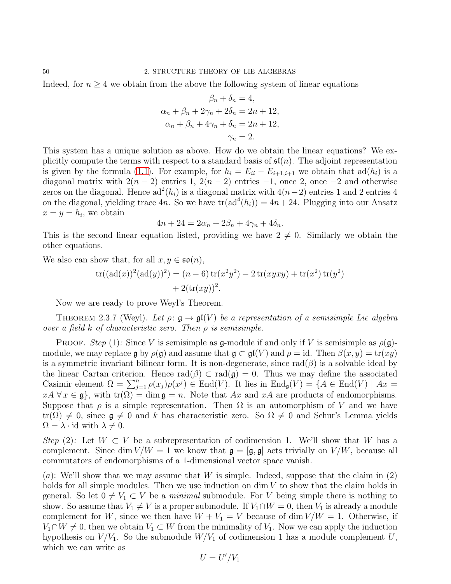Indeed, for  $n \geq 4$  we obtain from the above the following system of linear equations

$$
\beta_n + \delta_n = 4,
$$
  
\n
$$
\alpha_n + \beta_n + 2\gamma_n + 2\delta_n = 2n + 12,
$$
  
\n
$$
\alpha_n + \beta_n + 4\gamma_n + \delta_n = 2n + 12,
$$
  
\n
$$
\gamma_n = 2.
$$

This system has a unique solution as above. How do we obtain the linear equations? We explicitly compute the terms with respect to a standard basis of  $\mathfrak{sl}(n)$ . The adjoint representation is given by the formula [\(1.1\)](#page-6-0). For example, for  $h_i = E_{ii} - E_{i+1,i+1}$  we obtain that  $\text{ad}(h_i)$  is a diagonal matrix with  $2(n-2)$  entries 1,  $2(n-2)$  entries  $-1$ , once 2, once  $-2$  and otherwise zeros on the diagonal. Hence  $ad^2(h_i)$  is a diagonal matrix with  $4(n-2)$  entries 1 and 2 entries 4 on the diagonal, yielding trace 4n. So we have  $tr(ad^4(h_i)) = 4n + 24$ . Plugging into our Ansatz  $x = y = h_i$ , we obtain

$$
4n + 24 = 2\alpha_n + 2\beta_n + 4\gamma_n + 4\delta_n.
$$

This is the second linear equation listed, providing we have  $2 \neq 0$ . Similarly we obtain the other equations.

We also can show that, for all  $x, y \in \mathfrak{so}(n)$ ,

$$
tr((ad(x))^{2}(ad(y))^{2}) = (n - 6) tr(x^{2}y^{2}) - 2 tr(xyxy) + tr(x^{2}) tr(y^{2})
$$
  
+ 2(tr(xy))<sup>2</sup>.

Now we are ready to prove Weyl's Theorem.

<span id="page-52-0"></span>THEOREM 2.3.7 (Weyl). Let  $\rho: \mathfrak{g} \to \mathfrak{gl}(V)$  be a representation of a semisimple Lie algebra over a field k of characteristic zero. Then  $\rho$  is semisimple.

**PROOF.** Step (1): Since V is semisimple as g-module if and only if V is semisimple as  $\rho(\mathfrak{g})$ module, we may replace g by  $\rho(\mathfrak{g})$  and assume that  $\mathfrak{g} \subset \mathfrak{gl}(V)$  and  $\rho = id$ . Then  $\beta(x, y) = \text{tr}(xy)$ is a symmetric invariant bilinear form. It is non-degenerate, since  $rad(\beta)$  is a solvable ideal by the linear Cartan criterion. Hence  $rad(\beta) \subset rad(\mathfrak{g}) = 0$ . Thus we may define the associated Casimir element  $\Omega = \sum_{j=1}^n \rho(x_j) \rho(x^j) \in \text{End}(V)$ . It lies in  $\text{End}_{\mathfrak{g}}(V) = \{A \in \text{End}(V) \mid Ax =$  $xA \forall x \in \mathfrak{g}$ , with  $\text{tr}(\Omega) = \dim \mathfrak{g} = n$ . Note that Ax and xA are products of endomorphisms. Suppose that  $\rho$  is a simple representation. Then  $\Omega$  is an automorphism of V and we have  $tr(\Omega) \neq 0$ , since  $\mathfrak{g} \neq 0$  and k has characteristic zero. So  $\Omega \neq 0$  and Schur's Lemma yields  $\Omega = \lambda \cdot id$  with  $\lambda \neq 0$ .

Step (2): Let  $W \subset V$  be a subrepresentation of codimension 1. We'll show that W has a complement. Since dim  $V/W = 1$  we know that  $\mathfrak{g} = [\mathfrak{g}, \mathfrak{g}]$  acts trivially on  $V/W$ , because all commutators of endomorphisms of a 1-dimensional vector space vanish.

(a): We'll show that we may assume that W is simple. Indeed, suppose that the claim in  $(2)$ holds for all simple modules. Then we use induction on  $\dim V$  to show that the claim holds in general. So let  $0 \neq V_1 \subset V$  be a minimal submodule. For V being simple there is nothing to show. So assume that  $V_1 \neq V$  is a proper submodule. If  $V_1 \cap W = 0$ , then  $V_1$  is already a module complement for W, since we then have  $W + V_1 = V$  because of dim  $V/W = 1$ . Otherwise, if  $V_1 \cap W \neq 0$ , then we obtain  $V_1 \subset W$  from the minimality of  $V_1$ . Now we can apply the induction hypothesis on  $V/V_1$ . So the submodule  $W/V_1$  of codimension 1 has a module complement U, which we can write as

$$
U=U'/V_1
$$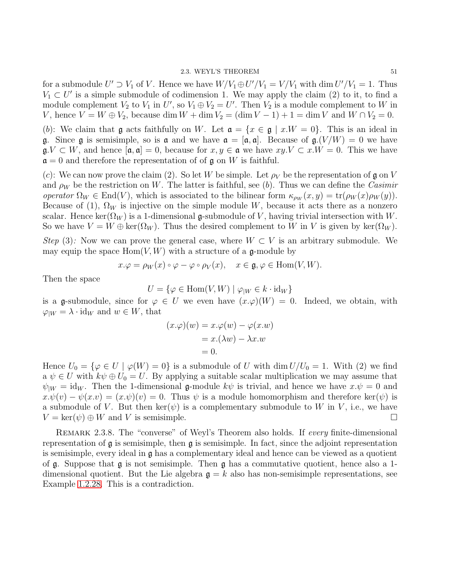for a submodule  $U' \supset V_1$  of V. Hence we have  $W/V_1 \oplus U'/V_1 = V/V_1$  with dim  $U'/V_1 = 1$ . Thus  $V_1 \subset U'$  is a simple submodule of codimension 1. We may apply the claim (2) to it, to find a module complement  $V_2$  to  $V_1$  in  $U'$ , so  $V_1 \oplus V_2 = U'$ . Then  $V_2$  is a module complement to  $W$  in V, hence  $V = W \oplus V_2$ , because dim  $W + \dim V_2 = (\dim V - 1) + 1 = \dim V$  and  $W \cap V_2 = 0$ .

(b): We claim that g acts faithfully on W. Let  $\mathfrak{a} = \{x \in \mathfrak{g} \mid x.W = 0\}$ . This is an ideal in g. Since g is semisimple, so is a and we have  $\mathfrak{a} = [\mathfrak{a}, \mathfrak{a}]$ . Because of  $\mathfrak{g} \cdot (V/W) = 0$  we have  $\mathfrak{g} \cdot V \subset W$ , and hence  $[\mathfrak{a}, \mathfrak{a}] = 0$ , because for  $x, y \in \mathfrak{a}$  we have  $xy \cdot V \subset x \cdot W = 0$ . This we have  $\mathfrak{a} = 0$  and therefore the representation of of g on W is faithful.

(c): We can now prove the claim (2). So let W be simple. Let  $\rho_V$  be the representation of g on V and  $\rho_W$  be the restriction on W. The latter is faithful, see (b). Thus we can define the Casimir operator  $\Omega_W \in \text{End}(V)$ , which is associated to the bilinear form  $\kappa_{\rho_W}(x, y) = \text{tr}(\rho_W(x)\rho_W(y)).$ Because of (1),  $\Omega_W$  is injective on the simple module W, because it acts there as a nonzero scalar. Hence ker( $\Omega_W$ ) is a 1-dimensional g-submodule of V, having trivial intersection with W. So we have  $V = W \oplus \text{ker}(\Omega_W)$ . Thus the desired complement to W in V is given by ker $(\Omega_W)$ .

Step (3): Now we can prove the general case, where  $W \subset V$  is an arbitrary submodule. We may equip the space  $Hom(V, W)$  with a structure of a g-module by

$$
x.\varphi = \rho_W(x) \circ \varphi - \varphi \circ \rho_V(x), \quad x \in \mathfrak{g}, \varphi \in \text{Hom}(V, W).
$$

Then the space

$$
U = \{ \varphi \in \text{Hom}(V, W) \mid \varphi_{|W} \in k \cdot \text{id}_W \}
$$

is a g-submodule, since for  $\varphi \in U$  we even have  $(x \cdot \varphi)(W) = 0$ . Indeed, we obtain, with  $\varphi_{|W} = \lambda \cdot id_W$  and  $w \in W$ , that

$$
(x.\varphi)(w) = x.\varphi(w) - \varphi(x.w)
$$

$$
= x.(\lambda w) - \lambda x.w
$$

$$
= 0.
$$

Hence  $U_0 = \{ \varphi \in U \mid \varphi(W) = 0 \}$  is a submodule of U with dim  $U/U_0 = 1$ . With (2) we find a  $\psi \in U$  with  $k\psi \oplus U_0 = U$ . By applying a suitable scalar multiplication we may assume that  $\psi_{\vert W} = \mathrm{id}_W$ . Then the 1-dimensional g-module  $k\psi$  is trivial, and hence we have  $x.\psi = 0$  and  $x.\psi(v) - \psi(x.v) = (x.\psi)(v) = 0$ . Thus  $\psi$  is a module homomorphism and therefore ker( $\psi$ ) is a submodule of V. But then ker( $\psi$ ) is a complementary submodule to W in V, i.e., we have  $V = \ker(\psi) \oplus W$  and V is semisimple.

Remark 2.3.8. The "converse" of Weyl's Theorem also holds. If every finite-dimensional representation of  $\mathfrak g$  is semisimple, then  $\mathfrak g$  is semisimple. In fact, since the adjoint representation is semisimple, every ideal in  $\mathfrak g$  has a complementary ideal and hence can be viewed as a quotient of  $\mathfrak g$ . Suppose that  $\mathfrak g$  is not semisimple. Then  $\mathfrak g$  has a commutative quotient, hence also a 1dimensional quotient. But the Lie algebra  $g = k$  also has non-semisimple representations, see Example 1.2.[28.](#page-13-1) This is a contradiction.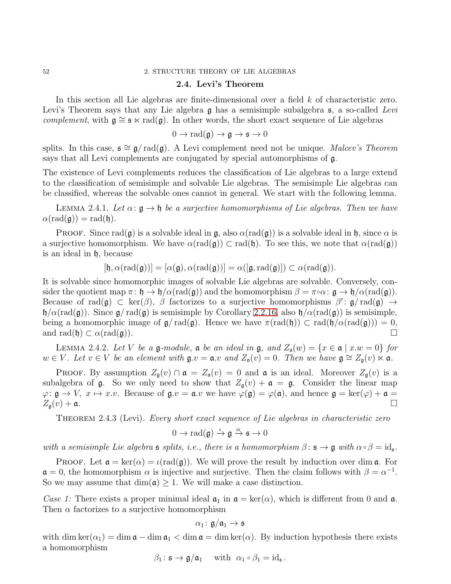# 2.4. Levi's Theorem

In this section all Lie algebras are finite-dimensional over a field k of characteristic zero. Levi's Theorem says that any Lie algebra  $\mathfrak g$  has a semisimple subalgebra  $\mathfrak s$ , a so-called Levi complement, with  $g \cong s \times rad(g)$ . In other words, the short exact sequence of Lie algebras

 $0 \to \text{rad}(\mathfrak{g}) \to \mathfrak{g} \to \mathfrak{s} \to 0$ 

splits. In this case,  $\mathfrak{s} \cong \mathfrak{g}/\text{rad}(\mathfrak{g})$ . A Levi complement need not be unique. Malcev's Theorem says that all Levi complements are conjugated by special automorphisms of g.

The existence of Levi complements reduces the classification of Lie algebras to a large extend to the classification of semisimple and solvable Lie algebras. The semisimple Lie algebras can be classified, whereas the solvable ones cannot in general. We start with the following lemma.

<span id="page-54-0"></span>LEMMA 2.4.1. Let  $\alpha: \mathfrak{g} \to \mathfrak{h}$  be a surjective homomorphisms of Lie algebras. Then we have  $\alpha(\text{rad}(\mathfrak{g})) = \text{rad}(\mathfrak{h}).$ 

**PROOF.** Since rad( $\mathfrak{g}$ ) is a solvable ideal in  $\mathfrak{g}$ , also  $\alpha(\text{rad}(\mathfrak{g}))$  is a solvable ideal in  $\mathfrak{h}$ , since  $\alpha$  is a surjective homomorphism. We have  $\alpha(\text{rad}(\mathfrak{g})) \subset \text{rad}(\mathfrak{h})$ . To see this, we note that  $\alpha(\text{rad}(\mathfrak{g}))$ is an ideal in h, because

$$
[\mathfrak{h}, \alpha(\mathrm{rad}(\mathfrak{g}))] = [\alpha(\mathfrak{g}), \alpha(\mathrm{rad}(\mathfrak{g}))] = \alpha([\mathfrak{g}, \mathrm{rad}(\mathfrak{g})]) \subset \alpha(\mathrm{rad}(\mathfrak{g})).
$$

It is solvable since homomorphic images of solvable Lie algebras are solvable. Conversely, consider the quotient map  $\pi: \mathfrak{h} \to \mathfrak{h}/\alpha(\text{rad}(\mathfrak{g}))$  and the homomorphism  $\beta = \pi \circ \alpha: \mathfrak{g} \to \mathfrak{h}/\alpha(\text{rad}(\mathfrak{g}))$ . Because of  $rad(\mathfrak{g}) \subset \ker(\beta)$ ,  $\beta$  factorizes to a surjective homomorphisms  $\beta' : \mathfrak{g}/rad(\mathfrak{g}) \to$  $\mathfrak{h}/\alpha(\text{rad}(\mathfrak{g}))$ . Since  $\mathfrak{g}/\text{rad}(\mathfrak{g})$  is semisimple by Corollary 2.2.[16,](#page-47-2) also  $\mathfrak{h}/\alpha(\text{rad}(\mathfrak{g}))$  is semisimple, being a homomorphic image of  $\mathfrak{g}/\text{rad}(\mathfrak{g})$ . Hence we have  $\pi(\text{rad}(\mathfrak{h})) \subset \text{rad}(\mathfrak{h}/\alpha(\text{rad}(\mathfrak{g}))) = 0$ , and  $\text{rad}(\mathfrak{h}) \subset \alpha(\text{rad}(\mathfrak{a}))$ . and rad $(\mathfrak{h}) \subset \alpha(\text{rad}(\mathfrak{g}))$ .

<span id="page-54-1"></span>LEMMA 2.4.2. Let V be a  $\mathfrak g$ -module,  $\mathfrak a$  be an ideal in  $\mathfrak g$ , and  $Z_{\mathfrak a}(w) = \{x \in \mathfrak a \mid x.w = 0\}$  for  $w \in V$ . Let  $v \in V$  be an element with  $\mathfrak{g} \cdot v = \mathfrak{a} \cdot v$  and  $Z_{\mathfrak{a}}(v) = 0$ . Then we have  $\mathfrak{g} \cong Z_{\mathfrak{g}}(v) \ltimes \mathfrak{a}$ .

PROOF. By assumption  $Z_{\mathfrak{g}}(v) \cap \mathfrak{a} = Z_{\mathfrak{a}}(v) = 0$  and  $\mathfrak{a}$  is an ideal. Moreover  $Z_{\mathfrak{g}}(v)$  is a subalgebra of  $\mathfrak g$ . So we only need to show that  $Z_{\mathfrak g}(v) + \mathfrak a = \mathfrak g$ . Consider the linear map  $\varphi: \mathfrak{g} \to V$ ,  $x \mapsto x.v$ . Because of  $\mathfrak{g}.v = \mathfrak{a}.v$  we have  $\varphi(\mathfrak{g}) = \varphi(\mathfrak{a})$ , and hence  $\mathfrak{g} = \ker(\varphi) + \mathfrak{a} = Z_{\mathfrak{g}}(v) + \mathfrak{a}$ .  $Z_{\mathfrak{g}}(v) + \mathfrak{a}.$ 

THEOREM 2.4.3 (Levi). Every short exact sequence of Lie algebras in characteristic zero

$$
0 \to \mathrm{rad}(\mathfrak{g}) \xrightarrow{\iota} \mathfrak{g} \xrightarrow{\alpha} \mathfrak{s} \to 0
$$

with a semisimple Lie algebra  $\mathfrak s$  splits, i.e., there is a homomorphism  $\beta \colon \mathfrak s \to \mathfrak g$  with  $\alpha \circ \beta = \mathrm{id}_{\mathfrak s}$ .

PROOF. Let  $\mathfrak{a} = \ker(\alpha) = \iota(\text{rad}(\mathfrak{g}))$ . We will prove the result by induction over dim  $\mathfrak{a}$ . For  $\mathfrak{a} = 0$ , the homomorphism  $\alpha$  is injective and surjective. Then the claim follows with  $\beta = \alpha^{-1}$ . So we may assume that  $\dim(\mathfrak{a}) \geq 1$ . We will make a case distinction.

Case 1: There exists a proper minimal ideal  $\mathfrak{a}_1$  in  $\mathfrak{a} = \text{ker}(\alpha)$ , which is different from 0 and  $\mathfrak{a}$ . Then  $\alpha$  factorizes to a surjective homomorphism

$$
\alpha_1\colon \mathfrak{g}/\mathfrak{a}_1\to \mathfrak{s}
$$

with dim ker( $\alpha_1$ ) = dim  $\mathfrak{a}$  – dim  $\mathfrak{a}_1$  < dim  $\mathfrak{a}$  = dim ker( $\alpha$ ). By induction hypothesis there exists a homomorphism

 $\beta_1: \mathfrak{s} \to \mathfrak{g}/\mathfrak{a}_1$  with  $\alpha_1 \circ \beta_1 = \mathrm{id}_{\mathfrak{s}}$ .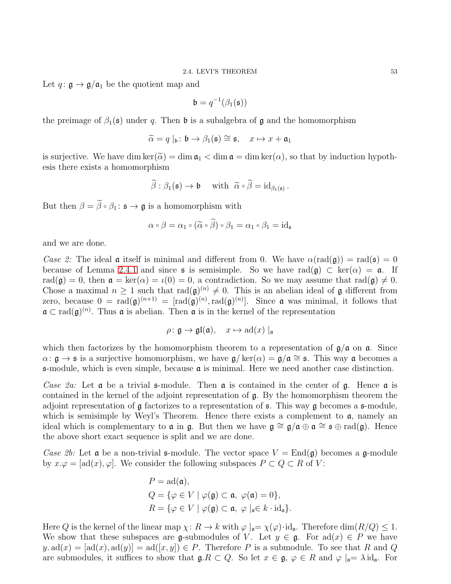Let  $q: \mathfrak{g} \to \mathfrak{g}/\mathfrak{a}_1$  be the quotient map and

$$
\mathfrak{b}=q^{-1}(\beta_1(\mathfrak{s}))
$$

the preimage of  $\beta_1(\mathfrak{s})$  under q. Then **b** is a subalgebra of **g** and the homomorphism

$$
\widetilde{\alpha} = q \mid_{\mathfrak{b}} : \mathfrak{b} \to \beta_1(\mathfrak{s}) \cong \mathfrak{s}, \quad x \mapsto x + \mathfrak{a}_1
$$

is surjective. We have dim ker $(\tilde{\alpha}) = \dim \mathfrak{a}_1 < \dim \mathfrak{a} = \dim \ker(\alpha)$ , so that by induction hypothesis there exists a homomorphism

$$
\widetilde{\beta}: \beta_1(\mathfrak{s}) \to \mathfrak{b} \quad \text{ with } \widetilde{\alpha} \circ \widetilde{\beta} = \mathrm{id}_{\beta_1(\mathfrak{s})} \, .
$$

But then  $\beta = \widetilde{\beta} \circ \beta_1 : \mathfrak{s} \to \mathfrak{g}$  is a homomorphism with

$$
\alpha \circ \beta = \alpha_1 \circ (\widetilde{\alpha} \circ \beta) \circ \beta_1 = \alpha_1 \circ \beta_1 = \mathrm{id}_{\mathfrak{s}}
$$

and we are done.

Case 2: The ideal **a** itself is minimal and different from 0. We have  $\alpha(\text{rad}(\mathfrak{g})) = \text{rad}(\mathfrak{s}) = 0$ because of Lemma [2](#page-54-0).4.1 and since  $\mathfrak s$  is semisimple. So we have  $\text{rad}(\mathfrak g) \subset \text{ker}(\alpha) = \mathfrak a$ . If rad( $\mathfrak{g}$ ) = 0, then  $\mathfrak{a} = \ker(\alpha) = \iota(0) = 0$ , a contradiction. So we may assume that rad( $\mathfrak{g}$ )  $\neq 0$ . Chose a maximal  $n \geq 1$  such that  $\text{rad}(\mathfrak{g})^{(n)} \neq 0$ . This is an abelian ideal of  $\mathfrak{g}$  different from zero, because  $0 = rad(\mathfrak{g})^{(n+1)} = [rad(\mathfrak{g})^{(n)}, rad(\mathfrak{g})^{(n)}]$ . Since **a** was minimal, it follows that  $\mathfrak{a} \subset \text{rad}(\mathfrak{g})^{(n)}$ . Thus  $\mathfrak{a}$  is abelian. Then  $\mathfrak{a}$  is in the kernel of the representation

$$
\rho\colon \mathfrak{g} \to \mathfrak{gl}(\mathfrak{a}), \quad x \mapsto \mathrm{ad}(x) \mid_{\mathfrak{a}}
$$

which then factorizes by the homomorphism theorem to a representation of  $\mathfrak{g}/\mathfrak{a}$  on  $\mathfrak{a}$ . Since  $\alpha: \mathfrak{g} \to \mathfrak{s}$  is a surjective homomorphism, we have  $\mathfrak{g}/\text{ker}(\alpha) = \mathfrak{g}/\mathfrak{a} \cong \mathfrak{s}$ . This way  $\mathfrak{a}$  becomes a  $\mathfrak s$ -module, which is even simple, because  $\mathfrak a$  is minimal. Here we need another case distinction.

Case 2a: Let  $\alpha$  be a trivial  $\beta$ -module. Then  $\alpha$  is contained in the center of  $\beta$ . Hence  $\alpha$  is contained in the kernel of the adjoint representation of g. By the homomorphism theorem the adjoint representation of  $\mathfrak g$  factorizes to a representation of  $\mathfrak s$ . This way  $\mathfrak g$  becomes a  $\mathfrak s$ -module, which is semisimple by Weyl's Theorem. Hence there exists a complement to  $a$ , namely an ideal which is complementary to  $\mathfrak a$  in  $\mathfrak g$ . But then we have  $\mathfrak g \cong \mathfrak g/\mathfrak a \oplus \mathfrak a \cong \mathfrak s \oplus \mathrm{rad}(\mathfrak g)$ . Hence the above short exact sequence is split and we are done.

Case 2b: Let **a** be a non-trivial **s**-module. The vector space  $V = \text{End}(\mathfrak{g})$  becomes a **g**-module by  $x.\varphi = [ad(x), \varphi]$ . We consider the following subspaces  $P \subset Q \subset R$  of V:

$$
P = \text{ad}(\mathfrak{a}),
$$
  
\n
$$
Q = \{ \varphi \in V \mid \varphi(\mathfrak{g}) \subset \mathfrak{a}, \ \varphi(\mathfrak{a}) = 0 \},
$$
  
\n
$$
R = \{ \varphi \in V \mid \varphi(\mathfrak{g}) \subset \mathfrak{a}, \ \varphi \mid_{\mathfrak{a}} \in k \cdot \text{id}_{\mathfrak{a}} \}.
$$

Here Q is the kernel of the linear map  $\chi: R \to k$  with  $\varphi \mid_{\mathfrak{a}} = \chi(\varphi) \cdot id_{\mathfrak{a}}$ . Therefore  $\dim(R/Q) \leq 1$ . We show that these subspaces are g-submodules of V. Let  $y \in \mathfrak{g}$ . For ad $(x) \in P$  we have  $y. ad(x) = [ad(x), ad(y)] = ad([x, y]) \in P$ . Therefore P is a submodule. To see that R and Q are submodules, it suffices to show that  $\mathfrak{g} \to R \subset Q$ . So let  $x \in \mathfrak{g}$ ,  $\varphi \in R$  and  $\varphi|_{\mathfrak{a}} = \lambda \mathrm{id}_{\mathfrak{a}}$ . For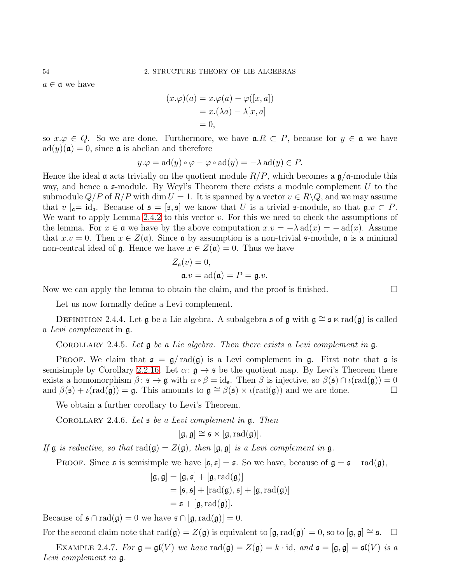$a \in \mathfrak{a}$  we have

$$
(x.\varphi)(a) = x.\varphi(a) - \varphi([x, a])
$$
  
= x.(\lambda a) - \lambda[x, a]  
= 0,

so  $x.\varphi \in Q$ . So we are done. Furthermore, we have  $a.R \subset P$ , because for  $y \in \mathfrak{a}$  we have  $ad(y)(\mathfrak{a})=0$ , since  $\mathfrak{a}$  is abelian and therefore

$$
y.\varphi = \text{ad}(y) \circ \varphi - \varphi \circ \text{ad}(y) = -\lambda \text{ad}(y) \in P.
$$

Hence the ideal **a** acts trivially on the quotient module  $R/P$ , which becomes a  $\mathfrak{g}/\mathfrak{a}$ -module this way, and hence a  $\epsilon$ -module. By Weyl's Theorem there exists a module complement U to the submodule  $Q/P$  of  $R/P$  with dim  $U = 1$ . It is spanned by a vector  $v \in R \backslash Q$ , and we may assume that  $v|_{\mathfrak{a}}=id_{\mathfrak{a}}$ . Because of  $\mathfrak{s}=[\mathfrak{s},\mathfrak{s}]$  we know that U is a trivial  $\mathfrak{s}\text{-module}$ , so that  $\mathfrak{g},v\in P$ . We want to apply Lemma [2](#page-54-1).4.2 to this vector  $v$ . For this we need to check the assumptions of the lemma. For  $x \in \mathfrak{a}$  we have by the above computation  $x.v = -\lambda \operatorname{ad}(x) = -\operatorname{ad}(x)$ . Assume that  $x.v = 0$ . Then  $x \in Z(\mathfrak{a})$ . Since  $\mathfrak{a}$  by assumption is a non-trivial  $\mathfrak{s}$ -module,  $\mathfrak{a}$  is a minimal non-central ideal of  $\mathfrak{g}$ . Hence we have  $x \in Z(\mathfrak{a}) = 0$ . Thus we have

$$
Z_{\mathfrak{a}}(v) = 0,
$$
  

$$
\mathfrak{a}.v = \text{ad}(\mathfrak{a}) = P = \mathfrak{g}.v.
$$

Now we can apply the lemma to obtain the claim, and the proof is finished.  $\square$ 

Let us now formally define a Levi complement.

DEFINITION 2.4.4. Let g be a Lie algebra. A subalgebra s of g with  $g \approx s \times rad(g)$  is called a Levi complement in g.

COROLLARY 2.4.5. Let  $\mathfrak g$  be a Lie algebra. Then there exists a Levi complement in  $\mathfrak g$ .

**PROOF.** We claim that  $\mathfrak{s} = \mathfrak{g}/\text{rad}(\mathfrak{g})$  is a Levi complement in  $\mathfrak{g}$ . First note that  $\mathfrak{s}$  is semisimple by Corollary 2.2.[16.](#page-47-2) Let  $\alpha: \mathfrak{g} \to \mathfrak{s}$  be the quotient map. By Levi's Theorem there exists a homomorphism  $\beta: \mathfrak{s} \to \mathfrak{g}$  with  $\alpha \circ \beta = id_{\mathfrak{s}}$ . Then  $\beta$  is injective, so  $\beta(\mathfrak{s}) \cap \iota(\text{rad}(\mathfrak{g})) = 0$ and  $\beta(\mathfrak{s}) + \iota(\text{rad}(\mathfrak{g})) = \mathfrak{g}$ . This amounts to  $\mathfrak{g} \cong \beta(\mathfrak{s}) \ltimes \iota(\text{rad}(\mathfrak{g}))$  and we are done.

We obtain a further corollary to Levi's Theorem.

COROLLARY 2.4.6. Let  $\mathfrak s$  be a Levi complement in  $\mathfrak g$ . Then

$$
[\mathfrak{g},\mathfrak{g}] \cong \mathfrak{s} \ltimes [\mathfrak{g},\mathrm{rad}(\mathfrak{g})].
$$

If  $\mathfrak g$  is reductive, so that  $\text{rad}(\mathfrak g)=Z(\mathfrak g)$ , then  $[\mathfrak g,\mathfrak g]$  is a Levi complement in  $\mathfrak g$ .

**PROOF.** Since **s** is semisimple we have  $[\mathfrak{s}, \mathfrak{s}] = \mathfrak{s}$ . So we have, because of  $\mathfrak{g} = \mathfrak{s} + \text{rad}(\mathfrak{g})$ ,

$$
[\mathfrak{g}, \mathfrak{g}] = [\mathfrak{g}, \mathfrak{s}] + [\mathfrak{g}, \text{rad}(\mathfrak{g})]
$$
  
=  $[\mathfrak{s}, \mathfrak{s}] + [\text{rad}(\mathfrak{g}), \mathfrak{s}] + [\mathfrak{g}, \text{rad}(\mathfrak{g})]$   
=  $\mathfrak{s} + [\mathfrak{g}, \text{rad}(\mathfrak{g})].$ 

Because of  $\mathfrak{s} \cap \text{rad}(\mathfrak{g}) = 0$  we have  $\mathfrak{s} \cap [\mathfrak{g}, \text{rad}(\mathfrak{g})] = 0$ .

For the second claim note that  $rad(\mathfrak{g}) = Z(\mathfrak{g})$  is equivalent to  $[\mathfrak{g}, \text{rad}(\mathfrak{g})] = 0$ , so to  $[\mathfrak{g}, \mathfrak{g}] \cong \mathfrak{s}$ .  $\Box$ 

EXAMPLE 2.4.7. For  $\mathfrak{g} = \mathfrak{gl}(V)$  we have  $\text{rad}(\mathfrak{g}) = Z(\mathfrak{g}) = k \cdot \text{id}$ , and  $\mathfrak{s} = [\mathfrak{g}, \mathfrak{g}] = \mathfrak{sl}(V)$  is a Levi complement in g.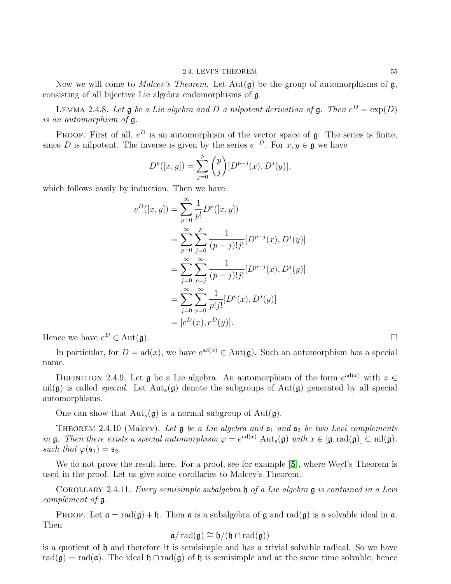Now we will come to *Malcev's Theorem*. Let  $Aut(g)$  be the group of automorphisms of g, consisting of all bijective Lie algebra endomorphisms of g.

LEMMA 2.4.8. Let  $\mathfrak g$  be a Lie algebra and D a nilpotent derivation of  $\mathfrak g$ . Then  $e^D = \exp(D)$ is an automorphism of g.

PROOF. First of all,  $e^D$  is an automorphism of the vector space of  $\mathfrak{g}$ . The series is finite, since D is nilpotent. The inverse is given by the series  $e^{-D}$ . For  $x, y \in \mathfrak{g}$  we have

$$
D^{p}([x, y]) = \sum_{j=0}^{p} {p \choose j} [D^{p-j}(x), D^{j}(y)],
$$

which follows easily by induction. Then we have

$$
e^{D}([x, y]) = \sum_{p=0}^{\infty} \frac{1}{p!} D^{p}([x, y])
$$
  
= 
$$
\sum_{p=0}^{\infty} \sum_{j=0}^{p} \frac{1}{(p-j)!j!} [D^{p-j}(x), D^{j}(y)]
$$
  
= 
$$
\sum_{j=0}^{\infty} \sum_{p=j}^{\infty} \frac{1}{(p-j)!j!} [D^{p-j}(x), D^{j}(y)]
$$
  
= 
$$
\sum_{j=0}^{\infty} \sum_{p=0}^{\infty} \frac{1}{p!j!} [D^{p}(x), D^{j}(y)]
$$
  
= 
$$
[e^{D}(x), e^{D}(y)].
$$

Hence we have  $e^D \in \text{Aut}(\mathfrak{g})$ .

In particular, for  $D = ad(x)$ , we have  $e^{ad(x)} \in Aut(\mathfrak{g})$ . Such an automorphism has a special name.

DEFINITION 2.4.9. Let  $\mathfrak g$  be a Lie algebra. An automorphism of the form  $e^{\operatorname{ad}(x)}$  with  $x \in$ nil(g) is called *special*. Let  $Aut_s(g)$  denote the subgroups of  $Aut(g)$  generated by all special automorphisms.

One can show that  $\text{Aut}_s(\mathfrak{g})$  is a normal subgroup of  $\text{Aut}(\mathfrak{g})$ .

THEOREM 2.4.10 (Malcev). Let  $\mathfrak g$  be a Lie algebra and  $\mathfrak s_1$  and  $\mathfrak s_2$  be two Levi complements in **g**. Then there exists a special automorphism  $\varphi = e^{ad(x)}$  Aut<sub>s</sub>(**g**) with  $x \in [\mathfrak{g}, \text{rad}(\mathfrak{g})] \subset \text{nil}(\mathfrak{g})$ , such that  $\varphi(\mathfrak{s}_1) = \mathfrak{s}_2$ .

We do not prove the result here. For a proof, see for example [[5](#page-111-2)], where Weyl's Theorem is used in the proof. Let us give some corollaries to Malcev's Theorem.

<span id="page-57-0"></span>COROLLARY 2.4.11. Every semisimple subalgebra  $\mathfrak h$  of a Lie algebra  $\mathfrak g$  is contained in a Levi complement of g.

**PROOF.** Let  $\mathfrak{a} = \text{rad}(\mathfrak{g}) + \mathfrak{h}$ . Then  $\mathfrak{a}$  is a subalgebra of  $\mathfrak{g}$  and  $\text{rad}(\mathfrak{g})$  is a solvable ideal in  $\mathfrak{a}$ . Then

$$
\mathfrak{a}/\operatorname{rad}(\mathfrak{g})\cong \mathfrak{h}/(\mathfrak{h}\cap \operatorname{rad}(\mathfrak{g}))
$$

is a quotient of  $\mathfrak h$  and therefore it is semisimple and has a trivial solvable radical. So we have rad( $\mathfrak{g}$ ) = rad( $\mathfrak{a}$ ). The ideal  $\mathfrak{h} \cap \text{rad}(\mathfrak{g})$  of  $\mathfrak{h}$  is semisimple and at the same time solvable, hence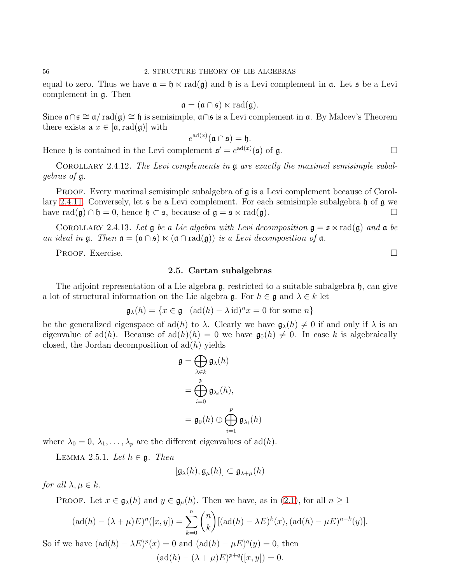equal to zero. Thus we have  $\mathfrak{a} = \mathfrak{h} \ltimes \text{rad}(\mathfrak{g})$  and  $\mathfrak{h}$  is a Levi complement in  $\mathfrak{a}$ . Let  $\mathfrak{s}$  be a Levi complement in g. Then

$$
\mathfrak{a} = (\mathfrak{a} \cap \mathfrak{s}) \ltimes \mathrm{rad}(\mathfrak{g}).
$$

Since  $\mathfrak{a} \cap \mathfrak{s} \cong \mathfrak{a} / \mathrm{rad}(\mathfrak{g}) \cong \mathfrak{h}$  is semisimple,  $\mathfrak{a} \cap \mathfrak{s}$  is a Levi complement in  $\mathfrak{a}$ . By Malcev's Theorem there exists a  $x \in [a, \text{rad}(a)]$  with

$$
e^{\mathrm{ad}(x)}(\mathfrak{a}\cap\mathfrak{s})=\mathfrak{h}.
$$

Hence  $\mathfrak h$  is contained in the Levi complement  $\mathfrak s' = e^{ad(x)}(\mathfrak s)$  of  $\mathfrak g$ .

COROLLARY 2.4.12. The Levi complements in  $g$  are exactly the maximal semisimple subalgebras of g.

**PROOF.** Every maximal semisimple subalgebra of  $\mathfrak{g}$  is a Levi complement because of Corol-lary 2.4.[11.](#page-57-0) Conversely, let  $\mathfrak s$  be a Levi complement. For each semisimple subalgebra  $\mathfrak h$  of  $\mathfrak g$  we have rad( $\mathfrak{g}$ ) ∩  $\mathfrak{h} = 0$ , hence  $\mathfrak{h} \subset \mathfrak{s}$ , because of  $\mathfrak{g} = \mathfrak{s} \ltimes \text{rad}(\mathfrak{g})$ .

COROLLARY 2.4.13. Let  $\mathfrak g$  be a Lie algebra with Levi decomposition  $\mathfrak g = \mathfrak s \ltimes \text{rad}(\mathfrak g)$  and  $\mathfrak a$  be an ideal in  $\mathfrak{g}$ . Then  $\mathfrak{a} = (\mathfrak{a} \cap \mathfrak{s}) \ltimes (\mathfrak{a} \cap \text{rad}(\mathfrak{g}))$  is a Levi decomposition of  $\mathfrak{a}$ .

PROOF. Exercise.

### 2.5. Cartan subalgebras

The adjoint representation of a Lie algebra  $\mathfrak{g}$ , restricted to a suitable subalgebra  $\mathfrak{h}$ , can give a lot of structural information on the Lie algebra  $\mathfrak{g}$ . For  $h \in \mathfrak{g}$  and  $\lambda \in k$  let

$$
\mathfrak{g}_{\lambda}(h) = \{x \in \mathfrak{g} \mid (\mathrm{ad}(h) - \lambda \mathrm{id})^n x = 0 \text{ for some } n\}
$$

be the generalized eigenspace of ad(h) to  $\lambda$ . Clearly we have  $\mathfrak{g}_{\lambda}(h) \neq 0$  if and only if  $\lambda$  is an eigenvalue of ad(h). Because of  $ad(h)(h) = 0$  we have  $\mathfrak{g}_0(h) \neq 0$ . In case k is algebraically closed, the Jordan decomposition of  $\text{ad}(h)$  yields

$$
\mathfrak{g} = \bigoplus_{\lambda \in k} \mathfrak{g}_{\lambda}(h)
$$

$$
= \bigoplus_{i=0}^{p} \mathfrak{g}_{\lambda_i}(h),
$$

$$
= \mathfrak{g}_0(h) \oplus \bigoplus_{i=1}^{p} \mathfrak{g}_{\lambda_i}(h)
$$

where  $\lambda_0 = 0, \lambda_1, \ldots, \lambda_p$  are the different eigenvalues of ad(h).

<span id="page-58-0"></span>LEMMA 2.5.1. Let  $h \in \mathfrak{g}$ . Then

$$
[\mathfrak{g}_{\lambda}(h), \mathfrak{g}_{\mu}(h)] \subset \mathfrak{g}_{\lambda+\mu}(h)
$$

for all  $\lambda, \mu \in k$ .

PROOF. Let  $x \in \mathfrak{g}_{\lambda}(h)$  and  $y \in \mathfrak{g}_{\mu}(h)$ . Then we have, as in [\(2.1\)](#page-42-0), for all  $n \geq 1$ 

$$
(\text{ad}(h) - (\lambda + \mu)E)^n([x, y]) = \sum_{k=0}^n \binom{n}{k} [(\text{ad}(h) - \lambda E)^k(x), (\text{ad}(h) - \mu E)^{n-k}(y)].
$$

So if we have  $(\text{ad}(h) - \lambda E)^p(x) = 0$  and  $(\text{ad}(h) - \mu E)^q(y) = 0$ , then  $(\text{ad}(h) - (\lambda + \mu)E)^{p+q}([x, y]) = 0.$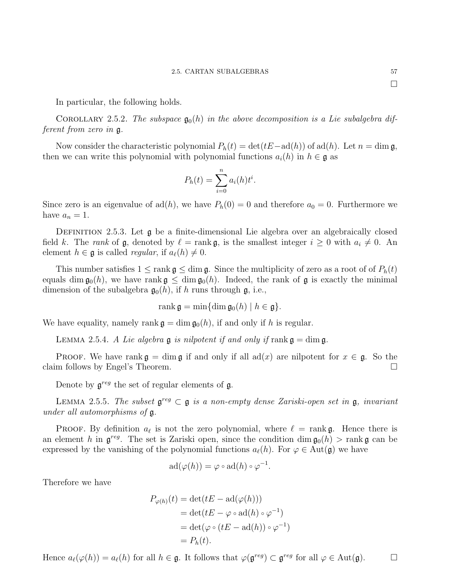In particular, the following holds.

COROLLARY 2.5.2. The subspace  $\mathfrak{g}_0(h)$  in the above decomposition is a Lie subalgebra different from zero in g.

Now consider the characteristic polynomial  $P_h(t) = \det(tE - \mathrm{ad}(h))$  of  $\mathrm{ad}(h)$ . Let  $n = \dim \mathfrak{g}$ , then we can write this polynomial with polynomial functions  $a_i(h)$  in  $h \in \mathfrak{g}$  as

$$
P_h(t) = \sum_{i=0}^n a_i(h)t^i.
$$

Since zero is an eigenvalue of  $ad(h)$ , we have  $P_h(0) = 0$  and therefore  $a_0 = 0$ . Furthermore we have  $a_n = 1$ .

DEFINITION 2.5.3. Let  $\mathfrak g$  be a finite-dimensional Lie algebra over an algebraically closed field k. The rank of  $\mathfrak{g}$ , denoted by  $\ell = \text{rank } \mathfrak{g}$ , is the smallest integer  $i \geq 0$  with  $a_i \neq 0$ . An element  $h \in \mathfrak{g}$  is called *regular*, if  $a_{\ell}(h) \neq 0$ .

This number satisfies  $1 \leq \text{rank } \mathfrak{g} \leq \dim \mathfrak{g}$ . Since the multiplicity of zero as a root of of  $P_h(t)$ equals dim  $\mathfrak{g}_0(h)$ , we have rank  $\mathfrak{g} \leq \dim \mathfrak{g}_0(h)$ . Indeed, the rank of g is exactly the minimal dimension of the subalgebra  $\mathfrak{g}_0(h)$ , if h runs through  $\mathfrak{g}$ , i.e.,

$$
\operatorname{rank} \mathfrak{g} = \min \{ \dim \mathfrak{g}_0(h) \mid h \in \mathfrak{g} \}.
$$

We have equality, namely rank  $\mathfrak{g} = \dim \mathfrak{g}_0(h)$ , if and only if h is regular.

LEMMA 2.5.4. A Lie algebra  $\mathfrak g$  is nilpotent if and only if rank  $\mathfrak g = \dim \mathfrak g$ .

PROOF. We have rank  $\mathfrak{g} = \dim \mathfrak{g}$  if and only if all  $ad(x)$  are nilpotent for  $x \in \mathfrak{g}$ . So the m follows by Engel's Theorem. claim follows by Engel's Theorem.

Denote by  $\mathfrak{g}^{reg}$  the set of regular elements of  $\mathfrak{g}$ .

LEMMA 2.5.5. The subset  $\mathfrak{g}^{reg} \subset \mathfrak{g}$  is a non-empty dense Zariski-open set in  $\mathfrak{g}$ , invariant under all automorphisms of g.

PROOF. By definition  $a_{\ell}$  is not the zero polynomial, where  $\ell = \text{rank } \mathfrak{g}$ . Hence there is an element h in  $\mathfrak{g}^{reg}$ . The set is Zariski open, since the condition dim  $\mathfrak{g}_0(h)$  > rank  $\mathfrak{g}$  can be expressed by the vanishing of the polynomial functions  $a_{\ell}(h)$ . For  $\varphi \in Aut(\mathfrak{g})$  we have

$$
ad(\varphi(h)) = \varphi \circ ad(h) \circ \varphi^{-1}.
$$

Therefore we have

$$
P_{\varphi(h)}(t) = \det(tE - \mathrm{ad}(\varphi(h)))
$$
  
= 
$$
\det(tE - \varphi \circ \mathrm{ad}(h) \circ \varphi^{-1})
$$
  
= 
$$
\det(\varphi \circ (tE - \mathrm{ad}(h)) \circ \varphi^{-1})
$$
  
= 
$$
P_h(t).
$$

Hence  $a_{\ell}(\varphi(h)) = a_{\ell}(h)$  for all  $h \in \mathfrak{g}$ . It follows that  $\varphi(\mathfrak{g}^{reg}) \subset \mathfrak{g}^{reg}$  for all  $\varphi \in \text{Aut}(\mathfrak{g})$ .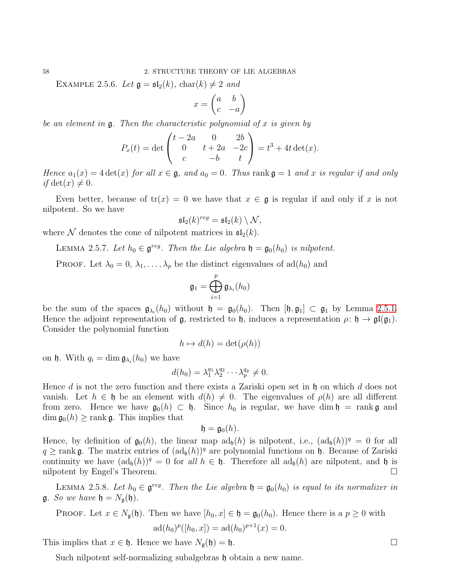EXAMPLE 2.5.6. Let  $\mathfrak{g} = \mathfrak{sl}_2(k)$ , char $(k) \neq 2$  and

$$
x = \begin{pmatrix} a & b \\ c & -a \end{pmatrix}
$$

be an element in  $\mathfrak g$ . Then the characteristic polynomial of x is given by

$$
P_x(t) = \det \begin{pmatrix} t - 2a & 0 & 2b \\ 0 & t + 2a & -2c \\ c & -b & t \end{pmatrix} = t^3 + 4t \det(x).
$$

Hence  $a_1(x) = 4 \det(x)$  for all  $x \in \mathfrak{g}$ , and  $a_0 = 0$ . Thus rank  $\mathfrak{g} = 1$  and x is regular if and only if det(x)  $\neq 0$ .

Even better, because of  $tr(x) = 0$  we have that  $x \in \mathfrak{g}$  is regular if and only if x is not nilpotent. So we have

$$
\mathfrak{sl}_2(k)^{reg} = \mathfrak{sl}_2(k) \setminus \mathcal{N},
$$

where N denotes the cone of nilpotent matrices in  $\mathfrak{sl}_2(k)$ .

<span id="page-60-0"></span>LEMMA 2.5.7. Let  $h_0 \in \mathfrak{g}^{reg}$ . Then the Lie algebra  $\mathfrak{h} = \mathfrak{g}_0(h_0)$  is nilpotent.

PROOF. Let  $\lambda_0 = 0, \lambda_1, \ldots, \lambda_p$  be the distinct eigenvalues of  $ad(h_0)$  and

$$
\mathfrak{g}_1=\bigoplus_{i=1}^p\mathfrak{g}_{\lambda_i}(h_0)
$$

be the sum of the spaces  $\mathfrak{g}_{\lambda_i}(h_0)$  without  $\mathfrak{h} = \mathfrak{g}_0(h_0)$ . Then  $[\mathfrak{h}, \mathfrak{g}_1] \subset \mathfrak{g}_1$  by Lemma [2](#page-58-0).5.1. Hence the adjoint representation of  $\mathfrak{g}$ , restricted to  $\mathfrak{h}$ , induces a representation  $\rho: \mathfrak{h} \to \mathfrak{gl}(\mathfrak{g}_1)$ . Consider the polynomial function

$$
h \mapsto d(h) = \det(\rho(h))
$$

on  $\mathfrak h$ . With  $q_i = \dim \mathfrak{g}_{\lambda_i}(h_0)$  we have

$$
d(h_0) = \lambda_1^{q_1} \lambda_2^{q_2} \cdots \lambda_p^{q_p} \neq 0.
$$

Hence d is not the zero function and there exists a Zariski open set in  $\mathfrak h$  on which d does not vanish. Let  $h \in \mathfrak{h}$  be an element with  $d(h) \neq 0$ . The eigenvalues of  $\rho(h)$  are all different from zero. Hence we have  $\mathfrak{g}_0(h) \subset \mathfrak{h}$ . Since  $h_0$  is regular, we have dim  $\mathfrak{h} = \text{rank } \mathfrak{g}$  and  $\dim \mathfrak{g}_0(h) \geq \text{rank } \mathfrak{g}$ . This implies that

$$
\mathfrak{h}=\mathfrak{g}_0(h).
$$

Hence, by definition of  $\mathfrak{g}_0(h)$ , the linear map  $\text{ad}_{\mathfrak{h}}(h)$  is nilpotent, i.e.,  $(\text{ad}_{\mathfrak{h}}(h))^q = 0$  for all  $q \geq \text{rank } \mathfrak{g}$ . The matrix entries of  $(\text{ad}_{\mathfrak{h}}(h))^q$  are polynomial functions on  $\mathfrak{h}$ . Because of Zariski continuity we have  $(ad_b(h))^q = 0$  for all  $h \in \mathfrak{h}$ . Therefore all  $ad_b(h)$  are nilpotent, and  $\mathfrak{h}$  is nilpotent by Engel's Theorem. nilpotent by Engel's Theorem.

<span id="page-60-1"></span>LEMMA 2.5.8. Let  $h_0 \in \mathfrak{g}^{reg}$ . Then the Lie algebra  $\mathfrak{h} = \mathfrak{g}_0(h_0)$  is equal to its normalizer in  $\mathfrak{g}$ . So we have  $\mathfrak{h} = N_{\mathfrak{g}}(\mathfrak{h})$ .

PROOF. Let 
$$
x \in N_{\mathfrak{g}}(\mathfrak{h})
$$
. Then we have  $[h_0, x] \in \mathfrak{h} = \mathfrak{g}_0(h_0)$ . Hence there is a  $p \ge 0$  with 
$$
ad(h_0)^p([h_0, x]) = ad(h_0)^{p+1}(x) = 0.
$$

This implies that  $x \in \mathfrak{h}$ . Hence we have  $N_{\mathfrak{g}}(\mathfrak{h}) = \mathfrak{h}$ .

Such nilpotent self-normalizing subalgebras h obtain a new name.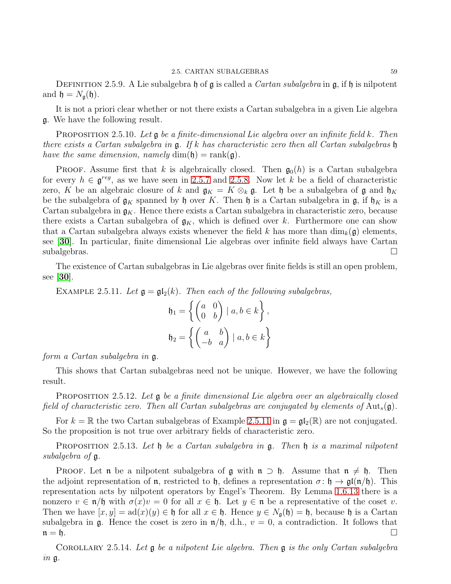DEFINITION 2.5.9. A Lie subalgebra h of  $\mathfrak g$  is called a *Cartan subalgebra* in  $\mathfrak g$ , if h is nilpotent and  $\mathfrak{h} = N_{\mathfrak{g}}(\mathfrak{h}).$ 

It is not a priori clear whether or not there exists a Cartan subalgebra in a given Lie algebra g. We have the following result.

**PROPOSITION** 2.5.10. Let  $\mathfrak{g}$  be a finite-dimensional Lie algebra over an infinite field k. Then there exists a Cartan subalgebra in g. If k has characteristic zero then all Cartan subalgebras h have the same dimension, namely  $\dim(\mathfrak{h}) = \text{rank}(\mathfrak{g})$ .

**PROOF.** Assume first that k is algebraically closed. Then  $\mathfrak{g}_0(h)$  is a Cartan subalgebra for every  $h \in \mathfrak{g}^{reg}$ , as we have seen in [2](#page-60-1).5.7 and 2.5.8. Now let k be a field of characteristic zero, K be an algebraic closure of k and  $\mathfrak{g}_K = K \otimes_k \mathfrak{g}$ . Let h be a subalgebra of g and  $\mathfrak{h}_K$ be the subalgebra of  $\mathfrak{g}_K$  spanned by  $\mathfrak{h}$  over K. Then  $\mathfrak{h}$  is a Cartan subalgebra in  $\mathfrak{g}$ , if  $\mathfrak{h}_K$  is a Cartan subalgebra in  $\mathfrak{g}_K$ . Hence there exists a Cartan subalgebra in characteristic zero, because there exists a Cartan subalgebra of  $\mathfrak{g}_K$ , which is defined over k. Furthermore one can show that a Cartan subalgebra always exists whenever the field k has more than  $\dim_k(\mathfrak{g})$  elements, see [[30](#page-111-3)]. In particular, finite dimensional Lie algebras over infinite field always have Cartan  $\Box$ subalgebras.

The existence of Cartan subalgebras in Lie algebras over finite fields is still an open problem, see [[30](#page-111-3)].

<span id="page-61-0"></span>EXAMPLE 2.5.11. Let  $\mathfrak{g} = \mathfrak{gl}_2(k)$ . Then each of the following subalgebras,

$$
\mathfrak{h}_1 = \left\{ \begin{pmatrix} a & 0 \\ 0 & b \end{pmatrix} \mid a, b \in k \right\},\
$$

$$
\mathfrak{h}_2 = \left\{ \begin{pmatrix} a & b \\ -b & a \end{pmatrix} \mid a, b \in k \right\}
$$

form a Cartan subalgebra in g.

This shows that Cartan subalgebras need not be unique. However, we have the following result.

<span id="page-61-2"></span>**PROPOSITION** 2.5.12. Let  $\mathfrak{g}$  be a finite dimensional Lie algebra over an algebraically closed field of characteristic zero. Then all Cartan subalgebras are conjugated by elements of  $Aut_s(\mathfrak{g})$ .

For  $k = \mathbb{R}$  the two Cartan subalgebras of Example 2.5.[11](#page-61-0) in  $\mathfrak{g} = \mathfrak{gl}_2(\mathbb{R})$  are not conjugated. So the proposition is not true over arbitrary fields of characteristic zero.

<span id="page-61-1"></span>**PROPOSITION** 2.5.13. Let  $\mathfrak h$  be a Cartan subalgebra in  $\mathfrak g$ . Then  $\mathfrak h$  is a maximal nilpotent subalgebra of g.

**PROOF.** Let **n** be a nilpotent subalgebra of **g** with  $n \supset \mathfrak{h}$ . Assume that  $n \neq \mathfrak{h}$ . Then the adjoint representation of **n**, restricted to **h**, defines a representation  $\sigma : \mathfrak{h} \to \mathfrak{gl}(\mathfrak{n}/\mathfrak{h})$ . This representation acts by nilpotent operators by Engel's Theorem. By Lemma 1.6.[13](#page-23-0) there is a nonzero  $v \in \mathfrak{n}/\mathfrak{h}$  with  $\sigma(x)v = 0$  for all  $x \in \mathfrak{h}$ . Let  $y \in \mathfrak{n}$  be a representative of the coset v. Then we have  $[x, y] = ad(x)(y) \in \mathfrak{h}$  for all  $x \in \mathfrak{h}$ . Hence  $y \in N_{\mathfrak{a}}(\mathfrak{h}) = \mathfrak{h}$ , because  $\mathfrak{h}$  is a Cartan subalgebra in g. Hence the coset is zero in  $\mathfrak{n}/\mathfrak{h}$ , d.h.,  $v = 0$ , a contradiction. It follows that  $n = 6$ .

COROLLARY 2.5.14. Let  $\mathfrak g$  be a nilpotent Lie algebra. Then  $\mathfrak g$  is the only Cartan subalgebra in g.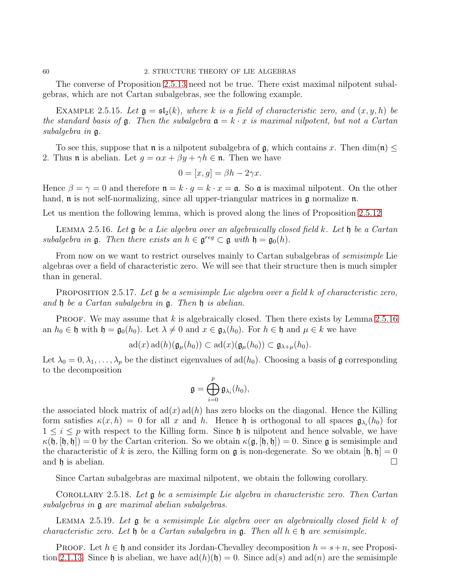The converse of Proposition 2.5.[13](#page-61-1) need not be true. There exist maximal nilpotent subalgebras, which are not Cartan subalgebras, see the following example.

EXAMPLE 2.5.15. Let  $\mathfrak{g} = \mathfrak{sl}_2(k)$ , where k is a field of characteristic zero, and  $(x, y, h)$  be the standard basis of  $\mathfrak g$ . Then the subalgebra  $\mathfrak a = k \cdot x$  is maximal nilpotent, but not a Cartan subalgebra in g.

To see this, suppose that **n** is a nilpotent subalgebra of **g**, which contains x. Then dim(**n**)  $\leq$ 2. Thus **n** is abelian. Let  $g = \alpha x + \beta y + \gamma h \in \mathfrak{n}$ . Then we have

$$
0 = [x, g] = \beta h - 2\gamma x.
$$

Hence  $\beta = \gamma = 0$  and therefore  $\mathfrak{n} = k \cdot g = k \cdot x = \mathfrak{a}$ . So  $\mathfrak{a}$  is maximal nilpotent. On the other hand,  $\mathfrak n$  is not self-normalizing, since all upper-triangular matrices in  $\mathfrak g$  normalize  $\mathfrak n$ .

Let us mention the following lemma, which is proved along the lines of Proposition 2.5.[12](#page-61-2)

<span id="page-62-0"></span>LEMMA 2.5.16. Let  $\mathfrak g$  be a Lie algebra over an algebraically closed field k. Let  $\mathfrak h$  be a Cartan subalgebra in  $\mathfrak{g}$ . Then there exists an  $h \in \mathfrak{g}^{reg} \subset \mathfrak{g}$  with  $\mathfrak{h} = \mathfrak{g}_0(h)$ .

From now on we want to restrict ourselves mainly to Cartan subalgebras of *semisimple* Lie algebras over a field of characteristic zero. We will see that their structure then is much simpler than in general.

<span id="page-62-1"></span>PROPOSITION 2.5.17. Let  $\mathfrak g$  be a semisimple Lie algebra over a field k of characteristic zero, and h be a Cartan subalgebra in g. Then h is abelian.

**PROOF.** We may assume that k is algebraically closed. Then there exists by Lemma 2.5.[16](#page-62-0) an  $h_0 \in \mathfrak{h}$  with  $\mathfrak{h} = \mathfrak{g}_0(h_0)$ . Let  $\lambda \neq 0$  and  $x \in \mathfrak{g}_{\lambda}(h_0)$ . For  $h \in \mathfrak{h}$  and  $\mu \in k$  we have

 $\operatorname{ad}(x) \operatorname{ad}(h)({\mathfrak{g}}_{\mu}(h_0)) \subset \operatorname{ad}(x)({\mathfrak{g}}_{\mu}(h_0)) \subset {\mathfrak{g}}_{\lambda+\mu}(h_0).$ 

Let  $\lambda_0 = 0, \lambda_1, \ldots, \lambda_p$  be the distinct eigenvalues of ad( $h_0$ ). Choosing a basis of g corresponding to the decomposition

$$
\mathfrak{g}=\bigoplus_{i=0}^p\mathfrak{g}_{\lambda_i}(h_0),
$$

the associated block matrix of  $ad(x) ad(h)$  has zero blocks on the diagonal. Hence the Killing form satisfies  $\kappa(x,h) = 0$  for all x and h. Hence h is orthogonal to all spaces  $\mathfrak{g}_{\lambda_i}(h_0)$  for  $1 \leq i \leq p$  with respect to the Killing form. Since  $\mathfrak h$  is nilpotent and hence solvable, we have  $\kappa(\mathfrak{h}, [\mathfrak{h}, \mathfrak{h}]) = 0$  by the Cartan criterion. So we obtain  $\kappa(\mathfrak{g}, [\mathfrak{h}, \mathfrak{h}]) = 0$ . Since  $\mathfrak{g}$  is semisimple and the characteristic of k is zero, the Killing form on  $\mathfrak g$  is non-degenerate. So we obtain  $[\mathfrak h, \mathfrak h] = 0$ and h is abelian.  $\square$ 

Since Cartan subalgebras are maximal nilpotent, we obtain the following corollary.

Corollary 2.5.18. Let g be a semisimple Lie algebra in characteristic zero. Then Cartan subalgebras in g are maximal abelian subalgebras.

<span id="page-62-2"></span>LEMMA 2.5.19. Let **g** be a semisimple Lie algebra over an algebraically closed field k of characteristic zero. Let  $\mathfrak h$  be a Cartan subalgebra in  $\mathfrak g$ . Then all  $h \in \mathfrak h$  are semisimple.

**PROOF.** Let  $h \in \mathfrak{h}$  and consider its Jordan-Chevalley decomposition  $h = s + n$ , see Proposi-tion 2.1.[13.](#page-43-0) Since h is abelian, we have  $ad(h)(h) = 0$ . Since  $ad(s)$  and  $ad(n)$  are the semisimple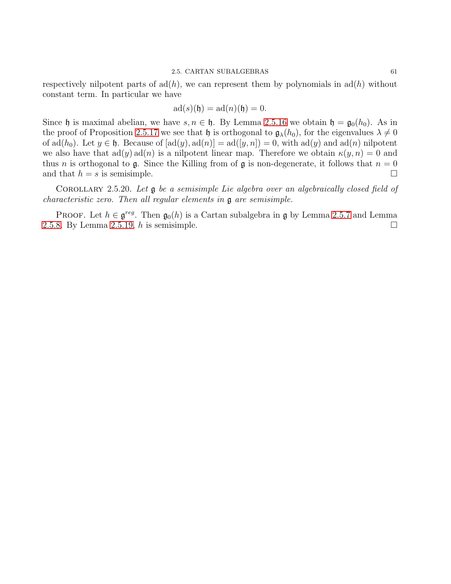$$
ad(s)(\mathfrak{h}) = ad(n)(\mathfrak{h}) = 0.
$$

Since h is maximal abelian, we have  $s, n \in \mathfrak{h}$ . By Lemma 2.5.[16](#page-62-0) we obtain  $\mathfrak{h} = \mathfrak{g}_0(h_0)$ . As in the proof of Proposition 2.5.[17](#page-62-1) we see that h is orthogonal to  $\mathfrak{g}_{\lambda}(h_0)$ , for the eigenvalues  $\lambda \neq 0$ of  $ad(h_0)$ . Let  $y \in \mathfrak{h}$ . Because of  $[ad(y), ad(n)] = ad([y, n]) = 0$ , with  $ad(y)$  and  $ad(n)$  nilpotent we also have that  $\text{ad}(y) \text{ad}(n)$  is a nilpotent linear map. Therefore we obtain  $\kappa(y, n) = 0$  and thus *n* is orthogonal to **g**. Since the Killing from of **g** is non-degenerate, it follows that  $n = 0$ and that  $h = s$  is semisimple.

Corollary 2.5.20. Let g be a semisimple Lie algebra over an algebraically closed field of characteristic zero. Then all regular elements in g are semisimple.

PROOF. Let  $h \in \mathfrak{g}^{reg}$ . Then  $\mathfrak{g}_0(h)$  is a Cartan subalgebra in  $\mathfrak{g}$  by Lemma [2](#page-60-0).5.7 and Lemma 2.5.[8.](#page-60-1) By Lemma 2.5.[19,](#page-62-2) h is semisimple.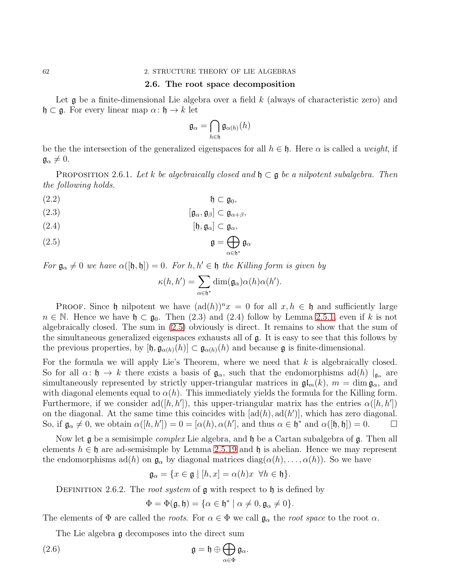### 2.6. The root space decomposition

Let  $\mathfrak g$  be a finite-dimensional Lie algebra over a field k (always of characteristic zero) and  $\mathfrak{h} \subset \mathfrak{g}$ . For every linear map  $\alpha: \mathfrak{h} \to k$  let

$$
\mathfrak{g}_{\alpha} = \bigcap_{h \in \mathfrak{h}} \mathfrak{g}_{\alpha(h)}(h)
$$

be the the intersection of the generalized eigenspaces for all  $h \in \mathfrak{h}$ . Here  $\alpha$  is called a *weight*, if  $\mathfrak{g}_{\alpha}\neq 0.$ 

<span id="page-64-2"></span>PROPOSITION 2.6.1. Let k be algebraically closed and  $\mathfrak{h} \subset \mathfrak{g}$  be a nilpotent subalgebra. Then the following holds.

(2.2) h ⊂ g0,

<span id="page-64-3"></span>
$$
[\mathfrak{g}_{\alpha},\mathfrak{g}_{\beta}]\subset \mathfrak{g}_{\alpha+\beta},
$$

$$
(2.4) \t\t\t [f, \mathfrak{g}_{\alpha}] \subset \mathfrak{g}_{\alpha},
$$

<span id="page-64-0"></span>(2.5) 
$$
\mathfrak{g} = \bigoplus_{\alpha \in \mathfrak{h}^*} \mathfrak{g}_{\alpha}
$$

For  $\mathfrak{g}_{\alpha} \neq 0$  we have  $\alpha([\mathfrak{h}, \mathfrak{h}]) = 0$ . For  $h, h' \in \mathfrak{h}$  the Killing form is given by

$$
\kappa(h,h') = \sum_{\alpha \in \mathfrak{h}^*} \dim(\mathfrak{g}_{\alpha}) \alpha(h) \alpha(h').
$$

**PROOF.** Since h nilpotent we have  $(\text{ad}(h))^n x = 0$  for all  $x, h \in \mathfrak{h}$  and sufficiently large  $n \in \mathbb{N}$ . Hence we have  $\mathfrak{h} \subset \mathfrak{g}_0$ . Then (2.3) and (2.4) follow by Lemma [2](#page-58-0).5.1, even if k is not algebraically closed. The sum in [\(2.5\)](#page-64-0) obviously is direct. It remains to show that the sum of the simultaneous generalized eigenspaces exhausts all of g. It is easy to see that this follows by the previous properties, by  $[\mathfrak{h}, \mathfrak{g}_{\alpha(h)}(h)] \subset \mathfrak{g}_{\alpha(h)}(h)$  and because  $\mathfrak{g}$  is finite-dimensional.

For the formula we will apply Lie's Theorem, where we need that  $k$  is algebraically closed. So for all  $\alpha: \mathfrak{h} \to k$  there exists a basis of  $\mathfrak{g}_{\alpha}$ , such that the endomorphisms ad(h)  $|_{\mathfrak{g}_{\alpha}}$  are simultaneously represented by strictly upper-triangular matrices in  $\mathfrak{gl}_m(k)$ ,  $m = \dim \mathfrak{g}_{\alpha}$ , and with diagonal elements equal to  $\alpha(h)$ . This immediately yields the formula for the Killing form. Furthermore, if we consider  $ad([h, h'])$ , this upper-triangular matrix has the entries  $\alpha([h, h'])$ on the diagonal. At the same time this coincides with  $[\text{ad}(h), \text{ad}(h')]$ , which has zero diagonal. So, if  $\mathfrak{g}_{\alpha} \neq 0$ , we obtain  $\alpha([h, h']) = 0 = [\alpha(h), \alpha(h'], \text{ and thus } \alpha \in \mathfrak{h}^* \text{ and } \alpha([\mathfrak{h}, \mathfrak{h}]) = 0.$   $\Box$ 

Now let  $\mathfrak g$  be a semisimple *complex* Lie algebra, and  $\mathfrak h$  be a Cartan subalgebra of  $\mathfrak g$ . Then all elements  $h \in \mathfrak{h}$  are ad-semisimple by Lemma 2.5.[19](#page-62-2) and  $\mathfrak{h}$  is abelian. Hence we may represent the endomorphisms ad(h) on  $\mathfrak{g}_{\alpha}$  by diagonal matrices diag( $\alpha(h), \ldots, \alpha(h)$ ). So we have

$$
\mathfrak{g}_{\alpha} = \{ x \in \mathfrak{g} \mid [h, x] = \alpha(h)x \ \forall h \in \mathfrak{h} \}.
$$

DEFINITION 2.6.2. The root system of  $\mathfrak g$  with respect to  $\mathfrak h$  is defined by

<span id="page-64-1"></span>
$$
\Phi = \Phi(\mathfrak{g}, \mathfrak{h}) = \{ \alpha \in \mathfrak{h}^* \mid \alpha \neq 0, \mathfrak{g}_\alpha \neq 0 \}.
$$

The elements of  $\Phi$  are called the *roots*. For  $\alpha \in \Phi$  we call  $\mathfrak{g}_{\alpha}$  the *root space* to the root  $\alpha$ .

The Lie algebra g decomposes into the direct sum

(2.6) 
$$
\mathfrak{g} = \mathfrak{h} \oplus \bigoplus_{\alpha \in \Phi} \mathfrak{g}_{\alpha}.
$$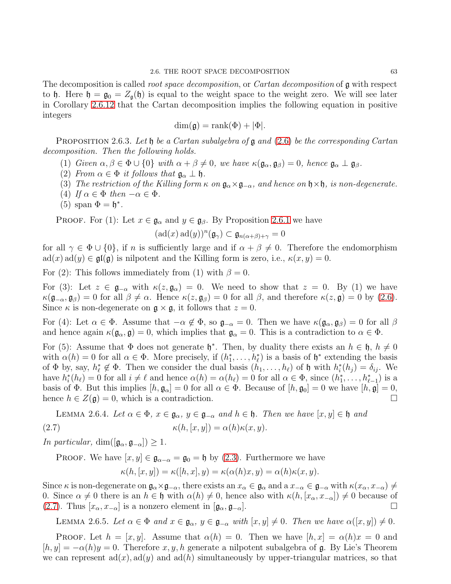The decomposition is called *root space decomposition*, or *Cartan decomposition* of **g** with respect to h. Here  $\mathfrak{h} = \mathfrak{g}_0 = Z_{\mathfrak{g}}(\mathfrak{h})$  is equal to the weight space to the weight zero. We will see later in Corollary 2.6.[12](#page-67-0) that the Cartan decomposition implies the following equation in positive integers

$$
\dim(\mathfrak{g}) = \text{rank}(\Phi) + |\Phi|.
$$

PROPOSITION 2.6.3. Let  $\mathfrak h$  be a Cartan subalgebra of  $\mathfrak g$  and  $(2.6)$  be the corresponding Cartan decomposition. Then the following holds.

- (1) Given  $\alpha, \beta \in \Phi \cup \{0\}$  with  $\alpha + \beta \neq 0$ , we have  $\kappa(\mathfrak{g}_{\alpha}, \mathfrak{g}_{\beta}) = 0$ , hence  $\mathfrak{g}_{\alpha} \perp \mathfrak{g}_{\beta}$ .
- (2) From  $\alpha \in \Phi$  it follows that  $\mathfrak{g}_{\alpha} \perp \mathfrak{h}$ .
- (3) The restriction of the Killing form  $\kappa$  on  $\mathfrak{g}_{\alpha} \times \mathfrak{g}_{-\alpha}$ , and hence on  $\mathfrak{h} \times \mathfrak{h}$ , is non-degenerate.
- (4) If  $\alpha \in \Phi$  then  $-\alpha \in \Phi$ .
- (5) span  $\Phi = \mathfrak{h}^*$ .

**PROOF.** For (1): Let  $x \in \mathfrak{g}_{\alpha}$  and  $y \in \mathfrak{g}_{\beta}$ . By Proposition [2](#page-64-2).6.1 we have

$$
(\operatorname{ad}(x)\operatorname{ad}(y))^n(\mathfrak{g}_\gamma) \subset \mathfrak{g}_{n(\alpha+\beta)+\gamma} = 0
$$

for all  $\gamma \in \Phi \cup \{0\}$ , if n is sufficiently large and if  $\alpha + \beta \neq 0$ . Therefore the endomorphism  $ad(x) ad(y) \in \mathfrak{gl}(\mathfrak{g})$  is nilpotent and the Killing form is zero, i.e.,  $\kappa(x, y) = 0$ .

For (2): This follows immediately from (1) with  $\beta = 0$ .

For (3): Let  $z \in \mathfrak{g}_{-\alpha}$  with  $\kappa(z, \mathfrak{g}_{\alpha}) = 0$ . We need to show that  $z = 0$ . By (1) we have  $\kappa(\mathfrak{g}_{-\alpha}, \mathfrak{g}_{\beta})=0$  for all  $\beta\neq\alpha$ . Hence  $\kappa(z, \mathfrak{g}_{\beta})=0$  for all  $\beta$ , and therefore  $\kappa(z, \mathfrak{g})=0$  by [\(2.6\)](#page-64-1). Since  $\kappa$  is non-degenerate on  $\mathfrak{g} \times \mathfrak{g}$ , it follows that  $z = 0$ .

For (4): Let  $\alpha \in \Phi$ . Assume that  $-\alpha \notin \Phi$ , so  $\mathfrak{g}_{-\alpha} = 0$ . Then we have  $\kappa(\mathfrak{g}_{\alpha}, \mathfrak{g}_{\beta}) = 0$  for all  $\beta$ and hence again  $\kappa(\mathfrak{g}_{\alpha}, \mathfrak{g}) = 0$ , which implies that  $\mathfrak{g}_{\alpha} = 0$ . This is a contradiction to  $\alpha \in \Phi$ .

For (5): Assume that  $\Phi$  does not generate  $\mathfrak{h}^*$ . Then, by duality there exists an  $h \in \mathfrak{h}$ ,  $h \neq 0$ with  $\alpha(h) = 0$  for all  $\alpha \in \Phi$ . More precisely, if  $(h_1^*, \ldots, h_\ell^*)$  is a basis of  $\mathfrak{h}^*$  extending the basis of  $\Phi$  by, say,  $h_{\ell}^* \notin \Phi$ . Then we consider the dual basis  $(h_1, \ldots, h_{\ell})$  of  $\mathfrak{h}$  with  $h_i^*(h_j) = \delta_{ij}$ . We have  $h_i^*(h_\ell) = 0$  for all  $i \neq \ell$  and hence  $\alpha(h) = \alpha(h_\ell) = 0$  for all  $\alpha \in \Phi$ , since  $(h_1^*, \ldots, h_{\ell-1}^*)$  is a basis of  $\Phi$ . But this implies  $[h, \mathfrak{g}_{\alpha}] = 0$  for all  $\alpha \in \Phi$ . Because of  $[h, \mathfrak{g}_0] = 0$  we have  $[h, \mathfrak{g}] = 0$ , hence  $h \in Z(\mathfrak{a}) = 0$  which is a contradiction hence  $h \in Z(\mathfrak{g}) = 0$ , which is a contradiction.

<span id="page-65-1"></span><span id="page-65-0"></span>LEMMA 2.6.4. Let 
$$
\alpha \in \Phi
$$
,  $x \in \mathfrak{g}_{\alpha}$ ,  $y \in \mathfrak{g}_{-\alpha}$  and  $h \in \mathfrak{h}$ . Then we have  $[x, y] \in \mathfrak{h}$  and  $\kappa(h, [x, y]) = \alpha(h)\kappa(x, y)$ .

In particular, dim( $[\mathfrak{g}_{\alpha}, \mathfrak{g}_{-\alpha}]$ ) ≥ 1.

**PROOF.** We have  $[x, y] \in \mathfrak{g}_{\alpha-\alpha} = \mathfrak{g}_0 = \mathfrak{h}$  by [\(2.3\)](#page-64-3). Furthermore we have

$$
\kappa(h,[x,y]) = \kappa([h,x],y) = \kappa(\alpha(h)x,y) = \alpha(h)\kappa(x,y).
$$

Since  $\kappa$  is non-degenerate on  $\mathfrak{g}_{\alpha} \times \mathfrak{g}_{-\alpha}$ , there exists an  $x_{\alpha} \in \mathfrak{g}_{\alpha}$  and a  $x_{-\alpha} \in \mathfrak{g}_{-\alpha}$  with  $\kappa(x_{\alpha}, x_{-\alpha}) \neq \alpha$ 0. Since  $\alpha \neq 0$  there is an  $h \in \mathfrak{h}$  with  $\alpha(h) \neq 0$ , hence also with  $\kappa(h, [x_\alpha, x_{-\alpha}]) \neq 0$  because of (2.7). Thus  $[x_\alpha, x_{-\alpha}]$  is a nonzero element in  $[\alpha_\alpha, \alpha_{-\alpha}]$ . □ [\(2.7\)](#page-65-0). Thus  $[x_{\alpha}, x_{-\alpha}]$  is a nonzero element in  $[\mathfrak{g}_{\alpha}, \mathfrak{g}_{-\alpha}]$ .

<span id="page-65-2"></span>LEMMA 2.6.5. Let  $\alpha \in \Phi$  and  $x \in \mathfrak{g}_{\alpha}, y \in \mathfrak{g}_{-\alpha}$  with  $[x, y] \neq 0$ . Then we have  $\alpha([x, y]) \neq 0$ .

**PROOF.** Let  $h = [x, y]$ . Assume that  $\alpha(h) = 0$ . Then we have  $[h, x] = \alpha(h)x = 0$  and  $[h, y] = -\alpha(h)y = 0$ . Therefore x, y, h generate a nilpotent subalgebra of g. By Lie's Theorem we can represent  $ad(x)$ ,  $ad(y)$  and  $ad(h)$  simultaneously by upper-triangular matrices, so that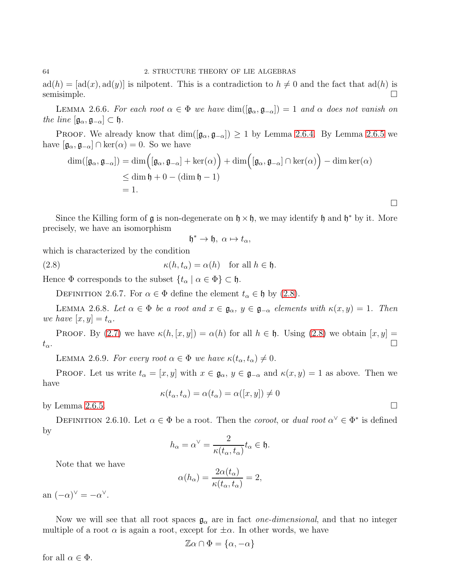$ad(h) = [ad(x), ad(y)]$  is nilpotent. This is a contradiction to  $h \neq 0$  and the fact that  $ad(h)$  is semisimple. semisimple.  $\Box$ 

LEMMA 2.6.6. For each root  $\alpha \in \Phi$  we have  $\dim([\mathfrak{g}_{\alpha}, \mathfrak{g}_{-\alpha}]) = 1$  and  $\alpha$  does not vanish on the line  $[\mathfrak{g}_{\alpha}, \mathfrak{g}_{-\alpha}] \subset \mathfrak{h}$ .

PROOF. We already know that  $\dim([\mathfrak{g}_{\alpha}, \mathfrak{g}_{-\alpha}]) \geq 1$  by Lemma [2](#page-65-2).6.4. By Lemma 2.6.5 we have  $[\mathfrak{g}_{\alpha}, \mathfrak{g}_{-\alpha}] \cap \text{ker}(\alpha) = 0$ . So we have

$$
\dim([\mathfrak{g}_{\alpha}, \mathfrak{g}_{-\alpha}]) = \dim([\mathfrak{g}_{\alpha}, \mathfrak{g}_{-\alpha}] + \ker(\alpha)) + \dim([\mathfrak{g}_{\alpha}, \mathfrak{g}_{-\alpha}] \cap \ker(\alpha)) - \dim \ker(\alpha)
$$
  
\n
$$
\leq \dim \mathfrak{h} + 0 - (\dim \mathfrak{h} - 1)
$$
  
\n
$$
= 1.
$$

Since the Killing form of  $\mathfrak g$  is non-degenerate on  $\mathfrak h \times \mathfrak h$ , we may identify  $\mathfrak h$  and  $\mathfrak h^*$  by it. More precisely, we have an isomorphism

$$
\mathfrak{h}^*\to\mathfrak{h},\ \alpha\mapsto t_\alpha,
$$

which is characterized by the condition

<span id="page-66-0"></span>(2.8) 
$$
\kappa(h, t_\alpha) = \alpha(h) \text{ for all } h \in \mathfrak{h}.
$$

Hence  $\Phi$  corresponds to the subset  $\{t_\alpha \mid \alpha \in \Phi\} \subset \mathfrak{h}$ .

DEFINITION 2.6.7. For  $\alpha \in \Phi$  define the element  $t_{\alpha} \in \mathfrak{h}$  by [\(2.8\)](#page-66-0).

LEMMA 2.6.8. Let  $\alpha \in \Phi$  be a root and  $x \in \mathfrak{g}_{\alpha}, y \in \mathfrak{g}_{-\alpha}$  elements with  $\kappa(x, y) = 1$ . Then we have  $[x, y] = t_{\alpha}$ .

PROOF. By [\(2.7\)](#page-65-0) we have  $\kappa(h, [x, y]) = \alpha(h)$  for all  $h \in \mathfrak{h}$ . Using [\(2.8\)](#page-66-0) we obtain  $[x, y] = \square$  $t_{\alpha}$ .

LEMMA 2.6.9. For every root  $\alpha \in \Phi$  we have  $\kappa(t_{\alpha}, t_{\alpha}) \neq 0$ .

PROOF. Let us write  $t_{\alpha} = [x, y]$  with  $x \in \mathfrak{g}_{\alpha}, y \in \mathfrak{g}_{-\alpha}$  and  $\kappa(x, y) = 1$  as above. Then we have

$$
\kappa(t_{\alpha}, t_{\alpha}) = \alpha(t_{\alpha}) = \alpha([x, y]) \neq 0
$$

by Lemma [2](#page-65-2).6.5.  $\Box$ 

DEFINITION 2.6.10. Let  $\alpha \in \Phi$  be a root. Then the *coroot*, or *dual root*  $\alpha^{\vee} \in \Phi^*$  is defined by

$$
h_{\alpha} = \alpha^{\vee} = \frac{2}{\kappa(t_{\alpha}, t_{\alpha})} t_{\alpha} \in \mathfrak{h}.
$$

Note that we have

$$
\alpha(h_{\alpha}) = \frac{2\alpha(t_{\alpha})}{\kappa(t_{\alpha}, t_{\alpha})} = 2,
$$

an  $(-\alpha)^{\vee} = -\alpha^{\vee}$ .

Now we will see that all root spaces  $\mathfrak{g}_{\alpha}$  are in fact *one-dimensional*, and that no integer multiple of a root  $\alpha$  is again a root, except for  $\pm \alpha$ . In other words, we have

$$
\mathbb{Z}\alpha \cap \Phi = \{\alpha, -\alpha\}
$$

for all  $\alpha \in \Phi$ .

 $\Box$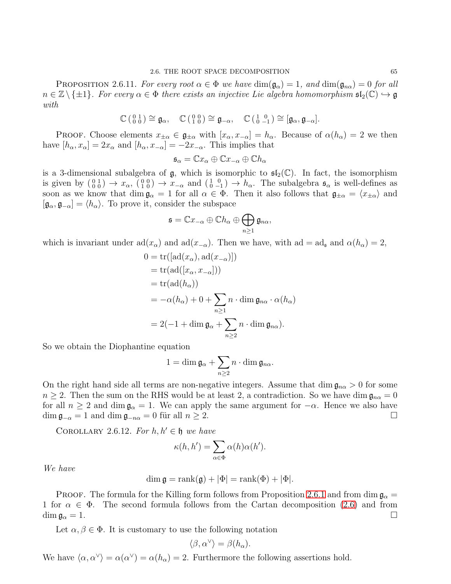<span id="page-67-1"></span>PROPOSITION 2.6.11. For every root  $\alpha \in \Phi$  we have  $\dim(\mathfrak{g}_{\alpha}) = 1$ , and  $\dim(\mathfrak{g}_{n\alpha}) = 0$  for all  $n \in \mathbb{Z} \setminus \{\pm 1\}$ . For every  $\alpha \in \Phi$  there exists an injective Lie algebra homomorphism  $\mathfrak{sl}_2(\mathbb{C}) \hookrightarrow \mathfrak{g}$ with

$$
\mathbb{C}\left(\begin{smallmatrix}0&1\\0&0\end{smallmatrix}\right)\cong\mathfrak{g}_{\alpha},\quad\mathbb{C}\left(\begin{smallmatrix}0&0\\1&0\end{smallmatrix}\right)\cong\mathfrak{g}_{-\alpha},\quad\mathbb{C}\left(\begin{smallmatrix}1&0\\0&-1\end{smallmatrix}\right)\cong[\mathfrak{g}_{\alpha},\mathfrak{g}_{-\alpha}].
$$

PROOF. Choose elements  $x_{\pm\alpha} \in \mathfrak{g}_{\pm\alpha}$  with  $[x_{\alpha}, x_{-\alpha}] = h_{\alpha}$ . Because of  $\alpha(h_{\alpha}) = 2$  we then have  $[h_{\alpha}, x_{\alpha}] = 2x_{\alpha}$  and  $[h_{\alpha}, x_{-\alpha}] = -2x_{-\alpha}$ . This implies that

$$
\mathfrak{s}_{\alpha} = \mathbb{C}x_{\alpha} \oplus \mathbb{C}x_{-\alpha} \oplus \mathbb{C}h_{\alpha}
$$

is a 3-dimensional subalgebra of  $\mathfrak{g}$ , which is isomorphic to  $\mathfrak{sl}_2(\mathbb{C})$ . In fact, the isomorphism is given by  $\begin{pmatrix} 0 & 1 \\ 0 & 0 \end{pmatrix} \rightarrow x_{\alpha}$ ,  $\begin{pmatrix} 0 & 0 \\ 1 & 0 \end{pmatrix} \rightarrow x_{-\alpha}$  and  $\begin{pmatrix} 1 & 0 \\ 0 & -1 \end{pmatrix} \rightarrow h_{\alpha}$ . The subalgebra  $\mathfrak{s}_{\alpha}$  is well-defines as soon as we know that dim  $\mathfrak{g}_{\alpha} = 1$  for all  $\alpha \in \Phi$ . Then it also follows that  $\mathfrak{g}_{\pm \alpha} = \langle x_{\pm \alpha} \rangle$  and  $[\mathfrak{g}_{\alpha}, \mathfrak{g}_{-\alpha}] = \langle h_{\alpha} \rangle$ . To prove it, consider the subspace

$$
\mathfrak{s}=\mathbb{C}x_{-\alpha}\oplus \mathbb{C}h_{\alpha}\oplus \bigoplus_{n\geq 1}\mathfrak{g}_{n\alpha},
$$

which is invariant under  $\text{ad}(x_{\alpha})$  and  $\text{ad}(x_{-\alpha})$ . Then we have, with  $\text{ad} = \text{ad}_{\mathfrak{s}}$  and  $\alpha(h_{\alpha}) = 2$ ,

$$
0 = \text{tr}([\text{ad}(x_{\alpha}), \text{ad}(x_{-\alpha})])
$$
  
= 
$$
\text{tr}(\text{ad}([x_{\alpha}, x_{-\alpha}]))
$$
  
= 
$$
\text{tr}(\text{ad}(h_{\alpha}))
$$
  
= 
$$
-\alpha(h_{\alpha}) + 0 + \sum_{n \ge 1} n \cdot \dim \mathfrak{g}_{n\alpha} \cdot \alpha(h_{\alpha})
$$
  
= 
$$
2(-1 + \dim \mathfrak{g}_{\alpha} + \sum_{n \ge 2} n \cdot \dim \mathfrak{g}_{n\alpha}).
$$

So we obtain the Diophantine equation

$$
1=\dim\mathfrak{g}_{\alpha}+\sum_{n\geq2}n\cdot\dim\mathfrak{g}_{n\alpha}.
$$

On the right hand side all terms are non-negative integers. Assume that dim  $\mathfrak{g}_{n\alpha} > 0$  for some  $n \geq 2$ . Then the sum on the RHS would be at least 2, a contradiction. So we have dim  $\mathfrak{g}_{n\alpha} = 0$ for all  $n \ge 2$  and dim  $\mathfrak{g}_{\alpha} = 1$ . We can apply the same argument for  $-\alpha$ . Hence we also have dim  $\mathfrak{g}_{-\alpha} = 1$  and dim  $\mathfrak{g}_{-\alpha} = 0$  für all  $n > 2$ .  $\dim \mathfrak{g}_{-\alpha} = 1$  and  $\dim \mathfrak{g}_{-n\alpha} = 0$  für all  $n \geq 2$ .

<span id="page-67-0"></span>COROLLARY 2.6.12. For  $h, h' \in \mathfrak{h}$  we have

$$
\kappa(h, h') = \sum_{\alpha \in \Phi} \alpha(h)\alpha(h').
$$

We have

$$
\dim \mathfrak{g} = \text{rank}(\mathfrak{g}) + |\Phi| = \text{rank}(\Phi) + |\Phi|.
$$

PROOF. The formula for the Killing form follows from Proposition [2](#page-64-2).6.1 and from dim  $\mathfrak{g}_{\alpha} =$ 1 for  $\alpha \in \Phi$ . The second formula follows from the Cartan decomposition [\(2.6\)](#page-64-1) and from dim  $\mathfrak{g}_{\alpha} = 1$ .  $\dim \mathfrak{g}_\alpha = 1.$ 

Let  $\alpha, \beta \in \Phi$ . It is customary to use the following notation

$$
\langle \beta, \alpha^{\vee} \rangle = \beta(h_{\alpha}).
$$

We have  $\langle \alpha, \alpha^{\vee} \rangle = \alpha(\alpha^{\vee}) = \alpha(h_{\alpha}) = 2$ . Furthermore the following assertions hold.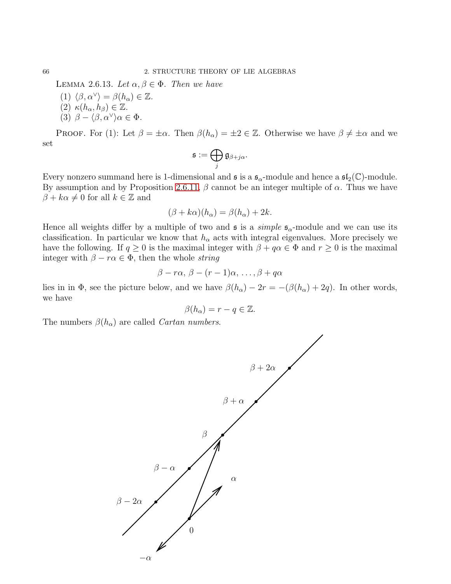LEMMA 2.6.13. Let  $\alpha, \beta \in \Phi$ . Then we have

- (1)  $\langle \beta, \alpha^{\vee} \rangle = \beta(h_{\alpha}) \in \mathbb{Z}$ . (2)  $\kappa(h_\alpha, h_\beta) \in \mathbb{Z}$ .
- (3)  $\beta \langle \beta, \alpha^{\vee} \rangle \alpha \in \Phi$ .

PROOF. For (1): Let  $\beta = \pm \alpha$ . Then  $\beta(h_{\alpha}) = \pm 2 \in \mathbb{Z}$ . Otherwise we have  $\beta \neq \pm \alpha$  and we set

$$
\mathfrak{s}:=\bigoplus_j \mathfrak{g}_{\beta+j\alpha}.
$$

Every nonzero summand here is 1-dimensional and  $\mathfrak{s}$  is a  $\mathfrak{s}_{\alpha}$ -module and hence a  $\mathfrak{sl}_2(\mathbb{C})$ -module. By assumption and by Proposition 2.6.[11,](#page-67-1)  $\beta$  cannot be an integer multiple of  $\alpha$ . Thus we have  $\beta + k\alpha \neq 0$  for all  $k \in \mathbb{Z}$  and

$$
(\beta + k\alpha)(h_{\alpha}) = \beta(h_{\alpha}) + 2k.
$$

Hence all weights differ by a multiple of two and  $\frak{s}$  is a *simple*  $\frak{s}_{\alpha}$ -module and we can use its classification. In particular we know that  $h_{\alpha}$  acts with integral eigenvalues. More precisely we have the following. If  $q \geq 0$  is the maximal integer with  $\beta + q\alpha \in \Phi$  and  $r \geq 0$  is the maximal integer with  $\beta - r\alpha \in \Phi$ , then the whole *string* 

$$
\beta - r\alpha, \, \beta - (r-1)\alpha, \, \dots, \beta + q\alpha
$$

lies in in Φ, see the picture below, and we have  $\beta(h_{\alpha}) - 2r = -(\beta(h_{\alpha}) + 2q)$ . In other words, we have

$$
\beta(h_{\alpha})=r-q\in\mathbb{Z}.
$$

The numbers  $\beta(h_{\alpha})$  are called *Cartan numbers*.



<span id="page-68-0"></span>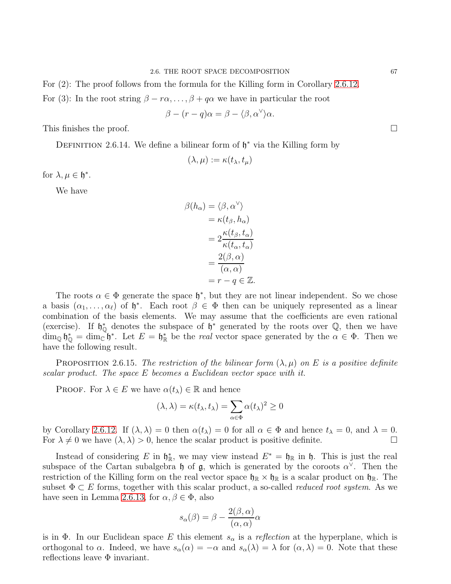For (2): The proof follows from the formula for the Killing form in Corollary 2.6.[12.](#page-67-0)

For (3): In the root string  $\beta - r\alpha, \ldots, \beta + q\alpha$  we have in particular the root

$$
\beta - (r - q)\alpha = \beta - \langle \beta, \alpha^{\vee} \rangle \alpha.
$$

This finishes the proof.  $\square$ 

DEFINITION 2.6.14. We define a bilinear form of  $\mathfrak{h}^*$  via the Killing form by

$$
(\lambda,\mu):=\kappa(t_\lambda,t_\mu)
$$

for  $\lambda, \mu \in \mathfrak{h}^*$ .

We have

$$
\beta(h_{\alpha}) = \langle \beta, \alpha^{\vee} \rangle
$$
  
=  $\kappa(t_{\beta}, h_{\alpha})$   
=  $2 \frac{\kappa(t_{\beta}, t_{\alpha})}{\kappa(t_{\alpha}, t_{\alpha})}$   
=  $\frac{2(\beta, \alpha)}{(\alpha, \alpha)}$   
=  $r - q \in \mathbb{Z}$ .

The roots  $\alpha \in \Phi$  generate the space  $\mathfrak{h}^*$ , but they are not linear independent. So we chose a basis  $(\alpha_1, \ldots, \alpha_\ell)$  of  $\mathfrak{h}^*$ . Each root  $\beta \in \Phi$  then can be uniquely represented as a linear combination of the basis elements. We may assume that the coefficients are even rational (exercise). If  $\mathfrak{h}_{\mathbb{Q}}^*$  denotes the subspace of  $\mathfrak{h}^*$  generated by the roots over  $\mathbb{Q}$ , then we have  $\dim_{\mathbb{Q}} \mathfrak{h}_{\mathbb{Q}}^* = \dim_{\mathbb{C}} \mathfrak{h}^*$ . Let  $E = \mathfrak{h}_{\mathbb{R}}^*$  be the *real* vector space generated by the  $\alpha \in \Phi$ . Then we have the following result.

PROPOSITION 2.6.15. The restriction of the bilinear form  $(\lambda, \mu)$  on E is a positive definite scalar product. The space E becomes a Euclidean vector space with it.

**PROOF.** For  $\lambda \in E$  we have  $\alpha(t_\lambda) \in \mathbb{R}$  and hence

$$
(\lambda, \lambda) = \kappa(t_{\lambda}, t_{\lambda}) = \sum_{\alpha \in \Phi} \alpha(t_{\lambda})^2 \ge 0
$$

by Corollary 2.6.[12.](#page-67-0) If  $(\lambda, \lambda) = 0$  then  $\alpha(t_\lambda) = 0$  for all  $\alpha \in \Phi$  and hence  $t_\lambda = 0$ , and  $\lambda = 0$ .<br>For  $\lambda \neq 0$  we have  $(\lambda, \lambda) > 0$ , hence the scalar product is positive definite. For  $\lambda \neq 0$  we have  $(\lambda, \lambda) > 0$ , hence the scalar product is positive definite.

Instead of considering E in  $\mathfrak{h}_{\mathbb{R}}^*$ , we may view instead  $E^* = \mathfrak{h}_{\mathbb{R}}$  in  $\mathfrak{h}$ . This is just the real subspace of the Cartan subalgebra  $\mathfrak h$  of  $\mathfrak g$ , which is generated by the coroots  $\alpha^{\vee}$ . Then the restriction of the Killing form on the real vector space  $\mathfrak{h}_{\mathbb{R}} \times \mathfrak{h}_{\mathbb{R}}$  is a scalar product on  $\mathfrak{h}_{\mathbb{R}}$ . The subset  $\Phi \subset E$  forms, together with this scalar product, a so-called *reduced root system*. As we have seen in Lemma 2.6.[13,](#page-68-0) for  $\alpha, \beta \in \Phi$ , also

$$
s_{\alpha}(\beta) = \beta - \frac{2(\beta, \alpha)}{(\alpha, \alpha)}\alpha
$$

is in  $\Phi$ . In our Euclidean space E this element  $s_{\alpha}$  is a reflection at the hyperplane, which is orthogonal to  $\alpha$ . Indeed, we have  $s_{\alpha}(\alpha) = -\alpha$  and  $s_{\alpha}(\lambda) = \lambda$  for  $(\alpha, \lambda) = 0$ . Note that these reflections leave Φ invariant.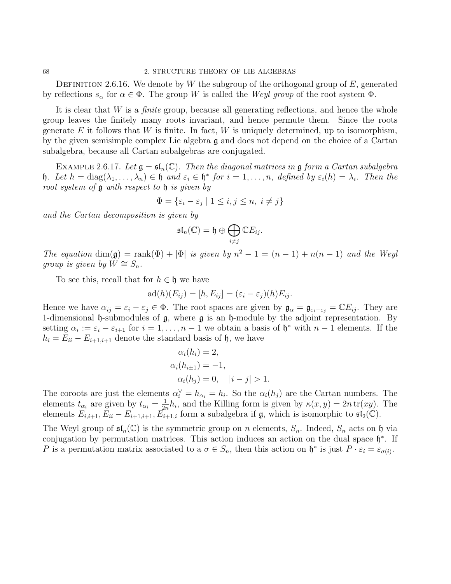DEFINITION 2.6.16. We denote by W the subgroup of the orthogonal group of  $E$ , generated by reflections  $s_\alpha$  for  $\alpha \in \Phi$ . The group W is called the Weyl group of the root system  $\Phi$ .

It is clear that  $W$  is a *finite* group, because all generating reflections, and hence the whole group leaves the finitely many roots invariant, and hence permute them. Since the roots generate E it follows that W is finite. In fact, W is uniquely determined, up to isomorphism, by the given semisimple complex Lie algebra g and does not depend on the choice of a Cartan subalgebra, because all Cartan subalgebras are conjugated.

EXAMPLE 2.6.17. Let  $\mathfrak{g} = \mathfrak{sl}_n(\mathbb{C})$ . Then the diagonal matrices in  $\mathfrak{g}$  form a Cartan subalgebra **h**. Let  $h = \text{diag}(\lambda_1, \ldots, \lambda_n) \in \mathfrak{h}$  and  $\varepsilon_i \in \mathfrak{h}^*$  for  $i = 1, \ldots, n$ , defined by  $\varepsilon_i(h) = \lambda_i$ . Then the root system of g with respect to h is given by

$$
\Phi = \{ \varepsilon_i - \varepsilon_j \mid 1 \le i, j \le n, i \ne j \}
$$

and the Cartan decomposition is given by

$$
\mathfrak{sl}_n(\mathbb{C})=\mathfrak{h}\oplus\bigoplus_{i\neq j}\mathbb{C}E_{ij}.
$$

The equation  $\dim(\mathfrak{g}) = \text{rank}(\Phi) + |\Phi|$  is given by  $n^2 - 1 = (n - 1) + n(n - 1)$  and the Weyl qroup is qiven by  $W \cong S_n$ .

To see this, recall that for  $h \in \mathfrak{h}$  we have

$$
ad(h)(E_{ij}) = [h, E_{ij}] = (\varepsilon_i - \varepsilon_j)(h)E_{ij}.
$$

Hence we have  $\alpha_{ij} = \varepsilon_i - \varepsilon_j \in \Phi$ . The root spaces are given by  $\mathfrak{g}_{\alpha} = \mathfrak{g}_{\varepsilon_i-\varepsilon_j} = \mathbb{C}E_{ij}$ . They are 1-dimensional  $\mathfrak h$ -submodules of  $\mathfrak g$ , where  $\mathfrak g$  is an  $\mathfrak h$ -module by the adjoint representation. By setting  $\alpha_i := \varepsilon_i - \varepsilon_{i+1}$  for  $i = 1, \ldots, n-1$  we obtain a basis of  $\mathfrak{h}^*$  with  $n-1$  elements. If the  $h_i = E_{ii} - E_{i+1,i+1}$  denote the standard basis of  $\mathfrak{h}$ , we have

$$
\alpha_i(h_i) = 2,
$$
  
\n
$$
\alpha_i(h_{i\pm 1}) = -1,
$$
  
\n
$$
\alpha_i(h_j) = 0, \quad |i - j| > 1.
$$

The coroots are just the elements  $\alpha_i^{\vee} = h_{\alpha_i} = h_i$ . So the  $\alpha_i(h_j)$  are the Cartan numbers. The elements  $t_{\alpha_i}$  are given by  $t_{\alpha_i} = \frac{1}{2i}$  $\frac{1}{2n}h_i$ , and the Killing form is given by  $\kappa(x, y) = 2n \operatorname{tr}(xy)$ . The elements  $E_{i,i+1}, E_{ii} - E_{i+1,i+1}, E_{i+1,i}$  form a subalgebra if  $\mathfrak{g}$ , which is isomorphic to  $\mathfrak{sl}_2(\mathbb{C})$ .

The Weyl group of  $\mathfrak{sl}_n(\mathbb{C})$  is the symmetric group on n elements,  $S_n$ . Indeed,  $S_n$  acts on h via conjugation by permutation matrices. This action induces an action on the dual space  $\mathfrak{h}^*$ . If P is a permutation matrix associated to a  $\sigma \in S_n$ , then this action on  $\mathfrak{h}^*$  is just  $P \cdot \varepsilon_i = \varepsilon_{\sigma(i)}$ .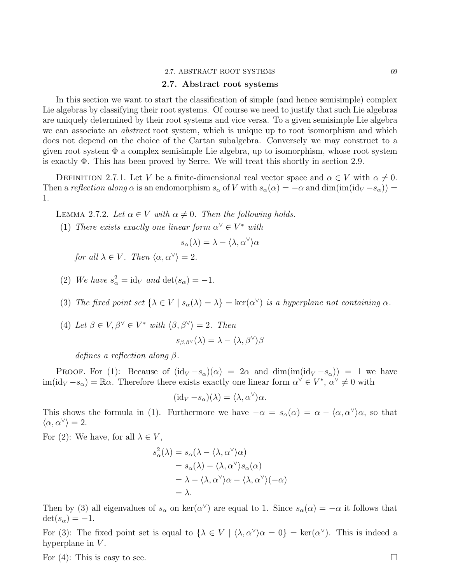#### 2.7. ABSTRACT ROOT SYSTEMS 69

# 2.7. Abstract root systems

In this section we want to start the classification of simple (and hence semisimple) complex Lie algebras by classifying their root systems. Of course we need to justify that such Lie algebras are uniquely determined by their root systems and vice versa. To a given semisimple Lie algebra we can associate an *abstract* root system, which is unique up to root isomorphism and which does not depend on the choice of the Cartan subalgebra. Conversely we may construct to a given root system  $\Phi$  a complex semisimple Lie algebra, up to isomorphism, whose root system is exactly Φ. This has been proved by Serre. We will treat this shortly in section 2.9.

DEFINITION 2.7.1. Let V be a finite-dimensional real vector space and  $\alpha \in V$  with  $\alpha \neq 0$ . Then a reflection along  $\alpha$  is an endomorphism  $s_{\alpha}$  of V with  $s_{\alpha}(\alpha) = -\alpha$  and  $\dim(\text{im}(\text{id}_V - s_{\alpha})) =$ 1.

LEMMA 2.7.2. Let  $\alpha \in V$  with  $\alpha \neq 0$ . Then the following holds.

(1) There exists exactly one linear form  $\alpha^{\vee} \in V^*$  with

$$
s_{\alpha}(\lambda) = \lambda - \langle \lambda, \alpha^{\vee} \rangle \alpha
$$

for all  $\lambda \in V$ . Then  $\langle \alpha, \alpha^{\vee} \rangle = 2$ .

- (2) We have  $s^2_{\alpha} = \text{id}_V$  and  $\det(s_{\alpha}) = -1$ .
- (3) The fixed point set  $\{\lambda \in V \mid s_\alpha(\lambda) = \lambda\} = \ker(\alpha^\vee)$  is a hyperplane not containing  $\alpha$ .
- (4) Let  $\beta \in V, \beta^{\vee} \in V^*$  with  $\langle \beta, \beta^{\vee} \rangle = 2$ . Then

$$
s_{\beta,\beta^{\vee}}(\lambda) = \lambda - \langle \lambda, \beta^{\vee} \rangle \beta
$$

defines a reflection along β.

PROOF. For (1): Because of  $(id_V - s_\alpha)(\alpha) = 2\alpha$  and  $dim(im(id_V - s_\alpha)) = 1$  we have  $\text{im}(\text{id}_V - s_\alpha) = \mathbb{R}\alpha$ . Therefore there exists exactly one linear form  $\alpha^{\vee} \in V^*$ ,  $\alpha^{\vee} \neq 0$  with

$$
(\mathrm{id}_V - s_\alpha)(\lambda) = \langle \lambda, \alpha^\vee \rangle \alpha.
$$

This shows the formula in (1). Furthermore we have  $-\alpha = s_\alpha(\alpha) = \alpha - \langle \alpha, \alpha^\vee \rangle \alpha$ , so that  $\langle \alpha, \alpha^{\vee} \rangle = 2.$ 

For (2): We have, for all  $\lambda \in V$ ,

$$
s_{\alpha}^{2}(\lambda) = s_{\alpha}(\lambda - \langle \lambda, \alpha^{\vee} \rangle \alpha)
$$
  
=  $s_{\alpha}(\lambda) - \langle \lambda, \alpha^{\vee} \rangle s_{\alpha}(\alpha)$   
=  $\lambda - \langle \lambda, \alpha^{\vee} \rangle \alpha - \langle \lambda, \alpha^{\vee} \rangle (-\alpha)$   
=  $\lambda$ .

Then by (3) all eigenvalues of  $s_{\alpha}$  on ker( $\alpha^{\vee}$ ) are equal to 1. Since  $s_{\alpha}(\alpha) = -\alpha$  it follows that  $\det(s_{\alpha})=-1.$ 

For (3): The fixed point set is equal to  $\{\lambda \in V \mid \langle \lambda, \alpha^{\vee} \rangle \alpha = 0\} = \text{ker}(\alpha^{\vee})$ . This is indeed a hyperplane in  $V$ .

For (4): This is easy to see.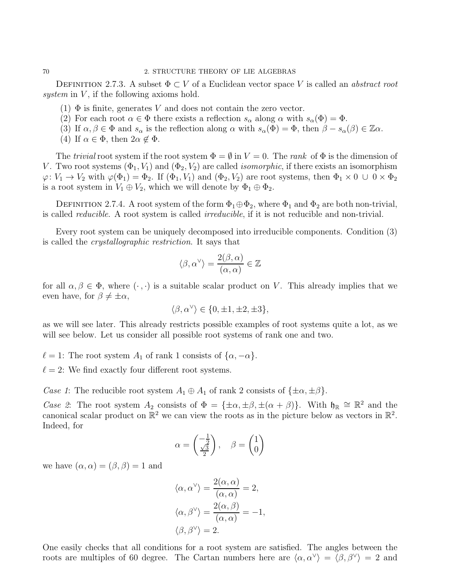DEFINITION 2.7.3. A subset  $\Phi \subset V$  of a Euclidean vector space V is called an *abstract root* system in  $V$ , if the following axioms hold.

- (1)  $\Phi$  is finite, generates V and does not contain the zero vector.
- (2) For each root  $\alpha \in \Phi$  there exists a reflection  $s_{\alpha}$  along  $\alpha$  with  $s_{\alpha}(\Phi) = \Phi$ .
- (3) If  $\alpha, \beta \in \Phi$  and  $s_{\alpha}$  is the reflection along  $\alpha$  with  $s_{\alpha}(\Phi) = \Phi$ , then  $\beta s_{\alpha}(\beta) \in \mathbb{Z}\alpha$ .
- (4) If  $\alpha \in \Phi$ , then  $2\alpha \notin \Phi$ .

The trivial root system if the root system  $\Phi = \emptyset$  in  $V = 0$ . The rank of  $\Phi$  is the dimension of V. Two root systems  $(\Phi_1, V_1)$  and  $(\Phi_2, V_2)$  are called *isomorphic*, if there exists an isomorphism  $\varphi: V_1 \to V_2$  with  $\varphi(\Phi_1) = \Phi_2$ . If  $(\Phi_1, V_1)$  and  $(\Phi_2, V_2)$  are root systems, then  $\Phi_1 \times 0 \cup 0 \times \Phi_2$ is a root system in  $V_1 \oplus V_2$ , which we will denote by  $\Phi_1 \oplus \Phi_2$ .

DEFINITION 2.7.4. A root system of the form  $\Phi_1 \oplus \Phi_2$ , where  $\Phi_1$  and  $\Phi_2$  are both non-trivial, is called reducible. A root system is called irreducible, if it is not reducible and non-trivial.

Every root system can be uniquely decomposed into irreducible components. Condition (3) is called the crystallographic restriction. It says that

$$
\langle \beta, \alpha^{\vee} \rangle = \frac{2(\beta, \alpha)}{(\alpha, \alpha)} \in \mathbb{Z}
$$

for all  $\alpha, \beta \in \Phi$ , where  $(\cdot, \cdot)$  is a suitable scalar product on V. This already implies that we even have, for  $\beta \neq \pm \alpha$ ,

$$
\langle \beta, \alpha^\vee \rangle \in \{0, \pm 1, \pm 2, \pm 3\},\
$$

as we will see later. This already restricts possible examples of root systems quite a lot, as we will see below. Let us consider all possible root systems of rank one and two.

- $\ell = 1$ : The root system  $A_1$  of rank 1 consists of  $\{\alpha, -\alpha\}.$
- $\ell = 2$ : We find exactly four different root systems.

Case 1: The reducible root system  $A_1 \oplus A_1$  of rank 2 consists of  $\{\pm \alpha, \pm \beta\}.$ 

Case 2: The root system  $A_2$  consists of  $\Phi = {\pm \alpha, \pm \beta, \pm (\alpha + \beta)}$ . With  $\mathfrak{h}_\mathbb{R} \cong \mathbb{R}^2$  and the canonical scalar product on  $\mathbb{R}^2$  we can view the roots as in the picture below as vectors in  $\mathbb{R}^2$ . Indeed, for

$$
\alpha = \begin{pmatrix} -\frac{1}{2} \\ \frac{\sqrt{3}}{2} \end{pmatrix}, \quad \beta = \begin{pmatrix} 1 \\ 0 \end{pmatrix}
$$

we have  $(\alpha, \alpha) = (\beta, \beta) = 1$  and

$$
\langle \alpha, \alpha^{\vee} \rangle = \frac{2(\alpha, \alpha)}{(\alpha, \alpha)} = 2,
$$
  

$$
\langle \alpha, \beta^{\vee} \rangle = \frac{2(\alpha, \beta)}{(\alpha, \alpha)} = -1,
$$
  

$$
\langle \beta, \beta^{\vee} \rangle = 2.
$$

One easily checks that all conditions for a root system are satisfied. The angles between the roots are multiples of 60 degree. The Cartan numbers here are  $\langle \alpha, \alpha^{\vee} \rangle = \langle \beta, \beta^{\vee} \rangle = 2$  and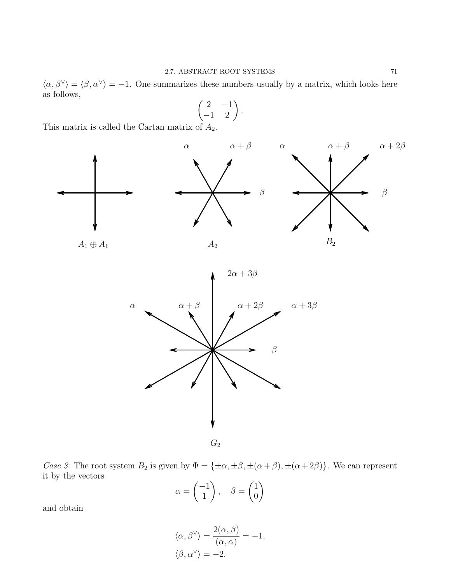$\langle \alpha, \beta^{\vee} \rangle = \langle \beta, \alpha^{\vee} \rangle = -1$ . One summarizes these numbers usually by a matrix, which looks here as follows,

$$
\begin{pmatrix} 2 & -1 \\ -1 & 2 \end{pmatrix}.
$$

This matrix is called the Cartan matrix of  $A_2$ .





Case 3: The root system  $B_2$  is given by  $\Phi = {\pm \alpha, \pm \beta, \pm (\alpha + \beta), \pm (\alpha + 2\beta)}$ . We can represent it by the vectors

$$
\alpha = \begin{pmatrix} -1 \\ 1 \end{pmatrix}, \quad \beta = \begin{pmatrix} 1 \\ 0 \end{pmatrix}
$$

and obtain

$$
\langle \alpha, \beta^{\vee} \rangle = \frac{2(\alpha, \beta)}{(\alpha, \alpha)} = -1, \langle \beta, \alpha^{\vee} \rangle = -2.
$$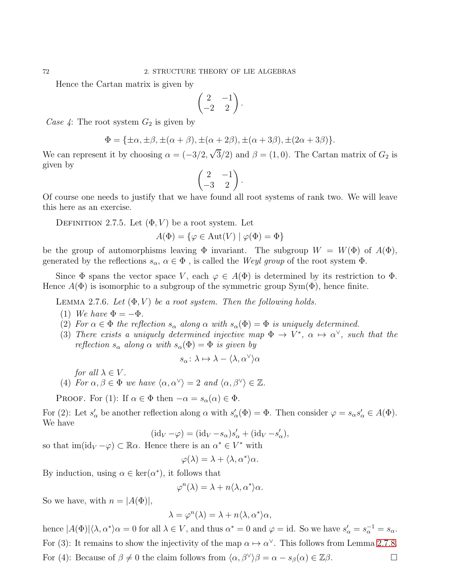Hence the Cartan matrix is given by

$$
\begin{pmatrix} 2 & -1 \\ -2 & 2 \end{pmatrix}.
$$

Case 4: The root system  $G_2$  is given by

$$
\Phi = {\pm \alpha, \pm \beta, \pm (\alpha + \beta), \pm (\alpha + 2\beta), \pm (\alpha + 3\beta), \pm (2\alpha + 3\beta)}.
$$

We can represent it by choosing  $\alpha = (-3/2, \sqrt{3}/2)$  and  $\beta = (1, 0)$ . The Cartan matrix of  $G_2$  is given by

$$
\begin{pmatrix} 2 & -1 \ -3 & 2 \end{pmatrix}.
$$

Of course one needs to justify that we have found all root systems of rank two. We will leave this here as an exercise.

DEFINITION 2.7.5. Let  $(\Phi, V)$  be a root system. Let

$$
A(\Phi) = \{ \varphi \in \text{Aut}(V) \mid \varphi(\Phi) = \Phi \}
$$

be the group of automorphisms leaving  $\Phi$  invariant. The subgroup  $W = W(\Phi)$  of  $A(\Phi)$ , generated by the reflections  $s_{\alpha}, \alpha \in \Phi$ , is called the Weyl group of the root system  $\Phi$ .

Since  $\Phi$  spans the vector space V, each  $\varphi \in A(\Phi)$  is determined by its restriction to  $\Phi$ . Hence  $A(\Phi)$  is isomorphic to a subgroup of the symmetric group Sym( $\Phi$ ), hence finite.

LEMMA 2.7.6. Let  $(\Phi, V)$  be a root system. Then the following holds.

- (1) We have  $\Phi = -\Phi$ .
- (2) For  $\alpha \in \Phi$  the reflection  $s_{\alpha}$  along  $\alpha$  with  $s_{\alpha}(\Phi) = \Phi$  is uniquely determined.
- (3) There exists a uniquely determined injective map  $\Phi \to V^*$ ,  $\alpha \mapsto \alpha^{\vee}$ , such that the reflection  $s_{\alpha}$  along  $\alpha$  with  $s_{\alpha}(\Phi) = \Phi$  is given by

$$
s_{\alpha} \colon \lambda \mapsto \lambda - \langle \lambda, \alpha^{\vee} \rangle \alpha
$$

for all  $\lambda \in V$ .

(4) For  $\alpha, \beta \in \Phi$  we have  $\langle \alpha, \alpha^{\vee} \rangle = 2$  and  $\langle \alpha, \beta^{\vee} \rangle \in \mathbb{Z}$ .

PROOF. For (1): If  $\alpha \in \Phi$  then  $-\alpha = s_\alpha(\alpha) \in \Phi$ .

For (2): Let  $s'_\n\alpha$  be another reflection along  $\alpha$  with  $s'_\n\alpha(\Phi) = \Phi$ . Then consider  $\varphi = s_\alpha s'_\n\alpha \in A(\Phi)$ . We have

$$
(\mathrm{id}_V - \varphi) = (\mathrm{id}_V - s_\alpha)s'_\alpha + (\mathrm{id}_V - s'_\alpha),
$$

so that  $\text{im}(\text{id}_V - \varphi) \subset \mathbb{R}\alpha$ . Hence there is an  $\alpha^* \in V^*$  with

$$
\varphi(\lambda) = \lambda + \langle \lambda, \alpha^* \rangle \alpha.
$$

By induction, using  $\alpha \in \text{ker}(\alpha^*)$ , it follows that

$$
\varphi^n(\lambda) = \lambda + n \langle \lambda, \alpha^* \rangle \alpha.
$$

So we have, with  $n = |A(\Phi)|$ ,

$$
\lambda = \varphi^n(\lambda) = \lambda + n \langle \lambda, \alpha^* \rangle \alpha,
$$

hence  $|A(\Phi)|\langle \lambda, \alpha^* \rangle \alpha = 0$  for all  $\lambda \in V$ , and thus  $\alpha^* = 0$  and  $\varphi = id$ . So we have  $s'_\alpha = s_\alpha^{-1} = s_\alpha$ . For (3): It remains to show the injectivity of the map  $\alpha \mapsto \alpha^{\vee}$ . This follows from Lemma [2](#page-75-0).7.8. For (4): Because of  $\beta \neq 0$  the claim follows from  $\langle \alpha, \beta^{\vee} \rangle \beta = \alpha - s_{\beta}(\alpha) \in \mathbb{Z}\beta$ .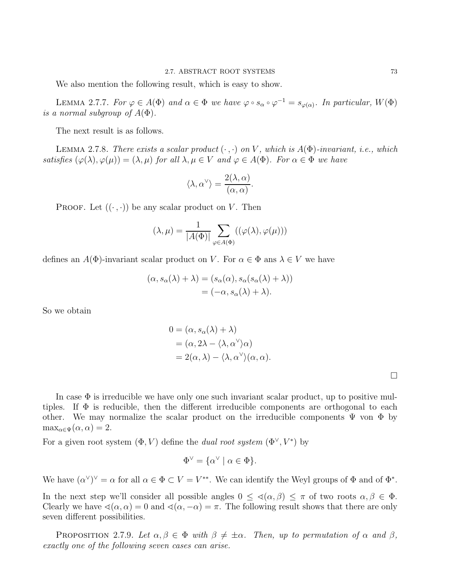We also mention the following result, which is easy to show.

LEMMA 2.7.7. For  $\varphi \in A(\Phi)$  and  $\alpha \in \Phi$  we have  $\varphi \circ s_{\alpha} \circ \varphi^{-1} = s_{\varphi(\alpha)}$ . In particular,  $W(\Phi)$ is a normal subgroup of  $A(\Phi)$ .

The next result is as follows.

<span id="page-75-0"></span>LEMMA 2.7.8. There exists a scalar product  $(\cdot, \cdot)$  on V, which is  $A(\Phi)$ -invariant, i.e., which satisfies  $(\varphi(\lambda), \varphi(\mu)) = (\lambda, \mu)$  for all  $\lambda, \mu \in V$  and  $\varphi \in A(\Phi)$ . For  $\alpha \in \Phi$  we have

$$
\langle \lambda, \alpha^{\vee} \rangle = \frac{2(\lambda, \alpha)}{(\alpha, \alpha)}.
$$

PROOF. Let  $((\cdot, \cdot))$  be any scalar product on V. Then

$$
(\lambda, \mu) = \frac{1}{|A(\Phi)|} \sum_{\varphi \in A(\Phi)} ((\varphi(\lambda), \varphi(\mu)))
$$

defines an  $A(\Phi)$ -invariant scalar product on V. For  $\alpha \in \Phi$  ans  $\lambda \in V$  we have

$$
(\alpha, s_{\alpha}(\lambda) + \lambda) = (s_{\alpha}(\alpha), s_{\alpha}(s_{\alpha}(\lambda) + \lambda))
$$
  
=  $(-\alpha, s_{\alpha}(\lambda) + \lambda).$ 

So we obtain

$$
0 = (\alpha, s_{\alpha}(\lambda) + \lambda)
$$
  
= (\alpha, 2\lambda - \langle \lambda, \alpha^{\vee} \rangle \alpha)  
= 2(\alpha, \lambda) - \langle \lambda, \alpha^{\vee} \rangle (\alpha, \alpha).

 $\Box$ 

In case  $\Phi$  is irreducible we have only one such invariant scalar product, up to positive multiples. If  $\Phi$  is reducible, then the different irreducible components are orthogonal to each other. We may normalize the scalar product on the irreducible components  $\Psi$  von  $\Phi$  by  $\max_{\alpha \in \Psi} (\alpha, \alpha) = 2.$ 

For a given root system  $(\Phi, V)$  define the *dual root system*  $(\Phi^{\vee}, V^*)$  by

$$
\Phi^{\vee} = \{ \alpha^{\vee} \mid \alpha \in \Phi \}.
$$

We have  $(\alpha^{\vee})^{\vee} = \alpha$  for all  $\alpha \in \Phi \subset V = V^{**}$ . We can identify the Weyl groups of  $\Phi$  and of  $\Phi^*$ .

In the next step we'll consider all possible angles  $0 \leq \langle \alpha, \beta \rangle \leq \pi$  of two roots  $\alpha, \beta \in \Phi$ . Clearly we have  $\triangleleft(\alpha, \alpha) = 0$  and  $\triangleleft(\alpha, -\alpha) = \pi$ . The following result shows that there are only seven different possibilities.

<span id="page-75-1"></span>PROPOSITION 2.7.9. Let  $\alpha, \beta \in \Phi$  with  $\beta \neq \pm \alpha$ . Then, up to permutation of  $\alpha$  and  $\beta$ , exactly one of the following seven cases can arise.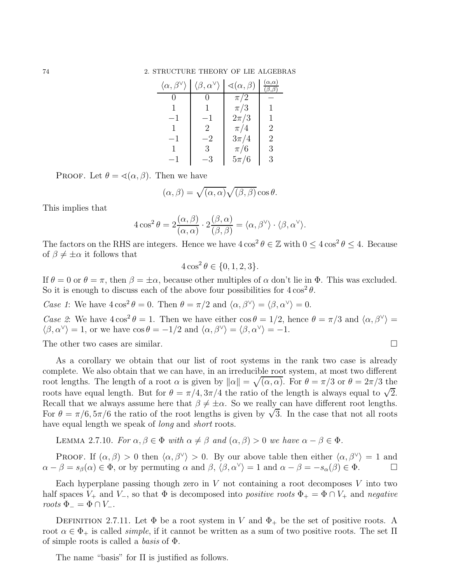| $\langle \alpha, \beta^{\vee} \rangle$ | $\langle \beta, \alpha^{\vee} \rangle$ | $\triangleleft(\alpha, \beta)$ | $\alpha,\alpha)$ |
|----------------------------------------|----------------------------------------|--------------------------------|------------------|
|                                        |                                        | $\pi/2$                        |                  |
|                                        |                                        | $\pi/3$                        |                  |
| $-1$                                   | $-1$                                   | $2\pi/3$                       | 1                |
|                                        | 2                                      | $\pi/4$                        | 2                |
| $-1$                                   | -2                                     | $3\pi/4$                       | 2                |
|                                        | 3                                      | $\pi/6$                        | 3                |
| -1                                     | -3                                     | $5\pi/6$                       | 3                |

PROOF. Let  $\theta = \langle (\alpha, \beta)$ . Then we have

$$
(\alpha, \beta) = \sqrt{(\alpha, \alpha)} \sqrt{(\beta, \beta)} \cos \theta.
$$

This implies that

$$
4\cos^2\theta = 2\frac{(\alpha,\beta)}{(\alpha,\alpha)} \cdot 2\frac{(\beta,\alpha)}{(\beta,\beta)} = \langle \alpha,\beta^\vee \rangle \cdot \langle \beta,\alpha^\vee \rangle.
$$

The factors on the RHS are integers. Hence we have  $4\cos^2\theta \in \mathbb{Z}$  with  $0 \le 4\cos^2\theta \le 4$ . Because of  $\beta \neq \pm \alpha$  it follows that

$$
4\cos^2\theta \in \{0, 1, 2, 3\}.
$$

If  $\theta = 0$  or  $\theta = \pi$ , then  $\beta = \pm \alpha$ , because other multiples of  $\alpha$  don't lie in  $\Phi$ . This was excluded. So it is enough to discuss each of the above four possibilities for  $4\cos^2\theta$ .

Case 1: We have  $4\cos^2\theta = 0$ . Then  $\theta = \pi/2$  and  $\langle \alpha, \beta^{\vee} \rangle = \langle \beta, \alpha^{\vee} \rangle = 0$ .

Case 2: We have  $4\cos^2\theta = 1$ . Then we have either  $\cos\theta = 1/2$ , hence  $\theta = \pi/3$  and  $\langle \alpha, \beta^\vee \rangle =$  $\langle \beta, \alpha^{\vee} \rangle = 1$ , or we have  $\cos \theta = -1/2$  and  $\langle \alpha, \beta^{\vee} \rangle = \langle \beta, \alpha^{\vee} \rangle = -1$ .

The other two cases are similar.

As a corollary we obtain that our list of root systems in the rank two case is already complete. We also obtain that we can have, in an irreducible root system, at most two different root lengths. The length of a root  $\alpha$  is given by  $\|\alpha\| = \sqrt{(\alpha, \alpha)}$ . For  $\theta = \pi/3$  or  $\theta = 2\pi/3$  the roots have equal length. But for  $\theta = \pi/4, 3\pi/4$  the ratio of the length is always equal to  $\sqrt{2}$ . Recall that we always assume here that  $\beta \neq \pm \alpha$ . So we really can have different root lengths. For  $\theta = \pi/6, 5\pi/6$  the ratio of the root lengths is given by  $\sqrt{3}$ . In the case that not all roots have equal length we speak of *long* and *short* roots.

<span id="page-76-0"></span>LEMMA 2.7.10. For  $\alpha, \beta \in \Phi$  with  $\alpha \neq \beta$  and  $(\alpha, \beta) > 0$  we have  $\alpha - \beta \in \Phi$ .

PROOF. If  $(\alpha, \beta) > 0$  then  $\langle \alpha, \beta^{\vee} \rangle > 0$ . By our above table then either  $\langle \alpha, \beta^{\vee} \rangle = 1$  and  $\alpha - \beta = s_{\beta}(\alpha) \in \Phi$ , or by permuting  $\alpha$  and  $\beta$ ,  $\langle \beta, \alpha^{\vee} \rangle = 1$  and  $\alpha - \beta = -s_{\alpha}(\beta) \in \Phi$ .

Each hyperplane passing though zero in  $V$  not containing a root decomposes  $V$  into two half spaces  $V_+$  and  $V_-,$  so that  $\Phi$  is decomposed into *positive roots*  $\Phi_+ = \Phi \cap V_+$  and *negative* roots  $\Phi_{-} = \Phi \cap V_{-}$ .

DEFINITION 2.7.11. Let  $\Phi$  be a root system in V and  $\Phi_+$  be the set of positive roots. A root  $\alpha \in \Phi_+$  is called *simple*, if it cannot be written as a sum of two positive roots. The set  $\Pi$ of simple roots is called a *basis* of  $\Phi$ .

The name "basis" for  $\Pi$  is justified as follows.

$$
\qquad \qquad \Box
$$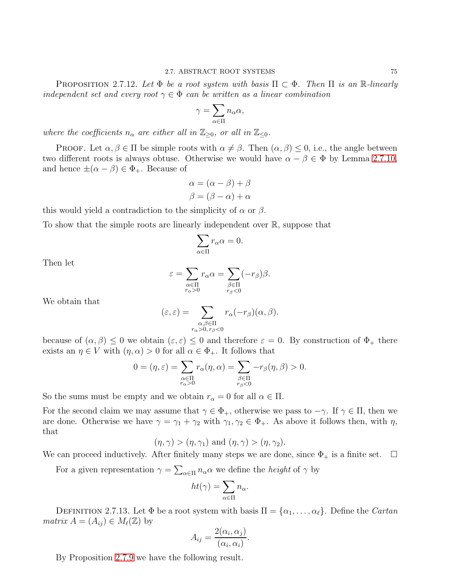PROPOSITION 2.7.12. Let  $\Phi$  be a root system with basis  $\Pi \subset \Phi$ . Then  $\Pi$  is an R-linearly independent set and every root  $\gamma \in \Phi$  can be written as a linear combination

$$
\gamma = \sum_{\alpha \in \Pi} n_{\alpha} \alpha,
$$

where the coefficients  $n_{\alpha}$  are either all in  $\mathbb{Z}_{\geq 0}$ , or all in  $\mathbb{Z}_{\leq 0}$ .

**PROOF.** Let  $\alpha, \beta \in \Pi$  be simple roots with  $\alpha \neq \beta$ . Then  $(\alpha, \beta) \leq 0$ , i.e., the angle between two different roots is always obtuse. Otherwise we would have  $\alpha - \beta \in \Phi$  by Lemma 2.7.[10,](#page-76-0) and hence  $\pm(\alpha-\beta)\in\Phi_+$ . Because of

$$
\alpha = (\alpha - \beta) + \beta
$$

$$
\beta = (\beta - \alpha) + \alpha
$$

this would yield a contradiction to the simplicity of  $\alpha$  or  $\beta$ .

To show that the simple roots are linearly independent over R, suppose that

$$
\sum_{\alpha \in \Pi} r_{\alpha} \alpha = 0.
$$

Then let

$$
\varepsilon = \sum_{\substack{\alpha \in \Pi \\ r_{\alpha} > 0}} r_{\alpha} \alpha = \sum_{\substack{\beta \in \Pi \\ r_{\beta} < 0}} (-r_{\beta}) \beta.
$$

We obtain that

$$
(\varepsilon, \varepsilon) = \sum_{\substack{\alpha, \beta \in \Pi \\ r_{\alpha} > 0, r_{\beta} < 0}} r_{\alpha}(-r_{\beta})(\alpha, \beta).
$$

because of  $(\alpha, \beta) \leq 0$  we obtain  $(\varepsilon, \varepsilon) \leq 0$  and therefore  $\varepsilon = 0$ . By construction of  $\Phi_+$  there exists an  $\eta \in V$  with  $(\eta, \alpha) > 0$  for all  $\alpha \in \Phi_+$ . It follows that

$$
0=(\eta,\varepsilon)=\sum_{\substack{\alpha\in\Pi\\ r_\alpha>0}}r_\alpha(\eta,\alpha)=\sum_{\substack{\beta\in\Pi\\ r_\beta<0}}-r_\beta(\eta,\beta)>0.
$$

So the sums must be empty and we obtain  $r_{\alpha} = 0$  for all  $\alpha \in \Pi$ .

For the second claim we may assume that  $\gamma \in \Phi_+$ , otherwise we pass to  $-\gamma$ . If  $\gamma \in \Pi$ , then we are done. Otherwise we have  $\gamma = \gamma_1 + \gamma_2$  with  $\gamma_1, \gamma_2 \in \Phi_+$ . As above it follows then, with  $\eta$ , that

$$
(\eta, \gamma) > (\eta, \gamma_1)
$$
 and  $(\eta, \gamma) > (\eta, \gamma_2)$ .

We can proceed inductively. After finitely many steps we are done, since  $\Phi_+$  is a finite set.  $\Box$ 

For a given representation  $\gamma = \sum_{\alpha \in \Pi} n_{\alpha} \alpha$  we define the *height* of  $\gamma$  by

$$
ht(\gamma) = \sum_{\alpha \in \Pi} n_{\alpha}.
$$

DEFINITION 2.7.13. Let  $\Phi$  be a root system with basis  $\Pi = {\alpha_1, \dots, \alpha_\ell}$ . Define the *Cartan matrix*  $A = (A_{ij}) \in M_{\ell}(\mathbb{Z})$  by

$$
A_{ij} = \frac{2(\alpha_i, \alpha_j)}{(\alpha_i, \alpha_i)}.
$$

By Proposition [2](#page-75-1).7.9 we have the following result.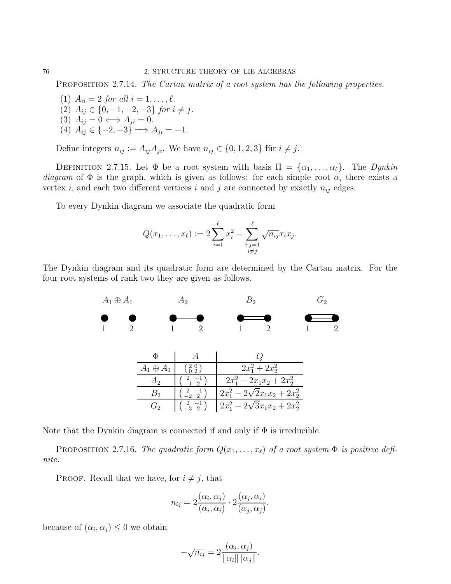PROPOSITION 2.7.14. The Cartan matrix of a root system has the following properties.

- (1)  $A_{ii} = 2$  for all  $i = 1, ..., \ell$ .  $(2)$   $A_{ij}$  ∈ {0, -1, -2, -3} for  $i \neq j$ . (3)  $A_{ij} = 0 \Longleftrightarrow A_{ji} = 0.$
- (4)  $A_{ij} \in \{-2, -3\} \Longrightarrow A_{ji} = -1.$

Define integers  $n_{ij} := A_{ij} A_{ji}$ . We have  $n_{ij} \in \{0, 1, 2, 3\}$  für  $i \neq j$ .

DEFINITION 2.7.15. Let  $\Phi$  be a root system with basis  $\Pi = {\alpha_1, \ldots, \alpha_\ell}$ . The Dynkin diagram of  $\Phi$  is the graph, which is given as follows: for each simple root  $\alpha_i$  there exists a vertex i, and each two different vertices i and j are connected by exactly  $n_{ij}$  edges.

To every Dynkin diagram we associate the quadratic form

$$
Q(x_1, ..., x_\ell) := 2 \sum_{i=1}^{\ell} x_i^2 - \sum_{\substack{i,j=1 \ i \neq j}}^{\ell} \sqrt{n_{ij}} x_i x_j.
$$

The Dynkin diagram and its quadratic form are determined by the Cartan matrix. For the four root systems of rank two they are given as follows.



Note that the Dynkin diagram is connected if and only if  $\Phi$  is irreducible.

PROPOSITION 2.7.16. The quadratic form  $Q(x_1, \ldots, x_\ell)$  of a root system  $\Phi$  is positive definite.

**PROOF.** Recall that we have, for  $i \neq j$ , that

$$
n_{ij} = 2\frac{(\alpha_i, \alpha_j)}{(\alpha_i, \alpha_i)} \cdot 2\frac{(\alpha_j, \alpha_i)}{(\alpha_j, \alpha_j)}.
$$

because of  $(\alpha_i, \alpha_j) \leq 0$  we obtain

$$
-\sqrt{n_{ij}} = 2 \frac{(\alpha_i, \alpha_j)}{\|\alpha_i\| \|\alpha_j\|}.
$$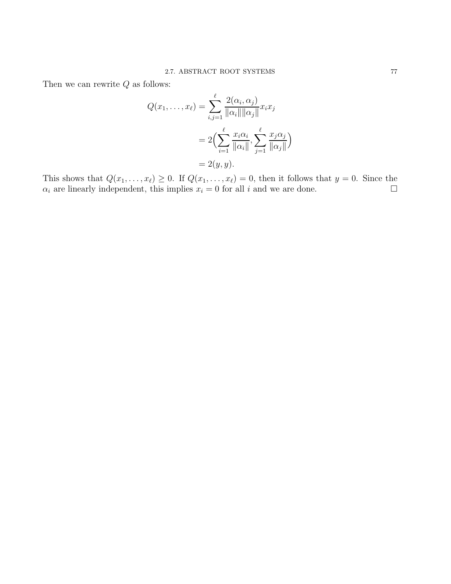Then we can rewrite  $\boldsymbol{Q}$  as follows:

$$
Q(x_1, \dots, x_\ell) = \sum_{i,j=1}^\ell \frac{2(\alpha_i, \alpha_j)}{\|\alpha_i\| \|\alpha_j\|} x_i x_j
$$
  
= 
$$
2\Big(\sum_{i=1}^\ell \frac{x_i \alpha_i}{\|\alpha_i\|}, \sum_{j=1}^\ell \frac{x_j \alpha_j}{\|\alpha_j\|}\Big)
$$
  
= 
$$
2(y, y).
$$

This shows that  $Q(x_1, \ldots, x_\ell) \geq 0$ . If  $Q(x_1, \ldots, x_\ell) = 0$ , then it follows that  $y = 0$ . Since the  $\alpha_i$  are linearly independent, this implies  $x_i = 0$  for all i and we are done.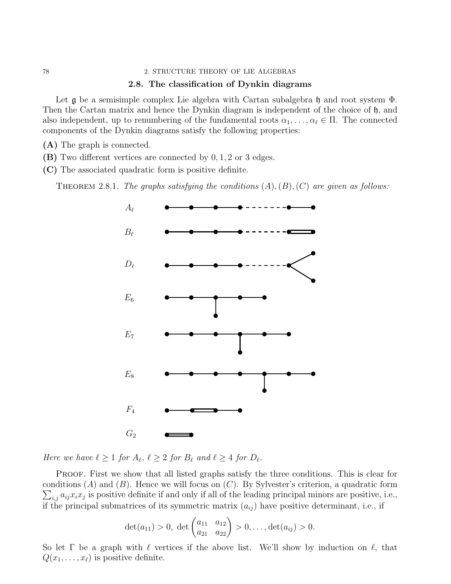#### 78 2. STRUCTURE THEORY OF LIE ALGEBRAS

# 2.8. The classification of Dynkin diagrams

Let  $\frak g$  be a semisimple complex Lie algebra with Cartan subalgebra  $\frak h$  and root system  $\Phi$ . Then the Cartan matrix and hence the Dynkin diagram is independent of the choice of h, and also independent, up to renumbering of the fundamental roots  $\alpha_1, \ldots, \alpha_\ell \in \Pi$ . The connected components of the Dynkin diagrams satisfy the following properties:

(A) The graph is connected.

(B) Two different vertices are connected by 0, 1, 2 or 3 edges.

(C) The associated quadratic form is positive definite.

<span id="page-80-0"></span>THEOREM 2.8.1. The graphs satisfying the conditions  $(A), (B), (C)$  are given as follows:



Here we have  $\ell \geq 1$  for  $A_{\ell}$ ,  $\ell \geq 2$  for  $B_{\ell}$  and  $\ell \geq 4$  for  $D_{\ell}$ .

PROOF. First we show that all listed graphs satisfy the three conditions. This is clear for  $\sum_{i,j} a_{ij} x_i x_j$  is positive definite if and only if all of the leading principal minors are positive, i.e., conditions  $(A)$  and  $(B)$ . Hence we will focus on  $(C)$ . By Sylvester's criterion, a quadratic form if the principal submatrices of its symmetric matrix  $(a_{ij})$  have positive determinant, i.e., if

$$
\det(a_{11}) > 0, \ \det\begin{pmatrix} a_{11} & a_{12} \\ a_{21} & a_{22} \end{pmatrix} > 0, \dots, \det(a_{ij}) > 0.
$$

So let Γ be a graph with  $\ell$  vertices if the above list. We'll show by induction on  $\ell$ , that  $Q(x_1, \ldots, x_\ell)$  is positive definite.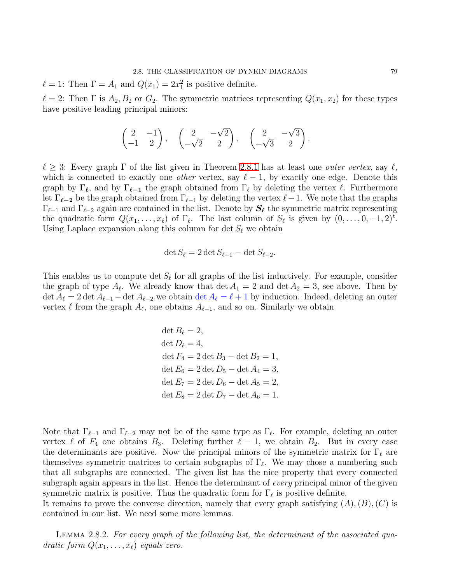$\ell = 1$ : Then  $\Gamma = A_1$  and  $Q(x_1) = 2x_1^2$  is positive definite.

 $\ell = 2$ : Then  $\Gamma$  is  $A_2, B_2$  or  $G_2$ . The symmetric matrices representing  $Q(x_1, x_2)$  for these types have positive leading principal minors:

$$
\begin{pmatrix} 2 & -1 \ -1 & 2 \end{pmatrix}, \quad \begin{pmatrix} 2 & -\sqrt{2} \\ -\sqrt{2} & 2 \end{pmatrix}, \quad \begin{pmatrix} 2 & -\sqrt{3} \\ -\sqrt{3} & 2 \end{pmatrix}.
$$

 $\ell \geq 3$ : Every graph  $\Gamma$  of the list given in Theorem [2](#page-80-0).8.1 has at least one *outer vertex*, say  $\ell$ , which is connected to exactly one *other* vertex, say  $\ell - 1$ , by exactly one edge. Denote this graph by  $\Gamma_{\ell}$ , and by  $\Gamma_{\ell-1}$  the graph obtained from  $\Gamma_{\ell}$  by deleting the vertex  $\ell$ . Furthermore let  $\Gamma_{\ell-2}$  be the graph obtained from  $\Gamma_{\ell-1}$  by deleting the vertex  $\ell-1$ . We note that the graphs  $\Gamma_{\ell-1}$  and  $\Gamma_{\ell-2}$  again are contained in the list. Denote by  $S_{\ell}$  the symmetric matrix representing the quadratic form  $Q(x_1, \ldots, x_\ell)$  of  $\Gamma_\ell$ . The last column of  $S_\ell$  is given by  $(0, \ldots, 0, -1, 2)^t$ . Using Laplace expansion along this column for det  $S_{\ell}$  we obtain

$$
\det S_{\ell} = 2 \det S_{\ell-1} - \det S_{\ell-2}.
$$

This enables us to compute  $\det S_{\ell}$  for all graphs of the list inductively. For example, consider the graph of type  $A_{\ell}$ . We already know that  $\det A_1 = 2$  and  $\det A_2 = 3$ , see above. Then by  $\det A_\ell = 2 \det A_{\ell-1} - \det A_{\ell-2}$  we obtain  $\det A_\ell = \ell + 1$  by induction. Indeed, deleting an outer vertex  $\ell$  from the graph  $A_{\ell}$ , one obtains  $A_{\ell-1}$ , and so on. Similarly we obtain

> det  $B_{\ell}=2$ ,  $\det D_{\ell} = 4$ ,  $\det F_4 = 2 \det B_3 - \det B_2 = 1,$  $\det E_6 = 2 \det D_5 - \det A_4 = 3,$  $\det E_7 = 2 \det D_6 - \det A_5 = 2,$  $\det E_8 = 2 \det D_7 - \det A_6 = 1.$

Note that  $\Gamma_{\ell-1}$  and  $\Gamma_{\ell-2}$  may not be of the same type as  $\Gamma_{\ell}$ . For example, deleting an outer vertex  $\ell$  of  $F_4$  one obtains  $B_3$ . Deleting further  $\ell - 1$ , we obtain  $B_2$ . But in every case the determinants are positive. Now the principal minors of the symmetric matrix for  $\Gamma_\ell$  are themselves symmetric matrices to certain subgraphs of  $\Gamma_{\ell}$ . We may chose a numbering such that all subgraphs are connected. The given list has the nice property that every connected subgraph again appears in the list. Hence the determinant of *every* principal minor of the given symmetric matrix is positive. Thus the quadratic form for  $\Gamma_{\ell}$  is positive definite.

It remains to prove the converse direction, namely that every graph satisfying  $(A), (B), (C)$  is contained in our list. We need some more lemmas.

<span id="page-81-0"></span>Lemma 2.8.2. For every graph of the following list, the determinant of the associated quadratic form  $Q(x_1, \ldots, x_\ell)$  equals zero.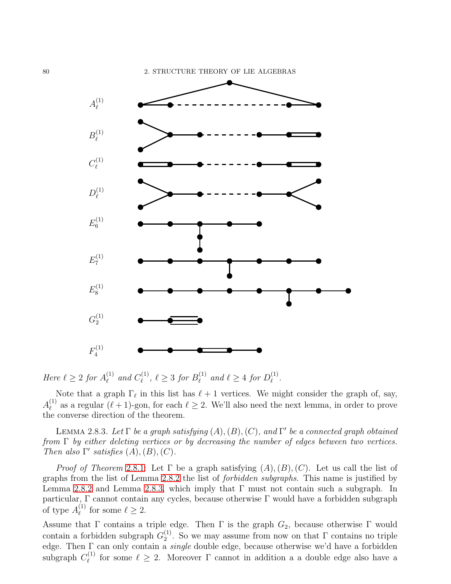

Here  $\ell \geq 2$  for  $A_{\ell}^{(1)}$  $_{\ell}^{\left( 1\right) }$  and  $C_{\ell}^{\left( 1\right) }$  $\ell^{(1)}_{\ell}, \ell \geq 3 \text{ for } B_{\ell}^{(1)}$  $\ell$ <sup>(1)</sup> and  $\ell \geq 4$  for  $D_{\ell}^{(1)}$  $_{\ell}^{\textrm{\tiny (1)}}$  .

Note that a graph  $\Gamma_{\ell}$  in this list has  $\ell + 1$  vertices. We might consider the graph of, say,  $A_\ell^{(1)}$ <sup>(1)</sup> as a regular  $(\ell+1)$ -gon, for each  $\ell \geq 2$ . We'll also need the next lemma, in order to prove the converse direction of the theorem.

<span id="page-82-0"></span>LEMMA 2.8.3. Let  $\Gamma$  be a graph satisfying  $(A), (B), (C)$ , and  $\Gamma'$  be a connected graph obtained from Γ by either deleting vertices or by decreasing the number of edges between two vertices. Then also  $\Gamma'$  satisfies  $(A), (B), (C)$ .

*Proof of Theorem* 2.8.[1:](#page-80-0) Let  $\Gamma$  be a graph satisfying  $(A), (B), (C)$ . Let us call the list of graphs from the list of Lemma [2](#page-81-0).8.2 the list of forbidden subgraphs. This name is justified by Lemma [2](#page-81-0).8.2 and Lemma [2](#page-82-0).8.3, which imply that Γ must not contain such a subgraph. In particular, Γ cannot contain any cycles, because otherwise Γ would have a forbidden subgraph of type  $A_{\ell}^{(1)}$  $\ell$ <sup>(1)</sup> for some  $\ell \geq 2$ .

Assume that  $\Gamma$  contains a triple edge. Then  $\Gamma$  is the graph  $G_2$ , because otherwise  $\Gamma$  would contain a forbidden subgraph  $G_2^{(1)}$  $2<sup>(1)</sup>$ . So we may assume from now on that  $\Gamma$  contains no triple edge. Then Γ can only contain a single double edge, because otherwise we'd have a forbidden subgraph  $C^{(1)}_{\ell}$  $\ell \atop \ell}$  for some  $\ell \geq 2$ . Moreover  $\Gamma$  cannot in addition a a double edge also have a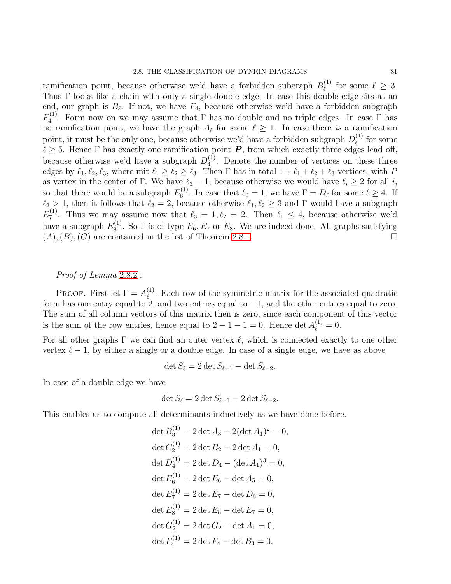ramification point, because otherwise we'd have a forbidden subgraph  $B_{\ell}^{(1)}$  $\ell \geq 3$ . Thus Γ looks like a chain with only a single double edge. In case this double edge sits at an end, our graph is  $B_{\ell}$ . If not, we have  $F_4$ , because otherwise we'd have a forbidden subgraph  $F_4^{(1)}$  $\mathbb{Z}_4^{(1)}$ . Form now on we may assume that  $\Gamma$  has no double and no triple edges. In case  $\Gamma$  has no ramification point, we have the graph  $A_{\ell}$  for some  $\ell \geq 1$ . In case there is a ramification point, it must be the only one, because otherwise we'd have a forbidden subgraph  $D_{\ell}^{(1)}$  $\ell^{(1)}$  for some  $\ell \geq 5$ . Hence  $\Gamma$  has exactly one ramification point  $P$ , from which exactly three edges lead off, because otherwise we'd have a subgraph  $D_4^{(1)}$  $\binom{1}{4}$ . Denote the number of vertices on these three edges by  $\ell_1, \ell_2, \ell_3$ , where mit  $\ell_1 \geq \ell_2 \geq \ell_3$ . Then  $\Gamma$  has in total  $1 + \ell_1 + \ell_2 + \ell_3$  vertices, with P as vertex in the center of Γ. We have  $\ell_3 = 1$ , because otherwise we would have  $\ell_i \geq 2$  for all i, so that there would be a subgraph  $E_6^{(1)}$  $\ell_6^{(1)}$ . In case that  $\ell_2 = 1$ , we have  $\Gamma = D_\ell$  for some  $\ell \geq 4$ . If  $\ell_2 > 1$ , then it follows that  $\ell_2 = 2$ , because otherwise  $\ell_1, \ell_2 \geq 3$  and  $\Gamma$  would have a subgraph  $E_7^{(1)}$ <sup>(1)</sup>. Thus we may assume now that  $\ell_3 = 1, \ell_2 = 2$ . Then  $\ell_1 \leq 4$ , because otherwise we'd have a subgraph  $E_8^{(1)}$  $S_8^{(1)}$ . So  $\Gamma$  is of type  $E_6, E_7$  or  $E_8$ . We are indeed done. All graphs satisfying

# $(A), (B), (C)$  are contained in the list of Theorem [2](#page-80-0).8.1.

# Proof of Lemma 2.8.[2](#page-81-0) :

PROOF. First let  $\Gamma = A_{\ell}^{(1)}$  $\ell^{(1)}$ . Each row of the symmetric matrix for the associated quadratic form has one entry equal to  $2$ , and two entries equal to  $-1$ , and the other entries equal to zero. The sum of all column vectors of this matrix then is zero, since each component of this vector is the sum of the row entries, hence equal to  $2 - 1 - 1 = 0$ . Hence  $\det A_{\ell}^{(1)} = 0$ .

For all other graphs  $\Gamma$  we can find an outer vertex  $\ell$ , which is connected exactly to one other vertex  $\ell - 1$ , by either a single or a double edge. In case of a single edge, we have as above

$$
\det S_{\ell} = 2 \det S_{\ell-1} - \det S_{\ell-2}.
$$

In case of a double edge we have

$$
\det S_{\ell} = 2 \det S_{\ell-1} - 2 \det S_{\ell-2}.
$$

This enables us to compute all determinants inductively as we have done before.

det 
$$
B_3^{(1)} = 2 \det A_3 - 2(\det A_1)^2 = 0
$$
,  
\ndet  $C_2^{(1)} = 2 \det B_2 - 2 \det A_1 = 0$ ,  
\ndet  $D_4^{(1)} = 2 \det D_4 - (\det A_1)^3 = 0$ ,  
\ndet  $E_6^{(1)} = 2 \det E_6 - \det A_5 = 0$ ,  
\ndet  $E_7^{(1)} = 2 \det E_7 - \det D_6 = 0$ ,  
\ndet  $E_8^{(1)} = 2 \det E_8 - \det E_7 = 0$ ,  
\ndet  $G_2^{(1)} = 2 \det G_2 - \det A_1 = 0$ ,  
\ndet  $F_4^{(1)} = 2 \det F_4 - \det B_3 = 0$ .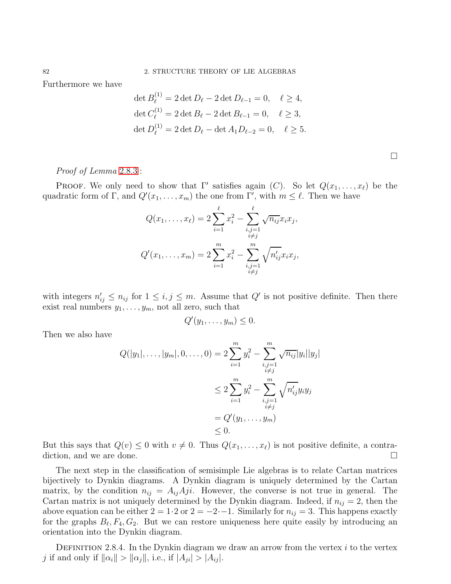Furthermore we have

$$
\det B_{\ell}^{(1)} = 2 \det D_{\ell} - 2 \det D_{\ell-1} = 0, \quad \ell \ge 4,
$$
  

$$
\det C_{\ell}^{(1)} = 2 \det B_{\ell} - 2 \det B_{\ell-1} = 0, \quad \ell \ge 3,
$$
  

$$
\det D_{\ell}^{(1)} = 2 \det D_{\ell} - \det A_1 D_{\ell-2} = 0, \quad \ell \ge 5.
$$

 $\sim$ 

|  |  | <i>Proof of Lemma</i> $2.8.3$ : |  |  |  |
|--|--|---------------------------------|--|--|--|
|--|--|---------------------------------|--|--|--|

PROOF. We only need to show that  $\Gamma'$  satisfies again  $(C)$ . So let  $Q(x_1, \ldots, x_\ell)$  be the quadratic form of  $\Gamma$ , and  $Q'(x_1,\ldots,x_m)$  the one from  $\Gamma'$ , with  $m \leq \ell$ . Then we have

$$
Q(x_1, ..., x_\ell) = 2 \sum_{i=1}^{\ell} x_i^2 - \sum_{\substack{i,j=1 \ i \neq j}}^{\ell} \sqrt{n_{ij}} x_i x_j,
$$
  

$$
Q'(x_1, ..., x_m) = 2 \sum_{i=1}^{m} x_i^2 - \sum_{\substack{i,j=1 \ i \neq j}}^{m} \sqrt{n'_{ij}} x_i x_j,
$$

with integers  $n'_{ij} \leq n_{ij}$  for  $1 \leq i, j \leq m$ . Assume that  $Q'$  is not positive definite. Then there exist real numbers  $y_1, \ldots, y_m$ , not all zero, such that

$$
Q'(y_1,\ldots,y_m)\leq 0.
$$

Then we also have

$$
Q(|y_1|, ..., |y_m|, 0, ..., 0) = 2 \sum_{i=1}^m y_i^2 - \sum_{\substack{i,j=1 \ i \neq j}}^m \sqrt{n_{ij}} |y_i||y_j|
$$
  

$$
\leq 2 \sum_{i=1}^m y_i^2 - \sum_{\substack{i,j=1 \ i \neq j}}^m \sqrt{n'_{ij}} y_i y_j
$$
  

$$
= Q'(y_1, ..., y_m)
$$
  

$$
\leq 0.
$$

But this says that  $Q(v) \leq 0$  with  $v \neq 0$ . Thus  $Q(x_1, \ldots, x_\ell)$  is not positive definite, a contradiction, and we are done. diction, and we are done.

The next step in the classification of semisimple Lie algebras is to relate Cartan matrices bijectively to Dynkin diagrams. A Dynkin diagram is uniquely determined by the Cartan matrix, by the condition  $n_{ij} = A_{ij} Aji$ . However, the converse is not true in general. The Cartan matrix is not uniquely determined by the Dynkin diagram. Indeed, if  $n_{ij} = 2$ , then the above equation can be either  $2 = 1.2$  or  $2 = -2.5$ . Similarly for  $n_{ij} = 3$ . This happens exactly for the graphs  $B_{\ell}, F_4, G_2$ . But we can restore uniqueness here quite easily by introducing an orientation into the Dynkin diagram.

DEFINITION 2.8.4. In the Dynkin diagram we draw an arrow from the vertex  $i$  to the vertex j if and only if  $\|\alpha_i\| > \|\alpha_i\|$ , i.e., if  $|A_{ii}| > |A_{ij}|$ .

 $\Box$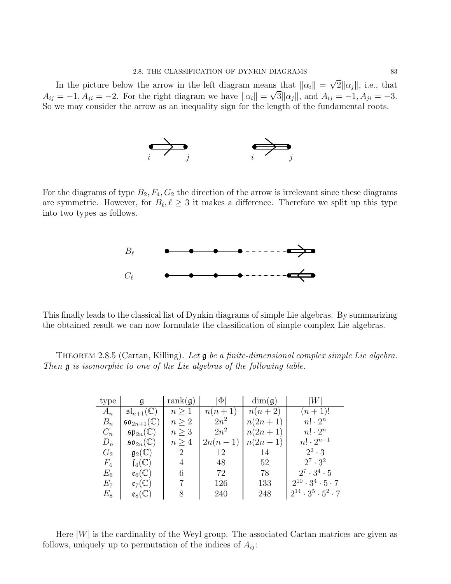In the picture below the arrow in the left diagram means that  $\|\alpha_i\| = \sqrt{2}\|\alpha_j\|$ , i.e., that  $A_{ij} = -1, A_{ji} = -2.$  For the right diagram we have  $||\alpha_i|| = \sqrt{3}||\alpha_j||$ , and  $A_{ij} = -1, A_{ji} = -3.$ So we may consider the arrow as an inequality sign for the length of the fundamental roots.



For the diagrams of type  $B_2, F_4, G_2$  the direction of the arrow is irrelevant since these diagrams are symmetric. However, for  $B_{\ell}, \ell \geq 3$  it makes a difference. Therefore we split up this type into two types as follows.



This finally leads to the classical list of Dynkin diagrams of simple Lie algebras. By summarizing the obtained result we can now formulate the classification of simple complex Lie algebras.

THEOREM 2.8.5 (Cartan, Killing). Let **g** be a finite-dimensional complex simple Lie algebra. Then g is isomorphic to one of the Lie algebras of the following table.

| type    |                                    | rank $(g)$     | $\Phi$    | $\dim(\mathfrak{g})$ |                                      |
|---------|------------------------------------|----------------|-----------|----------------------|--------------------------------------|
| $A_n$   | $\mathfrak{sl}_{n+1}(\mathbb{C})$  | $n \geq 1$     | $n(n+1)$  | $n(n+2)$             | $(n+1)!$                             |
| $B_n$   | $\mathfrak{so}_{2n+1}(\mathbb{C})$ | $n \geq 2$     | $2n^2$    | $n(2n+1)$            | $n! \cdot 2^n$                       |
| $C_n$   | $\mathfrak{sp}_{2n}(\mathbb{C})$   | $n \geq 3$     | $2n^2$    | $n(2n+1)$            | $n! \cdot 2^n$                       |
| $D_n$   | $\mathfrak{so}_{2n}(\mathbb C)$    | n > 4          | $2n(n-1)$ | $n(2n - 1)$          | $n! \cdot 2^{n-1}$                   |
| $G_2$   | $\mathfrak{g}_2(\mathbb{C})$       | $\overline{2}$ | 12        | 14                   | $2^2 \cdot 3$                        |
| $F_4$   | $\mathfrak{f}_4(\mathbb{C})$       | 4              | 48        | 52                   | $2^7 \cdot 3^2$                      |
| $E_6$   | $\mathfrak{e}_6(\mathbb{C})$       | 6              | 72        | 78                   | $2^7 \cdot 3^4 \cdot 5$              |
| $E_7$   | $\mathfrak{e}_7(\mathbb{C})$       |                | 126       | 133                  | $2^{10} \cdot 3^4 \cdot 5 \cdot 7$   |
| $E_{8}$ | $\mathfrak{e}_8(\mathbb{C})$       | 8              | 240       | 248                  | $2^{14} \cdot 3^5 \cdot 5^2 \cdot 7$ |

Here  $|W|$  is the cardinality of the Weyl group. The associated Cartan matrices are given as follows, uniquely up to permutation of the indices of  $A_{ij}$ :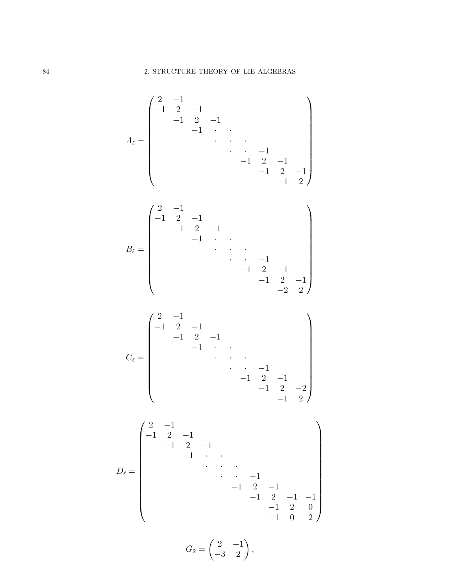$$
A_{\ell} = \begin{pmatrix}\n2 & -1 & & & & & & & \\
-1 & 2 & -1 & & & & & & \\
& -1 & 2 & -1 & & & & & \\
& & \ddots & \ddots & \ddots & & & \\
& & & \ddots & \ddots & & & \\
& & & & -1 & 2 & -1 & \\
& & & & -1 & 2 & -1 & \\
& & & & -1 & 2 & -1 & \\
& & & & & \ddots & \ddots & \\
& & & & & & \ddots & -1 & \\
& & & & & & -1 & 2 & -1 \\
& & & & & & -1 & 2 & -1 \\
& & & & & & -1 & 2 & -1 \\
& & & & & & & -1 & 2 & -1 \\
& & & & & & & & \ddots & \ddots & \\
& & & & & & & & & -1 \\
& & & & & & & & -1 & 2 & -1 \\
& & & & & & & & & & -1 & 2 \\
& & & & & & & & & & -1 & 2 \\
& & & & & & & & & & -1 & 2 \\
& & & & & & & & & & -1 & 2 \\
& & & & & & & & & & & -1 & 2 \\
& & & & & & & & & & & -1 & 2 \\
& & & & & & & & & & & -1 & 2\n\end{pmatrix}
$$

$$
D_{\ell} = \begin{pmatrix} 2 & -1 & & & & & & & \\ -1 & 2 & -1 & & & & & & \\ & -1 & 2 & -1 & & & & & \\ & & \ddots & \ddots & \ddots & & & \\ & & & \ddots & \ddots & -1 & & \\ & & & & -1 & 2 & -1 & -1 \\ & & & & & -1 & 2 & 0 \\ & & & & & & -1 & 0 & 2 \end{pmatrix}
$$

$$
G_2 = \begin{pmatrix} 2 & -1 \\ -3 & 2 \end{pmatrix},
$$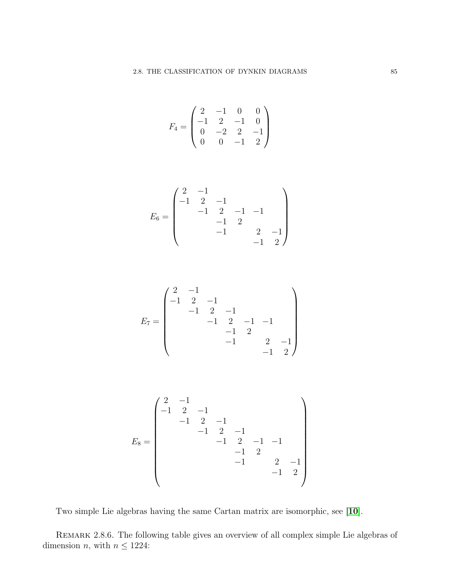$$
F_4 = \begin{pmatrix} 2 & -1 & 0 & 0 \\ -1 & 2 & -1 & 0 \\ 0 & -2 & 2 & -1 \\ 0 & 0 & -1 & 2 \end{pmatrix}
$$

$$
E_6 = \begin{pmatrix} 2 & -1 & & & \\ -1 & 2 & -1 & & \\ & -1 & 2 & -1 & -1 \\ & & -1 & 2 & -1 \\ & & & -1 & 2 & -1 \\ & & & & -1 & 2 \end{pmatrix}
$$

$$
E_7 = \begin{pmatrix} 2 & -1 & & & & \\ -1 & 2 & -1 & & & \\ & -1 & 2 & -1 & -1 & \\ & & -1 & 2 & -1 & -1 \\ & & & -1 & 2 & -1 \\ & & & & -1 & 2 \end{pmatrix}
$$

$$
E_8 = \begin{pmatrix} 2 & -1 & & & & & \\ -1 & 2 & -1 & & & & \\ & -1 & 2 & -1 & & & \\ & & -1 & 2 & -1 & -1 & \\ & & & -1 & 2 & -1 & \\ & & & & -1 & 2 & -1 \\ & & & & & -1 & 2 \end{pmatrix}
$$

Two simple Lie algebras having the same Cartan matrix are isomorphic, see [[10](#page-111-0)].

Remark 2.8.6. The following table gives an overview of all complex simple Lie algebras of dimension *n*, with  $n \le 1224$ :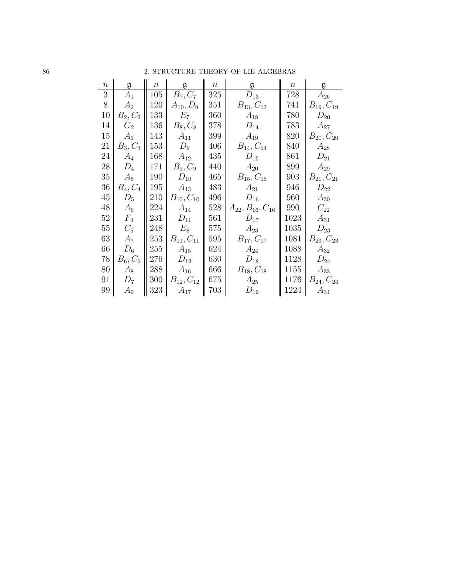| 86 | 2. STRUCTURE THEORY OF LIE ALGEBRAS |  |  |
|----|-------------------------------------|--|--|
|    |                                     |  |  |

| $\, n$ | g          | $\, n$ | $\mathfrak g$       | $\,n$ | g                        | $\,n$ | g                |
|--------|------------|--------|---------------------|-------|--------------------------|-------|------------------|
| 3      | $A_1$      | 105    | $B_7, C_7$          | 325   | $D_{13}$                 | 728   | $A_{26}$         |
| $8\,$  | $A_2$      | 120    | $A_{10}, D_8$       | 351   | $B_{13}, C_{13}$         | 741   | $B_{19}, C_{19}$ |
| 10     | $B_2, C_2$ | 133    | $E_7$               | 360   | $A_{18}$                 | 780   | $D_{20}$         |
| 14     | $G_2$      | 136    | $B_8, C_8$          | 378   | $D_{14}$                 | 783   | $A_{27}$         |
| 15     | $A_3$      | 143    | $A_{11}$            | 399   | $A_{19}$                 | 820   | $B_{20}, C_{20}$ |
| 21     | $B_3, C_3$ | 153    | $D_9$               | 406   | $B_{14}, C_{14}$         | 840   | $A_{28}$         |
| 24     | $A_4$      | 168    | $A_{12}$            | 435   | $D_{15}$                 | 861   | $D_{21}$         |
| 28     | $D_4$      | 171    | $B_9, C_9$          | 440   | $A_{20}$                 | 899   | $A_{29}$         |
| $35\,$ | $A_5$      | 190    | $D_{10}$            | 465   | $B_{15}, C_{15}$         | 903   | $B_{21}, C_{21}$ |
| 36     | $B_4, C_4$ | 195    | $A_{13}$            | 483   | $A_{21}$                 | 946   | $D_{22}$         |
| 45     | $D_5$      | 210    | $B_{10}$ , $C_{10}$ | 496   | $D_{16}$                 | 960   | $A_{30}$         |
| 48     | $A_6$      | 224    | $A_{14}$            | 528   | $A_{22}, B_{16}, C_{16}$ | 990   | $C_{22}$         |
| 52     | $F_4$      | 231    | $D_{11}$            | 561   | $D_{17}$                 | 1023  | $A_{31}$         |
| 55     | $C_5$      | 248    | $E_8$               | 575   | $A_{23}$                 | 1035  | $D_{23}$         |
| 63     | $A_7$      | 253    | $B_{11}, C_{11}$    | 595   | $B_{17}, C_{17}$         | 1081  | $B_{23}, C_{23}$ |
| 66     | $D_6$      | 255    | $A_{15}$            | 624   | $A_{24}$                 | 1088  | $A_{32}$         |
| 78     | $B_6, C_6$ | 276    | $D_{12}$            | 630   | $D_{18}$                 | 1128  | $D_{24}$         |
| 80     | $A_8$      | 288    | $A_{16}$            | 666   | $B_{18}, C_{18}$         | 1155  | $A_{33}$         |
| 91     | $D_7$      | 300    | $B_{12}, C_{12}$    | 675   | $\frac{A_{25}}{D_{19}}$  | 1176  | $B_{24}, C_{24}$ |
| 99     | $A_9$      | 323    | $A_{17}$            | 703   |                          | 1224  | $A_{34}$         |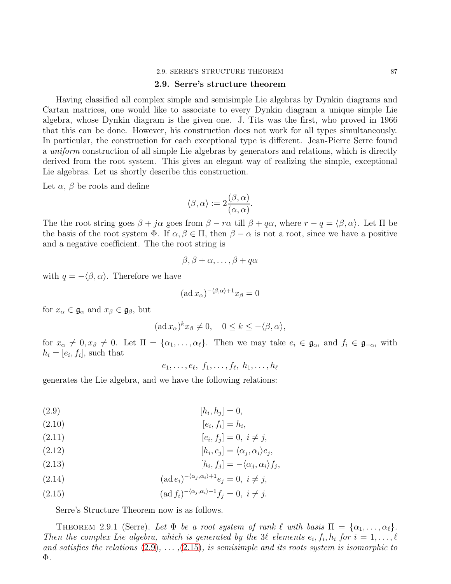#### 2.9. SERRE'S STRUCTURE THEOREM 87

### 2.9. Serre's structure theorem

Having classified all complex simple and semisimple Lie algebras by Dynkin diagrams and Cartan matrices, one would like to associate to every Dynkin diagram a unique simple Lie algebra, whose Dynkin diagram is the given one. J. Tits was the first, who proved in 1966 that this can be done. However, his construction does not work for all types simultaneously. In particular, the construction for each exceptional type is different. Jean-Pierre Serre found a uniform construction of all simple Lie algebras by generators and relations, which is directly derived from the root system. This gives an elegant way of realizing the simple, exceptional Lie algebras. Let us shortly describe this construction.

Let  $\alpha$ ,  $\beta$  be roots and define

$$
\langle \beta, \alpha \rangle := 2 \frac{(\beta, \alpha)}{(\alpha, \alpha)}.
$$

The the root string goes  $\beta + j\alpha$  goes from  $\beta - r\alpha$  till  $\beta + q\alpha$ , where  $r - q = \langle \beta, \alpha \rangle$ . Let  $\Pi$  be the basis of the root system  $\Phi$ . If  $\alpha, \beta \in \Pi$ , then  $\beta - \alpha$  is not a root, since we have a positive and a negative coefficient. The the root string is

$$
\beta, \beta + \alpha, \ldots, \beta + q\alpha
$$

with  $q = -\langle \beta, \alpha \rangle$ . Therefore we have

$$
(\mathrm{ad}\,x_{\alpha})^{-\langle\beta,\alpha\rangle+1}x_{\beta}=0
$$

for  $x_{\alpha} \in \mathfrak{g}_{\alpha}$  and  $x_{\beta} \in \mathfrak{g}_{\beta}$ , but

$$
(\mathrm{ad}\,x_{\alpha})^k x_{\beta} \neq 0, \quad 0 \leq k \leq -\langle \beta, \alpha \rangle,
$$

for  $x_{\alpha} \neq 0, x_{\beta} \neq 0$ . Let  $\Pi = {\alpha_1, \ldots, \alpha_{\ell}}$ . Then we may take  $e_i \in \mathfrak{g}_{\alpha_i}$  and  $f_i \in \mathfrak{g}_{-\alpha_i}$  with  $h_i = [e_i, f_i]$ , such that

 $e_1, \ldots, e_\ell, f_1, \ldots, f_\ell, h_1, \ldots, h_\ell$ 

generates the Lie algebra, and we have the following relations:

<span id="page-89-0"></span>
$$
[h_i, h_j] = 0,
$$

$$
[e_i, f_i] = h_i,
$$

(2.11) 
$$
[e_i, f_j] = 0, i \neq j,
$$

$$
[h_i, e_j] = \langle \alpha_j, \alpha_i \rangle e_j,
$$

(2.13) 
$$
[h_i, f_j] = -\langle \alpha_j, \alpha_i \rangle f_j,
$$

<span id="page-89-2"></span>(2.14) 
$$
(\text{ad }e_i)^{-\langle \alpha_j, \alpha_i \rangle + 1} e_j = 0, \ i \neq j,
$$

<span id="page-89-1"></span>(2.15) 
$$
(\text{ad } f_i)^{-\langle \alpha_j, \alpha_i \rangle + 1} f_j = 0, \ i \neq j.
$$

Serre's Structure Theorem now is as follows.

THEOREM 2.9.1 (Serre). Let  $\Phi$  be a root system of rank  $\ell$  with basis  $\Pi = {\alpha_1, \ldots, \alpha_\ell}$ . Then the complex Lie algebra, which is generated by the 3 $\ell$  elements  $e_i, f_i, h_i$  for  $i = 1, \ldots, \ell$ and satisfies the relations  $(2.9), \ldots, (2.15)$  $(2.9), \ldots, (2.15)$  $(2.9), \ldots, (2.15)$ , is semisimple and its roots system is isomorphic to Φ.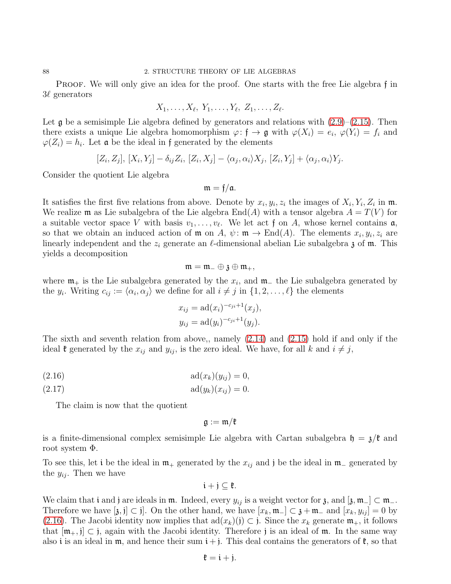PROOF. We will only give an idea for the proof. One starts with the free Lie algebra f in 3ℓ generators

$$
X_1,\ldots,X_\ell,\ Y_1,\ldots,Y_\ell,\ Z_1,\ldots,Z_\ell.
$$

Let  $\mathfrak g$  be a semisimple Lie algebra defined by generators and relations with  $(2.9)$ – $(2.15)$ . Then there exists a unique Lie algebra homomorphism  $\varphi: \mathfrak{f} \to \mathfrak{g}$  with  $\varphi(X_i) = e_i$ ,  $\varphi(Y_i) = f_i$  and  $\varphi(Z_i) = h_i$ . Let **a** be the ideal in f generated by the elements

$$
[Z_i, Z_j], [X_i, Y_j] - \delta_{ij} Z_i, [Z_i, X_j] - \langle \alpha_j, \alpha_i \rangle X_j, [Z_i, Y_j] + \langle \alpha_j, \alpha_i \rangle Y_j.
$$

Consider the quotient Lie algebra

$$
\mathfrak{m}=\mathfrak{f}/\mathfrak{a}.
$$

It satisfies the first five relations from above. Denote by  $x_i, y_i, z_i$  the images of  $X_i, Y_i, Z_i$  in  $\mathfrak{m}$ . We realize **m** as Lie subalgebra of the Lie algebra  $\text{End}(A)$  with a tensor algebra  $A = T(V)$  for a suitable vector space V with basis  $v_1, \ldots, v_\ell$ . We let act f on A, whose kernel contains  $\mathfrak{a}$ , so that we obtain an induced action of  $\mathfrak{m}$  on  $A$ ,  $\psi : \mathfrak{m} \to \text{End}(A)$ . The elements  $x_i, y_i, z_i$  are linearly independent and the  $z_i$  generate an  $\ell$ -dimensional abelian Lie subalgebra  $\chi$  of  $\mathfrak{m}$ . This yields a decomposition

$$
\mathfrak{m}=\mathfrak{m}_-\oplus \mathfrak{z}\oplus \mathfrak{m}_+,
$$

where  $\mathfrak{m}_+$  is the Lie subalgebra generated by the  $x_i$ , and  $\mathfrak{m}_-$  the Lie subalgebra generated by the  $y_i$ . Writing  $c_{ij} := \langle \alpha_i, \alpha_j \rangle$  we define for all  $i \neq j$  in  $\{1, 2, \ldots, \ell\}$  the elements

$$
x_{ij} = \text{ad}(x_i)^{-c_{ji}+1}(x_j),
$$
  

$$
y_{ij} = \text{ad}(y_i)^{-c_{ji}+1}(y_j).
$$

The sixth and seventh relation from above,, namely [\(2.14\)](#page-89-2) and [\(2.15\)](#page-89-1) hold if and only if the ideal  $\mathfrak k$  generated by the  $x_{ij}$  and  $y_{ij}$ , is the zero ideal. We have, for all k and  $i \neq j$ ,

<span id="page-90-0"></span>
$$
(2.16) \qquad \qquad \text{ad}(x_k)(y_{ij}) = 0,
$$

(2.17) 
$$
ad(y_k)(x_{ij}) = 0.
$$

The claim is now that the quotient

$$
\mathfrak{g}:=\mathfrak{m}/\mathfrak{k}
$$

is a finite-dimensional complex semisimple Lie algebra with Cartan subalgebra  $\mathfrak{h} = \mathfrak{z}/\mathfrak{k}$  and root system Φ.

To see this, let i be the ideal in  $\mathfrak{m}_+$  generated by the  $x_{ij}$  and j be the ideal in  $\mathfrak{m}_-$  generated by the  $y_{ij}$ . Then we have

$$
\mathfrak{i}+\mathfrak{j}\subseteq\mathfrak{k}.
$$

We claim that i and j are ideals in  $\mathfrak{m}$ . Indeed, every  $y_{ij}$  is a weight vector for  $\mathfrak{z}$ , and  $[\mathfrak{z}, \mathfrak{m}_-] \subset \mathfrak{m}_-$ . Therefore we have  $[\mathfrak{z},\mathfrak{j}] \subset \mathfrak{j}$ . On the other hand, we have  $[x_k,\mathfrak{m}_-] \subset \mathfrak{z} + \mathfrak{m}_-$  and  $[x_k, y_{ij}] = 0$  by [\(2.16\)](#page-90-0). The Jacobi identity now implies that  $\text{ad}(x_k)(j) \subset j$ . Since the  $x_k$  generate  $\mathfrak{m}_+$ , it follows that  $[\mathfrak{m}_+, \mathfrak{j}] \subset \mathfrak{j}$ , again with the Jacobi identity. Therefore j is an ideal of  $\mathfrak{m}$ . In the same way also i is an ideal in  $\mathfrak{m}$ , and hence their sum  $i + j$ . This deal contains the generators of  $\mathfrak{k}$ , so that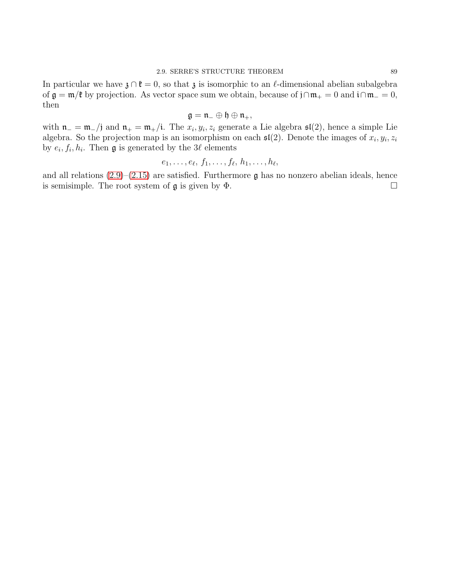In particular we have  $\mathfrak{z} \cap \mathfrak{k} = 0$ , so that  $\mathfrak{z}$  is isomorphic to an  $\ell$ -dimensional abelian subalgebra of  $\mathfrak{g} = \mathfrak{m}/\mathfrak{k}$  by projection. As vector space sum we obtain, because of  $\mathfrak{j} \cap \mathfrak{m}_+ = 0$  and  $\mathfrak{i} \cap \mathfrak{m}_- = 0$ , then

$$
\mathfrak{g}=\mathfrak{n}_-\oplus\mathfrak{h}\oplus\mathfrak{n}_+,
$$

with  $\mathfrak{n}_- = \mathfrak{m}_-/\mathfrak{j}$  and  $\mathfrak{n}_+ = \mathfrak{m}_+/\mathfrak{i}$ . The  $x_i, y_i, z_i$  generate a Lie algebra  $\mathfrak{sl}(2)$ , hence a simple Lie algebra. So the projection map is an isomorphism on each  $\mathfrak{sl}(2)$ . Denote the images of  $x_i, y_i, z_i$ by  $e_i, f_i, h_i$ . Then **g** is generated by the  $3\ell$  elements

$$
e_1,\ldots,e_\ell,\,f_1,\ldots,f_\ell,\,h_1,\ldots,h_\ell,
$$

and all relations  $(2.9)$ – $(2.15)$  are satisfied. Furthermore g has no nonzero abelian ideals, hence is semisimple. The root system of  $\mathfrak g$  is given by  $\Phi$ .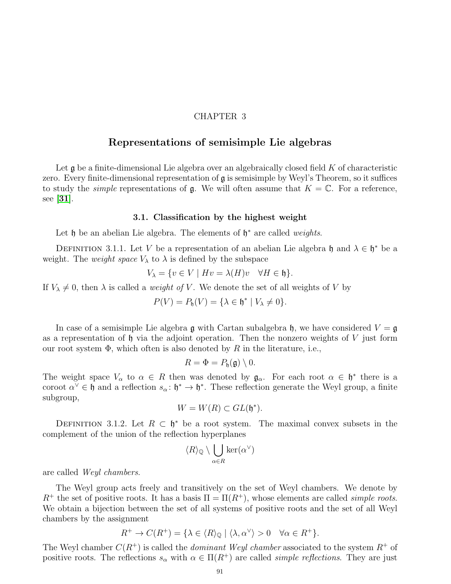# CHAPTER 3

# Representations of semisimple Lie algebras

Let  $\mathfrak g$  be a finite-dimensional Lie algebra over an algebraically closed field K of characteristic zero. Every finite-dimensional representation of  $\mathfrak g$  is semisimple by Weyl's Theorem, so it suffices to study the *simple* representations of  $\mathfrak{g}$ . We will often assume that  $K = \mathbb{C}$ . For a reference, see [[31](#page-111-1)].

#### 3.1. Classification by the highest weight

Let  $\mathfrak h$  be an abelian Lie algebra. The elements of  $\mathfrak h^*$  are called *weights*.

DEFINITION 3.1.1. Let V be a representation of an abelian Lie algebra h and  $\lambda \in \mathfrak{h}^*$  be a weight. The *weight space*  $V_{\lambda}$  to  $\lambda$  is defined by the subspace

$$
V_{\lambda} = \{ v \in V \mid Hv = \lambda(H)v \quad \forall H \in \mathfrak{h} \}.
$$

If  $V_{\lambda} \neq 0$ , then  $\lambda$  is called a *weight of V*. We denote the set of all weights of V by

$$
P(V) = P_{\mathfrak{h}}(V) = \{ \lambda \in \mathfrak{h}^* \mid V_{\lambda} \neq 0 \}.
$$

In case of a semisimple Lie algebra  $\mathfrak g$  with Cartan subalgebra  $\mathfrak h$ , we have considered  $V = \mathfrak g$ as a representation of  $\mathfrak h$  via the adjoint operation. Then the nonzero weights of V just form our root system  $\Phi$ , which often is also denoted by R in the literature, i.e.,

$$
R=\Phi=P_{\mathfrak{h}}(\mathfrak{g})\setminus 0.
$$

The weight space  $V_{\alpha}$  to  $\alpha \in R$  then was denoted by  $\mathfrak{g}_{\alpha}$ . For each root  $\alpha \in \mathfrak{h}^*$  there is a coroot  $\alpha^{\vee} \in \mathfrak{h}$  and a reflection  $s_{\alpha} \colon \mathfrak{h}^* \to \mathfrak{h}^*$ . These reflection generate the Weyl group, a finite subgroup,

$$
W = W(R) \subset GL(\mathfrak{h}^*).
$$

DEFINITION 3.1.2. Let  $R \subset \mathfrak{h}^*$  be a root system. The maximal convex subsets in the complement of the union of the reflection hyperplanes

$$
\langle R\rangle_{{\mathbb Q}}\setminus\bigcup_{\alpha\in R}\ker(\alpha^{\vee})
$$

are called Weyl chambers.

The Weyl group acts freely and transitively on the set of Weyl chambers. We denote by  $R^+$  the set of positive roots. It has a basis  $\Pi = \Pi(R^+)$ , whose elements are called *simple roots*. We obtain a bijection between the set of all systems of positive roots and the set of all Weyl chambers by the assignment

$$
R^+ \to C(R^+) = \{ \lambda \in \langle R \rangle_{\mathbb{Q}} \mid \langle \lambda, \alpha^{\vee} \rangle > 0 \quad \forall \alpha \in R^+ \}.
$$

The Weyl chamber  $C(R^+)$  is called the *dominant Weyl chamber* associated to the system  $R^+$  of positive roots. The reflections  $s_{\alpha}$  with  $\alpha \in \Pi(R^+)$  are called *simple reflections*. They are just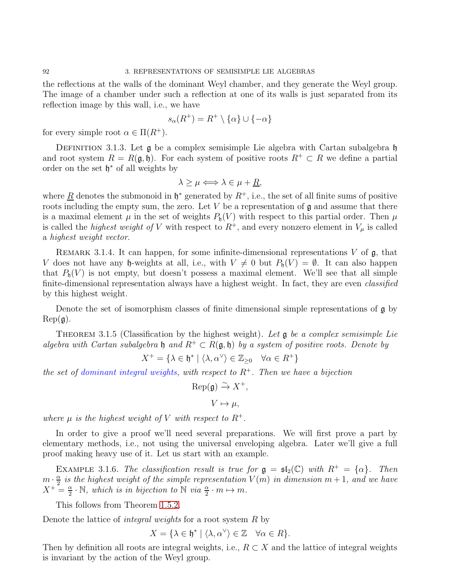the reflections at the walls of the dominant Weyl chamber, and they generate the Weyl group. The image of a chamber under such a reflection at one of its walls is just separated from its reflection image by this wall, i.e., we have

$$
s_{\alpha}(R^+) = R^+ \setminus \{\alpha\} \cup \{-\alpha\}
$$

for every simple root  $\alpha \in \Pi(R^+).$ 

DEFINITION 3.1.3. Let  $\mathfrak g$  be a complex semisimple Lie algebra with Cartan subalgebra  $\mathfrak h$ and root system  $R = R(\mathfrak{g}, \mathfrak{h})$ . For each system of positive roots  $R^+ \subset R$  we define a partial order on the set  $\mathfrak{h}^*$  of all weights by

$$
\lambda \ge \mu \Longleftrightarrow \lambda \in \mu + \underline{R},
$$

where  $\underline{R}$  denotes the submonoid in  $\mathfrak{h}^*$  generated by  $R^+$ , i.e., the set of all finite sums of positive roots including the empty sum, the zero. Let  $V$  be a representation of  $\mathfrak g$  and assume that there is a maximal element  $\mu$  in the set of weights  $P_{\rm h}(V)$  with respect to this partial order. Then  $\mu$ is called the *highest weight of V* with respect to  $R^+$ , and every nonzero element in  $V_\mu$  is called a highest weight vector.

REMARK 3.1.4. It can happen, for some infinite-dimensional representations  $V$  of  $\mathfrak{g}$ , that V does not have any h-weights at all, i.e., with  $V \neq 0$  but  $P_{\mathfrak{h}}(V) = \emptyset$ . It can also happen that  $P_{h}(V)$  is not empty, but doesn't possess a maximal element. We'll see that all simple finite-dimensional representation always have a highest weight. In fact, they are even classified by this highest weight.

Denote the set of isomorphism classes of finite dimensional simple representations of  $\mathfrak{g}$  by  $Rep(g).$ 

<span id="page-94-0"></span>THEOREM 3.1.5 (Classification by the highest weight). Let  $\mathfrak g$  be a complex semisimple Lie algebra with Cartan subalgebra h and  $R^+ \subset R(\mathfrak{g},\mathfrak{h})$  by a system of positive roots. Denote by

$$
X^+ = \{ \lambda \in \mathfrak{h}^* \mid \langle \lambda, \alpha^\vee \rangle \in \mathbb{Z}_{\geq 0} \quad \forall \alpha \in R^+ \}
$$

the set of dominant integral weights, with respect to  $R^+$ . Then we have a bijection

$$
\operatorname{Rep}(\mathfrak{g}) \xrightarrow{\sim} X^+,
$$

 $V \mapsto \mu$ .

where  $\mu$  is the highest weight of V with respect to  $R^+$ .

In order to give a proof we'll need several preparations. We will first prove a part by elementary methods, i.e., not using the universal enveloping algebra. Later we'll give a full proof making heavy use of it. Let us start with an example.

EXAMPLE 3.1.6. The classification result is true for  $\mathfrak{g} = \mathfrak{sl}_2(\mathbb{C})$  with  $R^+ = {\alpha}$ . Then  $m \cdot \frac{\alpha}{2}$  $\frac{\alpha}{2}$  is the highest weight of the simple representation  $V(m)$  in dimension  $m+1,$  and we have  $X^+ = \frac{\alpha}{2}$  $\frac{\alpha}{2} \cdot \mathbb{N}$ , which is in bijection to  $\mathbb{N}$  via  $\frac{\alpha}{2} \cdot m \mapsto m$ .

This follows from Theorem [1](#page-19-0).5.2.

Denote the lattice of *integral weights* for a root system  $R$  by

$$
X = \{ \lambda \in \mathfrak{h}^* \mid \langle \lambda, \alpha^\vee \rangle \in \mathbb{Z} \quad \forall \alpha \in R \}.
$$

Then by definition all roots are integral weights, i.e.,  $R \subset X$  and the lattice of integral weights is invariant by the action of the Weyl group.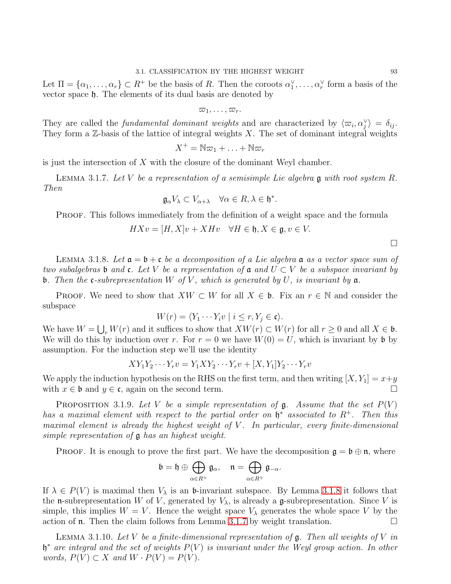Let  $\Pi = {\alpha_1, \ldots, \alpha_r} \subset R^+$  be the basis of R. Then the coroots  $\alpha_1^{\vee}, \ldots, \alpha_r^{\vee}$  form a basis of the vector space h. The elements of its dual basis are denoted by

 $\varpi_1, \ldots, \varpi_r$ .

They are called the *fundamental dominant weights* and are characterized by  $\langle \varpi_i, \alpha_j^\vee \rangle = \delta_{ij}$ . They form a  $\mathbb{Z}$ -basis of the lattice of integral weights X. The set of dominant integral weights

$$
X^+ = \mathbb{N}\varpi_1 + \ldots + \mathbb{N}\varpi_r
$$

is just the intersection of  $X$  with the closure of the dominant Weyl chamber.

<span id="page-95-1"></span>LEMMA 3.1.7. Let V be a representation of a semisimple Lie algebra  $\mathfrak g$  with root system R. Then

$$
\mathfrak{g}_{\alpha}V_{\lambda}\subset V_{\alpha+\lambda}\quad\forall\alpha\in R,\lambda\in\mathfrak{h}^*.
$$

PROOF. This follows immediately from the definition of a weight space and the formula

$$
HXv = [H, X]v + XHv \quad \forall H \in \mathfrak{h}, X \in \mathfrak{g}, v \in V.
$$

<span id="page-95-0"></span>LEMMA 3.1.8. Let  $\mathfrak{a} = \mathfrak{b} + \mathfrak{c}$  be a decomposition of a Lie algebra  $\mathfrak{a}$  as a vector space sum of two subalgebras b and c. Let V be a representation of  $a$  and  $U \subset V$  be a subspace invariant by **b**. Then the **c**-subrepresentation W of V, which is generated by U, is invariant by  $a$ .

**PROOF.** We need to show that  $XW \subset W$  for all  $X \in \mathfrak{b}$ . Fix an  $r \in \mathbb{N}$  and consider the subspace

$$
W(r) = \langle Y_1 \cdots Y_i v \mid i \le r, Y_j \in \mathfrak{c} \rangle.
$$

We have  $W = \bigcup_r W(r)$  and it suffices to show that  $XW(r) \subset W(r)$  for all  $r \geq 0$  and all  $X \in \mathfrak{b}$ . We will do this by induction over r. For  $r = 0$  we have  $W(0) = U$ , which is invariant by b by assumption. For the induction step we'll use the identity

$$
XY_1Y_2\cdots Y_rv = Y_1XY_2\cdots Y_rv + [X, Y_1]Y_2\cdots Y_rv
$$

We apply the induction hypothesis on the RHS on the first term, and then writing  $[X, Y_1] = x+y$ with  $x \in \mathfrak{b}$  and  $y \in \mathfrak{c}$ , again on the second term.

<span id="page-95-2"></span>PROPOSITION 3.1.9. Let V be a simple representation of  $\mathfrak g$ . Assume that the set  $P(V)$ has a maximal element with respect to the partial order on  $\mathfrak{h}^*$  associated to  $R^+$ . Then this maximal element is already the highest weight of  $V$ . In particular, every finite-dimensional simple representation of g has an highest weight.

**PROOF.** It is enough to prove the first part. We have the decomposition  $\mathfrak{g} = \mathfrak{b} \oplus \mathfrak{n}$ , where

$$
\mathfrak{b}=\mathfrak{h}\oplus\bigoplus_{\alpha\in R^{+}}\mathfrak{g}_{\alpha},\quad \mathfrak{n}=\bigoplus_{\alpha\in R^{+}}\mathfrak{g}_{-\alpha}.
$$

If  $\lambda \in P(V)$  is maximal then  $V_{\lambda}$  is an b-invariant subspace. By Lemma [3](#page-95-0).1.8 it follows that the **n**-subrepresentation W of V, generated by  $V_{\lambda}$ , is already a g-subrepresentation. Since V is simple, this implies  $W = V$ . Hence the weight space  $V_{\lambda}$  generates the whole space V by the action of **n**. Then the claim follows from Lemma [3](#page-95-1).1.7 by weight translation.  $\Box$ 

LEMMA 3.1.10. Let V be a finite-dimensional representation of  $\mathfrak{g}$ . Then all weights of V in  $\mathfrak{h}^*$  are integral and the set of weights  $P(V)$  is invariant under the Weyl group action. In other words,  $P(V) \subset X$  and  $W \cdot P(V) = P(V)$ .

 $\Box$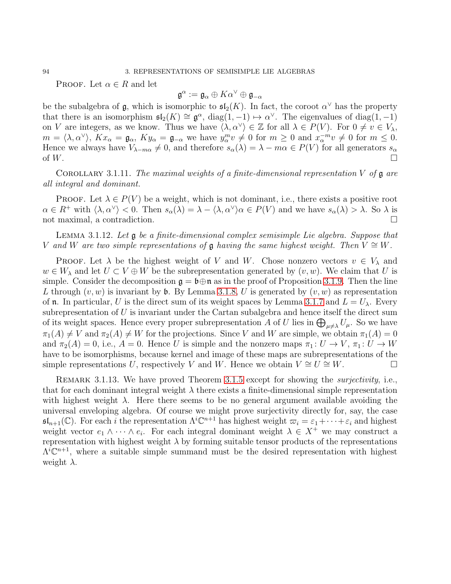PROOF. Let  $\alpha \in R$  and let

$$
^{\alpha}:=\mathfrak{g}_{\alpha}\oplus K\alpha^{\vee}\oplus \mathfrak{g}_{-\alpha}
$$

 $\mathfrak g$ 

be the subalgebra of  $\mathfrak g$ , which is isomorphic to  $\mathfrak{sl}_2(K)$ . In fact, the coroot  $\alpha^{\vee}$  has the property that there is an isomorphism  $\mathfrak{sl}_2(K) \cong \mathfrak{g}^{\alpha}$ ,  $\text{diag}(1,-1) \mapsto \alpha^{\vee}$ . The eigenvalues of  $\text{diag}(1,-1)$ on V are integers, as we know. Thus we have  $\langle \lambda, \alpha^{\vee} \rangle \in \mathbb{Z}$  for all  $\lambda \in P(V)$ . For  $0 \neq v \in V_{\lambda}$ ,  $m = \langle \lambda, \alpha^{\vee} \rangle$ ,  $Kx_{\alpha} = \mathfrak{g}_{\alpha}, Ky_{\alpha} = \mathfrak{g}_{-\alpha}$  we have  $y_{\alpha}^{m}v \neq 0$  for  $m \geq 0$  and  $x_{\alpha}^{-m}v \neq 0$  for  $m \leq 0$ . Hence we always have  $V_{\lambda-m\alpha} \neq 0$ , and therefore  $s_{\alpha}(\lambda) = \lambda - m\alpha \in P(V)$  for all generators  $s_{\alpha}$ of  $W$ .

<span id="page-96-0"></span>COROLLARY 3.1.11. The maximal weights of a finite-dimensional representation V of  $\mathfrak g$  are all integral and dominant.

PROOF. Let  $\lambda \in P(V)$  be a weight, which is not dominant, i.e., there exists a positive root  $\alpha \in R^+$  with  $\langle \lambda, \alpha^\vee \rangle < 0$ . Then  $s_\alpha(\lambda) = \lambda - \langle \lambda, \alpha^\vee \rangle \alpha \in P(V)$  and we have  $s_\alpha(\lambda) > \lambda$ . So  $\lambda$  is not maximal, a contradiction.

Lemma 3.1.12. Let g be a finite-dimensional complex semisimple Lie algebra. Suppose that V and W are two simple representations of  $\mathfrak g$  having the same highest weight. Then  $V \cong W$ .

**PROOF.** Let  $\lambda$  be the highest weight of V and W. Chose nonzero vectors  $v \in V_\lambda$  and  $w \in W_{\lambda}$  and let  $U \subset V \oplus W$  be the subrepresentation generated by  $(v, w)$ . We claim that U is simple. Consider the decomposition  $\mathfrak{g} = \mathfrak{b} \oplus \mathfrak{n}$  as in the proof of Proposition [3](#page-95-2).1.9. Then the line L through  $(v, w)$  is invariant by b. By Lemma [3](#page-95-0).1.8, U is generated by  $(v, w)$  as representation of **n**. In particular, U is the direct sum of its weight spaces by Lemma [3](#page-95-1).1.7 and  $L = U_{\lambda}$ . Every subrepresentation of  $U$  is invariant under the Cartan subalgebra and hence itself the direct sum of its weight spaces. Hence every proper subrepresentation A of U lies in  $\bigoplus_{\mu \neq \lambda} U_{\mu}$ . So we have  $\pi_1(A) \neq V$  and  $\pi_2(A) \neq W$  for the projections. Since V and W are simple, we obtain  $\pi_1(A) = 0$ and  $\pi_2(A) = 0$ , i.e.,  $A = 0$ . Hence U is simple and the nonzero maps  $\pi_1: U \to V$ ,  $\pi_1: U \to W$ have to be isomorphisms, because kernel and image of these maps are subrepresentations of the simple representations U, respectively V and W. Hence we obtain  $V \cong U \cong W$ .

REMARK [3](#page-94-0).1.13. We have proved Theorem 3.1.5 except for showing the *surjectivity*, i.e., that for each dominant integral weight  $\lambda$  there exists a finite-dimensional simple representation with highest weight  $\lambda$ . Here there seems to be no general argument available avoiding the universal enveloping algebra. Of course we might prove surjectivity directly for, say, the case  $\mathfrak{sl}_{n+1}(\mathbb{C})$ . For each i the representation  $\Lambda^i \mathbb{C}^{n+1}$  has highest weight  $\overline{\omega}_i = \varepsilon_1 + \cdots + \varepsilon_i$  and highest weight vector  $e_1 \wedge \cdots \wedge e_i$ . For each integral dominant weight  $\lambda \in X^+$  we may construct a representation with highest weight  $\lambda$  by forming suitable tensor products of the representations  $\Lambda^i\mathbb{C}^{n+1}$ , where a suitable simple summand must be the desired representation with highest weight  $\lambda$ .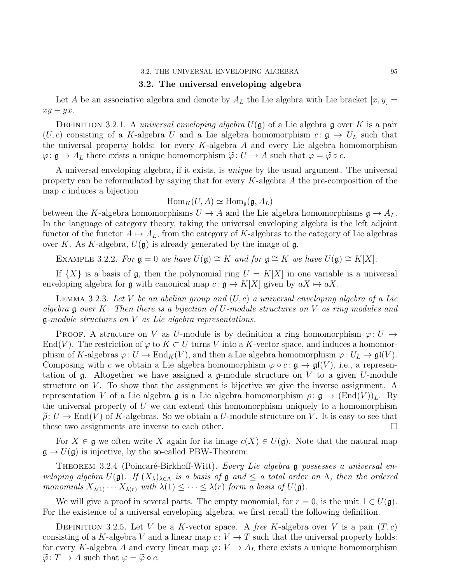#### 3.2. The universal enveloping algebra

Let A be an associative algebra and denote by  $A_L$  the Lie algebra with Lie bracket  $[x, y] =$  $xy - yx$ .

DEFINITION 3.2.1. A universal enveloping algebra  $U(\mathfrak{g})$  of a Lie algebra  $\mathfrak{g}$  over K is a pair  $(U, c)$  consisting of a K-algebra U and a Lie algebra homomorphism  $c : \mathfrak{g} \to U_L$  such that the universal property holds: for every  $K$ -algebra  $A$  and every Lie algebra homomorphism  $\varphi: \mathfrak{g} \to A_L$  there exists a unique homomorphism  $\widetilde{\varphi}: U \to A$  such that  $\varphi = \widetilde{\varphi} \circ c$ .

A universal enveloping algebra, if it exists, is unique by the usual argument. The universal property can be reformulated by saying that for every K-algebra A the pre-composition of the map  $c$  induces a bijection

$$
\operatorname{Hom}_K(U, A) \simeq \operatorname{Hom}_{\mathfrak{g}}(\mathfrak{g}, A_L)
$$

between the K-algebra homomorphisms  $U \to A$  and the Lie algebra homomorphisms  $\mathfrak{g} \to A_L$ . In the language of category theory, taking the universal enveloping algebra is the left adjoint functor of the functor  $A \mapsto A_L$ , from the category of K-algebras to the category of Lie algebras over K. As K-algebra,  $U(\mathfrak{g})$  is already generated by the image of  $\mathfrak{g}$ .

EXAMPLE 3.2.2. For  $\mathfrak{g} = 0$  we have  $U(\mathfrak{g}) \cong K$  and for  $\mathfrak{g} \cong K$  we have  $U(\mathfrak{g}) \cong K[X]$ .

If  $\{X\}$  is a basis of g, then the polynomial ring  $U = K[X]$  in one variable is a universal enveloping algebra for g with canonical map  $c: \mathfrak{g} \to K[X]$  given by  $aX \mapsto aX$ .

LEMMA 3.2.3. Let V be an abelian group and  $(U, c)$  a universal enveloping algebra of a Lie algebra  $\mathfrak g$  over K. Then there is a bijection of U-module structures on V as ring modules and  $\mathfrak g$ -module structures on V as Lie algebra representations.

PROOF. A structure on V as U-module is by definition a ring homomorphism  $\varphi: U \to$ End(V). The restriction of  $\varphi$  to  $K \subset U$  turns V into a K-vector space, and induces a homomorphism of K-algebras  $\varphi: U \to \text{End}_K(V)$ , and then a Lie algebra homomorphism  $\varphi: U_L \to \mathfrak{gl}(V)$ . Composing with c we obtain a Lie algebra homomorphism  $\varphi \circ c : \mathfrak{g} \to \mathfrak{gl}(V)$ , i.e., a representation of  $\mathfrak g$ . Altogether we have assigned a  $\mathfrak g$ -module structure on V to a given U-module structure on  $V$ . To show that the assignment is bijective we give the inverse assignment. A representation V of a Lie algebra g is a Lie algebra homomorphism  $\rho: \mathfrak{g} \to (\text{End}(V))_L$ . By the universal property of  $U$  we can extend this homomorphism uniquely to a homomorphism  $\tilde{\rho}: U \to \text{End}(V)$  of K-algebras. So we obtain a U-module structure on V. It is easy to see that these two assignments are inverse to each other. these two assignments are inverse to each other.

For  $X \in \mathfrak{g}$  we often write X again for its image  $c(X) \in U(\mathfrak{g})$ . Note that the natural map  $\mathfrak{g} \to U(\mathfrak{g})$  is injective, by the so-called PBW-Theorem:

<span id="page-97-0"></span>THEOREM 3.2.4 (Poincaré-Birkhoff-Witt). Every Lie algebra g possesses a universal enveloping algebra  $U(\mathfrak{g})$ . If  $(X_{\lambda})_{\lambda \in \Lambda}$  is a basis of  $\mathfrak{g}$  and  $\leq$  a total order on  $\Lambda$ , then the ordered monomials  $X_{\lambda(1)} \cdots X_{\lambda(r)}$  with  $\lambda(1) \leq \cdots \leq \lambda(r)$  form a basis of  $U(\mathfrak{g})$ .

We will give a proof in several parts. The empty monomial, for  $r = 0$ , is the unit  $1 \in U(\mathfrak{g})$ . For the existence of a universal enveloping algebra, we first recall the following definition.

DEFINITION 3.2.5. Let V be a K-vector space. A free K-algebra over V is a pair  $(T, c)$ consisting of a K-algebra V and a linear map  $c: V \to T$  such that the universal property holds: for every K-algebra A and every linear map  $\varphi: V \to A_L$  there exists a unique homomorphism  $\widetilde{\varphi} \colon T \to A$  such that  $\varphi = \widetilde{\varphi} \circ c$ .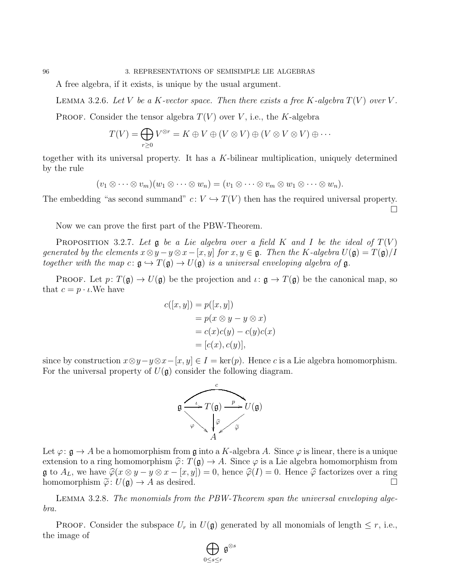A free algebra, if it exists, is unique by the usual argument.

LEMMA 3.2.6. Let V be a K-vector space. Then there exists a free K-algebra  $T(V)$  over V.

**PROOF.** Consider the tensor algebra  $T(V)$  over V, i.e., the K-algebra

$$
T(V) = \bigoplus_{r \geq 0} V^{\otimes r} = K \oplus V \oplus (V \otimes V) \oplus (V \otimes V \otimes V) \oplus \cdots
$$

together with its universal property. It has a K-bilinear multiplication, uniquely determined by the rule

$$
(v_1 \otimes \cdots \otimes v_m)(w_1 \otimes \cdots \otimes w_n) = (v_1 \otimes \cdots \otimes v_m \otimes w_1 \otimes \cdots \otimes w_n).
$$

The embedding "as second summand"  $c: V \hookrightarrow T(V)$  then has the required universal property.  $\Box$ 

Now we can prove the first part of the PBW-Theorem.

<span id="page-98-0"></span>PROPOSITION 3.2.7. Let  $\mathfrak g$  be a Lie algebra over a field K and I be the ideal of  $T(V)$ generated by the elements  $x \otimes y - y \otimes x - [x, y]$  for  $x, y \in \mathfrak{g}$ . Then the K-algebra  $U(\mathfrak{g}) = T(\mathfrak{g})/I$ together with the map  $c: \mathfrak{g} \hookrightarrow T(\mathfrak{g}) \to U(\mathfrak{g})$  is a universal enveloping algebra of  $\mathfrak{g}$ .

PROOF. Let  $p: T(\mathfrak{g}) \to U(\mathfrak{g})$  be the projection and  $\iota: \mathfrak{g} \to T(\mathfrak{g})$  be the canonical map, so that  $c = p \cdot \iota$ . We have

$$
c([x, y]) = p([x, y])
$$
  
=  $p(x \otimes y - y \otimes x)$   
=  $c(x)c(y) - c(y)c(x)$   
=  $[c(x), c(y)],$ 

since by construction  $x \otimes y - y \otimes x - [x, y] \in I = \text{ker}(p)$ . Hence c is a Lie algebra homomorphism. For the universal property of  $U(\mathfrak{g})$  consider the following diagram.



Let  $\varphi: \mathfrak{g} \to A$  be a homomorphism from  $\mathfrak{g}$  into a K-algebra A. Since  $\varphi$  is linear, there is a unique extension to a ring homomorphism  $\hat{\varphi}$ :  $T(\mathfrak{g}) \to A$ . Since  $\varphi$  is a Lie algebra homomorphism from  $\mathfrak{g}$  to  $A_L$ , we have  $\widehat{\varphi}(x \otimes y - y \otimes x - [x, y]) = 0$ , hence  $\widehat{\varphi}(I) = 0$ . Hence  $\widehat{\varphi}$  factorizes over a ring homomorphism  $\widetilde{\varphi} \colon U(\mathfrak{g}) \to A$  as desired. homomorphism  $\tilde{\varphi} : U(\mathfrak{g}) \to A$  as desired.

<span id="page-98-1"></span>Lemma 3.2.8. The monomials from the PBW-Theorem span the universal enveloping algebra.

PROOF. Consider the subspace  $U_r$  in  $U(\mathfrak{g})$  generated by all monomials of length  $\leq r$ , i.e., the image of

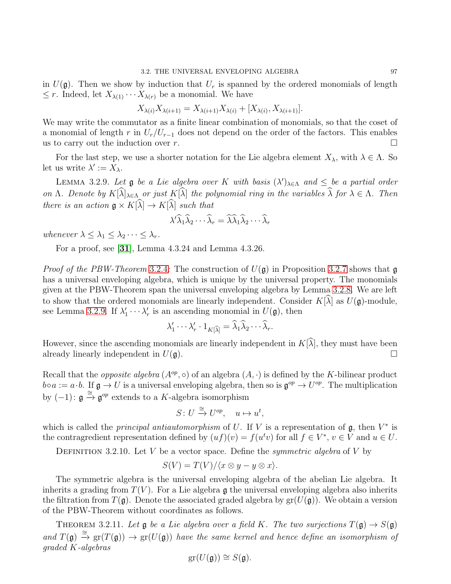in  $U(\mathfrak{g})$ . Then we show by induction that  $U_r$  is spanned by the ordered monomials of length  $\leq r$ . Indeed, let  $X_{\lambda(1)} \cdots X_{\lambda(r)}$  be a monomial. We have

$$
X_{\lambda(i)}X_{\lambda(i+1)} = X_{\lambda(i+1)}X_{\lambda(i)} + [X_{\lambda(i)}, X_{\lambda(i+1)}].
$$

We may write the commutator as a finite linear combination of monomials, so that the coset of a monomial of length r in  $U_r/U_{r-1}$  does not depend on the order of the factors. This enables us to carry out the induction over r. □ us to carry out the induction over  $r$ .

For the last step, we use a shorter notation for the Lie algebra element  $X_{\lambda}$ , with  $\lambda \in \Lambda$ . So let us write  $\lambda' := X_{\lambda}$ .

<span id="page-99-0"></span>LEMMA 3.2.9. Let  $\mathfrak g$  be a Lie algebra over K with basis  $(\lambda')_{\lambda \in \Lambda}$  and  $\leq \infty$  be a partial order on Λ. Denote by  $K[\widehat{\lambda}]_{\lambda \in \Lambda}$  or just  $K[\widehat{\lambda}]$  the polynomial ring in the variables  $\widehat{\lambda}$  for  $\lambda \in \Lambda$ . Then there is an action  $\mathfrak{g} \times K[\widehat{\lambda}] \to K[\widehat{\lambda}]$  such that

$$
\lambda' \widehat{\lambda}_1 \widehat{\lambda}_2 \cdots \widehat{\lambda}_r = \widehat{\lambda} \widehat{\lambda}_1 \widehat{\lambda}_2 \cdots \widehat{\lambda}_r
$$

whenever  $\lambda \leq \lambda_1 \leq \lambda_2 \cdots \leq \lambda_r$ .

For a proof, see [[31](#page-111-1)], Lemma 4.3.24 and Lemma 4.3.26.

*Proof of the PBW-Theorem* [3](#page-97-0).2.4: The construction of  $U(\mathfrak{g})$  in Proposition [3](#page-98-0).2.7 shows that  $\mathfrak{g}$ has a universal enveloping algebra, which is unique by the universal property. The monomials given at the PBW-Theorem span the universal enveloping algebra by Lemma [3](#page-98-1).2.8. We are left to show that the ordered monomials are linearly independent. Consider  $K[\widehat{\lambda}]$  as  $U(\mathfrak{g})$ -module, see Lemma [3](#page-99-0).2.9. If  $\lambda'_1 \cdots \lambda'_r$  is an ascending monomial in  $U(\mathfrak{g})$ , then

$$
\lambda'_1 \cdots \lambda'_r \cdot 1_{K[\widehat{\lambda}]} = \widehat{\lambda}_1 \widehat{\lambda}_2 \cdots \widehat{\lambda}_r.
$$

However, since the ascending monomials are linearly independent in  $K[\hat{\lambda}]$ , they must have been already linearly independent in  $U(\mathfrak{a})$ . already linearly independent in  $U(\mathfrak{g})$ .

Recall that the *opposite algebra*  $(A^{op}, \circ)$  of an algebra  $(A, \cdot)$  is defined by the K-bilinear product  $b \circ a := a \cdot b$ . If  $\mathfrak{g} \to U$  is a universal enveloping algebra, then so is  $\mathfrak{g}^{op} \to U^{op}$ . The multiplication by  $(-1)$ :  $\mathfrak{g} \stackrel{\cong}{\rightarrow} \mathfrak{g}^{op}$  extends to a K-algebra isomorphism

$$
S: U \stackrel{\cong}{\to} U^{op}, \quad u \mapsto u^t,
$$

which is called the *principal antiautomorphism* of U. If V is a representation of  $\mathfrak{g}$ , then  $V^*$  is the contragredient representation defined by  $(uf)(v) = f(u^t v)$  for all  $f \in V^*$ ,  $v \in V$  and  $u \in U$ .

DEFINITION 3.2.10. Let V be a vector space. Define the *symmetric algebra* of V by

$$
S(V) = T(V)/\langle x \otimes y - y \otimes x \rangle.
$$

The symmetric algebra is the universal enveloping algebra of the abelian Lie algebra. It inherits a grading from  $T(V)$ . For a Lie algebra g the universal enveloping algebra also inherits the filtration from  $T(\mathfrak{g})$ . Denote the associated graded algebra by  $gr(U(\mathfrak{g}))$ . We obtain a version of the PBW-Theorem without coordinates as follows.

THEOREM 3.2.11. Let  $\mathfrak g$  be a Lie algebra over a field K. The two surjections  $T(\mathfrak g) \to S(\mathfrak g)$ and  $T(\mathfrak{g}) \stackrel{\cong}{\to} \text{gr}(T(\mathfrak{g})) \to \text{gr}(U(\mathfrak{g}))$  have the same kernel and hence define an isomorphism of graded K-algebras

$$
\operatorname{gr}(U(\mathfrak{g})) \cong S(\mathfrak{g}).
$$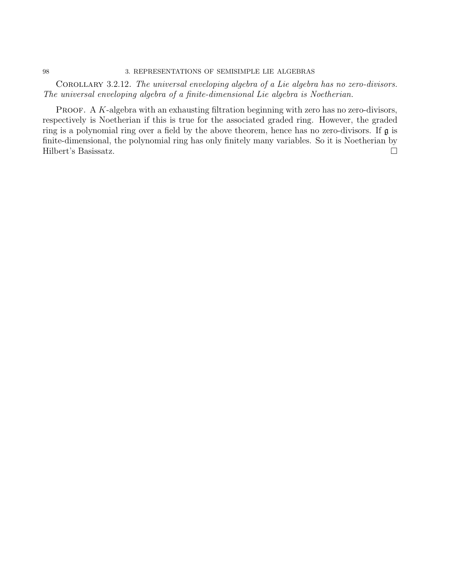#### 98 3. REPRESENTATIONS OF SEMISIMPLE LIE ALGEBRAS

COROLLARY 3.2.12. The universal enveloping algebra of a Lie algebra has no zero-divisors. The universal enveloping algebra of a finite-dimensional Lie algebra is Noetherian.

PROOF. A  $K$ -algebra with an exhausting filtration beginning with zero has no zero-divisors, respectively is Noetherian if this is true for the associated graded ring. However, the graded ring is a polynomial ring over a field by the above theorem, hence has no zero-divisors. If g is finite-dimensional, the polynomial ring has only finitely many variables. So it is Noetherian by Hilbert's Basissatz.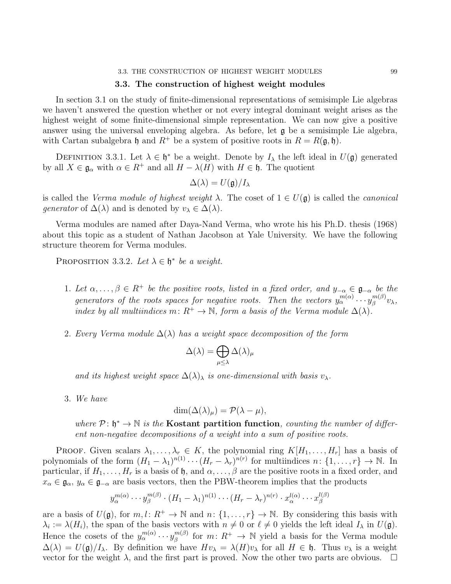#### 3.3. THE CONSTRUCTION OF HIGHEST WEIGHT MODULES 99

# 3.3. The construction of highest weight modules

In section 3.1 on the study of finite-dimensional representations of semisimple Lie algebras we haven't answered the question whether or not every integral dominant weight arises as the highest weight of some finite-dimensional simple representation. We can now give a positive answer using the universal enveloping algebra. As before, let  $\mathfrak g$  be a semisimple Lie algebra, with Cartan subalgebra h and  $R^+$  be a system of positive roots in  $R = R(\mathfrak{g}, \mathfrak{h}).$ 

DEFINITION 3.3.1. Let  $\lambda \in \mathfrak{h}^*$  be a weight. Denote by  $I_\lambda$  the left ideal in  $U(\mathfrak{g})$  generated by all  $X \in \mathfrak{g}_{\alpha}$  with  $\alpha \in R^+$  and all  $H - \lambda(H)$  with  $H \in \mathfrak{h}$ . The quotient

$$
\Delta(\lambda)=U(\mathfrak{g})/I_\lambda
$$

is called the *Verma module of highest weight*  $\lambda$ . The coset of  $1 \in U(\mathfrak{g})$  is called the *canonical* generator of  $\Delta(\lambda)$  and is denoted by  $v_{\lambda} \in \Delta(\lambda)$ .

Verma modules are named after Daya-Nand Verma, who wrote his his Ph.D. thesis (1968) about this topic as a student of Nathan Jacobson at Yale University. We have the following structure theorem for Verma modules.

<span id="page-101-0"></span>PROPOSITION 3.3.2. Let  $\lambda \in \mathfrak{h}^*$  be a weight.

- 1. Let  $\alpha, \ldots, \beta \in R^+$  be the positive roots, listed in a fixed order, and  $y_{-\alpha} \in \mathfrak{g}_{-\alpha}$  be the generators of the roots spaces for negative roots. Then the vectors  $y_\alpha^{m(\alpha)} \cdots y_\beta^{m(\beta)}$  ${}_{\beta}^{m(\rho)}v_{\lambda},$ index by all multiindices m:  $R^+ \to \mathbb{N}$ , form a basis of the Verma module  $\Delta(\lambda)$ .
- 2. Every Verma module  $\Delta(\lambda)$  has a weight space decomposition of the form

$$
\Delta(\lambda)=\bigoplus_{\mu\leq\lambda}\Delta(\lambda)_\mu
$$

and its highest weight space  $\Delta(\lambda)$  is one-dimensional with basis  $v_\lambda$ .

3. We have

$$
\dim(\Delta(\lambda)_{\mu}) = \mathcal{P}(\lambda - \mu),
$$

where  $\mathcal{P}: \mathfrak{h}^* \to \mathbb{N}$  is the **Kostant partition function**, counting the number of different non-negative decompositions of a weight into a sum of positive roots.

PROOF. Given scalars  $\lambda_1, \ldots, \lambda_r \in K$ , the polynomial ring  $K[H_1, \ldots, H_r]$  has a basis of polynomials of the form  $(H_1 - \lambda_1)^{n(1)} \cdots (H_r - \lambda_r)^{n(r)}$  for multiindices  $n: \{1, \ldots, r\} \to \mathbb{N}$ . In particular, if  $H_1, \ldots, H_r$  is a basis of h, and  $\alpha, \ldots, \beta$  are the positive roots in a fixed order, and  $x_{\alpha} \in \mathfrak{g}_{\alpha}, y_{\alpha} \in \mathfrak{g}_{-\alpha}$  are basis vectors, then the PBW-theorem implies that the products

$$
y_{\alpha}^{m(\alpha)} \cdots y_{\beta}^{m(\beta)} \cdot (H_1 - \lambda_1)^{n(1)} \cdots (H_r - \lambda_r)^{n(r)} \cdot x_{\alpha}^{l(\alpha)} \cdots x_{\beta}^{l(\beta)}
$$

are a basis of  $U(\mathfrak{g})$ , for  $m, l: R^+ \to \mathbb{N}$  and  $n: \{1, \ldots, r\} \to \mathbb{N}$ . By considering this basis with  $\lambda_i := \lambda(H_i)$ , the span of the basis vectors with  $n \neq 0$  or  $\ell \neq 0$  yields the left ideal  $I_\lambda$  in  $U(\mathfrak{g})$ . Hence the cosets of the  $y_{\alpha}^{m(\alpha)} \cdots y_{\beta}^{m(\beta)}$  $\binom{m(\beta)}{\beta}$  for  $m: R^+ \to \mathbb{N}$  yield a basis for the Verma module  $\Delta(\lambda) = U(\mathfrak{g})/I_{\lambda}$ . By definition we have  $Hv_{\lambda} = \lambda(H)v_{\lambda}$  for all  $H \in \mathfrak{h}$ . Thus  $v_{\lambda}$  is a weight vector for the weight  $\lambda$ , and the first part is proved. Now the other two parts are obvious. vector for the weight  $\lambda$ , and the first part is proved. Now the other two parts are obvious.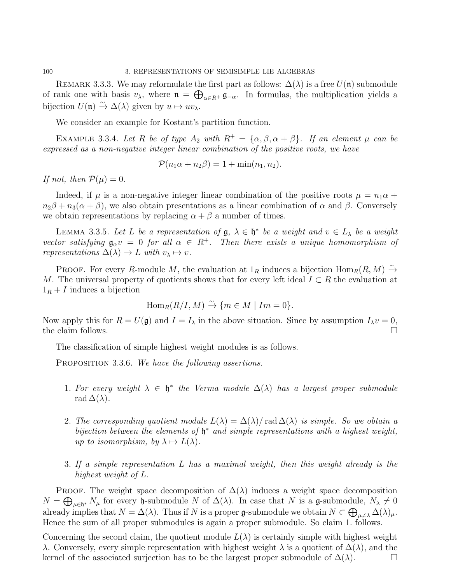100 3. REPRESENTATIONS OF SEMISIMPLE LIE ALGEBRAS

REMARK 3.3.3. We may reformulate the first part as follows:  $\Delta(\lambda)$  is a free  $U(\mathfrak{n})$  submodule of rank one with basis  $v_\lambda$ , where  $\mathfrak{n} = \bigoplus_{\alpha \in R^+} \mathfrak{g}_{-\alpha}$ . In formulas, the multiplication yields a bijection  $U(\mathfrak{n}) \xrightarrow{\sim} \Delta(\lambda)$  given by  $u \mapsto uv_{\lambda}$ .

We consider an example for Kostant's partition function.

EXAMPLE 3.3.4. Let R be of type  $A_2$  with  $R^+ = {\alpha, \beta, \alpha + \beta}$ . If an element  $\mu$  can be expressed as a non-negative integer linear combination of the positive roots, we have

 $\mathcal{P}(n_1\alpha + n_2\beta) = 1 + \min(n_1, n_2).$ 

If not, then  $\mathcal{P}(\mu)=0$ .

Indeed, if  $\mu$  is a non-negative integer linear combination of the positive roots  $\mu = n_1 \alpha +$  $n_2\beta + n_3(\alpha + \beta)$ , we also obtain presentations as a linear combination of  $\alpha$  and  $\beta$ . Conversely we obtain representations by replacing  $\alpha + \beta$  a number of times.

LEMMA 3.3.5. Let L be a representation of  $\mathfrak{g}, \lambda \in \mathfrak{h}^*$  be a weight and  $v \in L_\lambda$  be a weight vector satisfying  $\mathfrak{g}_{\alpha}v = 0$  for all  $\alpha \in R^+$ . Then there exists a unique homomorphism of representations  $\Delta(\lambda) \rightarrow L$  with  $v_{\lambda} \mapsto v$ .

PROOF. For every R-module M, the evaluation at  $1_R$  induces a bijection  $\text{Hom}_R(R, M) \xrightarrow{\sim} \text{Hom}_R(R, M)$ M. The universal property of quotients shows that for every left ideal  $I \subset R$  the evaluation at  $1_R + I$  induces a bijection

$$
\operatorname{Hom}_R(R/I, M) \xrightarrow{\sim} \{m \in M \mid Im = 0\}.
$$

Now apply this for  $R = U(\mathfrak{g})$  and  $I = I_\lambda$  in the above situation. Since by assumption  $I_\lambda v = 0$ , the claim follows.  $\Box$ 

The classification of simple highest weight modules is as follows.

PROPOSITION 3.3.6. We have the following assertions.

- 1. For every weight  $\lambda \in \mathfrak{h}^*$  the Verma module  $\Delta(\lambda)$  has a largest proper submodule rad  $\Delta(\lambda)$ .
- 2. The corresponding quotient module  $L(\lambda) = \Delta(\lambda) / \text{rad} \Delta(\lambda)$  is simple. So we obtain a bijection between the elements of  $\mathfrak{h}^*$  and simple representations with a highest weight, up to isomorphism, by  $\lambda \mapsto L(\lambda)$ .
- 3. If a simple representation L has a maximal weight, then this weight already is the highest weight of L.

PROOF. The weight space decomposition of  $\Delta(\lambda)$  induces a weight space decomposition  $N = \bigoplus_{\mu \in \mathfrak{h}^*} N_{\mu}$  for every  $\mathfrak{h}$ -submodule N of  $\Delta(\lambda)$ . In case that N is a g-submodule,  $N_{\lambda} \neq 0$ already implies that  $N = \Delta(\lambda)$ . Thus if N is a proper g-submodule we obtain  $N \subset \bigoplus_{\mu \neq \lambda} \Delta(\lambda)_{\mu}$ . Hence the sum of all proper submodules is again a proper submodule. So claim 1. follows.

Concerning the second claim, the quotient module  $L(\lambda)$  is certainly simple with highest weight λ. Conversely, every simple representation with highest weight λ is a quotient of ∆(λ), and the kernel of the associated surjection has to be the largest proper submodule of  $\Delta(\lambda)$ .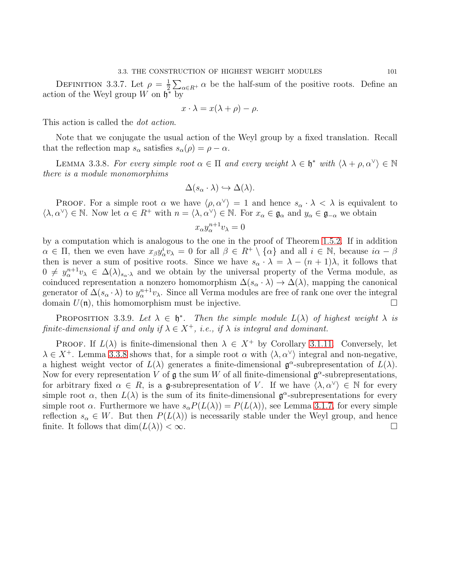DEFINITION 3.3.7. Let  $\rho = \frac{1}{2}$  $\frac{1}{2} \sum_{\alpha \in R^+} \alpha$  be the half-sum of the positive roots. Define an action of the Weyl group  $W$  on  $\mathfrak{h}^*$  by

$$
x \cdot \lambda = x(\lambda + \rho) - \rho.
$$

This action is called the *dot action*.

Note that we conjugate the usual action of the Weyl group by a fixed translation. Recall that the reflection map  $s_{\alpha}$  satisfies  $s_{\alpha}(\rho) = \rho - \alpha$ .

<span id="page-103-0"></span>LEMMA 3.3.8. For every simple root  $\alpha \in \Pi$  and every weight  $\lambda \in \mathfrak{h}^*$  with  $\langle \lambda + \rho, \alpha^{\vee} \rangle \in \mathbb{N}$ there is a module monomorphims

$$
\Delta(s_\alpha \cdot \lambda) \hookrightarrow \Delta(\lambda).
$$

PROOF. For a simple root  $\alpha$  we have  $\langle \rho, \alpha^{\vee} \rangle = 1$  and hence  $s_{\alpha} \cdot \lambda < \lambda$  is equivalent to  $\langle \lambda, \alpha^{\vee} \rangle \in \mathbb{N}$ . Now let  $\alpha \in R^+$  with  $n = \langle \lambda, \alpha^{\vee} \rangle \in \mathbb{N}$ . For  $x_{\alpha} \in \mathfrak{g}_{\alpha}$  and  $y_{\alpha} \in \mathfrak{g}_{-\alpha}$  we obtain

$$
x_{\alpha}y_{\alpha}^{n+1}v_{\lambda}=0
$$

by a computation which is analogous to the one in the proof of Theorem [1](#page-19-0).5.2. If in addition  $\alpha \in \Pi$ , then we even have  $x_{\beta}y_{\alpha}^iv_{\lambda} = 0$  for all  $\beta \in R^+ \setminus {\{\alpha\}}$  and all  $i \in \mathbb{N}$ , because  $i\alpha - \beta$ then is never a sum of positive roots. Since we have  $s_{\alpha} \cdot \lambda = \lambda - (n+1)\lambda$ , it follows that  $0 \neq y_\alpha^{n+1}v_\lambda \in \Delta(\lambda)_{s_\alpha,\lambda}$  and we obtain by the universal property of the Verma module, as coinduced representation a nonzero homomorphism  $\Delta(s_\alpha \cdot \lambda) \to \Delta(\lambda)$ , mapping the canonical generator of  $\Delta(s_\alpha \cdot \lambda)$  to  $y_\alpha^{n+1} v_\lambda$ . Since all Verma modules are free of rank one over the integral domain  $U(\mathfrak{n})$ , this homomorphism must be injective.

PROPOSITION 3.3.9. Let  $\lambda \in \mathfrak{h}^*$ . Then the simple module  $L(\lambda)$  of highest weight  $\lambda$  is finite-dimensional if and only if  $\lambda \in X^+$ , i.e., if  $\lambda$  is integral and dominant.

PROOF. If  $L(\lambda)$  is finite-dimensional then  $\lambda \in X^+$  by Corollary 3.1.[11.](#page-96-0) Conversely, let  $\lambda \in X^+$ . Lemma [3](#page-103-0).3.8 shows that, for a simple root  $\alpha$  with  $\langle \lambda, \alpha^\vee \rangle$  integral and non-negative, a highest weight vector of  $L(\lambda)$  generates a finite-dimensional  $\mathfrak{g}^{\alpha}$ -subrepresentation of  $L(\lambda)$ . Now for every representation V of  $\mathfrak g$  the sum W of all finite-dimensional  $\mathfrak g^{\alpha}$ -subrepresentations, for arbitrary fixed  $\alpha \in R$ , is a g-subrepresentation of V. If we have  $\langle \lambda, \alpha^{\vee} \rangle \in \mathbb{N}$  for every simple root  $\alpha$ , then  $L(\lambda)$  is the sum of its finite-dimensional  $\mathfrak{g}^{\alpha}$ -subrepresentations for every simple root  $\alpha$ . Furthermore we have  $s_{\alpha}P(L(\lambda)) = P(L(\lambda))$ , see Lemma [3](#page-95-1).1.7, for every simple reflection  $s_{\alpha} \in W$ . But then  $P(L(\lambda))$  is necessarily stable under the Weyl group, and hence finite. It follows that  $\dim(L(\lambda)) < \infty$ . finite. It follows that  $\dim(L(\lambda)) < \infty$ .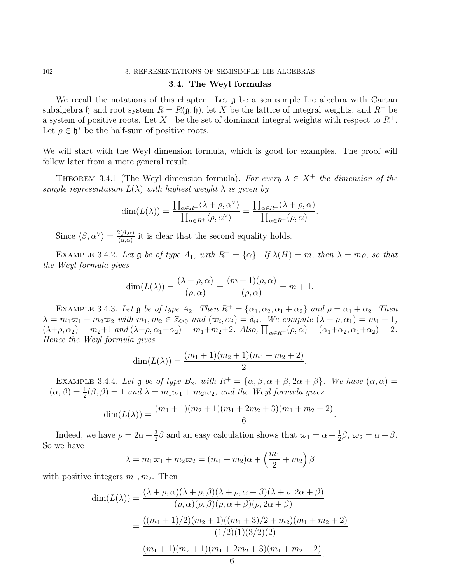# 102 3. REPRESENTATIONS OF SEMISIMPLE LIE ALGEBRAS

# 3.4. The Weyl formulas

We recall the notations of this chapter. Let  $\mathfrak g$  be a semisimple Lie algebra with Cartan subalgebra h and root system  $R = R(\mathfrak{g}, \mathfrak{h})$ , let X be the lattice of integral weights, and  $R^+$  be a system of positive roots. Let  $X^+$  be the set of dominant integral weights with respect to  $R^+$ . Let  $\rho \in \mathfrak{h}^*$  be the half-sum of positive roots.

We will start with the Weyl dimension formula, which is good for examples. The proof will follow later from a more general result.

THEOREM 3.4.1 (The Weyl dimension formula). For every  $\lambda \in X^+$  the dimension of the simple representation  $L(\lambda)$  with highest weight  $\lambda$  is given by

$$
\dim(L(\lambda)) = \frac{\prod_{\alpha \in R^+} \langle \lambda + \rho, \alpha^{\vee} \rangle}{\prod_{\alpha \in R^+} \langle \rho, \alpha^{\vee} \rangle} = \frac{\prod_{\alpha \in R^+} (\lambda + \rho, \alpha)}{\prod_{\alpha \in R^+} (\rho, \alpha)}.
$$

Since  $\langle \beta, \alpha^{\vee} \rangle = \frac{2(\beta, \alpha)}{(\alpha, \alpha)}$  $\frac{d(\beta,\alpha)}{d(\alpha,\alpha)}$  it is clear that the second equality holds.

EXAMPLE 3.4.2. Let  $\mathfrak g$  be of type  $A_1$ , with  $R^+ = {\alpha}$ . If  $\lambda(H) = m$ , then  $\lambda = m\rho$ , so that the Weyl formula gives

$$
\dim(L(\lambda)) = \frac{(\lambda + \rho, \alpha)}{(\rho, \alpha)} = \frac{(m+1)(\rho, \alpha)}{(\rho, \alpha)} = m + 1.
$$

EXAMPLE 3.4.3. Let  $\mathfrak g$  be of type  $A_2$ . Then  $R^+ = {\alpha_1, \alpha_2, \alpha_1 + \alpha_2}$  and  $\rho = \alpha_1 + \alpha_2$ . Then  $\lambda = m_1\overline{\omega}_1 + m_2\overline{\omega}_2$  with  $m_1, m_2 \in \mathbb{Z}_{\geq 0}$  and  $(\overline{\omega}_i, \alpha_j) = \delta_{ij}$ . We compute  $(\lambda + \rho, \alpha_1) = m_1 + 1$ ,  $(\lambda + \rho, \alpha_2) = m_2 + 1$  and  $(\lambda + \rho, \alpha_1 + \alpha_2) = m_1 + m_2 + 2$ . Also,  $\prod_{\alpha \in R^+} (\rho, \alpha) = (\alpha_1 + \alpha_2, \alpha_1 + \alpha_2) = 2$ . Hence the Weyl formula gives

$$
\dim(L(\lambda)) = \frac{(m_1+1)(m_2+1)(m_1+m_2+2)}{2}.
$$

EXAMPLE 3.4.4. Let  $\mathfrak g$  be of type  $B_2$ , with  $R^+ = {\alpha, \beta, \alpha + \beta, 2\alpha + \beta}.$  We have  $(\alpha, \alpha)$  $-(\alpha, \beta) = \frac{1}{2}(\beta, \beta) = 1$  and  $\lambda = m_1\varpi_1 + m_2\varpi_2$ , and the Weyl formula gives

$$
\dim(L(\lambda)) = \frac{(m_1+1)(m_2+1)(m_1+2m_2+3)(m_1+m_2+2)}{6}.
$$

Indeed, we have  $\rho = 2\alpha + \frac{3}{2}$  $\frac{3}{2}\beta$  and an easy calculation shows that  $\overline{\alpha}_1 = \alpha + \frac{1}{2}$  $\frac{1}{2}\beta$ ,  $\varpi_2 = \alpha + \beta$ . So we have

$$
\lambda = m_1 \varpi_1 + m_2 \varpi_2 = (m_1 + m_2)\alpha + \left(\frac{m_1}{2} + m_2\right)\beta
$$

with positive integers  $m_1, m_2$ . Then

$$
\dim(L(\lambda)) = \frac{(\lambda + \rho, \alpha)(\lambda + \rho, \beta)(\lambda + \rho, \alpha + \beta)(\lambda + \rho, 2\alpha + \beta)}{(\rho, \alpha)(\rho, \beta)(\rho, \alpha + \beta)(\rho, 2\alpha + \beta)}
$$
  
= 
$$
\frac{((m_1 + 1)/2)(m_2 + 1)((m_1 + 3)/2 + m_2)(m_1 + m_2 + 2)}{(1/2)(1)(3/2)(2)}
$$
  
= 
$$
\frac{(m_1 + 1)(m_2 + 1)(m_1 + 2m_2 + 3)(m_1 + m_2 + 2)}{6}.
$$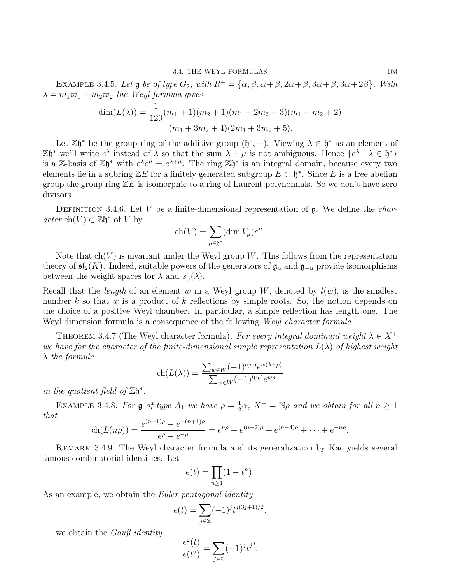EXAMPLE 3.4.5. Let  $\mathfrak g$  be of type  $G_2$ , with  $R^+ = {\alpha, \beta, \alpha + \beta, 2\alpha + \beta, 3\alpha + \beta, 3\alpha + 2\beta}.$  With  $\lambda = m_1 \overline{\omega}_1 + m_2 \overline{\omega}_2$  the Weyl formula gives

$$
\dim(L(\lambda)) = \frac{1}{120}(m_1 + 1)(m_2 + 1)(m_1 + 2m_2 + 3)(m_1 + m_2 + 2)
$$

$$
(m_1 + 3m_2 + 4)(2m_1 + 3m_2 + 5).
$$

Let  $\mathbb{Z}\mathfrak{h}^*$  be the group ring of the additive group  $(\mathfrak{h}^*,+)$ . Viewing  $\lambda \in \mathfrak{h}^*$  as an element of  $\mathbb{Z}\mathfrak{h}^*$  we'll write  $e^{\lambda}$  instead of  $\lambda$  so that the sum  $\lambda + \mu$  is not ambiguous. Hence  $\{e^{\lambda} \mid \lambda \in \mathfrak{h}^*\}$ is a Z-basis of  $\mathbb{Z}\mathfrak{h}^*$  with  $e^{\lambda}e^{\mu}=e^{\lambda+\mu}$ . The ring  $\mathbb{Z}\mathfrak{h}^*$  is an integral domain, because every two elements lie in a subring  $\mathbb{Z}E$  for a finitely generated subgroup  $E \subset \mathfrak{h}^*$ . Since E is a free abelian group the group ring  $\mathbb{Z}E$  is isomorphic to a ring of Laurent polynomials. So we don't have zero divisors.

DEFINITION 3.4.6. Let V be a finite-dimensional representation of  $\mathfrak{g}$ . We define the *char*- $\operatorname{acter} \operatorname{ch}(V) \in \mathbb{Z} \mathfrak{h}^*$  of V by

$$
\operatorname{ch}(V) = \sum_{\mu \in \mathfrak{h}^*} (\dim V_{\mu}) e^{\mu}.
$$

Note that  $ch(V)$  is invariant under the Weyl group W. This follows from the representation theory of  $\mathfrak{sl}_2(K)$ . Indeed, suitable powers of the generators of  $\mathfrak{g}_{\alpha}$  and  $\mathfrak{g}_{-\alpha}$  provide isomorphisms between the weight spaces for  $\lambda$  and  $s_{\alpha}(\lambda)$ .

Recall that the *length* of an element w in a Weyl group W, denoted by  $l(w)$ , is the smallest number k so that w is a product of k reflections by simple roots. So, the notion depends on the choice of a positive Weyl chamber. In particular, a simple reflection has length one. The Weyl dimension formula is a consequence of the following *Weyl character formula*.

THEOREM 3.4.7 (The Weyl character formula). For every integral dominant weight  $\lambda \in X^+$ we have for the character of the finite-dimensional simple representation  $L(\lambda)$  of highest weight  $\lambda$  the formula

$$
\operatorname{ch}(L(\lambda)) = \frac{\sum_{w \in W} (-1)^{l(w)} e^{w(\lambda + \rho)}}{\sum_{w \in W} (-1)^{l(w)} e^{w\rho}}
$$

in the quotient field of  $\mathbb{Z}\mathfrak{h}^*$ .

EXAMPLE 3.4.8. For  $\mathfrak g$  of type  $A_1$  we have  $\rho = \frac{1}{2}$  $\frac{1}{2}\alpha$ ,  $X^+ = \mathbb{N}\rho$  and we obtain for all  $n \geq 1$ that

$$
ch(L(n\rho)) = \frac{e^{(n+1)\rho} - e^{-(n+1)\rho}}{e^{\rho} - e^{-\rho}} = e^{n\rho} + e^{(n-2)\rho} + e^{(n-4)\rho} + \dots + e^{-n\rho}.
$$

Remark 3.4.9. The Weyl character formula and its generalization by Kac yields several famous combinatorial identities. Let

$$
e(t) = \prod_{n \ge 1} (1 - t^n).
$$

As an example, we obtain the *Euler pentagonal identity* 

$$
e(t) = \sum_{j \in \mathbb{Z}} (-1)^j t^{j(3j+1)/2},
$$

we obtain the *Gauß identity* 

$$
\frac{e^2(t)}{e(t^2)} = \sum_{j \in \mathbb{Z}} (-1)^j t^{j^2},
$$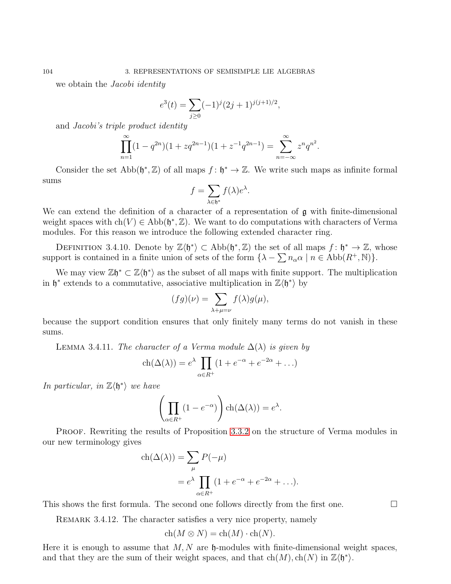we obtain the *Jacobi identity* 

$$
e^{3}(t) = \sum_{j\geq 0} (-1)^{j} (2j+1)^{j(j+1)/2},
$$

and Jacobi's triple product identity

$$
\prod_{n=1}^{\infty} (1 - q^{2n})(1 + zq^{2n-1})(1 + z^{-1}q^{2n-1}) = \sum_{n=-\infty}^{\infty} z^n q^{n^2}.
$$

Consider the set  $\text{Abb}(\mathfrak{h}^*, \mathbb{Z})$  of all maps  $f : \mathfrak{h}^* \to \mathbb{Z}$ . We write such maps as infinite formal sums

$$
f = \sum_{\lambda \in \mathfrak{h}^*} f(\lambda) e^{\lambda}.
$$

We can extend the definition of a character of a representation of  $\boldsymbol{g}$  with finite-dimensional weight spaces with  $ch(V) \in Abb(\mathfrak{h}^*, \mathbb{Z})$ . We want to do computations with characters of Verma modules. For this reason we introduce the following extended character ring.

DEFINITION 3.4.10. Denote by  $\mathbb{Z}\langle \mathfrak{h}^* \rangle \subset \text{Abb}(\mathfrak{h}^*, \mathbb{Z})$  the set of all maps  $f : \mathfrak{h}^* \to \mathbb{Z}$ , whose support is contained in a finite union of sets of the form  $\{\lambda - \sum n_\alpha \alpha \mid n \in \text{Abb}(R^+, \mathbb{N})\}.$ 

We may view  $\mathbb{Z}\mathfrak{h}^* \subset \mathbb{Z}\langle \mathfrak{h}^* \rangle$  as the subset of all maps with finite support. The multiplication in  $\mathfrak{h}^*$  extends to a commutative, associative multiplication in  $\mathbb{Z}\langle \mathfrak{h}^* \rangle$  by

$$
(fg)(\nu) = \sum_{\lambda+\mu=\nu} f(\lambda)g(\mu),
$$

because the support condition ensures that only finitely many terms do not vanish in these sums.

LEMMA 3.4.11. The character of a Verma module  $\Delta(\lambda)$  is given by

$$
ch(\Delta(\lambda)) = e^{\lambda} \prod_{\alpha \in R^+} (1 + e^{-\alpha} + e^{-2\alpha} + \ldots)
$$

In particular, in  $\mathbb{Z}\langle \mathfrak{h}^* \rangle$  we have

$$
\left(\prod_{\alpha \in R^+} (1 - e^{-\alpha})\right) \operatorname{ch}(\Delta(\lambda)) = e^{\lambda}.
$$

PROOF. Rewriting the results of Proposition [3](#page-101-0).3.2 on the structure of Verma modules in our new terminology gives

$$
ch(\Delta(\lambda)) = \sum_{\mu} P(-\mu)
$$
  
=  $e^{\lambda} \prod_{\alpha \in R^+} (1 + e^{-\alpha} + e^{-2\alpha} + \ldots).$ 

This shows the first formula. The second one follows directly from the first one.  $\Box$ 

REMARK 3.4.12. The character satisfies a very nice property, namely

$$
ch(M \otimes N) = ch(M) \cdot ch(N).
$$

Here it is enough to assume that  $M, N$  are  $\mathfrak h$ -modules with finite-dimensional weight spaces, and that they are the sum of their weight spaces, and that  $ch(M), ch(N)$  in  $\mathbb{Z}\langle \mathfrak{h}^*\rangle$ .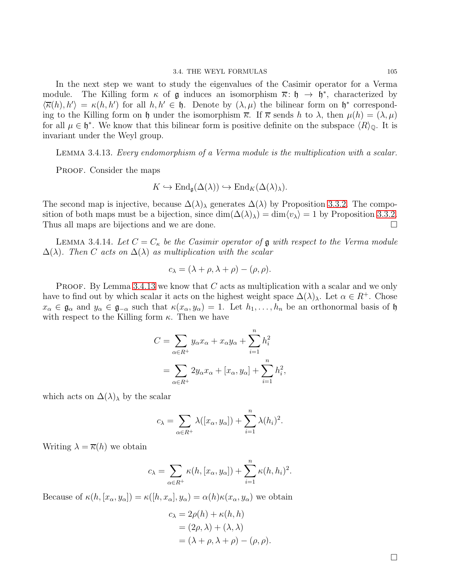In the next step we want to study the eigenvalues of the Casimir operator for a Verma module. The Killing form  $\kappa$  of g induces an isomorphism  $\overline{\kappa}$ :  $\mathfrak{h} \to \mathfrak{h}^*$ , characterized by  $\langle \overline{\kappa}(h), h' \rangle = \kappa(h, h')$  for all  $h, h' \in \mathfrak{h}$ . Denote by  $(\lambda, \mu)$  the bilinear form on  $\mathfrak{h}^*$  corresponding to the Killing form on h under the isomorphism  $\bar{\kappa}$ . If  $\bar{\kappa}$  sends h to  $\lambda$ , then  $\mu(h) = (\lambda, \mu)$ for all  $\mu \in \mathfrak{h}^*$ . We know that this bilinear form is positive definite on the subspace  $\langle R \rangle_{\mathbb{Q}}$ . It is invariant under the Weyl group.

<span id="page-107-0"></span>Lemma 3.4.13. Every endomorphism of a Verma module is the multiplication with a scalar.

PROOF. Consider the maps

$$
K \hookrightarrow \mathrm{End}_{\mathfrak{g}}(\Delta(\lambda)) \hookrightarrow \mathrm{End}_K(\Delta(\lambda)_\lambda).
$$

The second map is injective, because  $\Delta(\lambda)$  generates  $\Delta(\lambda)$  by Proposition [3](#page-101-0).3.2. The composition of both maps must be a bijection, since  $\dim(\Delta(\lambda)_\lambda) = \dim \langle v_\lambda \rangle = 1$  by Proposition [3](#page-101-0).3.2.<br>Thus all maps are bijections and we are done. Thus all maps are bijections and we are done.

**LEMMA** 3.4.14. Let  $C = C_{\kappa}$  be the Casimir operator of **g** with respect to the Verma module  $\Delta(\lambda)$ . Then C acts on  $\Delta(\lambda)$  as multiplication with the scalar

$$
c_{\lambda} = (\lambda + \rho, \lambda + \rho) - (\rho, \rho).
$$

**PROOF.** By Lemma 3.4.[13](#page-107-0) we know that  $C$  acts as multiplication with a scalar and we only have to find out by which scalar it acts on the highest weight space  $\Delta(\lambda)$ <sub>λ</sub>. Let  $\alpha \in R^+$ . Chose  $x_\alpha \in \mathfrak{g}_\alpha$  and  $y_\alpha \in \mathfrak{g}_{-\alpha}$  such that  $\kappa(x_\alpha, y_\alpha) = 1$ . Let  $h_1, \ldots, h_n$  be an orthonormal basis of  $\mathfrak{h}$ with respect to the Killing form  $\kappa$ . Then we have

$$
C = \sum_{\alpha \in R^+} y_{\alpha} x_{\alpha} + x_{\alpha} y_{\alpha} + \sum_{i=1}^n h_i^2
$$
  
= 
$$
\sum_{\alpha \in R^+} 2y_{\alpha} x_{\alpha} + [x_{\alpha}, y_{\alpha}] + \sum_{i=1}^n h_i^2,
$$

which acts on  $\Delta(\lambda)$ <sub>λ</sub> by the scalar

$$
c_{\lambda} = \sum_{\alpha \in R^{+}} \lambda([x_{\alpha}, y_{\alpha}]) + \sum_{i=1}^{n} \lambda(h_{i})^{2}.
$$

Writing  $\lambda = \overline{\kappa}(h)$  we obtain

$$
c_{\lambda} = \sum_{\alpha \in R^{+}} \kappa(h, [x_{\alpha}, y_{\alpha}]) + \sum_{i=1}^{n} \kappa(h, h_{i})^{2}.
$$

Because of  $\kappa(h, [x_\alpha, y_\alpha]) = \kappa([h, x_\alpha], y_\alpha) = \alpha(h)\kappa(x_\alpha, y_\alpha)$  we obtain

$$
c_{\lambda} = 2\rho(h) + \kappa(h, h)
$$
  
=  $(2\rho, \lambda) + (\lambda, \lambda)$   
=  $(\lambda + \rho, \lambda + \rho) - (\rho, \rho).$ 

 $\Box$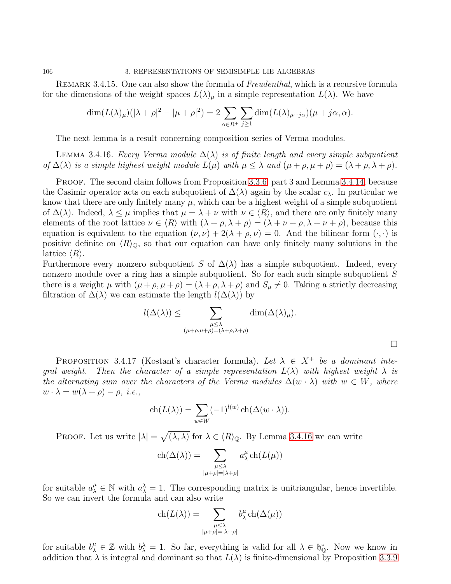106 3. REPRESENTATIONS OF SEMISIMPLE LIE ALGEBRAS

REMARK 3.4.15. One can also show the formula of Freudenthal, which is a recursive formula for the dimensions of the weight spaces  $L(\lambda)_{\mu}$  in a simple representation  $L(\lambda)$ . We have

$$
\dim(L(\lambda)\mu)(|\lambda + \rho|^2 - |\mu + \rho|^2) = 2 \sum_{\alpha \in R^+} \sum_{j \ge 1} \dim(L(\lambda)\mu + j\alpha)(\mu + j\alpha, \alpha).
$$

The next lemma is a result concerning composition series of Verma modules.

<span id="page-108-0"></span>LEMMA 3.4.16. Every Verma module  $\Delta(\lambda)$  is of finite length and every simple subquotient of  $\Delta(\lambda)$  is a simple highest weight module  $L(\mu)$  with  $\mu \leq \lambda$  and  $(\mu + \rho, \mu + \rho) = (\lambda + \rho, \lambda + \rho)$ .

PROOF. The second claim follows from Proposition [3](#page-102-0).3.6, part 3 and Lemma 3.4.[14,](#page-107-0) because the Casimir operator acts on each subquotient of  $\Delta(\lambda)$  again by the scalar  $c_{\lambda}$ . In particular we know that there are only finitely many  $\mu$ , which can be a highest weight of a simple subquotient of  $\Delta(\lambda)$ . Indeed,  $\lambda \leq \mu$  implies that  $\mu = \lambda + \nu$  with  $\nu \in \langle R \rangle$ , and there are only finitely many elements of the root lattice  $\nu \in \langle R \rangle$  with  $(\lambda + \rho, \lambda + \rho) = (\lambda + \nu + \rho, \lambda + \nu + \rho)$ , because this equation is equivalent to the equation  $(\nu, \nu) + 2(\lambda + \rho, \nu) = 0$ . And the bilinear form  $(\cdot, \cdot)$  is positive definite on  $\langle R \rangle_{\mathbb{Q}}$ , so that our equation can have only finitely many solutions in the lattice  $\langle R \rangle$ .

Furthermore every nonzero subquotient S of  $\Delta(\lambda)$  has a simple subquotient. Indeed, every nonzero module over a ring has a simple subquotient. So for each such simple subquotient S there is a weight  $\mu$  with  $(\mu + \rho, \mu + \rho) = (\lambda + \rho, \lambda + \rho)$  and  $S_{\mu} \neq 0$ . Taking a strictly decreasing filtration of  $\Delta(\lambda)$  we can estimate the length  $l(\Delta(\lambda))$  by

$$
l(\Delta(\lambda)) \leq \sum_{\substack{\mu \leq \lambda \\ (\mu + \rho, \mu + \rho) = (\lambda + \rho, \lambda + \rho)}} \dim(\Delta(\lambda)_{\mu}).
$$

 $\Box$ 

<span id="page-108-1"></span>PROPOSITION 3.4.17 (Kostant's character formula). Let  $\lambda \in X^+$  be a dominant inteqral weight. Then the character of a simple representation  $L(\lambda)$  with highest weight  $\lambda$  is the alternating sum over the characters of the Verma modules  $\Delta(w \cdot \lambda)$  with  $w \in W$ , where  $w \cdot \lambda = w(\lambda + \rho) - \rho$ , *i.e.*,

$$
ch(L(\lambda)) = \sum_{w \in W} (-1)^{l(w)} ch(\Delta(w \cdot \lambda)).
$$

PROOF. Let us write  $|\lambda| = \sqrt{(\lambda, \lambda)}$  for  $\lambda \in \langle R \rangle_{\mathbb{Q}}$ . By Lemma 3.4.[16](#page-108-0) we can write

$$
\operatorname{ch}(\Delta(\lambda)) = \sum_{\substack{\mu \leq \lambda \\ |\mu + \rho| = |\lambda + \rho|}} a_{\lambda}^{\mu} \operatorname{ch}(L(\mu))
$$

for suitable  $a_{\lambda}^{\mu} \in \mathbb{N}$  with  $a_{\lambda}^{\lambda} = 1$ . The corresponding matrix is unitriangular, hence invertible. So we can invert the formula and can also write

$$
\operatorname{ch}(L(\lambda)) = \sum_{\substack{\mu \leq \lambda \\ |\mu + \rho| = |\lambda + \rho|}} b_{\lambda}^{\mu} \operatorname{ch}(\Delta(\mu))
$$

for suitable  $b^{\mu}_{\lambda} \in \mathbb{Z}$  with  $b^{\lambda}_{\lambda} = 1$ . So far, everything is valid for all  $\lambda \in \mathfrak{h}_{\mathbb{Q}}^*$ . Now we know in addition that  $\lambda$  is integral and dominant so that  $L(\lambda)$  is finite-dimensional by Proposition [3](#page-103-0).3.9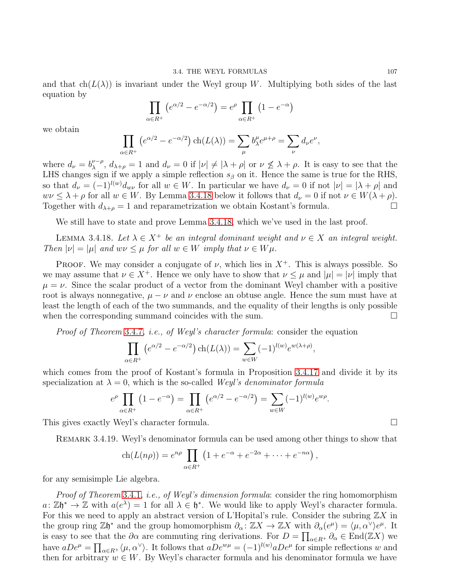and that  $ch(L(\lambda))$  is invariant under the Weyl group W. Multiplying both sides of the last equation by

$$
\prod_{\alpha \in R^+} \left( e^{\alpha/2} - e^{-\alpha/2} \right) = e^{\rho} \prod_{\alpha \in R^+} \left( 1 - e^{-\alpha} \right)
$$

we obtain

$$
\prod_{\alpha \in R^+} \left( e^{\alpha/2} - e^{-\alpha/2} \right) \text{ch}(L(\lambda)) = \sum_{\mu} b_{\lambda}^{\mu} e^{\mu + \rho} = \sum_{\nu} d_{\nu} e^{\nu},
$$

where  $d_{\nu} = b_{\lambda}^{\nu-\rho}$ ,  $d_{\lambda+\rho} = 1$  and  $d_{\nu} = 0$  if  $|\nu| \neq |\lambda+\rho|$  or  $\nu \leq \lambda+\rho$ . It is easy to see that the LHS changes sign if we apply a simple reflection  $s_{\beta}$  on it. Hence the same is true for the RHS, so that  $d_{\nu} = (-1)^{l(w)} d_{w\nu}$  for all  $w \in W$ . In particular we have  $d_{\nu} = 0$  if not  $|\nu| = |\lambda + \rho|$  and  $w\nu \leq \lambda + \rho$  for all  $w \in W$ . By Lemma 3.4.[18](#page-109-0) below it follows that  $d_{\nu} = 0$  if not  $\nu \in W(\lambda + \rho)$ .<br>Together with  $d_{\lambda+\rho} = 1$  and reparametrization we obtain Kostant's formula. Together with  $d_{\lambda+\rho}=1$  and reparametrization we obtain Kostant's formula.

We still have to state and prove Lemma 3.4.[18,](#page-109-0) which we've used in the last proof.

<span id="page-109-0"></span>LEMMA 3.4.18. Let  $\lambda \in X^+$  be an integral dominant weight and  $\nu \in X$  an integral weight. Then  $|\nu| = |\mu|$  and  $w\nu \leq \mu$  for all  $w \in W$  imply that  $\nu \in W\mu$ .

**PROOF.** We may consider a conjugate of  $\nu$ , which lies in  $X^+$ . This is always possible. So we may assume that  $\nu \in X^+$ . Hence we only have to show that  $\nu \leq \mu$  and  $|\mu| = |\nu|$  imply that  $\mu = \nu$ . Since the scalar product of a vector from the dominant Weyl chamber with a positive root is always nonnegative,  $\mu - \nu$  and  $\nu$  enclose an obtuse angle. Hence the sum must have at least the length of each of the two summands, and the equality of their lengths is only possible when the corresponding summand coincides with the sum.  $\Box$ 

Proof of Theorem [3](#page-105-0).4.7, *i.e.*, of Weyl's character formula: consider the equation

$$
\prod_{\alpha \in R^+} \left( e^{\alpha/2} - e^{-\alpha/2} \right) \text{ch}(L(\lambda)) = \sum_{w \in W} (-1)^{l(w)} e^{w(\lambda + \rho)},
$$

which comes from the proof of Kostant's formula in Proposition 3.4.[17](#page-108-1) and divide it by its specialization at  $\lambda = 0$ , which is the so-called Weyl's denominator formula

$$
e^{\rho} \prod_{\alpha \in R^+} (1 - e^{-\alpha}) = \prod_{\alpha \in R^+} (e^{\alpha/2} - e^{-\alpha/2}) = \sum_{w \in W} (-1)^{l(w)} e^{w\rho}.
$$

This gives exactly Weyl's character formula.

Remark 3.4.19. Weyl's denominator formula can be used among other things to show that

$$
ch(L(n\rho)) = e^{n\rho} \prod_{\alpha \in R^+} \left(1 + e^{-\alpha} + e^{-2\alpha} + \dots + e^{-n\alpha}\right),
$$

for any semisimple Lie algebra.

Proof of Theorem [3](#page-104-0).4.1, i.e., of Weyl's dimension formula: consider the ring homomorphism  $a: \mathbb{Z}\mathfrak{h}^* \to \mathbb{Z}$  with  $a(e^{\lambda}) = 1$  for all  $\lambda \in \mathfrak{h}^*$ . We would like to apply Weyl's character formula. For this we need to apply an abstract version of L'Hopital's rule. Consider the subring  $\mathbb{Z}X$  in the group ring  $\mathbb{Z}\mathfrak{h}^*$  and the group homomorphism  $\partial_{\alpha} : \mathbb{Z}X \to \mathbb{Z}X$  with  $\partial_{\alpha}(e^{\mu}) = \langle \mu, \alpha^{\vee} \rangle e^{\mu}$ . It is easy to see that the  $\partial \alpha$  are commuting ring derivations. For  $D = \prod_{\alpha \in R^+} \partial_\alpha \in \text{End}(\mathbb{Z}X)$  we have  $aDe^{\mu} = \prod_{\alpha \in R^+} \langle \mu, \alpha^{\vee} \rangle$ . It follows that  $aDe^{w\mu} = (-1)^{l(w)} aDe^{\mu}$  for simple reflections w and then for arbitrary  $w \in W$ . By Weyl's character formula and his denominator formula we have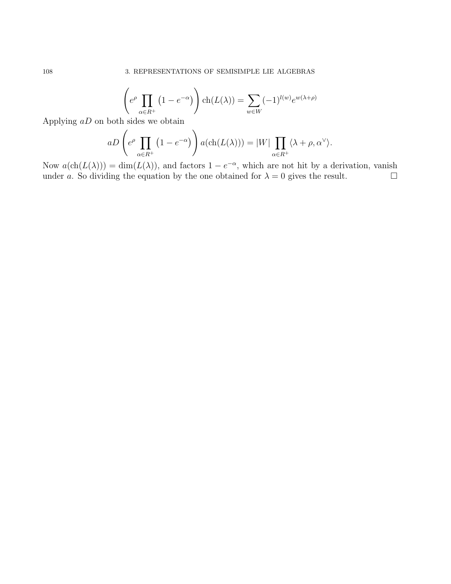$$
\left(e^{\rho} \prod_{\alpha \in R^+} (1 - e^{-\alpha})\right) \text{ch}(L(\lambda)) = \sum_{w \in W} (-1)^{l(w)} e^{w(\lambda + \rho)}
$$

Applying  $aD$  on both sides we obtain

$$
aD\left(e^{\rho}\prod_{\alpha\in R^+}\left(1-e^{-\alpha}\right)\right)a(\text{ch}(L(\lambda)))=|W|\prod_{\alpha\in R^+}\langle\lambda+\rho,\alpha^\vee\rangle.
$$

Now  $a(\text{ch}(L(\lambda))) = \dim(L(\lambda))$ , and factors  $1 - e^{-\alpha}$ , which are not hit by a derivation, vanish under a. So dividing the equation by the one obtained for  $\lambda = 0$  gives the result.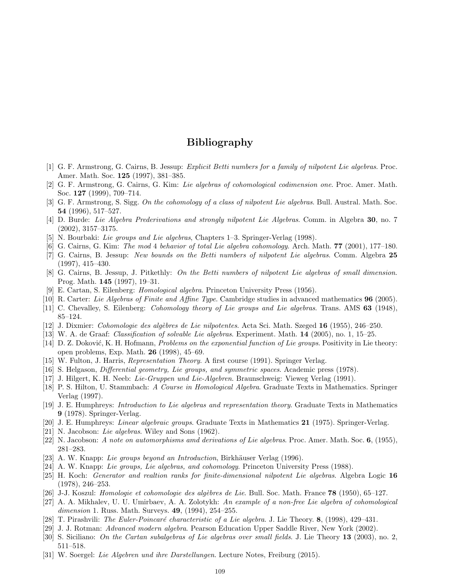## Bibliography

- [1] G. F. Armstrong, G. Cairns, B. Jessup: Explicit Betti numbers for a family of nilpotent Lie algebras. Proc. Amer. Math. Soc. 125 (1997), 381–385.
- [2] G. F. Armstrong, G. Cairns, G. Kim: Lie algebras of cohomological codimension one. Proc. Amer. Math. Soc. 127 (1999), 709–714.
- [3] G. F. Armstrong, S. Sigg. On the cohomology of a class of nilpotent Lie algebras. Bull. Austral. Math. Soc. 54 (1996), 517–527.
- [4] D. Burde: Lie Algebra Prederivations and strongly nilpotent Lie Algebras. Comm. in Algebra 30, no. 7 (2002), 3157–3175.
- [5] N. Bourbaki: Lie groups and Lie algebras, Chapters 1–3. Springer-Verlag (1998).
- [6] G. Cairns, G. Kim: The mod 4 behavior of total Lie algebra cohomology. Arch. Math. 77 (2001), 177–180.
- [7] G. Cairns, B. Jessup: New bounds on the Betti numbers of nilpotent Lie algebras. Comm. Algebra 25 (1997), 415–430.
- [8] G. Cairns, B. Jessup, J. Pitkethly: On the Betti numbers of nilpotent Lie algebras of small dimension. Prog. Math. 145 (1997), 19–31.
- [9] E. Cartan, S. Eilenberg: Homological algebra. Princeton University Press (1956).
- [10] R. Carter: Lie Algebras of Finite and Affine Type. Cambridge studies in advanced mathematics 96 (2005).
- [11] C. Chevalley, S. Eilenberg: *Cohomology theory of Lie groups and Lie algebras*. Trans. AMS **63** (1948), 85–124.
- [12] J. Dixmier: Cohomologie des algèbres de Lie nilpotentes. Acta Sci. Math. Szeged  $16$  (1955), 246–250.
- [13] W. A. de Graaf: Classification of solvable Lie algebras. Experiment. Math. 14 (2005), no. 1, 15–25.
- [14] D. Z. Doković, K. H. Hofmann, *Problems on the exponential function of Lie groups*. Positivity in Lie theory: open problems, Exp. Math. 26 (1998), 45–69.
- [15] W. Fulton, J. Harris, Representation Theory. A first course (1991). Springer Verlag.
- [16] S. Helgason, Differential geometry, Lie groups, and symmetric spaces. Academic press (1978).
- [17] J. Hilgert, K. H. Neeb: Lie-Gruppen und Lie-Algebren. Braunschweig: Vieweg Verlag (1991).
- [18] P. S. Hilton, U. Stammbach: A Course in Homological Algebra. Graduate Texts in Mathematics. Springer Verlag (1997).
- [19] J. E. Humphreys: Introduction to Lie algebras and representation theory. Graduate Texts in Mathematics 9 (1978). Springer-Verlag.
- [20] J. E. Humphreys: Linear algebraic groups. Graduate Texts in Mathematics 21 (1975). Springer-Verlag.
- [21] N. Jacobson: Lie algebras. Wiley and Sons (1962).
- [22] N. Jacobson: A note on automorphisms amd derivations of Lie algebras. Proc. Amer. Math. Soc. 6, (1955), 281–283.
- [23] A. W. Knapp: Lie groups beyond an Introduction, Birkhäuser Verlag (1996).
- [24] A. W. Knapp: Lie groups, Lie algebras, and cohomology. Princeton University Press (1988).
- [25] H. Koch: Generator and realtion ranks for finite-dimensional nilpotent Lie algebras. Algebra Logic 16 (1978), 246–253.
- [26] J-J. Koszul: *Homologie et cohomologie des algèbres de Lie*. Bull. Soc. Math. France **78** (1950), 65–127.
- [27] A. A. Mikhalev, U. U. Umirbaev, A. A. Zolotykh: An example of a non-free Lie algebra of cohomological dimension 1. Russ. Math. Surveys. **49**, (1994), 254–255.
- [28] T. Pirashvili: The Euler-Poincaré characteristic of a Lie algebra. J. Lie Theory.  $\mathbf{8}$ , (1998), 429–431.
- [29] J. J. Rotman: Advanced modern algebra. Pearson Education Upper Saddle River, New York (2002).
- [30] S. Siciliano: On the Cartan subalgebras of Lie algebras over small fields. J. Lie Theory 13 (2003), no. 2, 511–518.
- [31] W. Soergel: Lie Algebren und ihre Darstellungen. Lecture Notes, Freiburg (2015).